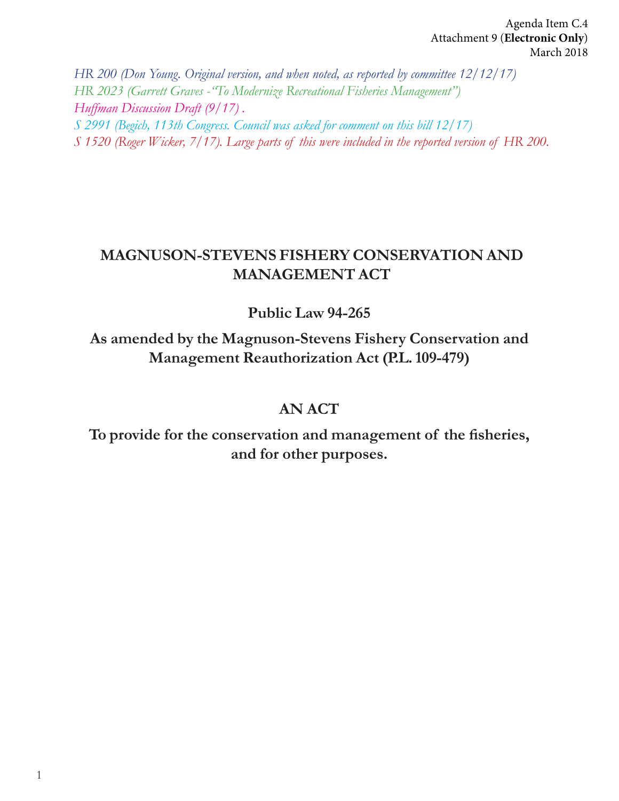Agenda Item C.4 Attachment 9 (**Electronic Only**) March 2018

*HR 200 (Don Young. Original version, and when noted, as reported by committee 12/12/17) HR 2023 (Garrett Graves -"To Modernize Recreational Fisheries Management") Huffman Discussion Draft (9/17) . S 2991 (Begich, 113th Congress. Council was asked for comment on this bill 12/17) S 1520 (Roger Wicker, 7/17). Large parts of this were included in the reported version of HR 200.*

# **MAGNUSON-STEVENS FISHERY CONSERVATION AND MANAGEMENT ACT**

**Public Law 94-265**

**As amended by the Magnuson-Stevens Fishery Conservation and Management Reauthorization Act (P.L. 109-479)**

# **AN ACT**

To provide for the conservation and management of the fisheries, **and for other purposes.**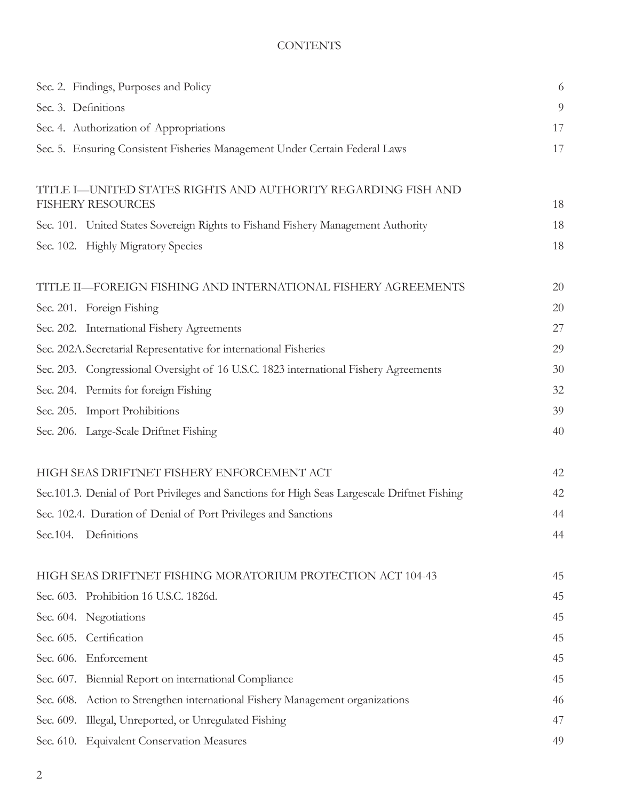### CONTENTS

|                                                                                              | Sec. 2. Findings, Purposes and Policy                                                     | 6  |
|----------------------------------------------------------------------------------------------|-------------------------------------------------------------------------------------------|----|
| Sec. 3. Definitions                                                                          |                                                                                           | 9  |
|                                                                                              | Sec. 4. Authorization of Appropriations                                                   | 17 |
|                                                                                              | Sec. 5. Ensuring Consistent Fisheries Management Under Certain Federal Laws               | 17 |
|                                                                                              |                                                                                           |    |
|                                                                                              | TITLE I—UNITED STATES RIGHTS AND AUTHORITY REGARDING FISH AND<br><b>FISHERY RESOURCES</b> | 18 |
|                                                                                              | Sec. 101. United States Sovereign Rights to Fishand Fishery Management Authority          | 18 |
|                                                                                              | Sec. 102. Highly Migratory Species                                                        | 18 |
|                                                                                              |                                                                                           |    |
|                                                                                              | TITLE II-FOREIGN FISHING AND INTERNATIONAL FISHERY AGREEMENTS                             | 20 |
|                                                                                              | Sec. 201. Foreign Fishing                                                                 | 20 |
|                                                                                              | Sec. 202. International Fishery Agreements                                                | 27 |
|                                                                                              | Sec. 202A. Secretarial Representative for international Fisheries                         | 29 |
|                                                                                              | Sec. 203. Congressional Oversight of 16 U.S.C. 1823 international Fishery Agreements      | 30 |
|                                                                                              | Sec. 204. Permits for foreign Fishing                                                     | 32 |
|                                                                                              | Sec. 205. Import Prohibitions                                                             | 39 |
|                                                                                              | Sec. 206. Large-Scale Driftnet Fishing                                                    | 40 |
|                                                                                              |                                                                                           |    |
| HIGH SEAS DRIFTNET FISHERY ENFORCEMENT ACT                                                   |                                                                                           | 42 |
| Sec.101.3. Denial of Port Privileges and Sanctions for High Seas Largescale Driftnet Fishing |                                                                                           | 42 |
| Sec. 102.4. Duration of Denial of Port Privileges and Sanctions                              |                                                                                           | 44 |
|                                                                                              | Sec.104. Definitions                                                                      | 44 |
|                                                                                              |                                                                                           |    |
|                                                                                              | HIGH SEAS DRIFTNET FISHING MORATORIUM PROTECTION ACT 104-43                               | 45 |
|                                                                                              | Sec. 603. Prohibition 16 U.S.C. 1826d.                                                    | 45 |
|                                                                                              | Sec. 604. Negotiations                                                                    | 45 |
|                                                                                              | Sec. 605. Certification                                                                   | 45 |
|                                                                                              | Sec. 606. Enforcement                                                                     | 45 |
|                                                                                              | Sec. 607. Biennial Report on international Compliance                                     | 45 |
|                                                                                              | Sec. 608. Action to Strengthen international Fishery Management organizations             | 46 |
|                                                                                              | Sec. 609. Illegal, Unreported, or Unregulated Fishing                                     | 47 |
|                                                                                              | Sec. 610. Equivalent Conservation Measures                                                | 49 |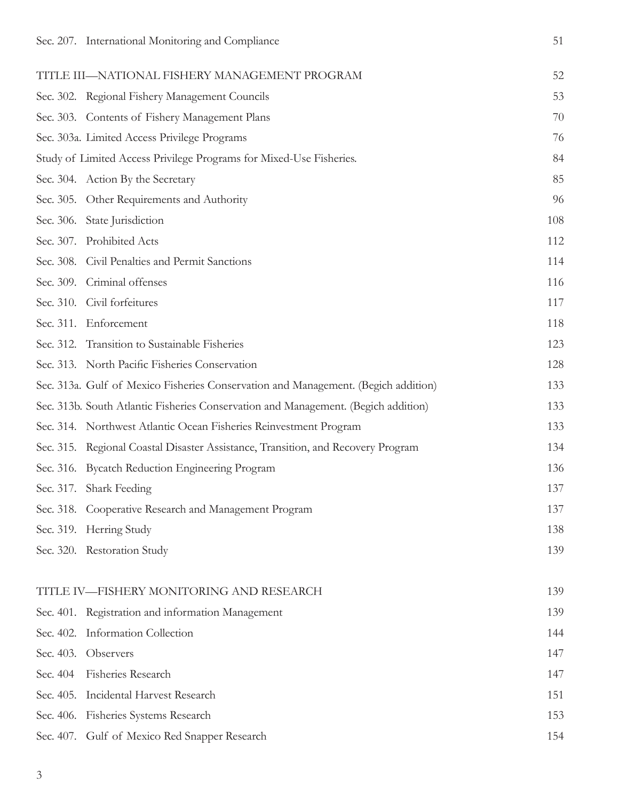|                                                                     | TITLE III—NATIONAL FISHERY MANAGEMENT PROGRAM                                      | 52  |
|---------------------------------------------------------------------|------------------------------------------------------------------------------------|-----|
|                                                                     | Sec. 302. Regional Fishery Management Councils                                     | 53  |
|                                                                     | Sec. 303. Contents of Fishery Management Plans                                     | 70  |
|                                                                     | Sec. 303a. Limited Access Privilege Programs                                       | 76  |
| Study of Limited Access Privilege Programs for Mixed-Use Fisheries. |                                                                                    |     |
|                                                                     | Sec. 304. Action By the Secretary                                                  | 85  |
|                                                                     | Sec. 305. Other Requirements and Authority                                         | 96  |
|                                                                     | Sec. 306. State Jurisdiction                                                       | 108 |
|                                                                     | Sec. 307. Prohibited Acts                                                          | 112 |
|                                                                     | Sec. 308. Civil Penalties and Permit Sanctions                                     | 114 |
|                                                                     | Sec. 309. Criminal offenses                                                        | 116 |
|                                                                     | Sec. 310. Civil forfeitures                                                        | 117 |
|                                                                     | Sec. 311. Enforcement                                                              | 118 |
|                                                                     | Sec. 312. Transition to Sustainable Fisheries                                      | 123 |
|                                                                     | Sec. 313. North Pacific Fisheries Conservation                                     | 128 |
|                                                                     | Sec. 313a. Gulf of Mexico Fisheries Conservation and Management. (Begich addition) | 133 |
|                                                                     | Sec. 313b. South Atlantic Fisheries Conservation and Management. (Begich addition) | 133 |
|                                                                     | Sec. 314. Northwest Atlantic Ocean Fisheries Reinvestment Program                  | 133 |
|                                                                     | Sec. 315. Regional Coastal Disaster Assistance, Transition, and Recovery Program   | 134 |
|                                                                     | Sec. 316. Bycatch Reduction Engineering Program                                    | 136 |
|                                                                     | Sec. 317. Shark Feeding                                                            | 137 |
|                                                                     | Sec. 318. Cooperative Research and Management Program                              | 137 |
|                                                                     | Sec. 319. Herring Study                                                            | 138 |
|                                                                     | Sec. 320. Restoration Study                                                        | 139 |
|                                                                     |                                                                                    |     |
|                                                                     | TITLE IV-FISHERY MONITORING AND RESEARCH                                           | 139 |
|                                                                     | Sec. 401. Registration and information Management                                  | 139 |
|                                                                     | Sec. 402. Information Collection                                                   | 144 |
|                                                                     | Sec. 403. Observers                                                                | 147 |
| Sec. 404                                                            | Fisheries Research                                                                 | 147 |
|                                                                     | Sec. 405. Incidental Harvest Research                                              | 151 |
|                                                                     | Sec. 406. Fisheries Systems Research                                               | 153 |
|                                                                     | Sec. 407. Gulf of Mexico Red Snapper Research                                      | 154 |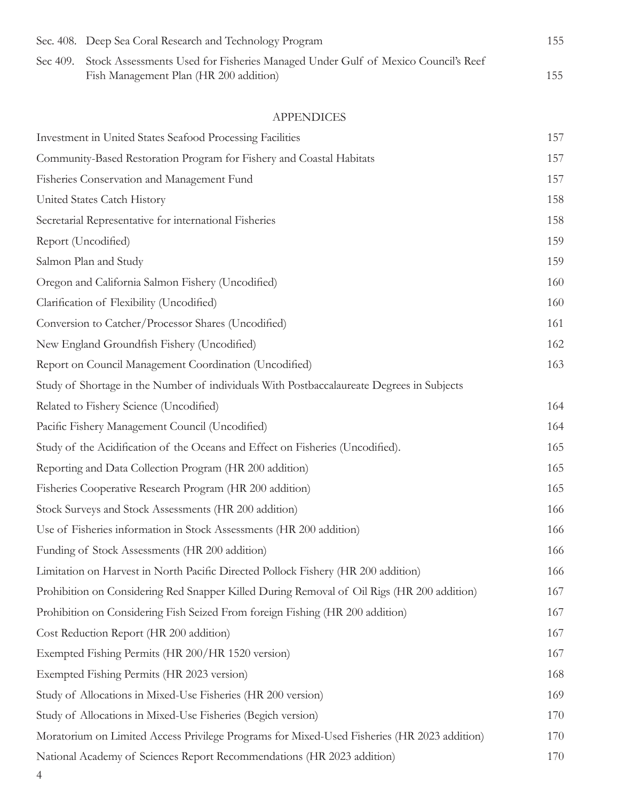|                                                                        | Sec. 408. Deep Sea Coral Research and Technology Program                                                                   | 155 |
|------------------------------------------------------------------------|----------------------------------------------------------------------------------------------------------------------------|-----|
| Sec 409.                                                               | Stock Assessments Used for Fisheries Managed Under Gulf of Mexico Council's Reef<br>Fish Management Plan (HR 200 addition) | 155 |
|                                                                        | <b>APPENDICES</b>                                                                                                          |     |
|                                                                        | Investment in United States Seafood Processing Facilities                                                                  | 157 |
| Community-Based Restoration Program for Fishery and Coastal Habitats   |                                                                                                                            | 157 |
| Fisheries Conservation and Management Fund                             |                                                                                                                            | 157 |
| United States Catch History                                            |                                                                                                                            | 158 |
|                                                                        | Secretarial Representative for international Fisheries                                                                     | 158 |
| Report (Uncodified)                                                    |                                                                                                                            | 159 |
|                                                                        | Salmon Plan and Study                                                                                                      | 159 |
|                                                                        | Oregon and California Salmon Fishery (Uncodified)                                                                          | 160 |
|                                                                        | Clarification of Flexibility (Uncodified)                                                                                  | 160 |
|                                                                        | Conversion to Catcher/Processor Shares (Uncodified)                                                                        | 161 |
|                                                                        | New England Groundfish Fishery (Uncodified)                                                                                | 162 |
| Report on Council Management Coordination (Uncodified)                 |                                                                                                                            | 163 |
|                                                                        | Study of Shortage in the Number of individuals With Postbaccalaureate Degrees in Subjects                                  |     |
|                                                                        | Related to Fishery Science (Uncodified)                                                                                    | 164 |
| Pacific Fishery Management Council (Uncodified)                        |                                                                                                                            | 164 |
|                                                                        | Study of the Acidification of the Oceans and Effect on Fisheries (Uncodified).                                             | 165 |
|                                                                        | Reporting and Data Collection Program (HR 200 addition)                                                                    | 165 |
| Fisheries Cooperative Research Program (HR 200 addition)               |                                                                                                                            | 165 |
| Stock Surveys and Stock Assessments (HR 200 addition)                  |                                                                                                                            | 166 |
|                                                                        | Use of Fisheries information in Stock Assessments (HR 200 addition)                                                        | 166 |
|                                                                        | Funding of Stock Assessments (HR 200 addition)                                                                             | 166 |
|                                                                        | Limitation on Harvest in North Pacific Directed Pollock Fishery (HR 200 addition)                                          | 166 |
|                                                                        | Prohibition on Considering Red Snapper Killed During Removal of Oil Rigs (HR 200 addition)                                 | 167 |
|                                                                        | Prohibition on Considering Fish Seized From foreign Fishing (HR 200 addition)                                              | 167 |
|                                                                        | Cost Reduction Report (HR 200 addition)                                                                                    | 167 |
|                                                                        | Exempted Fishing Permits (HR 200/HR 1520 version)                                                                          | 167 |
|                                                                        | Exempted Fishing Permits (HR 2023 version)                                                                                 | 168 |
|                                                                        | Study of Allocations in Mixed-Use Fisheries (HR 200 version)                                                               | 169 |
|                                                                        | Study of Allocations in Mixed-Use Fisheries (Begich version)                                                               | 170 |
|                                                                        | Moratorium on Limited Access Privilege Programs for Mixed-Used Fisheries (HR 2023 addition)                                | 170 |
| National Academy of Sciences Report Recommendations (HR 2023 addition) |                                                                                                                            | 170 |

4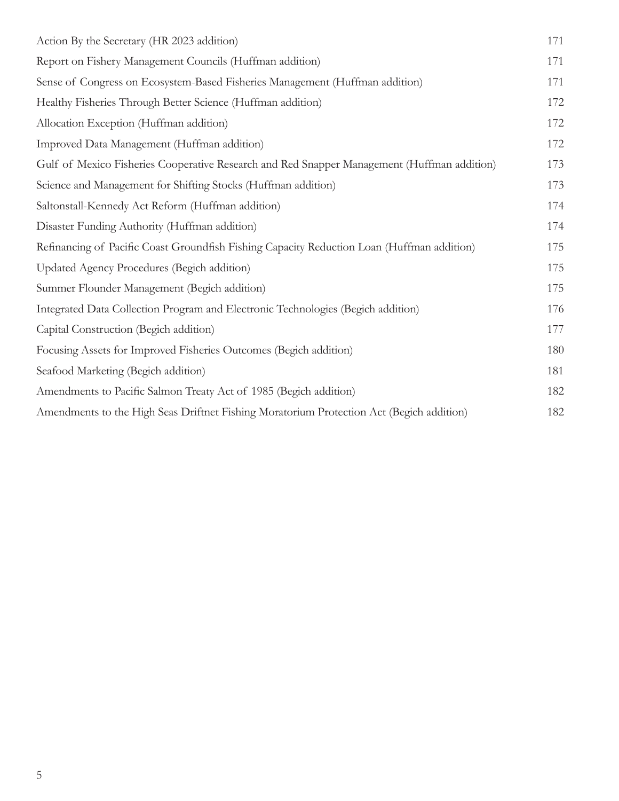| Action By the Secretary (HR 2023 addition)                                                  | 171 |
|---------------------------------------------------------------------------------------------|-----|
| Report on Fishery Management Councils (Huffman addition)                                    | 171 |
| Sense of Congress on Ecosystem-Based Fisheries Management (Huffman addition)                | 171 |
| Healthy Fisheries Through Better Science (Huffman addition)                                 | 172 |
| Allocation Exception (Huffman addition)                                                     | 172 |
| Improved Data Management (Huffman addition)                                                 | 172 |
| Gulf of Mexico Fisheries Cooperative Research and Red Snapper Management (Huffman addition) | 173 |
| Science and Management for Shifting Stocks (Huffman addition)                               | 173 |
| Saltonstall-Kennedy Act Reform (Huffman addition)                                           | 174 |
| Disaster Funding Authority (Huffman addition)                                               | 174 |
| Refinancing of Pacific Coast Groundfish Fishing Capacity Reduction Loan (Huffman addition)  | 175 |
| Updated Agency Procedures (Begich addition)                                                 | 175 |
| Summer Flounder Management (Begich addition)                                                | 175 |
| Integrated Data Collection Program and Electronic Technologies (Begich addition)            | 176 |
| Capital Construction (Begich addition)                                                      | 177 |
| Focusing Assets for Improved Fisheries Outcomes (Begich addition)                           | 180 |
| Seafood Marketing (Begich addition)                                                         | 181 |
| Amendments to Pacific Salmon Treaty Act of 1985 (Begich addition)                           | 182 |
| Amendments to the High Seas Driftnet Fishing Moratorium Protection Act (Begich addition)    | 182 |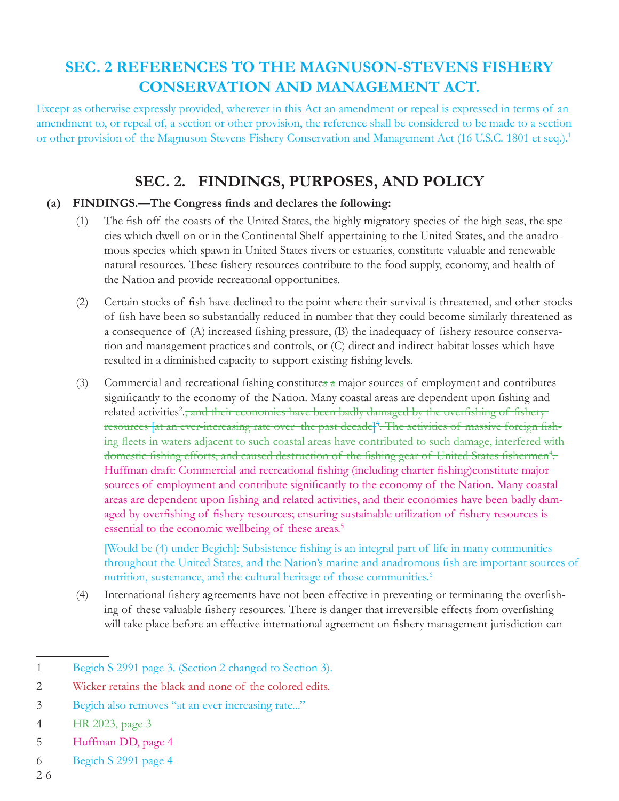# **SEC. 2 REFERENCES TO THE MAGNUSON-STEVENS FISHERY CONSERVATION AND MANAGEMENT ACT.**

Except as otherwise expressly provided, wherever in this Act an amendment or repeal is expressed in terms of an amendment to, or repeal of, a section or other provision, the reference shall be considered to be made to a section or other provision of the Magnuson-Stevens Fishery Conservation and Management Act (16 U.S.C. 1801 et seq.).<sup>1</sup>

# **SEC. 2. FINDINGS, PURPOSES, AND POLICY**

### (a) FINDINGS.—The Congress finds and declares the following:

- $(1)$  The fish off the coasts of the United States, the highly migratory species of the high seas, the species which dwell on or in the Continental Shelf appertaining to the United States, and the anadromous species which spawn in United States rivers or estuaries, constitute valuable and renewable natural resources. These fishery resources contribute to the food supply, economy, and health of the Nation and provide recreational opportunities.
- (2) Certain stocks of fish have declined to the point where their survival is threatened, and other stocks of fish have been so substantially reduced in number that they could become similarly threatened as a consequence of (A) increased fishing pressure, (B) the inadequacy of fishery resource conservation and management practices and controls, or (C) direct and indirect habitat losses which have resulted in a diminished capacity to support existing fishing levels.
- (3) Commercial and recreational fishing constitutes  $\alpha$  major sources of employment and contributes significantly to the economy of the Nation. Many coastal areas are dependent upon fishing and related activities<sup>2</sup>., and their economies have been badly damaged by the overfishing of fishery resources [at an ever-increasing rate over the past decade]<sup>3</sup>. The activities of massive foreign fishing fleets in waters adjacent to such coastal areas have contributed to such damage, interfered with domestic fishing efforts, and caused destruction of the fishing gear of United States fishermen<sup>4</sup>. Huffman draft: Commercial and recreational fishing (including charter fishing)constitute major sources of employment and contribute significantly to the economy of the Nation. Many coastal areas are dependent upon fishing and related activities, and their economies have been badly damaged by overfishing of fishery resources; ensuring sustainable utilization of fishery resources is essential to the economic wellbeing of these areas.<sup>5</sup>

[Would be (4) under Begich]: Subsistence fishing is an integral part of life in many communities throughout the United States, and the Nation's marine and anadromous fish are important sources of nutrition, sustenance, and the cultural heritage of those communities.<sup>6</sup>

(4) International fishery agreements have not been effective in preventing or terminating the overfishing of these valuable fishery resources. There is danger that irreversible effects from overfishing will take place before an effective international agreement on fishery management jurisdiction can

- 5 Huffman DD, page 4
- 6 Begich S 2991 page 4
- 2-6

<sup>1</sup> Begich S 2991 page 3. (Section 2 changed to Section 3).

<sup>2</sup> Wicker retains the black and none of the colored edits.

<sup>3</sup> Begich also removes "at an ever increasing rate..."

<sup>4</sup> HR 2023, page 3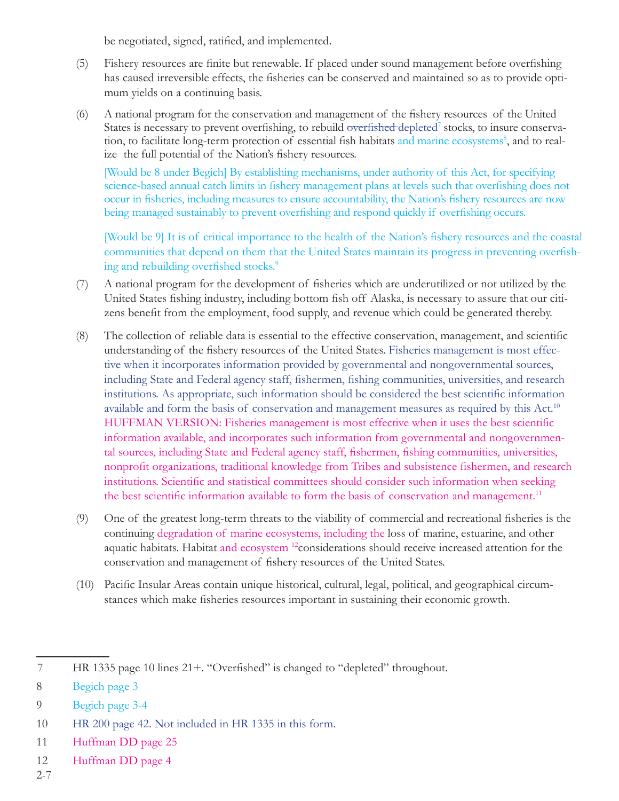be negotiated, signed, ratified, and implemented.

- (5) Fishery resources are finite but renewable. If placed under sound management before overfishing has caused irreversible effects, the fisheries can be conserved and maintained so as to provide optimum yields on a continuing basis.
- (6) A national program for the conservation and management of the fishery resources of the United States is necessary to prevent overfishing, to rebuild overfished depleted<sup>7</sup> stocks, to insure conservation, to facilitate long-term protection of essential fish habitats and marine ecosystems<sup>8</sup>, and to realize the full potential of the Nation's fishery resources.

[Would be 8 under Begich] By establishing mechanisms, under authority of this Act, for specifying science-based annual catch limits in fishery management plans at levels such that overfishing does not occur in fisheries, including measures to ensure accountability, the Nation's fishery resources are now being managed sustainably to prevent overfishing and respond quickly if overfishing occurs.

[Would be 9] It is of critical importance to the health of the Nation's fishery resources and the coastal communities that depend on them that the United States maintain its progress in preventing overfishing and rebuilding overfished stocks.<sup>9</sup>

- (7) A national program for the development of fisheries which are underutilized or not utilized by the United States fishing industry, including bottom fish off Alaska, is necessary to assure that our citizens benefit from the employment, food supply, and revenue which could be generated thereby.
- (8) The collection of reliable data is essential to the effective conservation, management, and scientific understanding of the fishery resources of the United States. Fisheries management is most effective when it incorporates information provided by governmental and nongovernmental sources, including State and Federal agency staff, fishermen, fishing communities, universities, and research institutions. As appropriate, such information should be considered the best scientific information available and form the basis of conservation and management measures as required by this Act.<sup>10</sup> HUFFMAN VERSION: Fisheries management is most effective when it uses the best scientific information available, and incorporates such information from governmental and nongovernmental sources, including State and Federal agency staff, fishermen, fishing communities, universities, nonprofit organizations, traditional knowledge from Tribes and subsistence fishermen, and research institutions. Scientific and statistical committees should consider such information when seeking the best scientific information available to form the basis of conservation and management.<sup>11</sup>
- (9) One of the greatest long-term threats to the viability of commercial and recreational fisheries is the continuing degradation of marine ecosystems, including the loss of marine, estuarine, and other aquatic habitats. Habitat and ecosystem 12considerations should receive increased attention for the conservation and management of fishery resources of the United States.
- (10) Pacifi c Insular Areas contain unique historical, cultural, legal, political, and geographical circumstances which make fisheries resources important in sustaining their economic growth.

<sup>7</sup> HR 1335 page 10 lines 21+. "Overfished" is changed to "depleted" throughout.

<sup>8</sup> Begich page 3

<sup>9</sup> Begich page 3-4

<sup>10</sup> HR 200 page 42. Not included in HR 1335 in this form.

<sup>11</sup> Huffman DD page 25

<sup>12</sup> Huffman DD page 4

<sup>2-7</sup>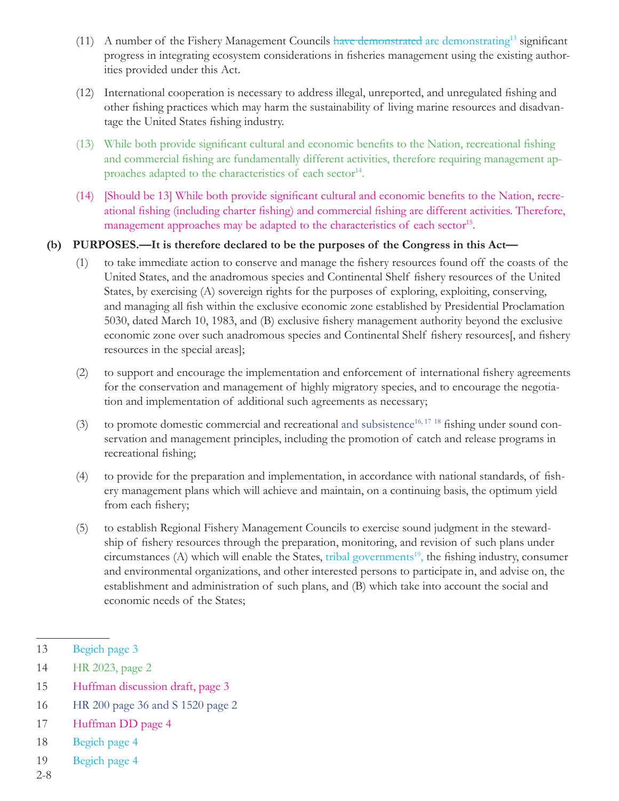- (11) A number of the Fishery Management Councils have demonstrated are demonstrating<sup>13</sup> significant progress in integrating ecosystem considerations in fisheries management using the existing authorities provided under this Act.
- (12) International cooperation is necessary to address illegal, unreported, and unregulated fishing and other fishing practices which may harm the sustainability of living marine resources and disadvantage the United States fishing industry.
- (13) While both provide significant cultural and economic benefits to the Nation, recreational fishing and commercial fishing are fundamentally different activities, therefore requiring management approaches adapted to the characteristics of each sector<sup>14</sup>.
- (14) [Should be 13] While both provide significant cultural and economic benefits to the Nation, recreational fishing (including charter fishing) and commercial fishing are different activities. Therefore, management approaches may be adapted to the characteristics of each sector<sup>15</sup>.

### **(b) PURPOSES.—It is therefore declared to be the purposes of the Congress in this Act—**

- (1) to take immediate action to conserve and manage the fishery resources found off the coasts of the United States, and the anadromous species and Continental Shelf fishery resources of the United States, by exercising (A) sovereign rights for the purposes of exploring, exploiting, conserving, and managing all fish within the exclusive economic zone established by Presidential Proclamation 5030, dated March 10, 1983, and (B) exclusive fishery management authority beyond the exclusive economic zone over such anadromous species and Continental Shelf fishery resources[, and fishery resources in the special areas];
- (2) to support and encourage the implementation and enforcement of international fishery agreements for the conservation and management of highly migratory species, and to encourage the negotiation and implementation of additional such agreements as necessary;
- (3) to promote domestic commercial and recreational and subsistence<sup>16, 17</sup> 18 fishing under sound conservation and management principles, including the promotion of catch and release programs in recreational fishing;
- (4) to provide for the preparation and implementation, in accordance with national standards, of fishery management plans which will achieve and maintain, on a continuing basis, the optimum yield from each fishery;
- (5) to establish Regional Fishery Management Councils to exercise sound judgment in the stewardship of fishery resources through the preparation, monitoring, and revision of such plans under circumstances  $(A)$  which will enable the States, tribal governments<sup>19</sup>, the fishing industry, consumer and environmental organizations, and other interested persons to participate in, and advise on, the establishment and administration of such plans, and (B) which take into account the social and economic needs of the States;

- 15 Huffman discussion draft, page 3
- 16 HR 200 page 36 and S 1520 page 2
- 17 Huffman DD page 4
- 18 Begich page 4
- 19 Begich page 4
- 2-8

<sup>13</sup> Begich page 3

<sup>14</sup> HR 2023, page 2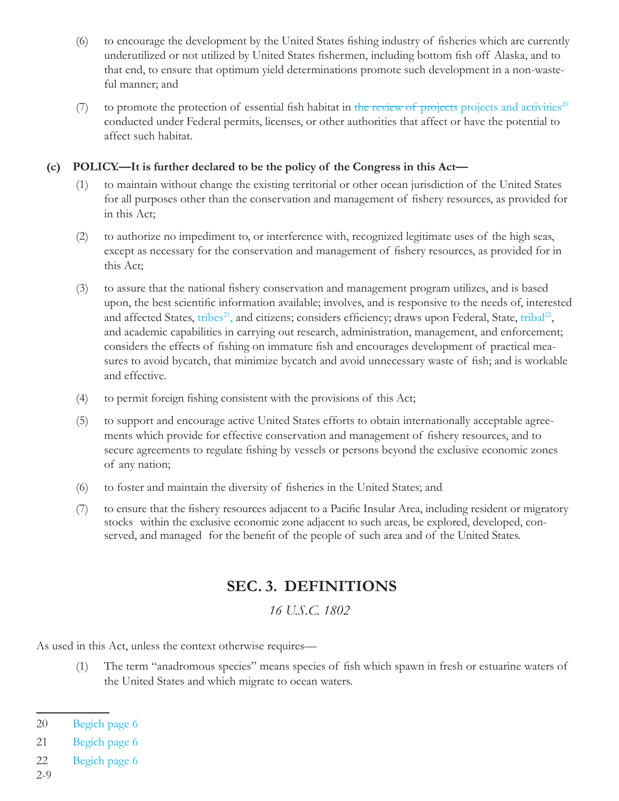- (6) to encourage the development by the United States fishing industry of fisheries which are currently underutilized or not utilized by United States fishermen, including bottom fish off Alaska, and to that end, to ensure that optimum yield determinations promote such development in a non-wasteful manner; and
- (7) to promote the protection of essential fish habitat in the review of projects projects and activities<sup>20</sup> conducted under Federal permits, licenses, or other authorities that affect or have the potential to affect such habitat.

#### **(c) POLICY.—It is further declared to be the policy of the Congress in this Act—**

- (1) to maintain without change the existing territorial or other ocean jurisdiction of the United States for all purposes other than the conservation and management of fishery resources, as provided for in this Act;
- (2) to authorize no impediment to, or interference with, recognized legitimate uses of the high seas, except as necessary for the conservation and management of fishery resources, as provided for in this Act;
- (3) to assure that the national fishery conservation and management program utilizes, and is based upon, the best scientific information available; involves, and is responsive to the needs of, interested and affected States, tribes<sup>21</sup>, and citizens; considers efficiency; draws upon Federal, State, tribal<sup>22</sup>, and academic capabilities in carrying out research, administration, management, and enforcement; considers the effects of fishing on immature fish and encourages development of practical measures to avoid bycatch, that minimize bycatch and avoid unnecessary waste of fish; and is workable and effective.
- (4) to permit foreign fishing consistent with the provisions of this Act;
- (5) to support and encourage active United States efforts to obtain internationally acceptable agreements which provide for effective conservation and management of fishery resources, and to secure agreements to regulate fishing by vessels or persons beyond the exclusive economic zones of any nation;
- (6) to foster and maintain the diversity of fisheries in the United States; and
- (7) to ensure that the fishery resources adjacent to a Pacific Insular Area, including resident or migratory stocks within the exclusive economic zone adjacent to such areas, be explored, developed, conserved, and managed for the benefit of the people of such area and of the United States.

# **SEC. 3. DEFINITIONS**

### *16 U.S.C. 1802*

As used in this Act, unless the context otherwise requires—

(1) The term "anadromous species" means species of fish which spawn in fresh or estuarine waters of the United States and which migrate to ocean waters.

<sup>20</sup> Begich page 6

<sup>21</sup> Begich page 6

<sup>22</sup> Begich page 6

<sup>2-9</sup>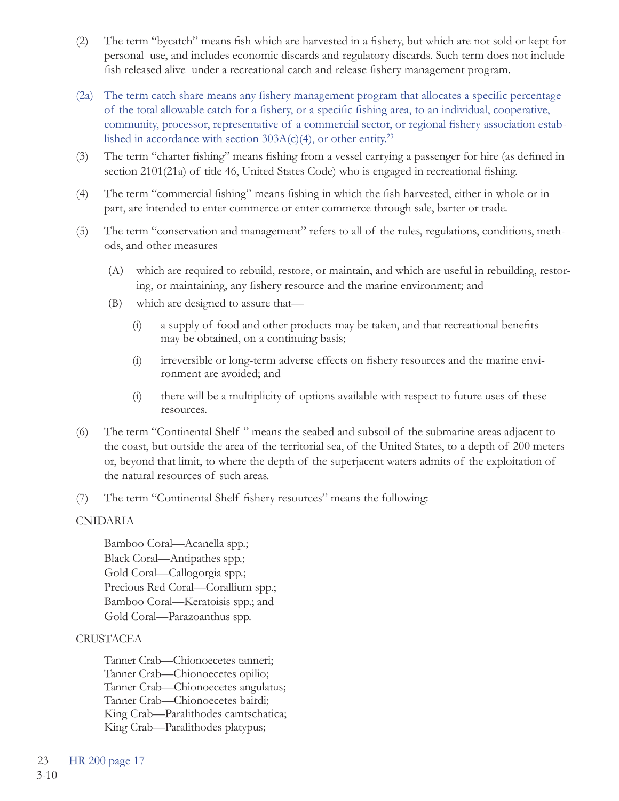- (2) The term "bycatch" means fish which are harvested in a fishery, but which are not sold or kept for personal use, and includes economic discards and regulatory discards. Such term does not include fish released alive under a recreational catch and release fishery management program.
- (2a) The term catch share means any fishery management program that allocates a specific percentage of the total allowable catch for a fishery, or a specific fishing area, to an individual, cooperative, community, processor, representative of a commercial sector, or regional fishery association established in accordance with section  $303A(c)(4)$ , or other entity.<sup>23</sup>
- (3) The term "charter fishing" means fishing from a vessel carrying a passenger for hire (as defined in section  $2101(21a)$  of title 46, United States Code) who is engaged in recreational fishing.
- (4) The term "commercial fishing" means fishing in which the fish harvested, either in whole or in part, are intended to enter commerce or enter commerce through sale, barter or trade.
- (5) The term "conservation and management" refers to all of the rules, regulations, conditions, methods, and other measures
	- (A) which are required to rebuild, restore, or maintain, and which are useful in rebuilding, restoring, or maintaining, any fishery resource and the marine environment; and
	- (B) which are designed to assure that—
		- $(i)$  a supply of food and other products may be taken, and that recreational benefits may be obtained, on a continuing basis;
		- (i) irreversible or long-term adverse effects on fishery resources and the marine environment are avoided; and
		- (i) there will be a multiplicity of options available with respect to future uses of these resources.
- (6) The term "Continental Shelf " means the seabed and subsoil of the submarine areas adjacent to the coast, but outside the area of the territorial sea, of the United States, to a depth of 200 meters or, beyond that limit, to where the depth of the superjacent waters admits of the exploitation of the natural resources of such areas.
- (7) The term "Continental Shelf fishery resources" means the following:

#### CNIDARIA

 Bamboo Coral—Acanella spp.; Black Coral—Antipathes spp.; Gold Coral—Callogorgia spp.; Precious Red Coral—Corallium spp.; Bamboo Coral—Keratoisis spp.; and Gold Coral—Parazoanthus spp.

#### **CRUSTACEA**

 Tanner Crab—Chionoecetes tanneri; Tanner Crab—Chionoecetes opilio; Tanner Crab—Chionoecetes angulatus; Tanner Crab—Chionoecetes bairdi; King Crab—Paralithodes camtschatica; King Crab—Paralithodes platypus;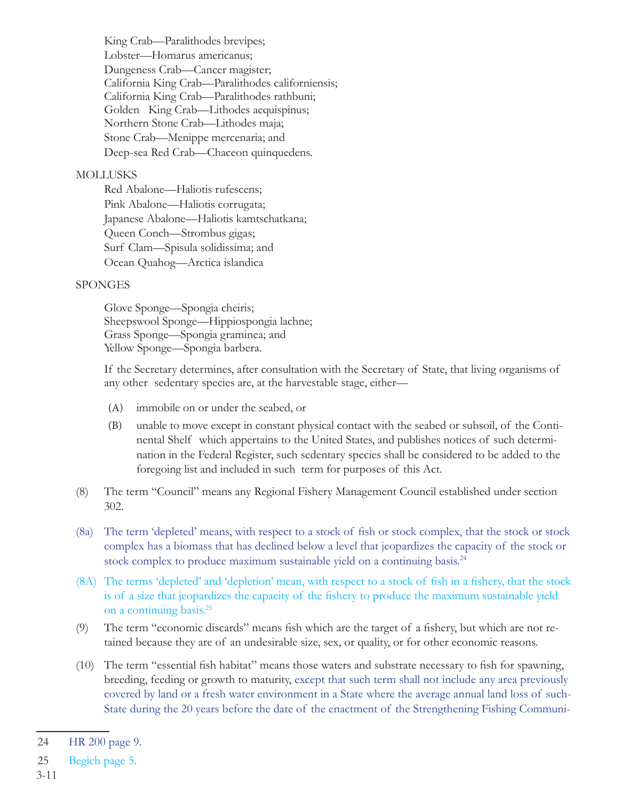King Crab—Paralithodes brevipes; Lobster—Homarus americanus; Dungeness Crab—Cancer magister; California King Crab—Paralithodes californiensis; California King Crab—Paralithodes rathbuni; Golden King Crab—Lithodes aequispinus; Northern Stone Crab—Lithodes maja; Stone Crab—Menippe mercenaria; and Deep-sea Red Crab—Chaceon quinquedens.

#### MOLLUSKS

Red Abalone—Haliotis rufescens; Pink Abalone—Haliotis corrugata; Japanese Abalone—Haliotis kamtschatkana; Queen Conch—Strombus gigas; Surf Clam—Spisula solidissima; and Ocean Quahog—Arctica islandica

#### SPONGES

 Glove Sponge—Spongia cheiris; Sheepswool Sponge—Hippiospongia lachne; Grass Sponge—Spongia graminea; and Yellow Sponge—Spongia barbera.

 If the Secretary determines, after consultation with the Secretary of State, that living organisms of any other sedentary species are, at the harvestable stage, either—

- (A) immobile on or under the seabed, or
- (B) unable to move except in constant physical contact with the seabed or subsoil, of the Continental Shelf which appertains to the United States, and publishes notices of such determination in the Federal Register, such sedentary species shall be considered to be added to the foregoing list and included in such term for purposes of this Act.
- (8) The term "Council" means any Regional Fishery Management Council established under section 302.
- (8a) The term 'depleted' means, with respect to a stock of fish or stock complex, that the stock or stock complex has a biomass that has declined below a level that jeopardizes the capacity of the stock or stock complex to produce maximum sustainable yield on a continuing basis.<sup>24</sup>
- (8A) The terms 'depleted' and 'depletion' mean, with respect to a stock of fish in a fishery, that the stock is of a size that jeopardizes the capacity of the fishery to produce the maximum sustainable yield on a continuing basis.25
- (9) The term "economic discards" means fish which are the target of a fishery, but which are not retained because they are of an undesirable size, sex, or quality, or for other economic reasons.
- (10) The term "essential fish habitat" means those waters and substrate necessary to fish for spawning, breeding, feeding or growth to maturity, except that such term shall not include any area previously covered by land or a fresh water environment in a State where the average annual land loss of such-State during the 20 years before the date of the enactment of the Strengthening Fishing Communi-

<sup>24</sup> HR 200 page 9.

<sup>25</sup> Begich page 5.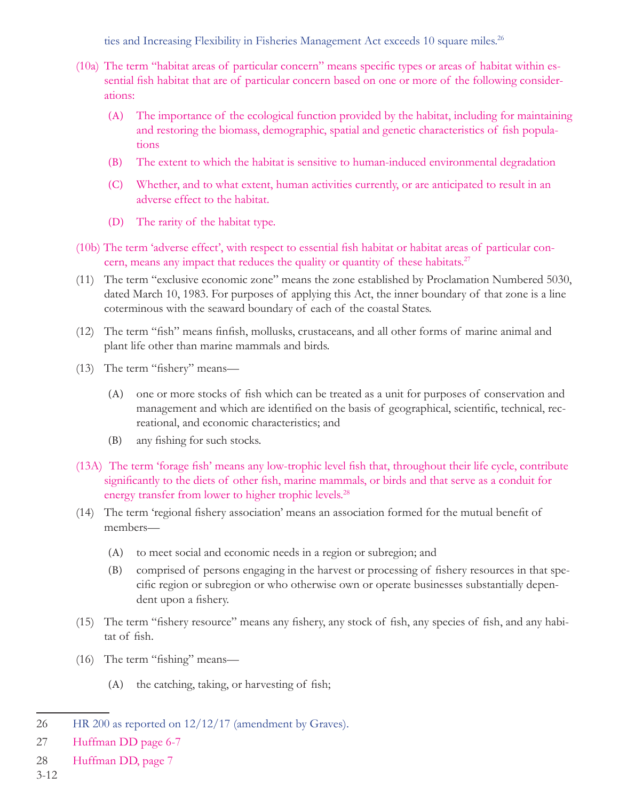ties and Increasing Flexibility in Fisheries Management Act exceeds 10 square miles.<sup>26</sup>

- (10a) The term "habitat areas of particular concern" means specific types or areas of habitat within essential fish habitat that are of particular concern based on one or more of the following considerations:
	- (A) The importance of the ecological function provided by the habitat, including for maintaining and restoring the biomass, demographic, spatial and genetic characteristics of fish populations
	- (B) The extent to which the habitat is sensitive to human-induced environmental degradation
	- (C) Whether, and to what extent, human activities currently, or are anticipated to result in an adverse effect to the habitat.
	- (D) The rarity of the habitat type.
- (10b) The term 'adverse effect', with respect to essential fish habitat or habitat areas of particular concern, means any impact that reduces the quality or quantity of these habitats.<sup>27</sup>
- (11) The term "exclusive economic zone" means the zone established by Proclamation Numbered 5030, dated March 10, 1983. For purposes of applying this Act, the inner boundary of that zone is a line coterminous with the seaward boundary of each of the coastal States.
- (12) The term "fish" means finfish, mollusks, crustaceans, and all other forms of marine animal and plant life other than marine mammals and birds.
- (13) The term "fishery" means-
	- (A) one or more stocks of fish which can be treated as a unit for purposes of conservation and management and which are identified on the basis of geographical, scientific, technical, recreational, and economic characteristics; and
	- (B) any fishing for such stocks.
- (13A) The term 'forage fish' means any low-trophic level fish that, throughout their life cycle, contribute significantly to the diets of other fish, marine mammals, or birds and that serve as a conduit for energy transfer from lower to higher trophic levels.<sup>28</sup>
- (14) The term 'regional fishery association' means an association formed for the mutual benefit of members—
	- (A) to meet social and economic needs in a region or subregion; and
	- (B) comprised of persons engaging in the harvest or processing of fishery resources in that specific region or subregion or who otherwise own or operate businesses substantially dependent upon a fishery.
- (15) The term "fishery resource" means any fishery, any stock of fish, any species of fish, and any habitat of fish.
- (16) The term "fishing" means-
	- $(A)$  the catching, taking, or harvesting of fish;

<sup>26</sup> HR 200 as reported on  $12/12/17$  (amendment by Graves).

<sup>27</sup> Huffman DD page 6-7

<sup>28</sup> Huffman DD, page 7

<sup>3-12</sup>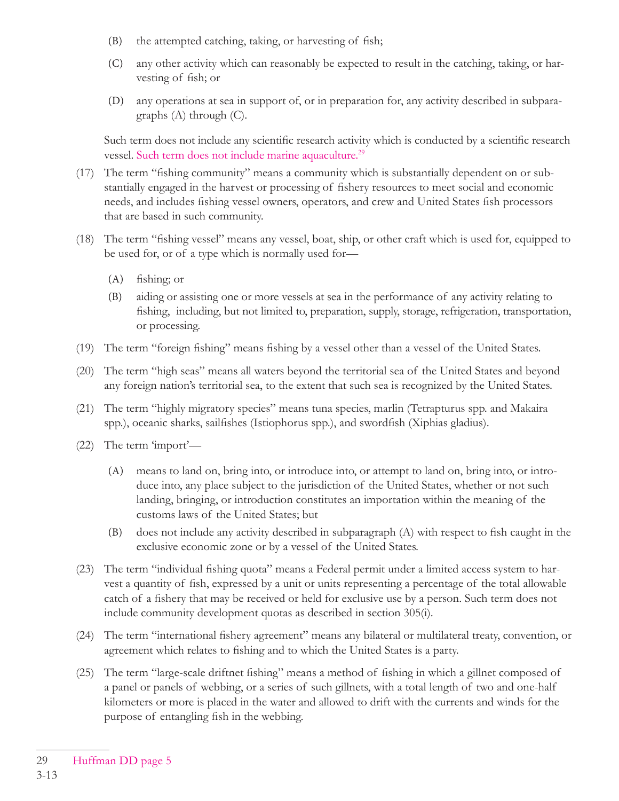- $(B)$  the attempted catching, taking, or harvesting of fish;
- (C) any other activity which can reasonably be expected to result in the catching, taking, or harvesting of fish; or
- (D) any operations at sea in support of, or in preparation for, any activity described in subparagraphs (A) through (C).

Such term does not include any scientific research activity which is conducted by a scientific research vessel. Such term does not include marine aquaculture.<sup>29</sup>

- (17) The term "fishing community" means a community which is substantially dependent on or substantially engaged in the harvest or processing of fishery resources to meet social and economic needs, and includes fishing vessel owners, operators, and crew and United States fish processors that are based in such community.
- (18) The term "fishing vessel" means any vessel, boat, ship, or other craft which is used for, equipped to be used for, or of a type which is normally used for—
	- $(A)$  fishing; or
	- (B) aiding or assisting one or more vessels at sea in the performance of any activity relating to fishing, including, but not limited to, preparation, supply, storage, refrigeration, transportation, or processing.
- (19) The term "foreign fishing" means fishing by a vessel other than a vessel of the United States.
- (20) The term "high seas" means all waters beyond the territorial sea of the United States and beyond any foreign nation's territorial sea, to the extent that such sea is recognized by the United States.
- (21) The term "highly migratory species" means tuna species, marlin (Tetrapturus spp. and Makaira spp.), oceanic sharks, sailfishes (Istiophorus spp.), and swordfish (Xiphias gladius).
- (22) The term 'import'—
	- (A) means to land on, bring into, or introduce into, or attempt to land on, bring into, or introduce into, any place subject to the jurisdiction of the United States, whether or not such landing, bringing, or introduction constitutes an importation within the meaning of the customs laws of the United States; but
	- $(B)$  does not include any activity described in subparagraph  $(A)$  with respect to fish caught in the exclusive economic zone or by a vessel of the United States.
- (23) The term "individual fishing quota" means a Federal permit under a limited access system to harvest a quantity of fish, expressed by a unit or units representing a percentage of the total allowable catch of a fishery that may be received or held for exclusive use by a person. Such term does not include community development quotas as described in section 305(i).
- (24) The term "international fishery agreement" means any bilateral or multilateral treaty, convention, or agreement which relates to fishing and to which the United States is a party.
- (25) The term "large-scale driftnet fishing" means a method of fishing in which a gillnet composed of a panel or panels of webbing, or a series of such gillnets, with a total length of two and one-half kilometers or more is placed in the water and allowed to drift with the currents and winds for the purpose of entangling fish in the webbing.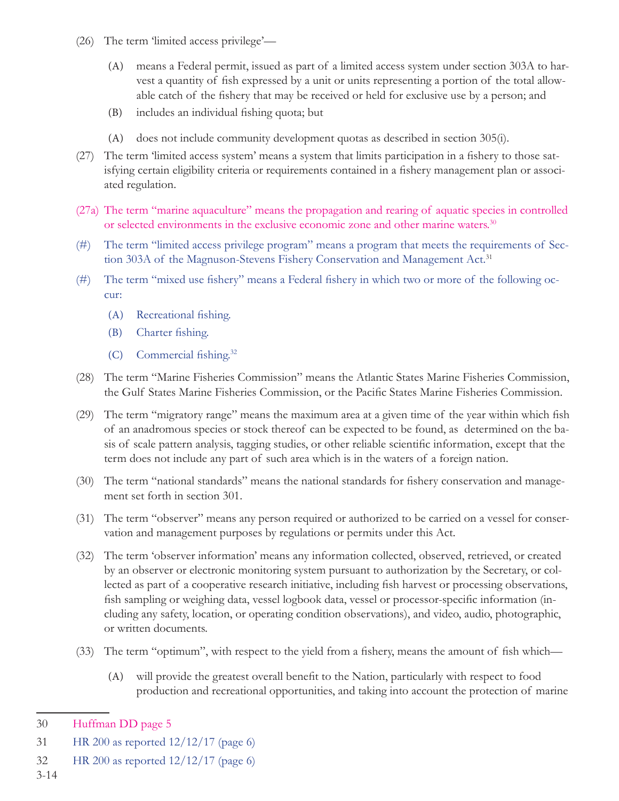- (26) The term 'limited access privilege'—
	- (A) means a Federal permit, issued as part of a limited access system under section 303A to harvest a quantity of fish expressed by a unit or units representing a portion of the total allowable catch of the fishery that may be received or held for exclusive use by a person; and
	- (B) includes an individual fishing quota; but
	- (A) does not include community development quotas as described in section 305(i).
- (27) The term 'limited access system' means a system that limits participation in a fishery to those satisfying certain eligibility criteria or requirements contained in a fishery management plan or associated regulation.
- (27a) The term "marine aquaculture" means the propagation and rearing of aquatic species in controlled or selected environments in the exclusive economic zone and other marine waters.<sup>30</sup>
- (#) The term "limited access privilege program" means a program that meets the requirements of Section 303A of the Magnuson-Stevens Fishery Conservation and Management Act.<sup>31</sup>
- $(\#)$  The term "mixed use fishery" means a Federal fishery in which two or more of the following occur:
	- (A) Recreational fishing.
	- (B) Charter fishing.
	- (C) Commercial fishing.<sup>32</sup>
- (28) The term "Marine Fisheries Commission" means the Atlantic States Marine Fisheries Commission, the Gulf States Marine Fisheries Commission, or the Pacific States Marine Fisheries Commission.
- (29) The term "migratory range" means the maximum area at a given time of the year within which fish of an anadromous species or stock thereof can be expected to be found, as determined on the basis of scale pattern analysis, tagging studies, or other reliable scientific information, except that the term does not include any part of such area which is in the waters of a foreign nation.
- (30) The term "national standards" means the national standards for fishery conservation and management set forth in section 301.
- (31) The term "observer" means any person required or authorized to be carried on a vessel for conservation and management purposes by regulations or permits under this Act.
- (32) The term 'observer information' means any information collected, observed, retrieved, or created by an observer or electronic monitoring system pursuant to authorization by the Secretary, or collected as part of a cooperative research initiative, including fish harvest or processing observations, fish sampling or weighing data, vessel logbook data, vessel or processor-specific information (including any safety, location, or operating condition observations), and video, audio, photographic, or written documents.
- (33) The term "optimum", with respect to the yield from a fishery, means the amount of fish which—
	- (A) will provide the greatest overall benefit to the Nation, particularly with respect to food production and recreational opportunities, and taking into account the protection of marine

<sup>30</sup> Huffman DD page 5

<sup>31</sup> HR 200 as reported 12/12/17 (page 6)

<sup>32</sup> HR 200 as reported 12/12/17 (page 6)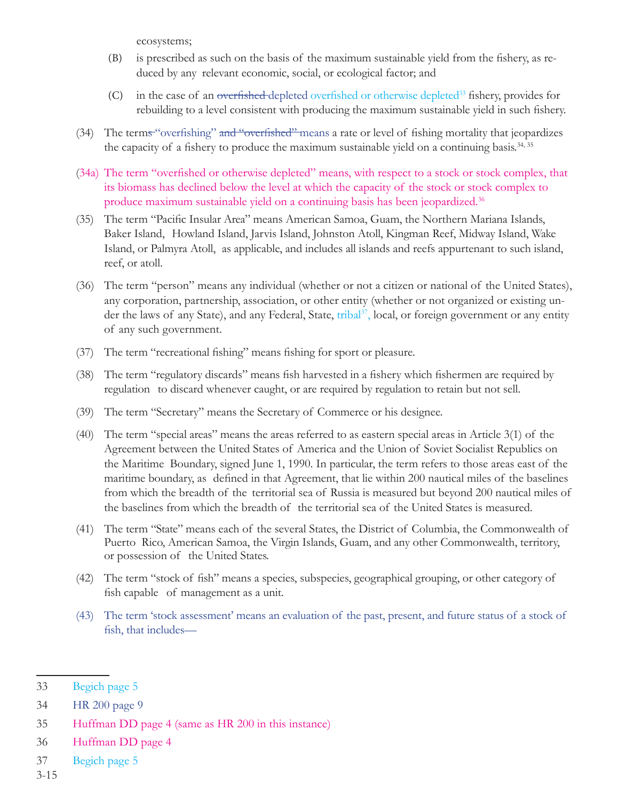ecosystems;

- (B) is prescribed as such on the basis of the maximum sustainable yield from the fishery, as reduced by any relevant economic, social, or ecological factor; and
- (C) in the case of an <del>overfished</del> depleted overfished or otherwise depleted<sup>33</sup> fishery, provides for rebuilding to a level consistent with producing the maximum sustainable yield in such fishery.
- (34) The terms "overfishing" and "overfished" means a rate or level of fishing mortality that jeopardizes the capacity of a fishery to produce the maximum sustainable yield on a continuing basis.<sup>34, 35</sup>
- (34a) The term "overfished or otherwise depleted" means, with respect to a stock or stock complex, that its biomass has declined below the level at which the capacity of the stock or stock complex to produce maximum sustainable yield on a continuing basis has been jeopardized.<sup>36</sup>
- (35) The term "Pacific Insular Area" means American Samoa, Guam, the Northern Mariana Islands, Baker Island, Howland Island, Jarvis Island, Johnston Atoll, Kingman Reef, Midway Island, Wake Island, or Palmyra Atoll, as applicable, and includes all islands and reefs appurtenant to such island, reef, or atoll.
- (36) The term "person" means any individual (whether or not a citizen or national of the United States), any corporation, partnership, association, or other entity (whether or not organized or existing under the laws of any State), and any Federal, State, tribal<sup>37</sup>, local, or foreign government or any entity of any such government.
- (37) The term "recreational fishing" means fishing for sport or pleasure.
- (38) The term "regulatory discards" means fish harvested in a fishery which fishermen are required by regulation to discard whenever caught, or are required by regulation to retain but not sell.
- (39) The term "Secretary" means the Secretary of Commerce or his designee.
- (40) The term "special areas" means the areas referred to as eastern special areas in Article 3(1) of the Agreement between the United States of America and the Union of Soviet Socialist Republics on the Maritime Boundary, signed June 1, 1990. In particular, the term refers to those areas east of the maritime boundary, as defined in that Agreement, that lie within 200 nautical miles of the baselines from which the breadth of the territorial sea of Russia is measured but beyond 200 nautical miles of the baselines from which the breadth of the territorial sea of the United States is measured.
- (41) The term "State" means each of the several States, the District of Columbia, the Commonwealth of Puerto Rico, American Samoa, the Virgin Islands, Guam, and any other Commonwealth, territory, or possession of the United States.
- (42) The term "stock of fish" means a species, subspecies, geographical grouping, or other category of fish capable of management as a unit.
- (43) The term 'stock assessment' means an evaluation of the past, present, and future status of a stock of fish, that includes—

3-15

<sup>33</sup> Begich page 5

<sup>34</sup> HR 200 page 9

<sup>35</sup> Huffman DD page 4 (same as HR 200 in this instance)

<sup>36</sup> Huffman DD page 4

<sup>37</sup> Begich page 5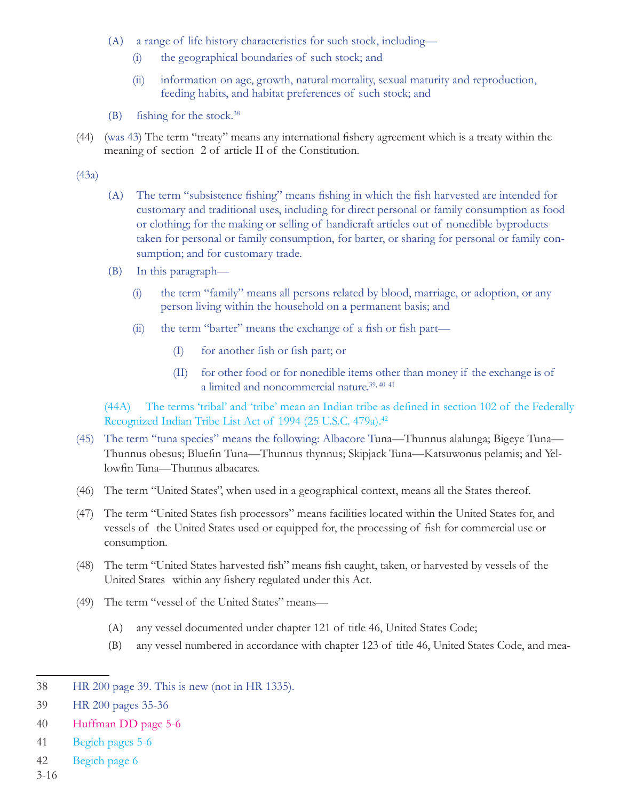- (A) a range of life history characteristics for such stock, including—
	- (i) the geographical boundaries of such stock; and
	- (ii) information on age, growth, natural mortality, sexual maturity and reproduction, feeding habits, and habitat preferences of such stock; and
- (B) fishing for the stock. $38$
- (44) (was 43) The term "treaty" means any international fishery agreement which is a treaty within the meaning of section 2 of article II of the Constitution.

(43a)

- (A) The term "subsistence fishing" means fishing in which the fish harvested are intended for customary and traditional uses, including for direct personal or family consumption as food or clothing; for the making or selling of handicraft articles out of nonedible byproducts taken for personal or family consumption, for barter, or sharing for personal or family consumption; and for customary trade.
- (B) In this paragraph—
	- (i) the term "family" means all persons related by blood, marriage, or adoption, or any person living within the household on a permanent basis; and
	- $(ii)$  the term "barter" means the exchange of a fish or fish part—
		- $(I)$  for another fish or fish part; or
		- (II) for other food or for nonedible items other than money if the exchange is of a limited and noncommercial nature.39, 40 <sup>41</sup>

(44A) The terms 'tribal' and 'tribe' mean an Indian tribe as defined in section 102 of the Federally Recognized Indian Tribe List Act of 1994 (25 U.S.C. 479a).<sup>42</sup>

- (45) The term "tuna species" means the following: Albacore Tuna—Thunnus alalunga; Bigeye Tuna— Thunnus obesus; Bluefin Tuna—Thunnus thynnus; Skipjack Tuna—Katsuwonus pelamis; and Yellowfin Tuna—Thunnus albacares.
- (46) The term "United States", when used in a geographical context, means all the States thereof.
- (47) The term "United States fish processors" means facilities located within the United States for, and vessels of the United States used or equipped for, the processing of fish for commercial use or consumption.
- (48) The term "United States harvested fish" means fish caught, taken, or harvested by vessels of the United States within any fishery regulated under this Act.
- (49) The term "vessel of the United States" means—
	- (A) any vessel documented under chapter 121 of title 46, United States Code;
	- (B) any vessel numbered in accordance with chapter 123 of title 46, United States Code, and mea-
- 38 HR 200 page 39. This is new (not in HR 1335).

- 40 Huffman DD page 5-6
- 41 Begich pages 5-6
- 42 Begich page 6

3-16

<sup>39</sup> HR 200 pages 35-36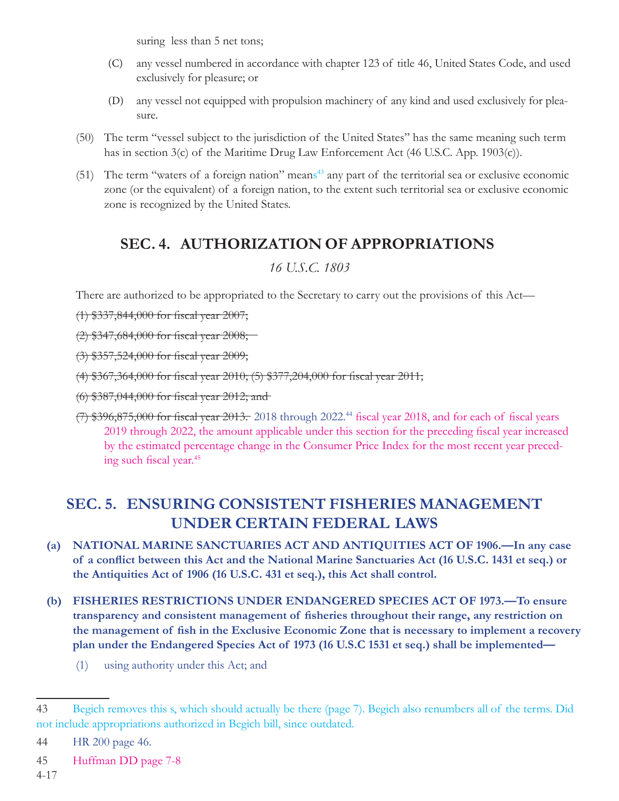suring less than 5 net tons;

- (C) any vessel numbered in accordance with chapter 123 of title 46, United States Code, and used exclusively for pleasure; or
- (D) any vessel not equipped with propulsion machinery of any kind and used exclusively for pleasure.
- (50) The term "vessel subject to the jurisdiction of the United States" has the same meaning such term has in section 3(c) of the Maritime Drug Law Enforcement Act (46 U.S.C. App. 1903(c)).
- (51) The term "waters of a foreign nation" means<sup>43</sup> any part of the territorial sea or exclusive economic zone (or the equivalent) of a foreign nation, to the extent such territorial sea or exclusive economic zone is recognized by the United States.

# **SEC. 4. AUTHORIZATION OF APPROPRIATIONS**

*16 U.S.C. 1803*

There are authorized to be appropriated to the Secretary to carry out the provisions of this Act—

 $(1)$  \$337,844,000 for fiscal year 2007;

 $(2)$  \$347,684,000 for fiscal year 2008;

 $(3)$  \$357,524,000 for fiscal year 2009;

 $(4)$  \$367,364,000 for fiscal year 2010; (5) \$377,204,000 for fiscal year 2011;

 $(6)$  \$387,044,000 for fiscal year 2012; and

(7) \$396,875,000 for fiscal year 2013. 2018 through 2022.<sup>44</sup> fiscal year 2018, and for each of fiscal years 2019 through 2022, the amount applicable under this section for the preceding fiscal year increased by the estimated percentage change in the Consumer Price Index for the most recent year preceding such fiscal year.<sup>45</sup>

# **SEC. 5. ENSURING CONSISTENT FISHERIES MANAGEMENT UNDER CERTAIN FEDERAL LAWS**

- **(a) NATIONAL MARINE SANCTUARIES ACT AND ANTIQUITIES ACT OF 1906.—In any case**  of a conflict between this Act and the National Marine Sanctuaries Act (16 U.S.C. 1431 et seq.) or **the Antiquities Act of 1906 (16 U.S.C. 431 et seq.), this Act shall control.**
- **(b) FISHERIES RESTRICTIONS UNDER ENDANGERED SPECIES ACT OF 1973.—To ensure**  transparency and consistent management of fisheries throughout their range, any restriction on the management of fish in the Exclusive Economic Zone that is necessary to implement a recovery **plan under the Endangered Species Act of 1973 (16 U.S.C 1531 et seq.) shall be implemented—**
	- (1) using authority under this Act; and

4-17

<sup>43</sup> Begich removes this s, which should actually be there (page 7). Begich also renumbers all of the terms. Did not include appropriations authorized in Begich bill, since outdated.

<sup>44</sup> HR 200 page 46.

<sup>45</sup> Huffman DD page 7-8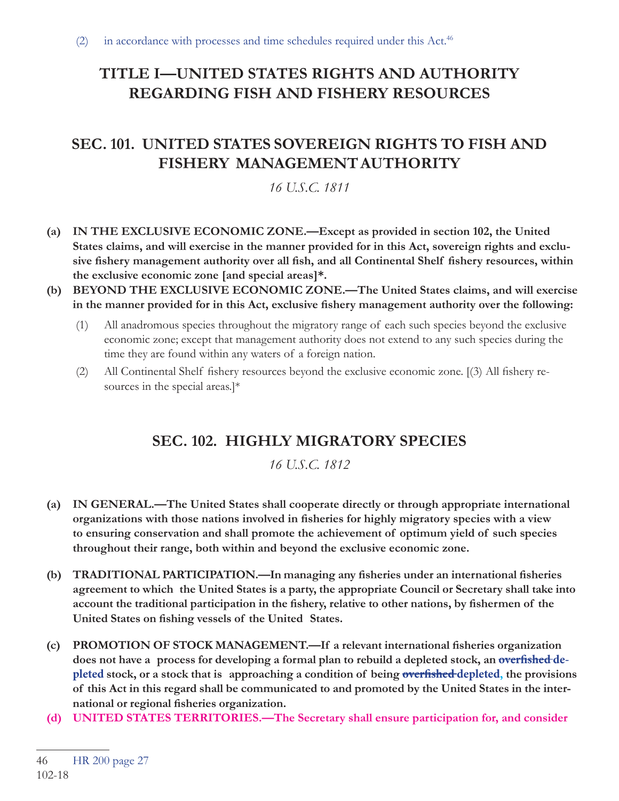# **TITLE I—UNITED STATES RIGHTS AND AUTHORITY REGARDING FISH AND FISHERY RESOURCES**

# **SEC. 101. UNITED STATES SOVEREIGN RIGHTS TO FISH AND FISHERY MANAGEMENT AUTHORITY**

### *16 U.S.C. 1811*

- **(a) IN THE EXCLUSIVE ECONOMIC ZONE.—Except as provided in section 102, the United States claims, and will exercise in the manner provided for in this Act, sovereign rights and exclu**sive fishery management authority over all fish, and all Continental Shelf fishery resources, within **the exclusive economic zone [and special areas]\*.**
- **(b) BEYOND THE EXCLUSIVE ECONOMIC ZONE.—The United States claims, and will exercise**  in the manner provided for in this Act, exclusive fishery management authority over the following:
	- (1) All anadromous species throughout the migratory range of each such species beyond the exclusive economic zone; except that management authority does not extend to any such species during the time they are found within any waters of a foreign nation.
	- (2) All Continental Shelf fishery resources beyond the exclusive economic zone. [(3) All fishery resources in the special areas.]\*

# **SEC. 102. HIGHLY MIGRATORY SPECIES**

*16 U.S.C. 1812*

- **(a) IN GENERAL.—The United States shall cooperate directly or through appropriate international**  organizations with those nations involved in fisheries for highly migratory species with a view **to ensuring conservation and shall promote the achievement of optimum yield of such species throughout their range, both within and beyond the exclusive economic zone.**
- **(b) TRADITIONAL PARTICIPATION.—In managing any fisheries under an international fisheries agreement to which the United States is a party, the appropriate Council or Secretary shall take into**  account the traditional participation in the fishery, relative to other nations, by fishermen of the United States on fishing vessels of the United States.
- (c) PROMOTION OF STOCK MANAGEMENT.—If a relevant international fisheries organization does not have a process for developing a formal plan to rebuild a depleted stock, an *overfished* de**pleted** stock, or a stock that is approaching a condition of being **overfished** depleted, the provisions **of this Act in this regard shall be communicated to and promoted by the United States in the international or regional fi sheries organization.**
- **(d) UNITED STATES TERRITORIES.—The Secretary shall ensure participation for, and consider**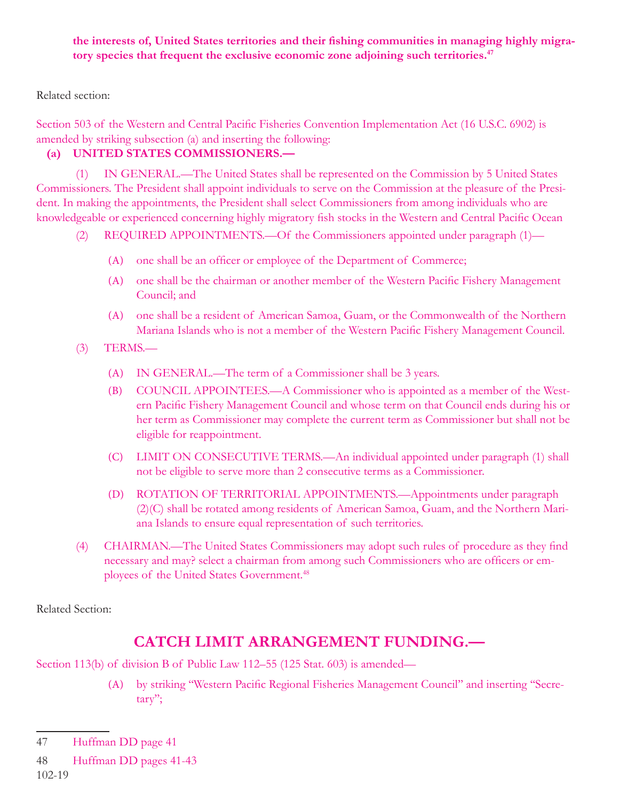the interests of, United States territories and their fishing communities in managing highly migra**tory species that frequent the exclusive economic zone adjoining such territories.47**

Related section:

Section 503 of the Western and Central Pacific Fisheries Convention Implementation Act (16 U.S.C. 6902) is amended by striking subsection (a) and inserting the following:

#### **(a) UNITED STATES COMMISSIONERS.—**

(1) IN GENERAL.—The United States shall be represented on the Commission by 5 United States Commissioners. The President shall appoint individuals to serve on the Commission at the pleasure of the President. In making the appointments, the President shall select Commissioners from among individuals who are knowledgeable or experienced concerning highly migratory fish stocks in the Western and Central Pacific Ocean

- (2) REQUIRED APPOINTMENTS.—Of the Commissioners appointed under paragraph (1)—
	- (A) one shall be an officer or employee of the Department of Commerce;
	- (A) one shall be the chairman or another member of the Western Pacific Fishery Management Council; and
	- (A) one shall be a resident of American Samoa, Guam, or the Commonwealth of the Northern Mariana Islands who is not a member of the Western Pacific Fishery Management Council.
- (3) TERMS.—
	- (A) IN GENERAL.—The term of a Commissioner shall be 3 years.
	- (B) COUNCIL APPOINTEES.—A Commissioner who is appointed as a member of the Western Pacific Fishery Management Council and whose term on that Council ends during his or her term as Commissioner may complete the current term as Commissioner but shall not be eligible for reappointment.
	- (C) LIMIT ON CONSECUTIVE TERMS.—An individual appointed under paragraph (1) shall not be eligible to serve more than 2 consecutive terms as a Commissioner.
	- (D) ROTATION OF TERRITORIAL APPOINTMENTS.—Appointments under paragraph (2)(C) shall be rotated among residents of American Samoa, Guam, and the Northern Mariana Islands to ensure equal representation of such territories.
- (4) CHAIRMAN.—The United States Commissioners may adopt such rules of procedure as they find necessary and may? select a chairman from among such Commissioners who are officers or employees of the United States Government.<sup>48</sup>

Related Section:

### **CATCH LIMIT ARRANGEMENT FUNDING.—**

Section 113(b) of division B of Public Law 112–55 (125 Stat. 603) is amended—

(A) by striking "Western Pacific Regional Fisheries Management Council" and inserting "Secretary'';

<sup>47</sup> Huffman DD page 41

<sup>48</sup> Huffman DD pages 41-43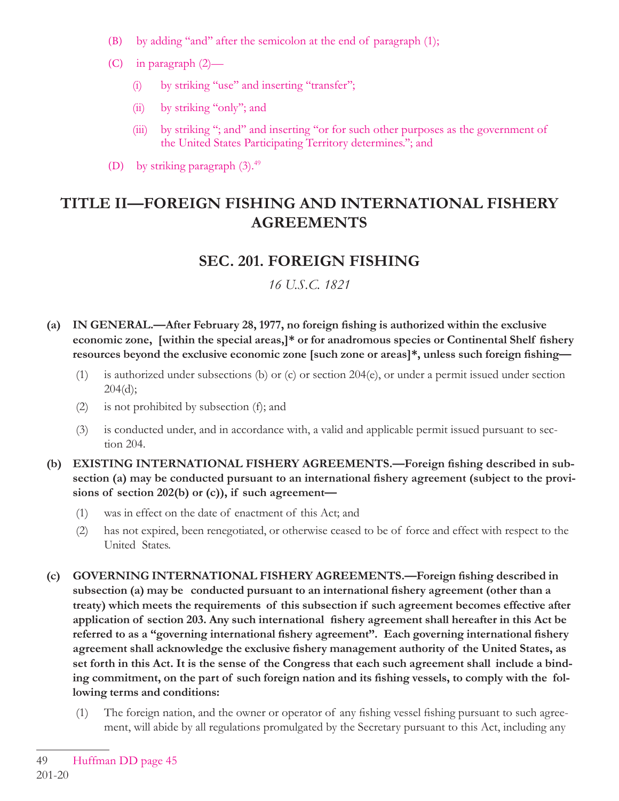- (B) by adding ''and'' after the semicolon at the end of paragraph (1);
- (C) in paragraph (2)—
	- (i) by striking ''use'' and inserting ''transfer'';
	- (ii) by striking "only"; and
	- (iii) by striking ''; and'' and inserting ''or for such other purposes as the government of the United States Participating Territory determines.''; and
- (D) by striking paragraph (3).49

# **TITLE II—FOREIGN FISHING AND INTERNATIONAL FISHERY AGREEMENTS**

# **SEC. 201. FOREIGN FISHING**

*16 U.S.C. 1821*

- **(a) IN GENERAL.—After February 28, 1977, no foreign fi shing is authorized within the exclusive**  economic zone, [within the special areas,]\* or for anadromous species or Continental Shelf fishery **resources beyond the exclusive economic zone [such zone or areas]\*, unless such foreign fishing—** 
	- (1) is authorized under subsections (b) or (c) or section 204(e), or under a permit issued under section 204(d);
	- (2) is not prohibited by subsection (f); and
	- (3) is conducted under, and in accordance with, a valid and applicable permit issued pursuant to section 204.
- (b) EXISTING INTERNATIONAL FISHERY AGREEMENTS.—Foreign fishing described in subsection (a) may be conducted pursuant to an international fishery agreement (subject to the provi**sions of section 202(b) or (c)), if such agreement—**
	- (1) was in effect on the date of enactment of this Act; and
	- (2) has not expired, been renegotiated, or otherwise ceased to be of force and effect with respect to the United States.
- **(c) GOVERNING INTERNATIONAL FISHERY AGREEMENTS.—Foreign fi shing described in**  subsection (a) may be conducted pursuant to an international fishery agreement (other than a **treaty) which meets the requirements of this subsection if such agreement becomes effective after**  application of section 203. Any such international fishery agreement shall hereafter in this Act be referred to as a "governing international fishery agreement". Each governing international fishery agreement shall acknowledge the exclusive fishery management authority of the United States, as **set forth in this Act. It is the sense of the Congress that each such agreement shall include a bind**ing commitment, on the part of such foreign nation and its fishing vessels, to comply with the fol**lowing terms and conditions:**
	- (1) The foreign nation, and the owner or operator of any fishing vessel fishing pursuant to such agreement, will abide by all regulations promulgated by the Secretary pursuant to this Act, including any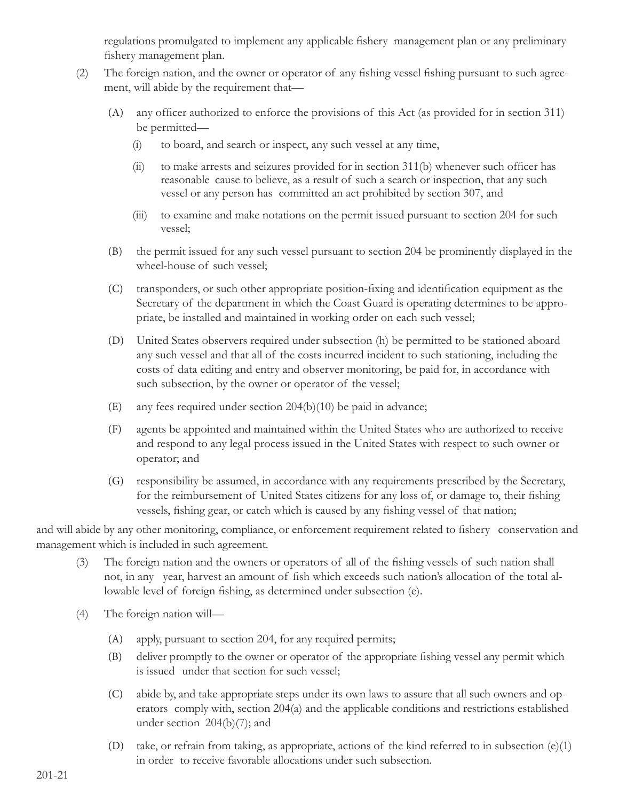regulations promulgated to implement any applicable fishery management plan or any preliminary fishery management plan.

- (2) The foreign nation, and the owner or operator of any fishing vessel fishing pursuant to such agreement, will abide by the requirement that—
	- (A) any officer authorized to enforce the provisions of this Act (as provided for in section 311) be permitted—
		- (i) to board, and search or inspect, any such vessel at any time,
		- $(ii)$  to make arrests and seizures provided for in section 311(b) whenever such officer has reasonable cause to believe, as a result of such a search or inspection, that any such vessel or any person has committed an act prohibited by section 307, and
		- (iii) to examine and make notations on the permit issued pursuant to section 204 for such vessel;
	- (B) the permit issued for any such vessel pursuant to section 204 be prominently displayed in the wheel-house of such vessel;
	- (C) transponders, or such other appropriate position-fixing and identification equipment as the Secretary of the department in which the Coast Guard is operating determines to be appropriate, be installed and maintained in working order on each such vessel;
	- (D) United States observers required under subsection (h) be permitted to be stationed aboard any such vessel and that all of the costs incurred incident to such stationing, including the costs of data editing and entry and observer monitoring, be paid for, in accordance with such subsection, by the owner or operator of the vessel;
	- (E) any fees required under section 204(b)(10) be paid in advance;
	- (F) agents be appointed and maintained within the United States who are authorized to receive and respond to any legal process issued in the United States with respect to such owner or operator; and
	- (G) responsibility be assumed, in accordance with any requirements prescribed by the Secretary, for the reimbursement of United States citizens for any loss of, or damage to, their fishing vessels, fishing gear, or catch which is caused by any fishing vessel of that nation;

and will abide by any other monitoring, compliance, or enforcement requirement related to fishery conservation and management which is included in such agreement.

- (3) The foreign nation and the owners or operators of all of the fishing vessels of such nation shall not, in any year, harvest an amount of fish which exceeds such nation's allocation of the total allowable level of foreign fishing, as determined under subsection (e).
- (4) The foreign nation will—
	- (A) apply, pursuant to section 204, for any required permits;
	- (B) deliver promptly to the owner or operator of the appropriate fishing vessel any permit which is issued under that section for such vessel;
	- (C) abide by, and take appropriate steps under its own laws to assure that all such owners and operators comply with, section 204(a) and the applicable conditions and restrictions established under section 204(b)(7); and
	- (D) take, or refrain from taking, as appropriate, actions of the kind referred to in subsection (e)(1) in order to receive favorable allocations under such subsection.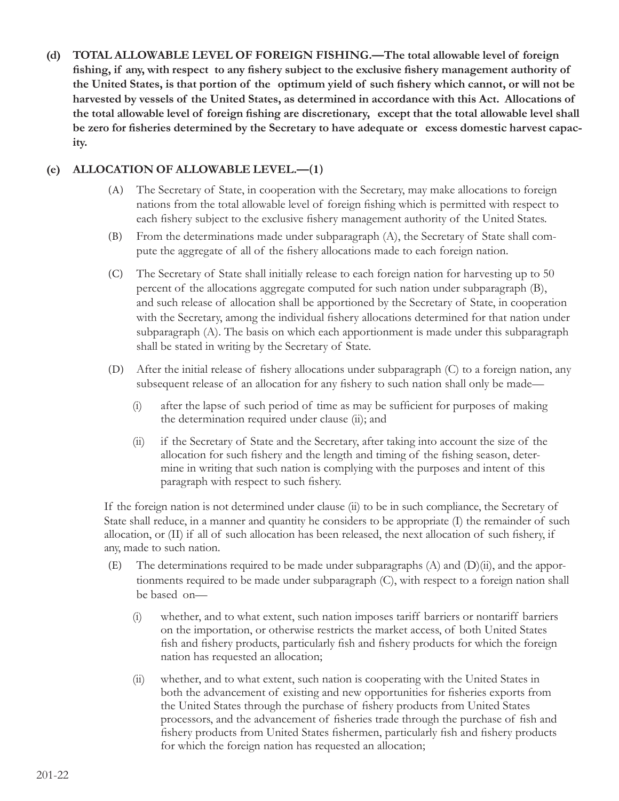**(d) TOTAL ALLOWABLE LEVEL OF FOREIGN FISHING.—The total allowable level of foreign**  fishing, if any, with respect to any fishery subject to the exclusive fishery management authority of the United States, is that portion of the optimum yield of such fishery which cannot, or will not be **harvested by vessels of the United States, as determined in accordance with this Act. Allocations of**  the total allowable level of foreign fishing are discretionary, except that the total allowable level shall be zero for fisheries determined by the Secretary to have adequate or excess domestic harvest capac**ity.**

### **(e) ALLOCATION OF ALLOWABLE LEVEL.—(1)**

- (A) The Secretary of State, in cooperation with the Secretary, may make allocations to foreign nations from the total allowable level of foreign fishing which is permitted with respect to each fishery subject to the exclusive fishery management authority of the United States.
- (B) From the determinations made under subparagraph (A), the Secretary of State shall compute the aggregate of all of the fishery allocations made to each foreign nation.
- (C) The Secretary of State shall initially release to each foreign nation for harvesting up to 50 percent of the allocations aggregate computed for such nation under subparagraph (B), and such release of allocation shall be apportioned by the Secretary of State, in cooperation with the Secretary, among the individual fishery allocations determined for that nation under subparagraph (A). The basis on which each apportionment is made under this subparagraph shall be stated in writing by the Secretary of State.
- (D) After the initial release of fishery allocations under subparagraph (C) to a foreign nation, any subsequent release of an allocation for any fishery to such nation shall only be made—
	- $(i)$  after the lapse of such period of time as may be sufficient for purposes of making the determination required under clause (ii); and
	- (ii) if the Secretary of State and the Secretary, after taking into account the size of the allocation for such fishery and the length and timing of the fishing season, determine in writing that such nation is complying with the purposes and intent of this paragraph with respect to such fishery.

 If the foreign nation is not determined under clause (ii) to be in such compliance, the Secretary of State shall reduce, in a manner and quantity he considers to be appropriate (I) the remainder of such allocation, or (II) if all of such allocation has been released, the next allocation of such fishery, if any, made to such nation.

- (E) The determinations required to be made under subparagraphs (A) and (D)(ii), and the apportionments required to be made under subparagraph (C), with respect to a foreign nation shall be based on—
	- (i) whether, and to what extent, such nation imposes tariff barriers or nontariff barriers on the importation, or otherwise restricts the market access, of both United States fish and fishery products, particularly fish and fishery products for which the foreign nation has requested an allocation;
	- (ii) whether, and to what extent, such nation is cooperating with the United States in both the advancement of existing and new opportunities for fisheries exports from the United States through the purchase of fishery products from United States processors, and the advancement of fisheries trade through the purchase of fish and fishery products from United States fishermen, particularly fish and fishery products for which the foreign nation has requested an allocation;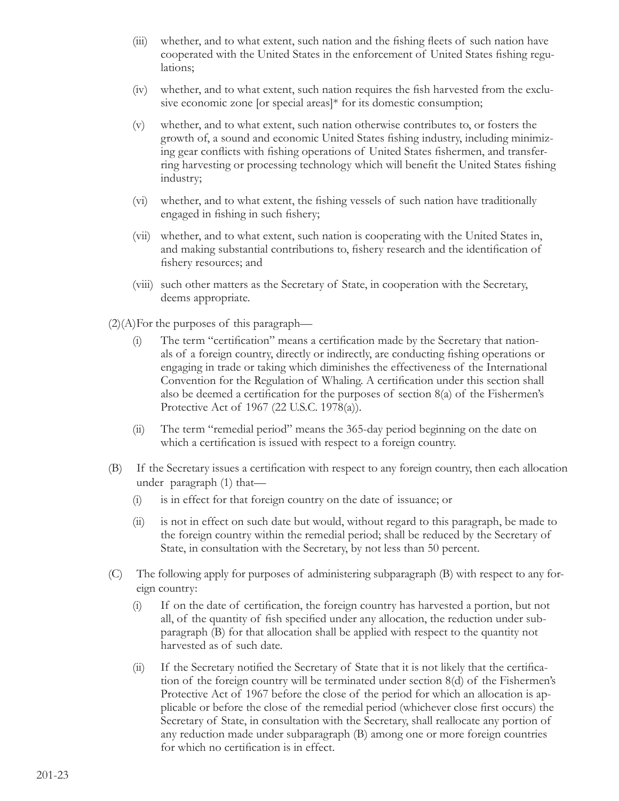- (iii) whether, and to what extent, such nation and the fishing fleets of such nation have cooperated with the United States in the enforcement of United States fishing regulations;
- $(iv)$  whether, and to what extent, such nation requires the fish harvested from the exclusive economic zone [or special areas]\* for its domestic consumption;
- (v) whether, and to what extent, such nation otherwise contributes to, or fosters the growth of, a sound and economic United States fishing industry, including minimizing gear conflicts with fishing operations of United States fishermen, and transferring harvesting or processing technology which will benefit the United States fishing industry;
- (vi) whether, and to what extent, the fishing vessels of such nation have traditionally engaged in fishing in such fishery;
- (vii) whether, and to what extent, such nation is cooperating with the United States in, and making substantial contributions to, fishery research and the identification of fishery resources; and
- (viii) such other matters as the Secretary of State, in cooperation with the Secretary, deems appropriate.
- $(2)$ (A) For the purposes of this paragraph—
	- $(i)$  The term "certification" means a certification made by the Secretary that nationals of a foreign country, directly or indirectly, are conducting fishing operations or engaging in trade or taking which diminishes the effectiveness of the International Convention for the Regulation of Whaling. A certification under this section shall also be deemed a certification for the purposes of section  $8(a)$  of the Fishermen's Protective Act of 1967 (22 U.S.C. 1978(a)).
	- (ii) The term "remedial period" means the 365-day period beginning on the date on which a certification is issued with respect to a foreign country.
- (B) If the Secretary issues a certification with respect to any foreign country, then each allocation under paragraph (1) that—
	- (i) is in effect for that foreign country on the date of issuance; or
	- (ii) is not in effect on such date but would, without regard to this paragraph, be made to the foreign country within the remedial period; shall be reduced by the Secretary of State, in consultation with the Secretary, by not less than 50 percent.
- (C) The following apply for purposes of administering subparagraph (B) with respect to any foreign country:
	- $(i)$  If on the date of certification, the foreign country has harvested a portion, but not all, of the quantity of fish specified under any allocation, the reduction under subparagraph (B) for that allocation shall be applied with respect to the quantity not harvested as of such date.
	- $(ii)$  If the Secretary notified the Secretary of State that it is not likely that the certification of the foreign country will be terminated under section 8(d) of the Fishermen's Protective Act of 1967 before the close of the period for which an allocation is applicable or before the close of the remedial period (whichever close first occurs) the Secretary of State, in consultation with the Secretary, shall reallocate any portion of any reduction made under subparagraph (B) among one or more foreign countries for which no certification is in effect.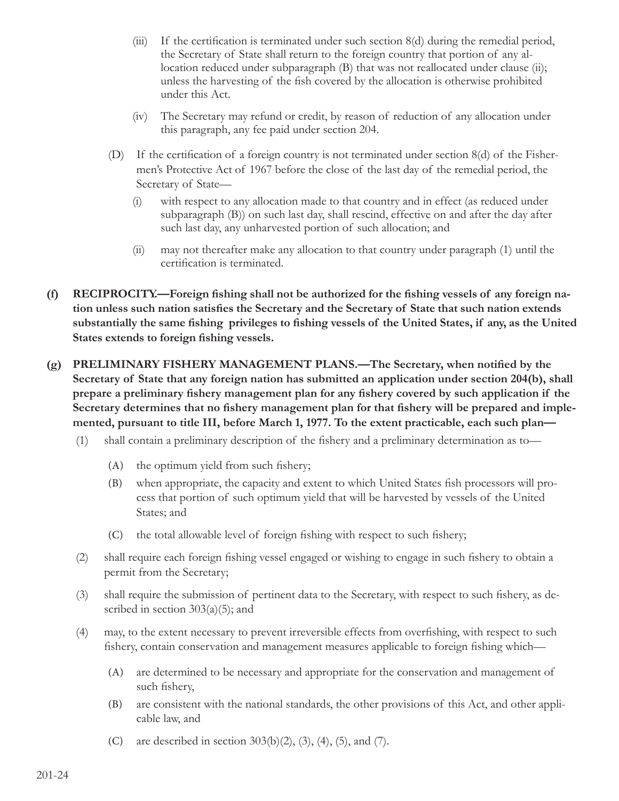- (iii) If the certification is terminated under such section  $8(d)$  during the remedial period, the Secretary of State shall return to the foreign country that portion of any allocation reduced under subparagraph (B) that was not reallocated under clause (ii); unless the harvesting of the fish covered by the allocation is otherwise prohibited under this Act.
- (iv) The Secretary may refund or credit, by reason of reduction of any allocation under this paragraph, any fee paid under section 204.
- (D) If the certification of a foreign country is not terminated under section  $8(d)$  of the Fishermen's Protective Act of 1967 before the close of the last day of the remedial period, the Secretary of State—
	- (i) with respect to any allocation made to that country and in effect (as reduced under subparagraph (B)) on such last day, shall rescind, effective on and after the day after such last day, any unharvested portion of such allocation; and
	- (ii) may not thereafter make any allocation to that country under paragraph (1) until the certification is terminated.
- (f) RECIPROCITY—Foreign fishing shall not be authorized for the fishing vessels of any foreign nation unless such nation satisfies the Secretary and the Secretary of State that such nation extends substantially the same fishing privileges to fishing vessels of the United States, if any, as the United States extends to foreign fishing vessels.
- (g) PRELIMINARY FISHERY MANAGEMENT PLANS.—The Secretary, when notified by the **Secretary of State that any foreign nation has submitted an application under section 204(b), shall prepare a preliminary fishery management plan for any fishery covered by such application if the** Secretary determines that no fishery management plan for that fishery will be prepared and imple**mented, pursuant to title III, before March 1, 1977. To the extent practicable, each such plan—**
	- $(1)$  shall contain a preliminary description of the fishery and a preliminary determination as to—
		- $(A)$  the optimum yield from such fishery;
		- (B) when appropriate, the capacity and extent to which United States fish processors will process that portion of such optimum yield that will be harvested by vessels of the United States; and
		- (C) the total allowable level of foreign fishing with respect to such fishery;
	- (2) shall require each foreign fishing vessel engaged or wishing to engage in such fishery to obtain a permit from the Secretary;
	- (3) shall require the submission of pertinent data to the Secretary, with respect to such fishery, as described in section  $303(a)(5)$ ; and
	- (4) may, to the extent necessary to prevent irreversible effects from overfishing, with respect to such fishery, contain conservation and management measures applicable to foreign fishing which—
		- (A) are determined to be necessary and appropriate for the conservation and management of such fishery,
		- (B) are consistent with the national standards, the other provisions of this Act, and other applicable law, and
		- (C) are described in section  $303(b)(2)$ ,  $(3)$ ,  $(4)$ ,  $(5)$ , and  $(7)$ .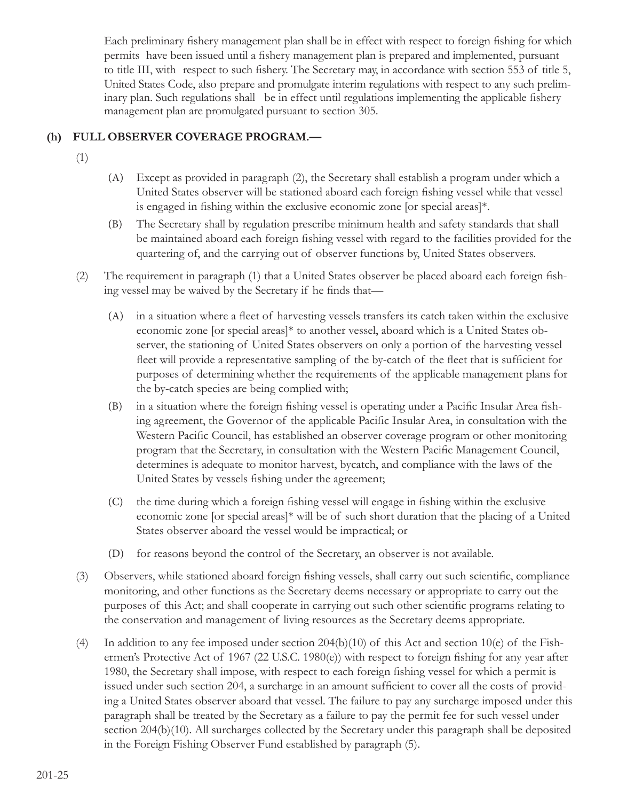Each preliminary fishery management plan shall be in effect with respect to foreign fishing for which permits have been issued until a fishery management plan is prepared and implemented, pursuant to title III, with respect to such fishery. The Secretary may, in accordance with section 553 of title 5, United States Code, also prepare and promulgate interim regulations with respect to any such preliminary plan. Such regulations shall be in effect until regulations implementing the applicable fishery management plan are promulgated pursuant to section 305.

### **(h) FULL OBSERVER COVERAGE PROGRAM.—**

- (1)
- (A) Except as provided in paragraph (2), the Secretary shall establish a program under which a United States observer will be stationed aboard each foreign fishing vessel while that vessel is engaged in fishing within the exclusive economic zone [or special areas] $*$ .
- (B) The Secretary shall by regulation prescribe minimum health and safety standards that shall be maintained aboard each foreign fishing vessel with regard to the facilities provided for the quartering of, and the carrying out of observer functions by, United States observers.
- (2) The requirement in paragraph  $(1)$  that a United States observer be placed aboard each foreign fishing vessel may be waived by the Secretary if he finds that—
	- $(A)$  in a situation where a fleet of harvesting vessels transfers its catch taken within the exclusive economic zone [or special areas]\* to another vessel, aboard which is a United States observer, the stationing of United States observers on only a portion of the harvesting vessel fleet will provide a representative sampling of the by-catch of the fleet that is sufficient for purposes of determining whether the requirements of the applicable management plans for the by-catch species are being complied with;
	- $(B)$  in a situation where the foreign fishing vessel is operating under a Pacific Insular Area fishing agreement, the Governor of the applicable Pacific Insular Area, in consultation with the Western Pacific Council, has established an observer coverage program or other monitoring program that the Secretary, in consultation with the Western Pacific Management Council, determines is adequate to monitor harvest, bycatch, and compliance with the laws of the United States by vessels fishing under the agreement;
	- (C) the time during which a foreign fishing vessel will engage in fishing within the exclusive economic zone [or special areas]\* will be of such short duration that the placing of a United States observer aboard the vessel would be impractical; or
	- (D) for reasons beyond the control of the Secretary, an observer is not available.
- (3) Observers, while stationed aboard foreign fishing vessels, shall carry out such scientific, compliance monitoring, and other functions as the Secretary deems necessary or appropriate to carry out the purposes of this Act; and shall cooperate in carrying out such other scientific programs relating to the conservation and management of living resources as the Secretary deems appropriate.
- (4) In addition to any fee imposed under section 204(b)(10) of this Act and section 10(e) of the Fishermen's Protective Act of 1967 (22 U.S.C. 1980 $(e)$ ) with respect to foreign fishing for any year after 1980, the Secretary shall impose, with respect to each foreign fishing vessel for which a permit is issued under such section 204, a surcharge in an amount sufficient to cover all the costs of providing a United States observer aboard that vessel. The failure to pay any surcharge imposed under this paragraph shall be treated by the Secretary as a failure to pay the permit fee for such vessel under section 204(b)(10). All surcharges collected by the Secretary under this paragraph shall be deposited in the Foreign Fishing Observer Fund established by paragraph (5).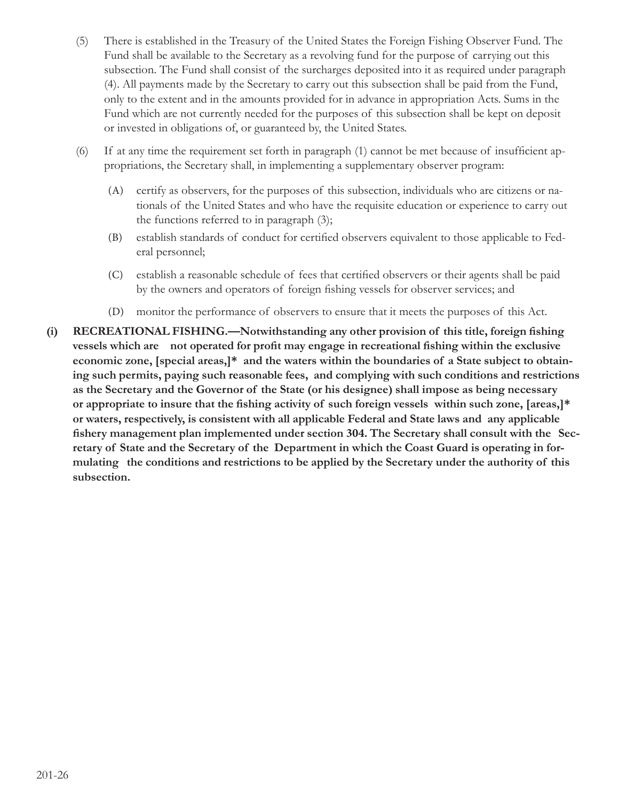- (5) There is established in the Treasury of the United States the Foreign Fishing Observer Fund. The Fund shall be available to the Secretary as a revolving fund for the purpose of carrying out this subsection. The Fund shall consist of the surcharges deposited into it as required under paragraph (4). All payments made by the Secretary to carry out this subsection shall be paid from the Fund, only to the extent and in the amounts provided for in advance in appropriation Acts. Sums in the Fund which are not currently needed for the purposes of this subsection shall be kept on deposit or invested in obligations of, or guaranteed by, the United States.
- $(6)$  If at any time the requirement set forth in paragraph  $(1)$  cannot be met because of insufficient appropriations, the Secretary shall, in implementing a supplementary observer program:
	- (A) certify as observers, for the purposes of this subsection, individuals who are citizens or nationals of the United States and who have the requisite education or experience to carry out the functions referred to in paragraph (3);
	- (B) establish standards of conduct for certified observers equivalent to those applicable to Federal personnel;
	- (C) establish a reasonable schedule of fees that certified observers or their agents shall be paid by the owners and operators of foreign fishing vessels for observer services; and
	- (D) monitor the performance of observers to ensure that it meets the purposes of this Act.
- (i) RECREATIONAL FISHING.—Notwithstanding any other provision of this title, foreign fishing vessels which are not operated for profit may engage in recreational fishing within the exclusive **economic zone, [special areas,]\* and the waters within the boundaries of a State subject to obtaining such permits, paying such reasonable fees, and complying with such conditions and restrictions as the Secretary and the Governor of the State (or his designee) shall impose as being necessary**  or appropriate to insure that the fishing activity of such foreign vessels within such zone, [areas,]\* **or waters, respectively, is consistent with all applicable Federal and State laws and any applicable**  fishery management plan implemented under section 304. The Secretary shall consult with the Sec**retary of State and the Secretary of the Department in which the Coast Guard is operating in formulating the conditions and restrictions to be applied by the Secretary under the authority of this subsection.**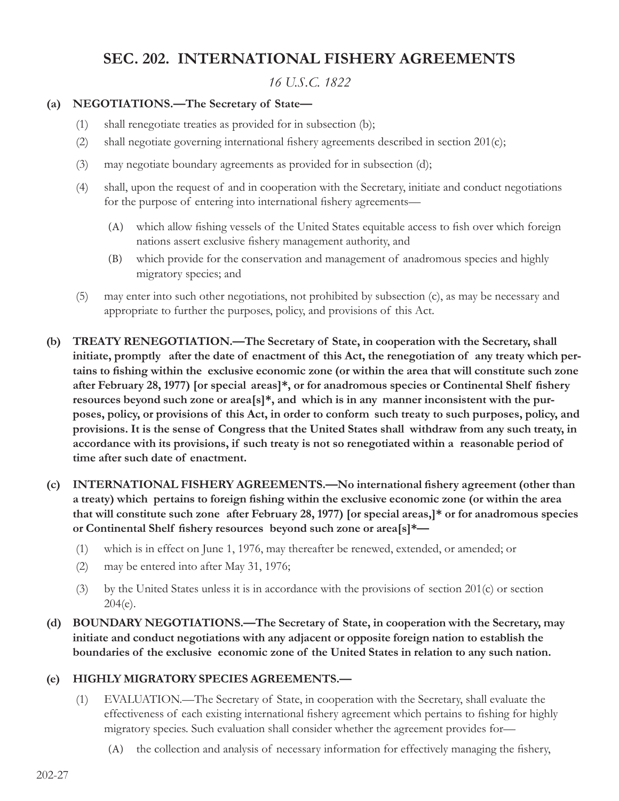## **SEC. 202. INTERNATIONAL FISHERY AGREEMENTS**

### *16 U.S.C. 1822*

### **(a) NEGOTIATIONS.—The Secretary of State—**

- (1) shall renegotiate treaties as provided for in subsection (b);
- (2) shall negotiate governing international fishery agreements described in section  $201(c)$ ;
- (3) may negotiate boundary agreements as provided for in subsection (d);
- (4) shall, upon the request of and in cooperation with the Secretary, initiate and conduct negotiations for the purpose of entering into international fishery agreements—
	- (A) which allow fishing vessels of the United States equitable access to fish over which foreign nations assert exclusive fishery management authority, and
	- (B) which provide for the conservation and management of anadromous species and highly migratory species; and
- (5) may enter into such other negotiations, not prohibited by subsection (c), as may be necessary and appropriate to further the purposes, policy, and provisions of this Act.
- **(b) TREATY RENEGOTIATION.—The Secretary of State, in cooperation with the Secretary, shall initiate, promptly after the date of enactment of this Act, the renegotiation of any treaty which per**tains to fishing within the exclusive economic zone (or within the area that will constitute such zone after February 28, 1977) [or special areas]\*, or for anadromous species or Continental Shelf fishery **resources beyond such zone or area[s]\*, and which is in any manner inconsistent with the purposes, policy, or provisions of this Act, in order to conform such treaty to such purposes, policy, and provisions. It is the sense of Congress that the United States shall withdraw from any such treaty, in accordance with its provisions, if such treaty is not so renegotiated within a reasonable period of time after such date of enactment.**
- (c) INTERNATIONAL FISHERY AGREEMENTS.—No international fishery agreement (other than a treaty) which pertains to foreign fishing within the exclusive economic zone (or within the area **that will constitute such zone after February 28, 1977) [or special areas,]\* or for anadromous species**  or Continental Shelf fishery resources beyond such zone or area[s]\*-
	- (1) which is in effect on June 1, 1976, may thereafter be renewed, extended, or amended; or
	- (2) may be entered into after May 31, 1976;
	- (3) by the United States unless it is in accordance with the provisions of section 201(c) or section 204(e).
- **(d) BOUNDARY NEGOTIATIONS.—The Secretary of State, in cooperation with the Secretary, may initiate and conduct negotiations with any adjacent or opposite foreign nation to establish the boundaries of the exclusive economic zone of the United States in relation to any such nation.**

### **(e) HIGHLY MIGRATORY SPECIES AGREEMENTS.—**

- (1) EVALUATION.—The Secretary of State, in cooperation with the Secretary, shall evaluate the effectiveness of each existing international fishery agreement which pertains to fishing for highly migratory species. Such evaluation shall consider whether the agreement provides for—
	- (A) the collection and analysis of necessary information for effectively managing the fishery,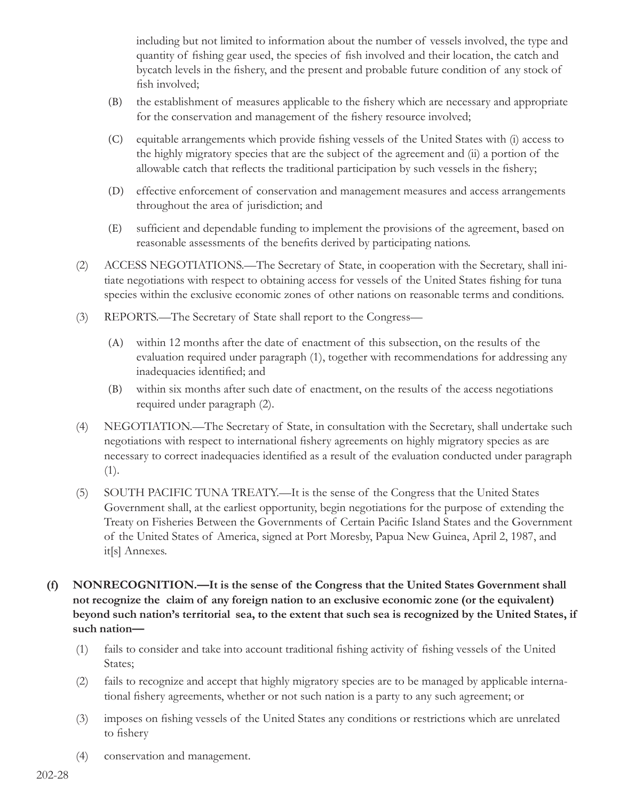including but not limited to information about the number of vessels involved, the type and quantity of fishing gear used, the species of fish involved and their location, the catch and bycatch levels in the fishery, and the present and probable future condition of any stock of fish involved;

- (B) the establishment of measures applicable to the fishery which are necessary and appropriate for the conservation and management of the fishery resource involved;
- (C) equitable arrangements which provide fishing vessels of the United States with (i) access to the highly migratory species that are the subject of the agreement and (ii) a portion of the allowable catch that reflects the traditional participation by such vessels in the fishery;
- (D) effective enforcement of conservation and management measures and access arrangements throughout the area of jurisdiction; and
- (E) sufficient and dependable funding to implement the provisions of the agreement, based on reasonable assessments of the benefits derived by participating nations.
- (2) ACCESS NEGOTIATIONS.—The Secretary of State, in cooperation with the Secretary, shall initiate negotiations with respect to obtaining access for vessels of the United States fishing for tuna species within the exclusive economic zones of other nations on reasonable terms and conditions.
- (3) REPORTS.—The Secretary of State shall report to the Congress—
	- (A) within 12 months after the date of enactment of this subsection, on the results of the evaluation required under paragraph (1), together with recommendations for addressing any inadequacies identified; and
	- (B) within six months after such date of enactment, on the results of the access negotiations required under paragraph (2).
- (4) NEGOTIATION.—The Secretary of State, in consultation with the Secretary, shall undertake such negotiations with respect to international fishery agreements on highly migratory species as are necessary to correct inadequacies identified as a result of the evaluation conducted under paragraph (1).
- (5) SOUTH PACIFIC TUNA TREATY.—It is the sense of the Congress that the United States Government shall, at the earliest opportunity, begin negotiations for the purpose of extending the Treaty on Fisheries Between the Governments of Certain Pacific Island States and the Government of the United States of America, signed at Port Moresby, Papua New Guinea, April 2, 1987, and it[s] Annexes.
- **(f) NONRECOGNITION.—It is the sense of the Congress that the United States Government shall not recognize the claim of any foreign nation to an exclusive economic zone (or the equivalent) beyond such nation's territorial sea, to the extent that such sea is recognized by the United States, if such nation—**
	- (1) fails to consider and take into account traditional fishing activity of fishing vessels of the United States;
	- (2) fails to recognize and accept that highly migratory species are to be managed by applicable international fishery agreements, whether or not such nation is a party to any such agreement; or
	- (3) imposes on fishing vessels of the United States any conditions or restrictions which are unrelated to fishery
	- (4) conservation and management.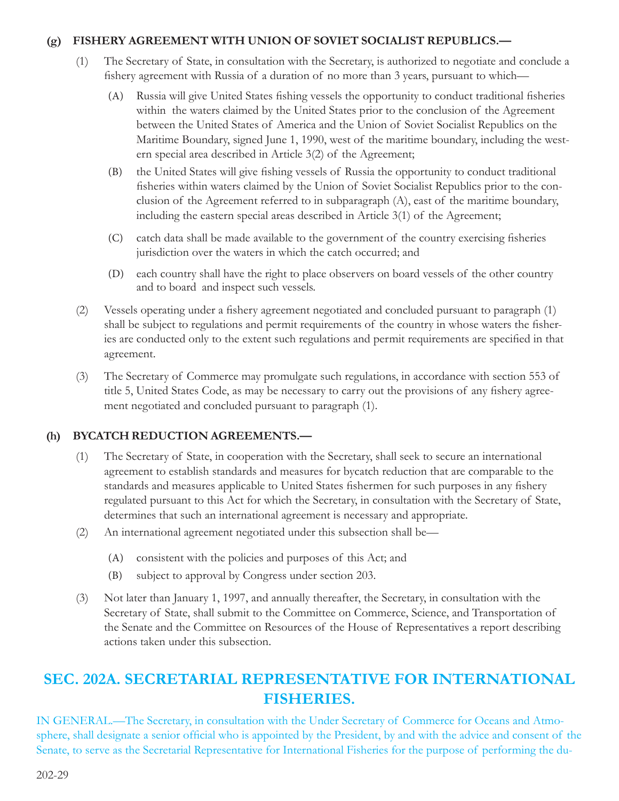#### **(g) FISHERY AGREEMENT WITH UNION OF SOVIET SOCIALIST REPUBLICS.—**

- (1) The Secretary of State, in consultation with the Secretary, is authorized to negotiate and conclude a fishery agreement with Russia of a duration of no more than 3 years, pursuant to which—
	- (A) Russia will give United States fishing vessels the opportunity to conduct traditional fisheries within the waters claimed by the United States prior to the conclusion of the Agreement between the United States of America and the Union of Soviet Socialist Republics on the Maritime Boundary, signed June 1, 1990, west of the maritime boundary, including the western special area described in Article 3(2) of the Agreement;
	- (B) the United States will give fishing vessels of Russia the opportunity to conduct traditional fisheries within waters claimed by the Union of Soviet Socialist Republics prior to the conclusion of the Agreement referred to in subparagraph (A), east of the maritime boundary, including the eastern special areas described in Article 3(1) of the Agreement;
	- (C) catch data shall be made available to the government of the country exercising fisheries jurisdiction over the waters in which the catch occurred; and
	- (D) each country shall have the right to place observers on board vessels of the other country and to board and inspect such vessels.
- (2) Vessels operating under a fishery agreement negotiated and concluded pursuant to paragraph (1) shall be subject to regulations and permit requirements of the country in whose waters the fisheries are conducted only to the extent such regulations and permit requirements are specified in that agreement.
- (3) The Secretary of Commerce may promulgate such regulations, in accordance with section 553 of title 5, United States Code, as may be necessary to carry out the provisions of any fishery agreement negotiated and concluded pursuant to paragraph (1).

### **(h) BYCATCH REDUCTION AGREEMENTS.—**

- (1) The Secretary of State, in cooperation with the Secretary, shall seek to secure an international agreement to establish standards and measures for bycatch reduction that are comparable to the standards and measures applicable to United States fishermen for such purposes in any fishery regulated pursuant to this Act for which the Secretary, in consultation with the Secretary of State, determines that such an international agreement is necessary and appropriate.
- (2) An international agreement negotiated under this subsection shall be—
	- (A) consistent with the policies and purposes of this Act; and
	- (B) subject to approval by Congress under section 203.
- (3) Not later than January 1, 1997, and annually thereafter, the Secretary, in consultation with the Secretary of State, shall submit to the Committee on Commerce, Science, and Transportation of the Senate and the Committee on Resources of the House of Representatives a report describing actions taken under this subsection.

# **SEC. 202A. SECRETARIAL REPRESENTATIVE FOR INTERNATIONAL FISHERIES.**

IN GENERAL.—The Secretary, in consultation with the Under Secretary of Commerce for Oceans and Atmosphere, shall designate a senior official who is appointed by the President, by and with the advice and consent of the Senate, to serve as the Secretarial Representative for International Fisheries for the purpose of performing the du-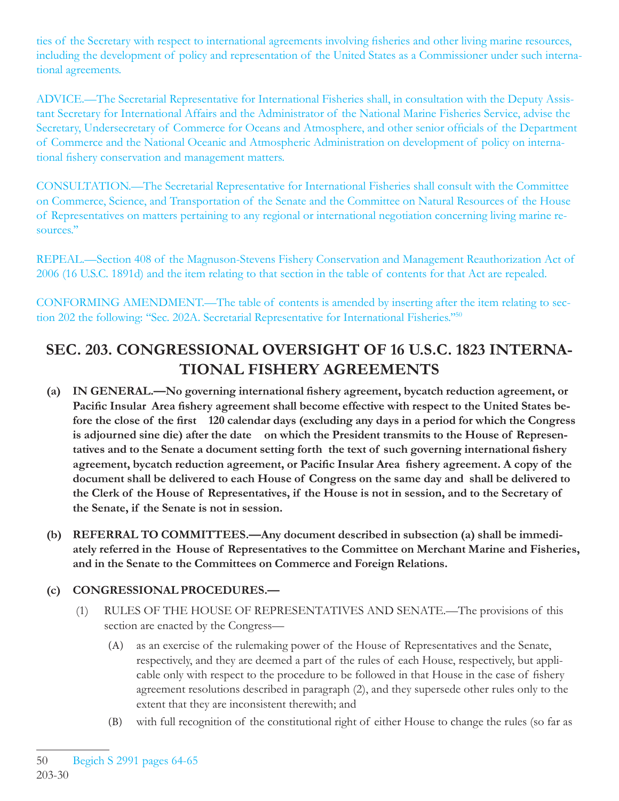ties of the Secretary with respect to international agreements involving fisheries and other living marine resources, including the development of policy and representation of the United States as a Commissioner under such international agreements.

ADVICE.—The Secretarial Representative for International Fisheries shall, in consultation with the Deputy Assistant Secretary for International Affairs and the Administrator of the National Marine Fisheries Service, advise the Secretary, Undersecretary of Commerce for Oceans and Atmosphere, and other senior officials of the Department of Commerce and the National Oceanic and Atmospheric Administration on development of policy on international fishery conservation and management matters.

CONSULTATION.—The Secretarial Representative for International Fisheries shall consult with the Committee on Commerce, Science, and Transportation of the Senate and the Committee on Natural Resources of the House of Representatives on matters pertaining to any regional or international negotiation concerning living marine resources.''

REPEAL.—Section 408 of the Magnuson-Stevens Fishery Conservation and Management Reauthorization Act of 2006 (16 U.S.C. 1891d) and the item relating to that section in the table of contents for that Act are repealed.

CONFORMING AMENDMENT.—The table of contents is amended by inserting after the item relating to section 202 the following: "Sec. 202A. Secretarial Representative for International Fisheries."<sup>50</sup>

# **SEC. 203. CONGRESSIONAL OVERSIGHT OF 16 U.S.C. 1823 INTERNA-TIONAL FISHERY AGREEMENTS**

- (a) IN GENERAL.—No governing international fishery agreement, bycatch reduction agreement, or Pacific Insular Area fishery agreement shall become effective with respect to the United States before the close of the first 120 calendar days (excluding any days in a period for which the Congress **is adjourned sine die) after the date on which the President transmits to the House of Represen**tatives and to the Senate a document setting forth the text of such governing international fishery agreement, bycatch reduction agreement, or Pacific Insular Area fishery agreement. A copy of the **document shall be delivered to each House of Congress on the same day and shall be delivered to the Clerk of the House of Representatives, if the House is not in session, and to the Secretary of the Senate, if the Senate is not in session.**
- **(b) REFERRAL TO COMMITTEES.—Any document described in subsection (a) shall be immediately referred in the House of Representatives to the Committee on Merchant Marine and Fisheries, and in the Senate to the Committees on Commerce and Foreign Relations.**

### **(c) CONGRESSIONAL PROCEDURES.—**

- (1) RULES OF THE HOUSE OF REPRESENTATIVES AND SENATE.—The provisions of this section are enacted by the Congress—
	- (A) as an exercise of the rulemaking power of the House of Representatives and the Senate, respectively, and they are deemed a part of the rules of each House, respectively, but applicable only with respect to the procedure to be followed in that House in the case of fishery agreement resolutions described in paragraph (2), and they supersede other rules only to the extent that they are inconsistent therewith; and
	- (B) with full recognition of the constitutional right of either House to change the rules (so far as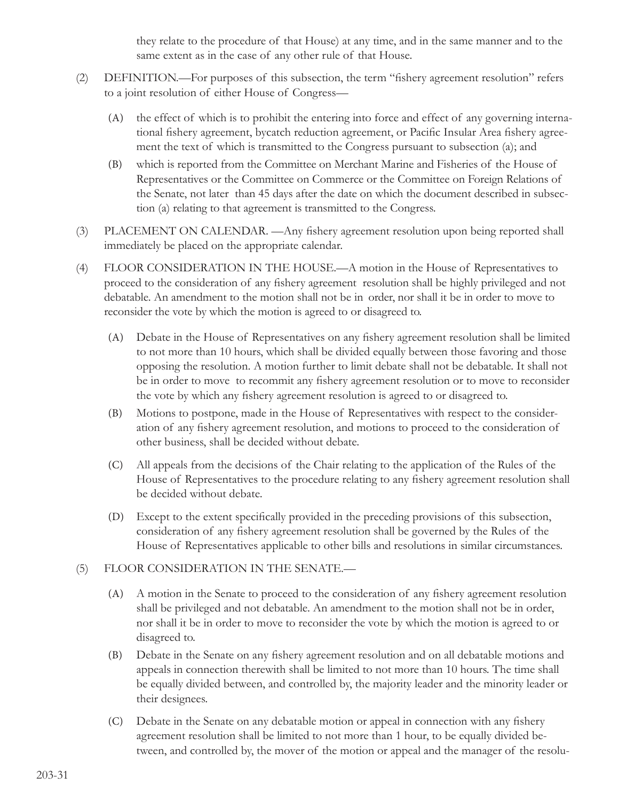they relate to the procedure of that House) at any time, and in the same manner and to the same extent as in the case of any other rule of that House.

- (2) DEFINITION.—For purposes of this subsection, the term "fishery agreement resolution" refers to a joint resolution of either House of Congress—
	- (A) the effect of which is to prohibit the entering into force and effect of any governing international fishery agreement, bycatch reduction agreement, or Pacific Insular Area fishery agreement the text of which is transmitted to the Congress pursuant to subsection (a); and
	- (B) which is reported from the Committee on Merchant Marine and Fisheries of the House of Representatives or the Committee on Commerce or the Committee on Foreign Relations of the Senate, not later than 45 days after the date on which the document described in subsection (a) relating to that agreement is transmitted to the Congress.
- (3) PLACEMENT ON CALENDAR. —Any fishery agreement resolution upon being reported shall immediately be placed on the appropriate calendar.
- (4) FLOOR CONSIDERATION IN THE HOUSE.—A motion in the House of Representatives to proceed to the consideration of any fishery agreement resolution shall be highly privileged and not debatable. An amendment to the motion shall not be in order, nor shall it be in order to move to reconsider the vote by which the motion is agreed to or disagreed to.
	- (A) Debate in the House of Representatives on any fishery agreement resolution shall be limited to not more than 10 hours, which shall be divided equally between those favoring and those opposing the resolution. A motion further to limit debate shall not be debatable. It shall not be in order to move to recommit any fishery agreement resolution or to move to reconsider the vote by which any fishery agreement resolution is agreed to or disagreed to.
	- (B) Motions to postpone, made in the House of Representatives with respect to the consideration of any fishery agreement resolution, and motions to proceed to the consideration of other business, shall be decided without debate.
	- (C) All appeals from the decisions of the Chair relating to the application of the Rules of the House of Representatives to the procedure relating to any fishery agreement resolution shall be decided without debate.
	- (D) Except to the extent specifically provided in the preceding provisions of this subsection, consideration of any fishery agreement resolution shall be governed by the Rules of the House of Representatives applicable to other bills and resolutions in similar circumstances.

#### (5) FLOOR CONSIDERATION IN THE SENATE.—

- (A) A motion in the Senate to proceed to the consideration of any fishery agreement resolution shall be privileged and not debatable. An amendment to the motion shall not be in order, nor shall it be in order to move to reconsider the vote by which the motion is agreed to or disagreed to.
- (B) Debate in the Senate on any fishery agreement resolution and on all debatable motions and appeals in connection therewith shall be limited to not more than 10 hours. The time shall be equally divided between, and controlled by, the majority leader and the minority leader or their designees.
- (C) Debate in the Senate on any debatable motion or appeal in connection with any fishery agreement resolution shall be limited to not more than 1 hour, to be equally divided between, and controlled by, the mover of the motion or appeal and the manager of the resolu-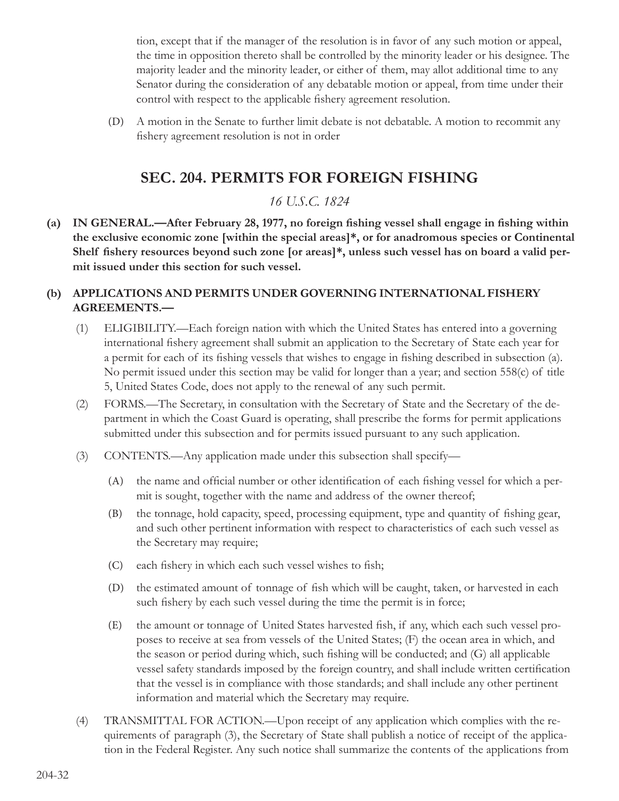tion, except that if the manager of the resolution is in favor of any such motion or appeal, the time in opposition thereto shall be controlled by the minority leader or his designee. The majority leader and the minority leader, or either of them, may allot additional time to any Senator during the consideration of any debatable motion or appeal, from time under their control with respect to the applicable fishery agreement resolution.

(D) A motion in the Senate to further limit debate is not debatable. A motion to recommit any fishery agreement resolution is not in order

## **SEC. 204. PERMITS FOR FOREIGN FISHING**

### *16 U.S.C. 1824*

(a) IN GENERAL.—After February 28, 1977, no foreign fishing vessel shall engage in fishing within **the exclusive economic zone [within the special areas]\*, or for anadromous species or Continental**  Shelf fishery resources beyond such zone [or areas]\*, unless such vessel has on board a valid per**mit issued under this section for such vessel.**

#### **(b) APPLICATIONS AND PERMITS UNDER GOVERNING INTERNATIONAL FISHERY AGREEMENTS.—**

- (1) ELIGIBILITY.—Each foreign nation with which the United States has entered into a governing international fishery agreement shall submit an application to the Secretary of State each year for a permit for each of its fishing vessels that wishes to engage in fishing described in subsection (a). No permit issued under this section may be valid for longer than a year; and section 558(c) of title 5, United States Code, does not apply to the renewal of any such permit.
- (2) FORMS.—The Secretary, in consultation with the Secretary of State and the Secretary of the department in which the Coast Guard is operating, shall prescribe the forms for permit applications submitted under this subsection and for permits issued pursuant to any such application.
- (3) CONTENTS.—Any application made under this subsection shall specify—
	- (A) the name and official number or other identification of each fishing vessel for which a permit is sought, together with the name and address of the owner thereof;
	- (B) the tonnage, hold capacity, speed, processing equipment, type and quantity of fishing gear, and such other pertinent information with respect to characteristics of each such vessel as the Secretary may require;
	- (C) each fishery in which each such vessel wishes to fish;
	- (D) the estimated amount of tonnage of fish which will be caught, taken, or harvested in each such fishery by each such vessel during the time the permit is in force;
	- (E) the amount or tonnage of United States harvested fish, if any, which each such vessel proposes to receive at sea from vessels of the United States; (F) the ocean area in which, and the season or period during which, such fishing will be conducted; and  $(G)$  all applicable vessel safety standards imposed by the foreign country, and shall include written certification that the vessel is in compliance with those standards; and shall include any other pertinent information and material which the Secretary may require.
- (4) TRANSMITTAL FOR ACTION.—Upon receipt of any application which complies with the requirements of paragraph (3), the Secretary of State shall publish a notice of receipt of the application in the Federal Register. Any such notice shall summarize the contents of the applications from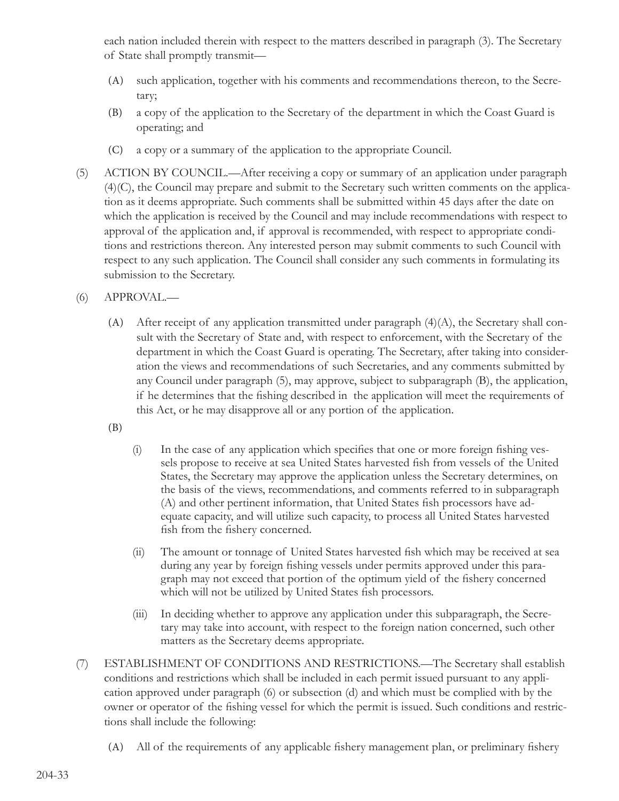each nation included therein with respect to the matters described in paragraph (3). The Secretary of State shall promptly transmit—

- (A) such application, together with his comments and recommendations thereon, to the Secretary;
- (B) a copy of the application to the Secretary of the department in which the Coast Guard is operating; and
- (C) a copy or a summary of the application to the appropriate Council.
- (5) ACTION BY COUNCIL.—After receiving a copy or summary of an application under paragraph (4)(C), the Council may prepare and submit to the Secretary such written comments on the application as it deems appropriate. Such comments shall be submitted within 45 days after the date on which the application is received by the Council and may include recommendations with respect to approval of the application and, if approval is recommended, with respect to appropriate conditions and restrictions thereon. Any interested person may submit comments to such Council with respect to any such application. The Council shall consider any such comments in formulating its submission to the Secretary.
- (6) APPROVAL.—
	- (A) After receipt of any application transmitted under paragraph  $(4)(A)$ , the Secretary shall consult with the Secretary of State and, with respect to enforcement, with the Secretary of the department in which the Coast Guard is operating. The Secretary, after taking into consideration the views and recommendations of such Secretaries, and any comments submitted by any Council under paragraph (5), may approve, subject to subparagraph (B), the application, if he determines that the fishing described in the application will meet the requirements of this Act, or he may disapprove all or any portion of the application.
	- (B)
- $(i)$  In the case of any application which specifies that one or more foreign fishing vessels propose to receive at sea United States harvested fish from vessels of the United States, the Secretary may approve the application unless the Secretary determines, on the basis of the views, recommendations, and comments referred to in subparagraph (A) and other pertinent information, that United States fish processors have adequate capacity, and will utilize such capacity, to process all United States harvested fish from the fishery concerned.
- (ii) The amount or tonnage of United States harvested fish which may be received at sea during any year by foreign fishing vessels under permits approved under this paragraph may not exceed that portion of the optimum yield of the fishery concerned which will not be utilized by United States fish processors.
- (iii) In deciding whether to approve any application under this subparagraph, the Secretary may take into account, with respect to the foreign nation concerned, such other matters as the Secretary deems appropriate.
- (7) ESTABLISHMENT OF CONDITIONS AND RESTRICTIONS.—The Secretary shall establish conditions and restrictions which shall be included in each permit issued pursuant to any application approved under paragraph (6) or subsection (d) and which must be complied with by the owner or operator of the fishing vessel for which the permit is issued. Such conditions and restrictions shall include the following:
	- (A) All of the requirements of any applicable fishery management plan, or preliminary fishery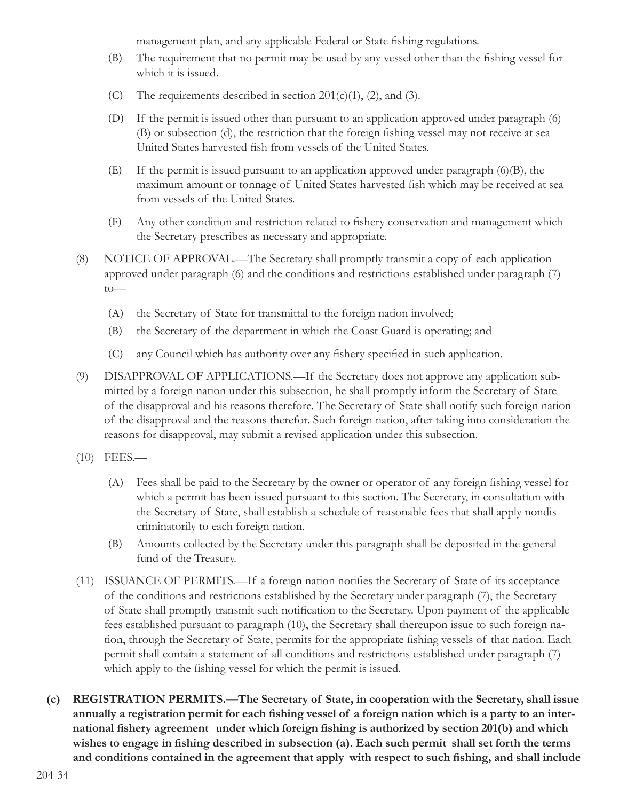management plan, and any applicable Federal or State fishing regulations.

- (B) The requirement that no permit may be used by any vessel other than the fishing vessel for which it is issued.
- (C) The requirements described in section  $201(c)(1)$ , (2), and (3).
- (D) If the permit is issued other than pursuant to an application approved under paragraph (6) (B) or subsection (d), the restriction that the foreign fishing vessel may not receive at sea United States harvested fish from vessels of the United States.
- (E) If the permit is issued pursuant to an application approved under paragraph (6)(B), the maximum amount or tonnage of United States harvested fish which may be received at sea from vessels of the United States.
- (F) Any other condition and restriction related to fishery conservation and management which the Secretary prescribes as necessary and appropriate.
- (8) NOTICE OF APPROVAL.—The Secretary shall promptly transmit a copy of each application approved under paragraph (6) and the conditions and restrictions established under paragraph (7) to—
	- (A) the Secretary of State for transmittal to the foreign nation involved;
	- (B) the Secretary of the department in which the Coast Guard is operating; and
	- (C) any Council which has authority over any fishery specified in such application.
- (9) DISAPPROVAL OF APPLICATIONS.—If the Secretary does not approve any application submitted by a foreign nation under this subsection, he shall promptly inform the Secretary of State of the disapproval and his reasons therefore. The Secretary of State shall notify such foreign nation of the disapproval and the reasons therefor. Such foreign nation, after taking into consideration the reasons for disapproval, may submit a revised application under this subsection.
- (10) FEES.—
	- (A) Fees shall be paid to the Secretary by the owner or operator of any foreign fishing vessel for which a permit has been issued pursuant to this section. The Secretary, in consultation with the Secretary of State, shall establish a schedule of reasonable fees that shall apply nondiscriminatorily to each foreign nation.
	- (B) Amounts collected by the Secretary under this paragraph shall be deposited in the general fund of the Treasury.
- $(11)$  ISSUANCE OF PERMITS.—If a foreign nation notifies the Secretary of State of its acceptance of the conditions and restrictions established by the Secretary under paragraph (7), the Secretary of State shall promptly transmit such notification to the Secretary. Upon payment of the applicable fees established pursuant to paragraph (10), the Secretary shall thereupon issue to such foreign nation, through the Secretary of State, permits for the appropriate fishing vessels of that nation. Each permit shall contain a statement of all conditions and restrictions established under paragraph (7) which apply to the fishing vessel for which the permit is issued.
- **(c) REGISTRATION PERMITS.—The Secretary of State, in cooperation with the Secretary, shall issue**  annually a registration permit for each fishing vessel of a foreign nation which is a party to an international fishery agreement under which foreign fishing is authorized by section 201(b) and which wishes to engage in fishing described in subsection (a). Each such permit shall set forth the terms and conditions contained in the agreement that apply with respect to such fishing, and shall include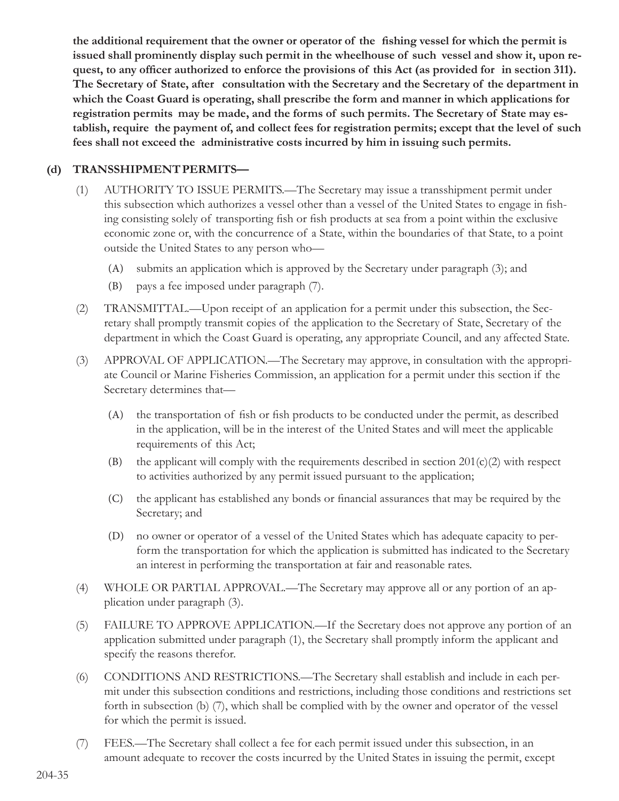**the additional requirement that the owner or operator of the fishing vessel for which the permit is issued shall prominently display such permit in the wheelhouse of such vessel and show it, upon re**quest, to any officer authorized to enforce the provisions of this Act (as provided for in section 311). **The Secretary of State, after consultation with the Secretary and the Secretary of the department in which the Coast Guard is operating, shall prescribe the form and manner in which applications for registration permits may be made, and the forms of such permits. The Secretary of State may establish, require the payment of, and collect fees for registration permits; except that the level of such fees shall not exceed the administrative costs incurred by him in issuing such permits.**

#### **(d) TRANSSHIPMENT PERMITS—**

- (1) AUTHORITY TO ISSUE PERMITS.—The Secretary may issue a transshipment permit under this subsection which authorizes a vessel other than a vessel of the United States to engage in fishing consisting solely of transporting fish or fish products at sea from a point within the exclusive economic zone or, with the concurrence of a State, within the boundaries of that State, to a point outside the United States to any person who—
	- (A) submits an application which is approved by the Secretary under paragraph (3); and
	- (B) pays a fee imposed under paragraph (7).
- (2) TRANSMITTAL.—Upon receipt of an application for a permit under this subsection, the Secretary shall promptly transmit copies of the application to the Secretary of State, Secretary of the department in which the Coast Guard is operating, any appropriate Council, and any affected State.
- (3) APPROVAL OF APPLICATION.—The Secretary may approve, in consultation with the appropriate Council or Marine Fisheries Commission, an application for a permit under this section if the Secretary determines that—
	- (A) the transportation of fish or fish products to be conducted under the permit, as described in the application, will be in the interest of the United States and will meet the applicable requirements of this Act;
	- (B) the applicant will comply with the requirements described in section  $201(c)(2)$  with respect to activities authorized by any permit issued pursuant to the application;
	- (C) the applicant has established any bonds or financial assurances that may be required by the Secretary; and
	- (D) no owner or operator of a vessel of the United States which has adequate capacity to perform the transportation for which the application is submitted has indicated to the Secretary an interest in performing the transportation at fair and reasonable rates.
- (4) WHOLE OR PARTIAL APPROVAL.—The Secretary may approve all or any portion of an application under paragraph (3).
- (5) FAILURE TO APPROVE APPLICATION.—If the Secretary does not approve any portion of an application submitted under paragraph (1), the Secretary shall promptly inform the applicant and specify the reasons therefor.
- (6) CONDITIONS AND RESTRICTIONS.—The Secretary shall establish and include in each permit under this subsection conditions and restrictions, including those conditions and restrictions set forth in subsection (b) (7), which shall be complied with by the owner and operator of the vessel for which the permit is issued.
- (7) FEES.—The Secretary shall collect a fee for each permit issued under this subsection, in an amount adequate to recover the costs incurred by the United States in issuing the permit, except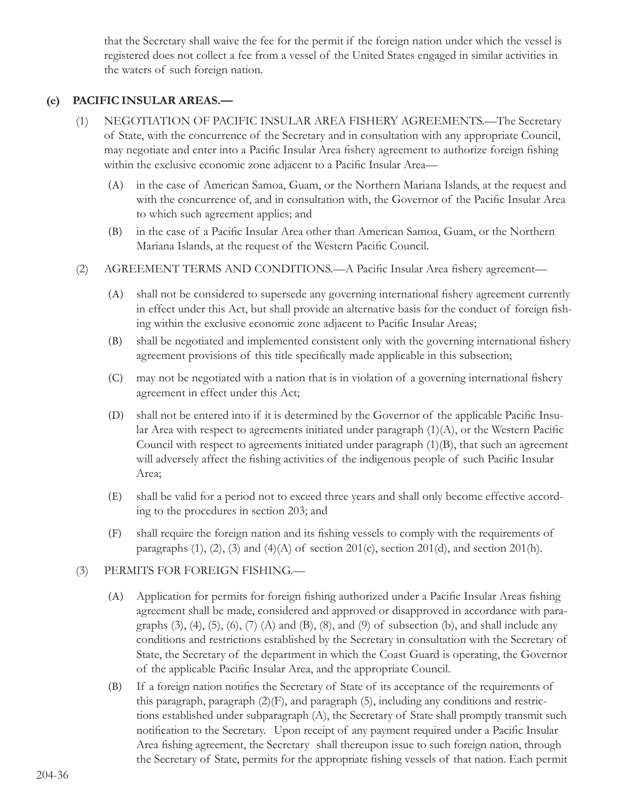that the Secretary shall waive the fee for the permit if the foreign nation under which the vessel is registered does not collect a fee from a vessel of the United States engaged in similar activities in the waters of such foreign nation.

#### **(e) PACIFIC INSULAR AREAS.—**

- (1) NEGOTIATION OF PACIFIC INSULAR AREA FISHERY AGREEMENTS.—The Secretary of State, with the concurrence of the Secretary and in consultation with any appropriate Council, may negotiate and enter into a Pacific Insular Area fishery agreement to authorize foreign fishing within the exclusive economic zone adjacent to a Pacific Insular Area-
	- (A) in the case of American Samoa, Guam, or the Northern Mariana Islands, at the request and with the concurrence of, and in consultation with, the Governor of the Pacific Insular Area to which such agreement applies; and
	- (B) in the case of a Pacific Insular Area other than American Samoa, Guam, or the Northern Mariana Islands, at the request of the Western Pacific Council.
- (2) AGREEMENT TERMS AND CONDITIONS.—A Pacific Insular Area fishery agreement—
	- (A) shall not be considered to supersede any governing international fishery agreement currently in effect under this Act, but shall provide an alternative basis for the conduct of foreign fishing within the exclusive economic zone adjacent to Pacific Insular Areas;
	- (B) shall be negotiated and implemented consistent only with the governing international fishery agreement provisions of this title specifically made applicable in this subsection;
	- (C) may not be negotiated with a nation that is in violation of a governing international fishery agreement in effect under this Act;
	- (D) shall not be entered into if it is determined by the Governor of the applicable Pacific Insular Area with respect to agreements initiated under paragraph  $(1)(A)$ , or the Western Pacific Council with respect to agreements initiated under paragraph (1)(B), that such an agreement will adversely affect the fishing activities of the indigenous people of such Pacific Insular Area;
	- (E) shall be valid for a period not to exceed three years and shall only become effective according to the procedures in section 203; and
	- (F) shall require the foreign nation and its fishing vessels to comply with the requirements of paragraphs  $(1)$ ,  $(2)$ ,  $(3)$  and  $(4)(A)$  of section 201 $(c)$ , section 201 $(d)$ , and section 201 $(h)$ .

#### (3) PERMITS FOR FOREIGN FISHING.—

- (A) Application for permits for foreign fishing authorized under a Pacific Insular Areas fishing agreement shall be made, considered and approved or disapproved in accordance with paragraphs  $(3)$ ,  $(4)$ ,  $(5)$ ,  $(6)$ ,  $(7)$   $(A)$  and  $(B)$ ,  $(8)$ , and  $(9)$  of subsection  $(b)$ , and shall include any conditions and restrictions established by the Secretary in consultation with the Secretary of State, the Secretary of the department in which the Coast Guard is operating, the Governor of the applicable Pacific Insular Area, and the appropriate Council.
- (B) If a foreign nation notifies the Secretary of State of its acceptance of the requirements of this paragraph, paragraph (2)(F), and paragraph (5), including any conditions and restrictions established under subparagraph (A), the Secretary of State shall promptly transmit such notification to the Secretary. Upon receipt of any payment required under a Pacific Insular Area fishing agreement, the Secretary shall thereupon issue to such foreign nation, through the Secretary of State, permits for the appropriate fishing vessels of that nation. Each permit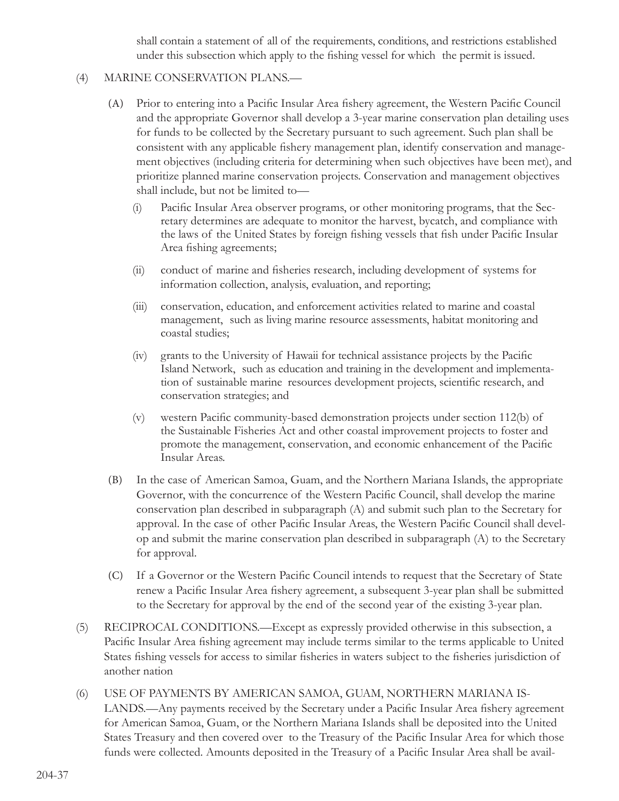shall contain a statement of all of the requirements, conditions, and restrictions established under this subsection which apply to the fishing vessel for which the permit is issued.

#### (4) MARINE CONSERVATION PLANS.—

- (A) Prior to entering into a Pacific Insular Area fishery agreement, the Western Pacific Council and the appropriate Governor shall develop a 3-year marine conservation plan detailing uses for funds to be collected by the Secretary pursuant to such agreement. Such plan shall be consistent with any applicable fishery management plan, identify conservation and management objectives (including criteria for determining when such objectives have been met), and prioritize planned marine conservation projects. Conservation and management objectives shall include, but not be limited to—
	- (i) Pacific Insular Area observer programs, or other monitoring programs, that the Secretary determines are adequate to monitor the harvest, bycatch, and compliance with the laws of the United States by foreign fishing vessels that fish under Pacific Insular Area fishing agreements;
	- (ii) conduct of marine and fisheries research, including development of systems for information collection, analysis, evaluation, and reporting;
	- (iii) conservation, education, and enforcement activities related to marine and coastal management, such as living marine resource assessments, habitat monitoring and coastal studies;
	- (iv) grants to the University of Hawaii for technical assistance projects by the Pacific Island Network, such as education and training in the development and implementation of sustainable marine resources development projects, scientific research, and conservation strategies; and
	- (v) western Pacifi c community-based demonstration projects under section 112(b) of the Sustainable Fisheries Act and other coastal improvement projects to foster and promote the management, conservation, and economic enhancement of the Pacific Insular Areas.
- (B) In the case of American Samoa, Guam, and the Northern Mariana Islands, the appropriate Governor, with the concurrence of the Western Pacific Council, shall develop the marine conservation plan described in subparagraph (A) and submit such plan to the Secretary for approval. In the case of other Pacific Insular Areas, the Western Pacific Council shall develop and submit the marine conservation plan described in subparagraph (A) to the Secretary for approval.
- (C) If a Governor or the Western Pacific Council intends to request that the Secretary of State renew a Pacific Insular Area fishery agreement, a subsequent 3-year plan shall be submitted to the Secretary for approval by the end of the second year of the existing 3-year plan.
- (5) RECIPROCAL CONDITIONS.—Except as expressly provided otherwise in this subsection, a Pacific Insular Area fishing agreement may include terms similar to the terms applicable to United States fishing vessels for access to similar fisheries in waters subject to the fisheries jurisdiction of another nation
- (6) USE OF PAYMENTS BY AMERICAN SAMOA, GUAM, NORTHERN MARIANA IS-LANDS.—Any payments received by the Secretary under a Pacific Insular Area fishery agreement for American Samoa, Guam, or the Northern Mariana Islands shall be deposited into the United States Treasury and then covered over to the Treasury of the Pacific Insular Area for which those funds were collected. Amounts deposited in the Treasury of a Pacific Insular Area shall be avail-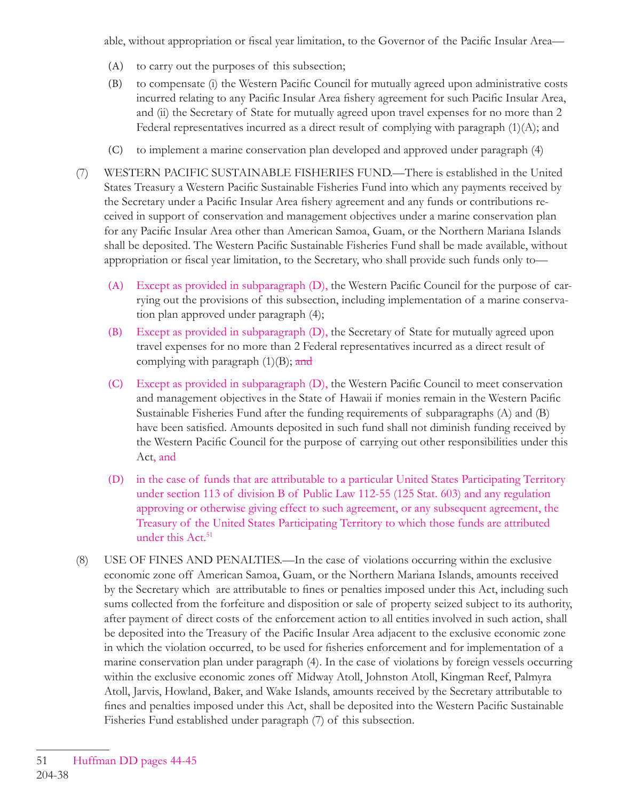able, without appropriation or fiscal year limitation, to the Governor of the Pacific Insular Area—

- (A) to carry out the purposes of this subsection;
- (B) to compensate (i) the Western Pacific Council for mutually agreed upon administrative costs incurred relating to any Pacific Insular Area fishery agreement for such Pacific Insular Area, and (ii) the Secretary of State for mutually agreed upon travel expenses for no more than 2 Federal representatives incurred as a direct result of complying with paragraph (1)(A); and
- (C) to implement a marine conservation plan developed and approved under paragraph (4)
- (7) WESTERN PACIFIC SUSTAINABLE FISHERIES FUND.—There is established in the United States Treasury a Western Pacific Sustainable Fisheries Fund into which any payments received by the Secretary under a Pacific Insular Area fishery agreement and any funds or contributions received in support of conservation and management objectives under a marine conservation plan for any Pacific Insular Area other than American Samoa, Guam, or the Northern Mariana Islands shall be deposited. The Western Pacific Sustainable Fisheries Fund shall be made available, without appropriation or fiscal year limitation, to the Secretary, who shall provide such funds only to—
	- (A) Except as provided in subparagraph (D), the Western Pacific Council for the purpose of carrying out the provisions of this subsection, including implementation of a marine conservation plan approved under paragraph (4);
	- (B) Except as provided in subparagraph (D), the Secretary of State for mutually agreed upon travel expenses for no more than 2 Federal representatives incurred as a direct result of complying with paragraph  $(1)(B)$ ; and
	- (C) Except as provided in subparagraph (D), the Western Pacific Council to meet conservation and management objectives in the State of Hawaii if monies remain in the Western Pacific Sustainable Fisheries Fund after the funding requirements of subparagraphs (A) and (B) have been satisfied. Amounts deposited in such fund shall not diminish funding received by the Western Pacific Council for the purpose of carrying out other responsibilities under this Act, and
	- (D) in the case of funds that are attributable to a particular United States Participating Territory under section 113 of division B of Public Law 112-55 (125 Stat. 603) and any regulation approving or otherwise giving effect to such agreement, or any subsequent agreement, the Treasury of the United States Participating Territory to which those funds are attributed under this Act.<sup>51</sup>
- (8) USE OF FINES AND PENALTIES.—In the case of violations occurring within the exclusive economic zone off American Samoa, Guam, or the Northern Mariana Islands, amounts received by the Secretary which are attributable to fines or penalties imposed under this Act, including such sums collected from the forfeiture and disposition or sale of property seized subject to its authority, after payment of direct costs of the enforcement action to all entities involved in such action, shall be deposited into the Treasury of the Pacific Insular Area adjacent to the exclusive economic zone in which the violation occurred, to be used for fisheries enforcement and for implementation of a marine conservation plan under paragraph (4). In the case of violations by foreign vessels occurring within the exclusive economic zones off Midway Atoll, Johnston Atoll, Kingman Reef, Palmyra Atoll, Jarvis, Howland, Baker, and Wake Islands, amounts received by the Secretary attributable to fines and penalties imposed under this Act, shall be deposited into the Western Pacific Sustainable Fisheries Fund established under paragraph (7) of this subsection.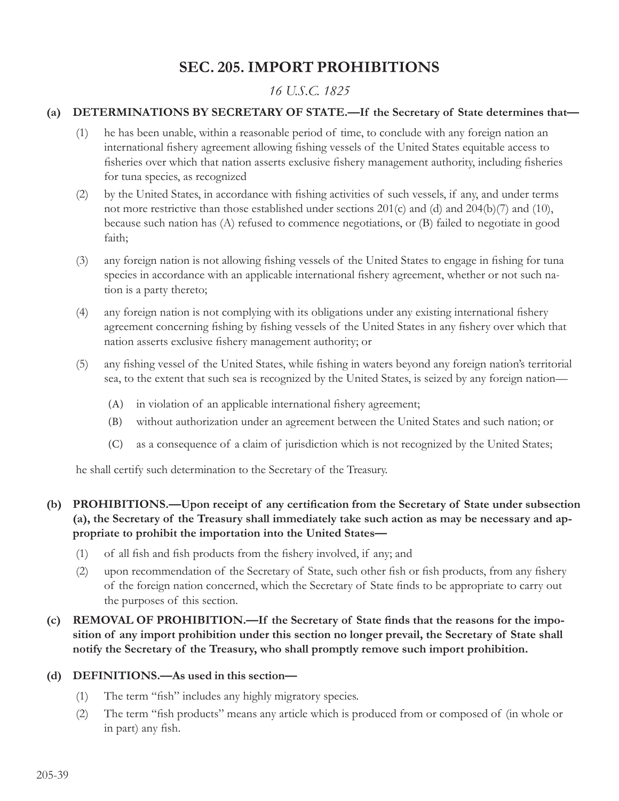# **SEC. 205. IMPORT PROHIBITIONS**

## *16 U.S.C. 1825*

#### **(a) DETERMINATIONS BY SECRETARY OF STATE.—If the Secretary of State determines that—**

- (1) he has been unable, within a reasonable period of time, to conclude with any foreign nation an international fishery agreement allowing fishing vessels of the United States equitable access to fisheries over which that nation asserts exclusive fishery management authority, including fisheries for tuna species, as recognized
- (2) by the United States, in accordance with fishing activities of such vessels, if any, and under terms not more restrictive than those established under sections 201(c) and (d) and 204(b)(7) and (10), because such nation has (A) refused to commence negotiations, or (B) failed to negotiate in good faith;
- (3) any foreign nation is not allowing fishing vessels of the United States to engage in fishing for tuna species in accordance with an applicable international fishery agreement, whether or not such nation is a party thereto;
- (4) any foreign nation is not complying with its obligations under any existing international fishery agreement concerning fishing by fishing vessels of the United States in any fishery over which that nation asserts exclusive fishery management authority; or
- (5) any fishing vessel of the United States, while fishing in waters beyond any foreign nation's territorial sea, to the extent that such sea is recognized by the United States, is seized by any foreign nation—
	- (A) in violation of an applicable international fishery agreement;
	- (B) without authorization under an agreement between the United States and such nation; or
	- (C) as a consequence of a claim of jurisdiction which is not recognized by the United States;

he shall certify such determination to the Secretary of the Treasury.

#### **(b) PROHIBITIONS.—Upon receipt of any certification from the Secretary of State under subsection (a), the Secretary of the Treasury shall immediately take such action as may be necessary and appropriate to prohibit the importation into the United States—**

- $(1)$  of all fish and fish products from the fishery involved, if any; and
- (2) upon recommendation of the Secretary of State, such other fish or fish products, from any fishery of the foreign nation concerned, which the Secretary of State finds to be appropriate to carry out the purposes of this section.
- **(c) REMOVAL OF PROHIBITION.—If the Secretary of State finds that the reasons for the imposition of any import prohibition under this section no longer prevail, the Secretary of State shall notify the Secretary of the Treasury, who shall promptly remove such import prohibition.**

### **(d) DEFINITIONS.—As used in this section—**

- (1) The term "fish" includes any highly migratory species.
- (2) The term "fish products" means any article which is produced from or composed of (in whole or in part) any fish.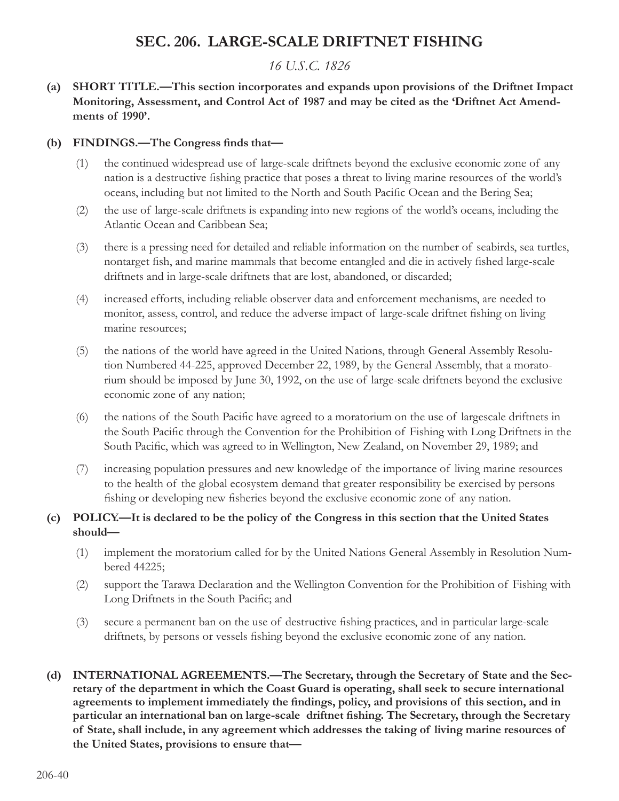# **SEC. 206. LARGE-SCALE DRIFTNET FISHING**

## *16 U.S.C. 1826*

- **(a) SHORT TITLE.—This section incorporates and expands upon provisions of the Driftnet Impact Monitoring, Assessment, and Control Act of 1987 and may be cited as the 'Driftnet Act Amendments of 1990'.**
- (b) FINDINGS.—The Congress finds that—
	- (1) the continued widespread use of large-scale driftnets beyond the exclusive economic zone of any nation is a destructive fishing practice that poses a threat to living marine resources of the world's oceans, including but not limited to the North and South Pacific Ocean and the Bering Sea;
	- (2) the use of large-scale driftnets is expanding into new regions of the world's oceans, including the Atlantic Ocean and Caribbean Sea;
	- (3) there is a pressing need for detailed and reliable information on the number of seabirds, sea turtles, nontarget fish, and marine mammals that become entangled and die in actively fished large-scale driftnets and in large-scale driftnets that are lost, abandoned, or discarded;
	- (4) increased efforts, including reliable observer data and enforcement mechanisms, are needed to monitor, assess, control, and reduce the adverse impact of large-scale driftnet fishing on living marine resources;
	- (5) the nations of the world have agreed in the United Nations, through General Assembly Resolution Numbered 44-225, approved December 22, 1989, by the General Assembly, that a moratorium should be imposed by June 30, 1992, on the use of large-scale driftnets beyond the exclusive economic zone of any nation;
	- (6) the nations of the South Pacific have agreed to a moratorium on the use of largescale driftnets in the South Pacifi c through the Convention for the Prohibition of Fishing with Long Driftnets in the South Pacific, which was agreed to in Wellington, New Zealand, on November 29, 1989; and
	- (7) increasing population pressures and new knowledge of the importance of living marine resources to the health of the global ecosystem demand that greater responsibility be exercised by persons fishing or developing new fisheries beyond the exclusive economic zone of any nation.
- **(c) POLICY.—It is declared to be the policy of the Congress in this section that the United States should—**
	- (1) implement the moratorium called for by the United Nations General Assembly in Resolution Numbered 44225;
	- (2) support the Tarawa Declaration and the Wellington Convention for the Prohibition of Fishing with Long Driftnets in the South Pacific; and
	- (3) secure a permanent ban on the use of destructive fishing practices, and in particular large-scale driftnets, by persons or vessels fishing beyond the exclusive economic zone of any nation.
- **(d) INTERNATIONAL AGREEMENTS.—The Secretary, through the Secretary of State and the Secretary of the department in which the Coast Guard is operating, shall seek to secure international**  agreements to implement immediately the findings, policy, and provisions of this section, and in particular an international ban on large-scale driftnet fishing. The Secretary, through the Secretary **of State, shall include, in any agreement which addresses the taking of living marine resources of the United States, provisions to ensure that—**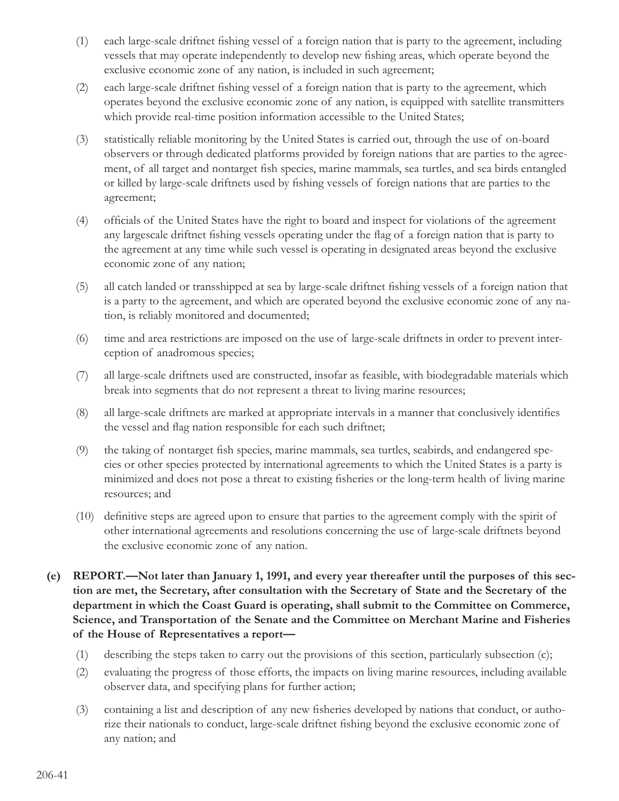- (1) each large-scale driftnet fi shing vessel of a foreign nation that is party to the agreement, including vessels that may operate independently to develop new fishing areas, which operate beyond the exclusive economic zone of any nation, is included in such agreement;
- $(2)$  each large-scale driftnet fishing vessel of a foreign nation that is party to the agreement, which operates beyond the exclusive economic zone of any nation, is equipped with satellite transmitters which provide real-time position information accessible to the United States;
- (3) statistically reliable monitoring by the United States is carried out, through the use of on-board observers or through dedicated platforms provided by foreign nations that are parties to the agreement, of all target and nontarget fish species, marine mammals, sea turtles, and sea birds entangled or killed by large-scale driftnets used by fishing vessels of foreign nations that are parties to the agreement;
- (4) officials of the United States have the right to board and inspect for violations of the agreement any largescale driftnet fishing vessels operating under the flag of a foreign nation that is party to the agreement at any time while such vessel is operating in designated areas beyond the exclusive economic zone of any nation;
- (5) all catch landed or transshipped at sea by large-scale driftnet fishing vessels of a foreign nation that is a party to the agreement, and which are operated beyond the exclusive economic zone of any nation, is reliably monitored and documented;
- (6) time and area restrictions are imposed on the use of large-scale driftnets in order to prevent interception of anadromous species;
- (7) all large-scale driftnets used are constructed, insofar as feasible, with biodegradable materials which break into segments that do not represent a threat to living marine resources;
- (8) all large-scale driftnets are marked at appropriate intervals in a manner that conclusively identifies the vessel and flag nation responsible for each such driftnet;
- (9) the taking of nontarget fish species, marine mammals, sea turtles, seabirds, and endangered species or other species protected by international agreements to which the United States is a party is minimized and does not pose a threat to existing fisheries or the long-term health of living marine resources; and
- (10) definitive steps are agreed upon to ensure that parties to the agreement comply with the spirit of other international agreements and resolutions concerning the use of large-scale driftnets beyond the exclusive economic zone of any nation.
- **(e) REPORT.—Not later than January 1, 1991, and every year thereafter until the purposes of this section are met, the Secretary, after consultation with the Secretary of State and the Secretary of the department in which the Coast Guard is operating, shall submit to the Committee on Commerce, Science, and Transportation of the Senate and the Committee on Merchant Marine and Fisheries of the House of Representatives a report—**
	- (1) describing the steps taken to carry out the provisions of this section, particularly subsection (c);
	- (2) evaluating the progress of those efforts, the impacts on living marine resources, including available observer data, and specifying plans for further action;
	- (3) containing a list and description of any new fisheries developed by nations that conduct, or authorize their nationals to conduct, large-scale driftnet fishing beyond the exclusive economic zone of any nation; and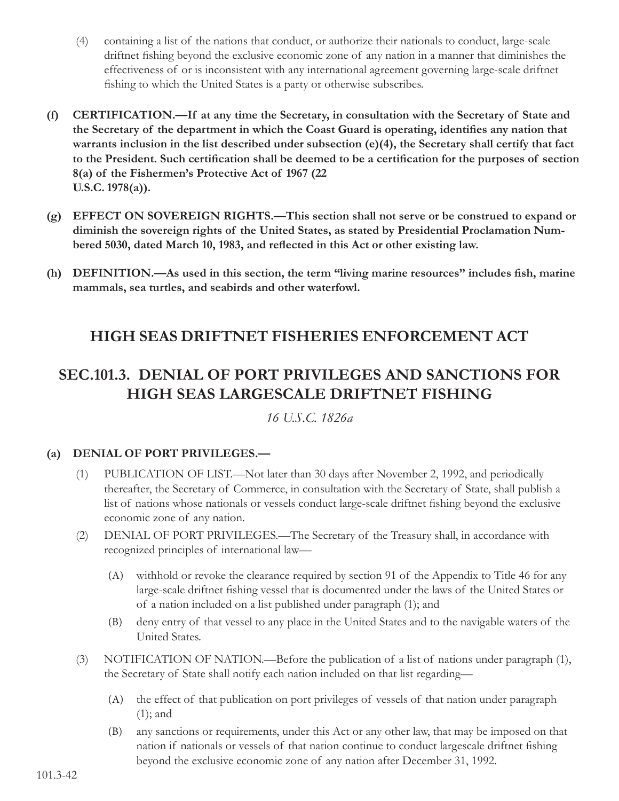- (4) containing a list of the nations that conduct, or authorize their nationals to conduct, large-scale driftnet fishing beyond the exclusive economic zone of any nation in a manner that diminishes the effectiveness of or is inconsistent with any international agreement governing large-scale driftnet fishing to which the United States is a party or otherwise subscribes.
- **(f) CERTIFICATION.—If at any time the Secretary, in consultation with the Secretary of State and**  the Secretary of the department in which the Coast Guard is operating, identifies any nation that **warrants inclusion in the list described under subsection (e)(4), the Secretary shall certify that fact**  to the President. Such certification shall be deemed to be a certification for the purposes of section **8(a) of the Fishermen's Protective Act of 1967 (22 U.S.C. 1978(a)).**
- **(g) EFFECT ON SOVEREIGN RIGHTS.—This section shall not serve or be construed to expand or diminish the sovereign rights of the United States, as stated by Presidential Proclamation Num**bered 5030, dated March 10, 1983, and reflected in this Act or other existing law.
- (h) DEFINITION.—As used in this section, the term "living marine resources" includes fish, marine **mammals, sea turtles, and seabirds and other waterfowl.**

# **HIGH SEAS DRIFTNET FISHERIES ENFORCEMENT ACT**

# **SEC.101.3. DENIAL OF PORT PRIVILEGES AND SANCTIONS FOR HIGH SEAS LARGESCALE DRIFTNET FISHING**

*16 U.S.C. 1826a*

#### **(a) DENIAL OF PORT PRIVILEGES.—**

- (1) PUBLICATION OF LIST.—Not later than 30 days after November 2, 1992, and periodically thereafter, the Secretary of Commerce, in consultation with the Secretary of State, shall publish a list of nations whose nationals or vessels conduct large-scale driftnet fishing beyond the exclusive economic zone of any nation.
- (2) DENIAL OF PORT PRIVILEGES.—The Secretary of the Treasury shall, in accordance with recognized principles of international law—
	- (A) withhold or revoke the clearance required by section 91 of the Appendix to Title 46 for any large-scale driftnet fishing vessel that is documented under the laws of the United States or of a nation included on a list published under paragraph (1); and
	- (B) deny entry of that vessel to any place in the United States and to the navigable waters of the United States.
- (3) NOTIFICATION OF NATION.—Before the publication of a list of nations under paragraph (1), the Secretary of State shall notify each nation included on that list regarding—
	- (A) the effect of that publication on port privileges of vessels of that nation under paragraph (1); and
	- (B) any sanctions or requirements, under this Act or any other law, that may be imposed on that nation if nationals or vessels of that nation continue to conduct largescale driftnet fishing beyond the exclusive economic zone of any nation after December 31, 1992.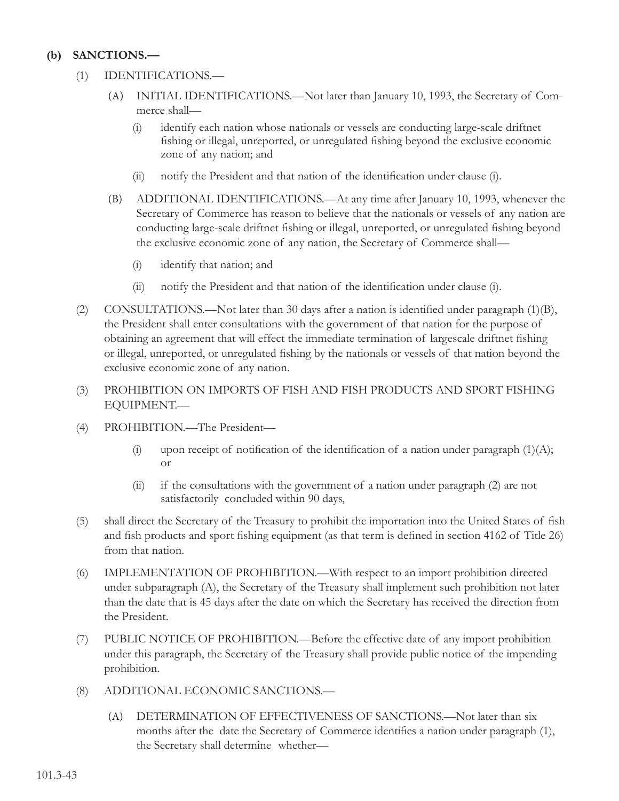#### **(b) SANCTIONS.—**

- (1) IDENTIFICATIONS.—
	- (A) INITIAL IDENTIFICATIONS.—Not later than January 10, 1993, the Secretary of Commerce shall—
		- (i) identify each nation whose nationals or vessels are conducting large-scale driftnet fishing or illegal, unreported, or unregulated fishing beyond the exclusive economic zone of any nation; and
		- (ii) notify the President and that nation of the identification under clause (i).
	- (B) ADDITIONAL IDENTIFICATIONS.—At any time after January 10, 1993, whenever the Secretary of Commerce has reason to believe that the nationals or vessels of any nation are conducting large-scale driftnet fishing or illegal, unreported, or unregulated fishing beyond the exclusive economic zone of any nation, the Secretary of Commerce shall—
		- (i) identify that nation; and
		- (ii) notify the President and that nation of the identification under clause (i).
- (2) CONSULTATIONS.—Not later than 30 days after a nation is identified under paragraph  $(1)(B)$ , the President shall enter consultations with the government of that nation for the purpose of obtaining an agreement that will effect the immediate termination of largescale driftnet fishing or illegal, unreported, or unregulated fishing by the nationals or vessels of that nation beyond the exclusive economic zone of any nation.
- (3) PROHIBITION ON IMPORTS OF FISH AND FISH PRODUCTS AND SPORT FISHING EQUIPMENT.—
- (4) PROHIBITION.—The President—
	- (i) upon receipt of notification of the identification of a nation under paragraph  $(1)(A)$ ; or
	- (ii) if the consultations with the government of a nation under paragraph (2) are not satisfactorily concluded within 90 days,
- (5) shall direct the Secretary of the Treasury to prohibit the importation into the United States of fish and fish products and sport fishing equipment (as that term is defined in section 4162 of Title 26) from that nation.
- (6) IMPLEMENTATION OF PROHIBITION.—With respect to an import prohibition directed under subparagraph (A), the Secretary of the Treasury shall implement such prohibition not later than the date that is 45 days after the date on which the Secretary has received the direction from the President.
- (7) PUBLIC NOTICE OF PROHIBITION.—Before the effective date of any import prohibition under this paragraph, the Secretary of the Treasury shall provide public notice of the impending prohibition.
- (8) ADDITIONAL ECONOMIC SANCTIONS.—
	- (A) DETERMINATION OF EFFECTIVENESS OF SANCTIONS.—Not later than six months after the date the Secretary of Commerce identifies a nation under paragraph (1), the Secretary shall determine whether—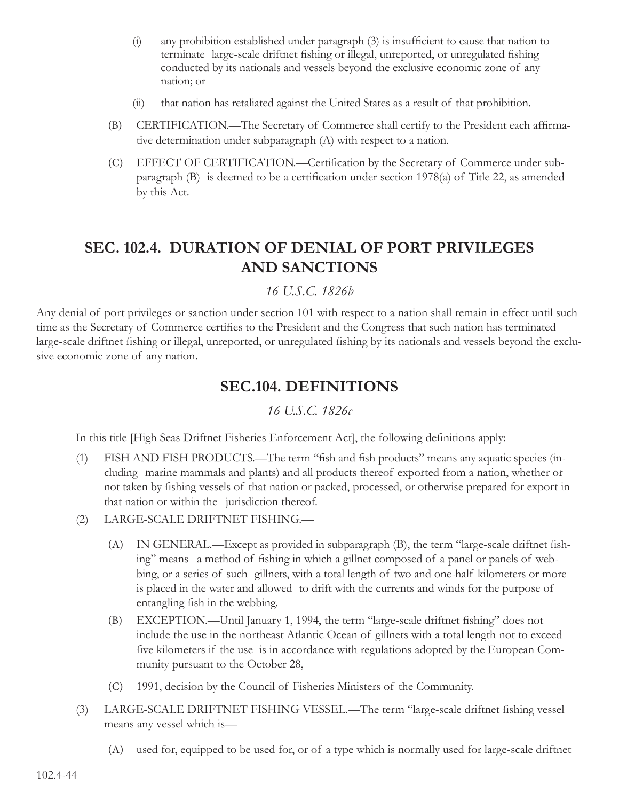- $(i)$  any prohibition established under paragraph  $(3)$  is insufficient to cause that nation to terminate large-scale driftnet fishing or illegal, unreported, or unregulated fishing conducted by its nationals and vessels beyond the exclusive economic zone of any nation; or
- (ii) that nation has retaliated against the United States as a result of that prohibition.
- (B) CERTIFICATION.—The Secretary of Commerce shall certify to the President each affirmative determination under subparagraph (A) with respect to a nation.
- (C) EFFECT OF CERTIFICATION.—Certification by the Secretary of Commerce under subparagraph  $(B)$  is deemed to be a certification under section 1978(a) of Title 22, as amended by this Act.

# **SEC. 102.4. DURATION OF DENIAL OF PORT PRIVILEGES AND SANCTIONS**

*16 U.S.C. 1826b*

Any denial of port privileges or sanction under section 101 with respect to a nation shall remain in effect until such time as the Secretary of Commerce certifies to the President and the Congress that such nation has terminated large-scale driftnet fishing or illegal, unreported, or unregulated fishing by its nationals and vessels beyond the exclusive economic zone of any nation.

## **SEC.104. DEFINITIONS**

*16 U.S.C. 1826c*

In this title [High Seas Driftnet Fisheries Enforcement Act], the following definitions apply:

- (1) FISH AND FISH PRODUCTS.—The term "fish and fish products" means any aquatic species (including marine mammals and plants) and all products thereof exported from a nation, whether or not taken by fishing vessels of that nation or packed, processed, or otherwise prepared for export in that nation or within the jurisdiction thereof.
- (2) LARGE-SCALE DRIFTNET FISHING.—
	- (A) IN GENERAL.—Except as provided in subparagraph (B), the term "large-scale driftnet fishing" means a method of fishing in which a gillnet composed of a panel or panels of webbing, or a series of such gillnets, with a total length of two and one-half kilometers or more is placed in the water and allowed to drift with the currents and winds for the purpose of entangling fish in the webbing.
	- (B) EXCEPTION.—Until January 1, 1994, the term "large-scale driftnet fi shing" does not include the use in the northeast Atlantic Ocean of gillnets with a total length not to exceed five kilometers if the use is in accordance with regulations adopted by the European Community pursuant to the October 28,
	- (C) 1991, decision by the Council of Fisheries Ministers of the Community.
- (3) LARGE-SCALE DRIFTNET FISHING VESSEL.—The term "large-scale driftnet fishing vessel means any vessel which is—
	- (A) used for, equipped to be used for, or of a type which is normally used for large-scale driftnet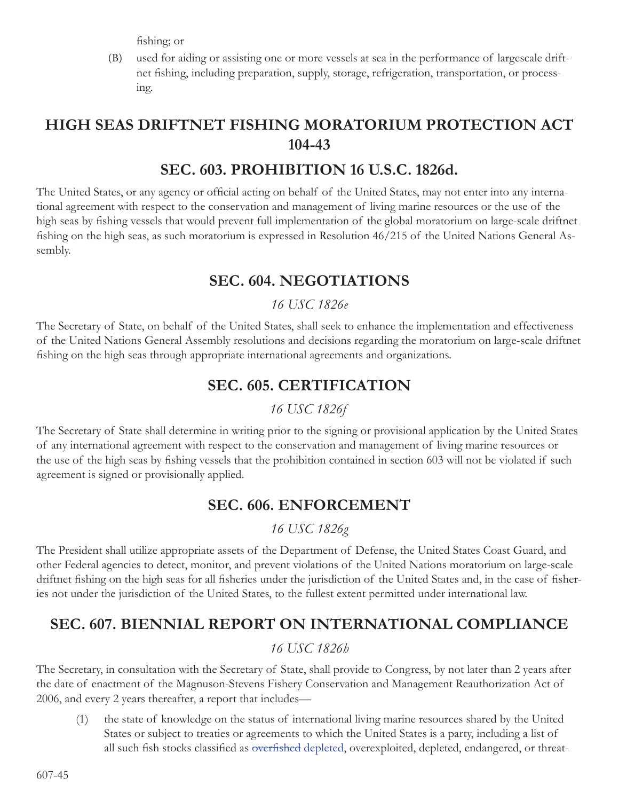fishing; or

(B) used for aiding or assisting one or more vessels at sea in the performance of largescale driftnet fishing, including preparation, supply, storage, refrigeration, transportation, or processing.

# **HIGH SEAS DRIFTNET FISHING MORATORIUM PROTECTION ACT 104-43**

## **SEC. 603. PROHIBITION 16 U.S.C. 1826d.**

The United States, or any agency or official acting on behalf of the United States, may not enter into any international agreement with respect to the conservation and management of living marine resources or the use of the high seas by fishing vessels that would prevent full implementation of the global moratorium on large-scale driftnet fishing on the high seas, as such moratorium is expressed in Resolution 46/215 of the United Nations General Assembly.

# **SEC. 604. NEGOTIATIONS**

## *16 USC 1826e*

The Secretary of State, on behalf of the United States, shall seek to enhance the implementation and effectiveness of the United Nations General Assembly resolutions and decisions regarding the moratorium on large-scale driftnet fishing on the high seas through appropriate international agreements and organizations.

# **SEC. 605. CERTIFICATION**

## *16 USC 1826f*

The Secretary of State shall determine in writing prior to the signing or provisional application by the United States of any international agreement with respect to the conservation and management of living marine resources or the use of the high seas by fishing vessels that the prohibition contained in section 603 will not be violated if such agreement is signed or provisionally applied.

# **SEC. 606. ENFORCEMENT**

*16 USC 1826g*

The President shall utilize appropriate assets of the Department of Defense, the United States Coast Guard, and other Federal agencies to detect, monitor, and prevent violations of the United Nations moratorium on large-scale driftnet fishing on the high seas for all fisheries under the jurisdiction of the United States and, in the case of fisheries not under the jurisdiction of the United States, to the fullest extent permitted under international law.

# **SEC. 607. BIENNIAL REPORT ON INTERNATIONAL COMPLIANCE**

## *16 USC 1826h*

The Secretary, in consultation with the Secretary of State, shall provide to Congress, by not later than 2 years after the date of enactment of the Magnuson-Stevens Fishery Conservation and Management Reauthorization Act of 2006, and every 2 years thereafter, a report that includes—

(1) the state of knowledge on the status of international living marine resources shared by the United States or subject to treaties or agreements to which the United States is a party, including a list of all such fish stocks classified as overfished depleted, overexploited, depleted, endangered, or threat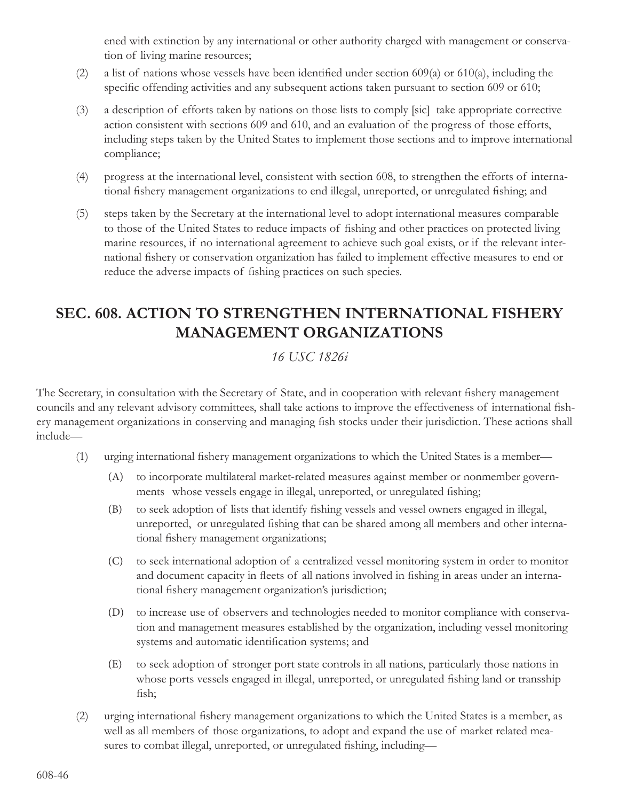ened with extinction by any international or other authority charged with management or conservation of living marine resources;

- (2) a list of nations whose vessels have been identified under section  $609(a)$  or  $610(a)$ , including the specific offending activities and any subsequent actions taken pursuant to section 609 or 610;
- (3) a description of efforts taken by nations on those lists to comply [sic] take appropriate corrective action consistent with sections 609 and 610, and an evaluation of the progress of those efforts, including steps taken by the United States to implement those sections and to improve international compliance;
- (4) progress at the international level, consistent with section 608, to strengthen the efforts of international fishery management organizations to end illegal, unreported, or unregulated fishing; and
- (5) steps taken by the Secretary at the international level to adopt international measures comparable to those of the United States to reduce impacts of fishing and other practices on protected living marine resources, if no international agreement to achieve such goal exists, or if the relevant international fishery or conservation organization has failed to implement effective measures to end or reduce the adverse impacts of fishing practices on such species.

# **SEC. 608. ACTION TO STRENGTHEN INTERNATIONAL FISHERY MANAGEMENT ORGANIZATIONS**

## *16 USC 1826i*

The Secretary, in consultation with the Secretary of State, and in cooperation with relevant fishery management councils and any relevant advisory committees, shall take actions to improve the effectiveness of international fishery management organizations in conserving and managing fish stocks under their jurisdiction. These actions shall include—

- (1) urging international fishery management organizations to which the United States is a member—
	- (A) to incorporate multilateral market-related measures against member or nonmember governments whose vessels engage in illegal, unreported, or unregulated fishing;
	- (B) to seek adoption of lists that identify fishing vessels and vessel owners engaged in illegal, unreported, or unregulated fishing that can be shared among all members and other international fishery management organizations;
	- (C) to seek international adoption of a centralized vessel monitoring system in order to monitor and document capacity in fleets of all nations involved in fishing in areas under an international fishery management organization's jurisdiction;
	- (D) to increase use of observers and technologies needed to monitor compliance with conservation and management measures established by the organization, including vessel monitoring systems and automatic identification systems; and
	- (E) to seek adoption of stronger port state controls in all nations, particularly those nations in whose ports vessels engaged in illegal, unreported, or unregulated fishing land or transship fish;
- (2) urging international fishery management organizations to which the United States is a member, as well as all members of those organizations, to adopt and expand the use of market related measures to combat illegal, unreported, or unregulated fishing, including—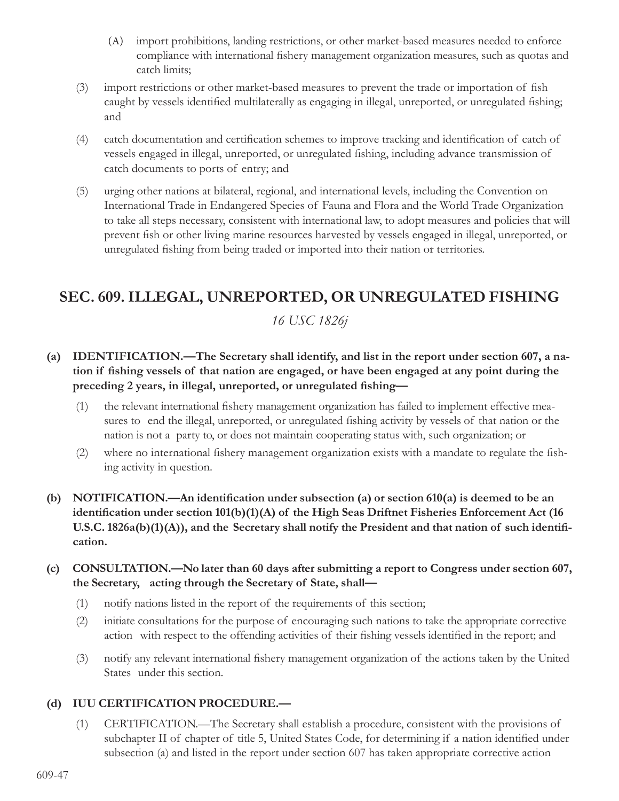- (A) import prohibitions, landing restrictions, or other market-based measures needed to enforce compliance with international fishery management organization measures, such as quotas and catch limits;
- (3) import restrictions or other market-based measures to prevent the trade or importation of fish caught by vessels identified multilaterally as engaging in illegal, unreported, or unregulated fishing; and
- (4) catch documentation and certification schemes to improve tracking and identification of catch of vessels engaged in illegal, unreported, or unregulated fishing, including advance transmission of catch documents to ports of entry; and
- (5) urging other nations at bilateral, regional, and international levels, including the Convention on International Trade in Endangered Species of Fauna and Flora and the World Trade Organization to take all steps necessary, consistent with international law, to adopt measures and policies that will prevent fish or other living marine resources harvested by vessels engaged in illegal, unreported, or unregulated fishing from being traded or imported into their nation or territories.

# **SEC. 609. ILLEGAL, UNREPORTED, OR UNREGULATED FISHING**

*16 USC 1826j*

- **(a) IDENTIFICATION.—The Secretary shall identify, and list in the report under section 607, a na**tion if fishing vessels of that nation are engaged, or have been engaged at any point during the preceding 2 years, in illegal, unreported, or unregulated fishing-
	- (1) the relevant international fishery management organization has failed to implement effective measures to end the illegal, unreported, or unregulated fishing activity by vessels of that nation or the nation is not a party to, or does not maintain cooperating status with, such organization; or
	- (2) where no international fishery management organization exists with a mandate to regulate the fishing activity in question.
- **(b) NOTIFICATION.—An identification under subsection (a) or section 610(a) is deemed to be an identification under section 101(b)(1)(A) of the High Seas Driftnet Fisheries Enforcement Act (16 U.S.C. 1826a(b)(1)(A)), and the Secretary shall notify the President and that nation of such identification.**

#### **(c) CONSULTATION.—No later than 60 days after submitting a report to Congress under section 607, the Secretary, acting through the Secretary of State, shall—**

- (1) notify nations listed in the report of the requirements of this section;
- (2) initiate consultations for the purpose of encouraging such nations to take the appropriate corrective action with respect to the offending activities of their fishing vessels identified in the report; and
- (3) notify any relevant international fishery management organization of the actions taken by the United States under this section.

## **(d) IUU CERTIFICATION PROCEDURE.—**

(1) CERTIFICATION.—The Secretary shall establish a procedure, consistent with the provisions of subchapter II of chapter of title 5, United States Code, for determining if a nation identified under subsection (a) and listed in the report under section 607 has taken appropriate corrective action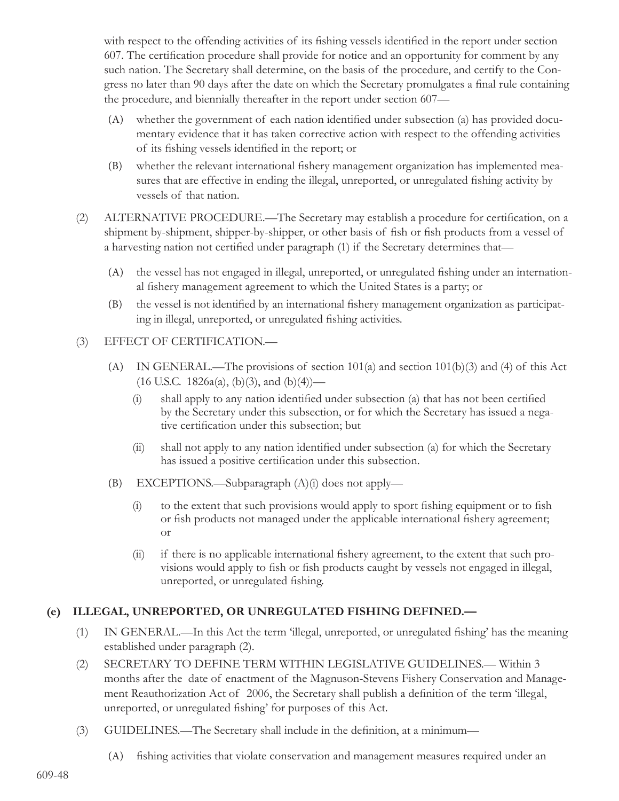with respect to the offending activities of its fishing vessels identified in the report under section 607. The certification procedure shall provide for notice and an opportunity for comment by any such nation. The Secretary shall determine, on the basis of the procedure, and certify to the Congress no later than 90 days after the date on which the Secretary promulgates a final rule containing the procedure, and biennially thereafter in the report under section 607—

- (A) whether the government of each nation identified under subsection (a) has provided documentary evidence that it has taken corrective action with respect to the offending activities of its fishing vessels identified in the report; or
- (B) whether the relevant international fishery management organization has implemented measures that are effective in ending the illegal, unreported, or unregulated fishing activity by vessels of that nation.
- (2) ALTERNATIVE PROCEDURE.—The Secretary may establish a procedure for certification, on a shipment by-shipment, shipper-by-shipper, or other basis of fish or fish products from a vessel of a harvesting nation not certified under paragraph (1) if the Secretary determines that—
	- (A) the vessel has not engaged in illegal, unreported, or unregulated fishing under an international fishery management agreement to which the United States is a party; or
	- (B) the vessel is not identified by an international fishery management organization as participating in illegal, unreported, or unregulated fishing activities.

#### (3) EFFECT OF CERTIFICATION.—

- (A) IN GENERAL.—The provisions of section 101(a) and section 101(b)(3) and (4) of this Act  $(16 \text{ U.S.C. } 1826a(a), (b)(3), \text{ and } (b)(4))$ —
	- $(i)$  shall apply to any nation identified under subsection (a) that has not been certified by the Secretary under this subsection, or for which the Secretary has issued a negative certification under this subsection; but
	- $(ii)$  shall not apply to any nation identified under subsection (a) for which the Secretary has issued a positive certification under this subsection.
- (B) EXCEPTIONS.—Subparagraph (A)(i) does not apply—
	- $(i)$  to the extent that such provisions would apply to sport fishing equipment or to fish or fish products not managed under the applicable international fishery agreement; or
	- (ii) if there is no applicable international fishery agreement, to the extent that such provisions would apply to fish or fish products caught by vessels not engaged in illegal, unreported, or unregulated fishing.

### **(e) ILLEGAL, UNREPORTED, OR UNREGULATED FISHING DEFINED.—**

- (1) IN GENERAL.—In this Act the term 'illegal, unreported, or unregulated fishing' has the meaning established under paragraph (2).
- (2) SECRETARY TO DEFINE TERM WITHIN LEGISLATIVE GUIDELINES.— Within 3 months after the date of enactment of the Magnuson-Stevens Fishery Conservation and Management Reauthorization Act of 2006, the Secretary shall publish a definition of the term 'illegal, unreported, or unregulated fishing' for purposes of this Act.
- (3) GUIDELINES.—The Secretary shall include in the definition, at a minimum—
	- (A) fi shing activities that violate conservation and management measures required under an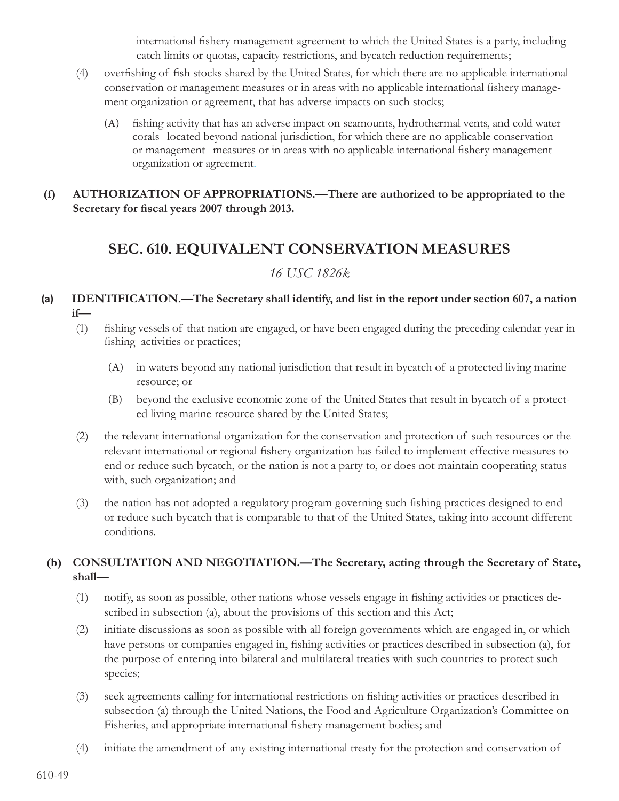international fishery management agreement to which the United States is a party, including catch limits or quotas, capacity restrictions, and bycatch reduction requirements;

- (4) overfishing of fish stocks shared by the United States, for which there are no applicable international conservation or management measures or in areas with no applicable international fishery management organization or agreement, that has adverse impacts on such stocks;
	- (A) fi shing activity that has an adverse impact on seamounts, hydrothermal vents, and cold water corals located beyond national jurisdiction, for which there are no applicable conservation or management measures or in areas with no applicable international fishery management organization or agreement.
- **(f) AUTHORIZATION OF APPROPRIATIONS.—There are authorized to be appropriated to the**  Secretary for fiscal years 2007 through 2013.

# **SEC. 610. EQUIVALENT CONSERVATION MEASURES**

### *16 USC 1826k*

#### **(a) IDENTIFICATION.—The Secretary shall identify, and list in the report under section 607, a nation if—**

- (1) fi shing vessels of that nation are engaged, or have been engaged during the preceding calendar year in fishing activities or practices;
	- (A) in waters beyond any national jurisdiction that result in bycatch of a protected living marine resource; or
	- (B) beyond the exclusive economic zone of the United States that result in bycatch of a protected living marine resource shared by the United States;
- (2) the relevant international organization for the conservation and protection of such resources or the relevant international or regional fishery organization has failed to implement effective measures to end or reduce such bycatch, or the nation is not a party to, or does not maintain cooperating status with, such organization; and
- (3) the nation has not adopted a regulatory program governing such fishing practices designed to end or reduce such bycatch that is comparable to that of the United States, taking into account different conditions.

#### **(b) CONSULTATION AND NEGOTIATION.—The Secretary, acting through the Secretary of State, shall—**

- (1) notify, as soon as possible, other nations whose vessels engage in fi shing activities or practices described in subsection (a), about the provisions of this section and this Act;
- (2) initiate discussions as soon as possible with all foreign governments which are engaged in, or which have persons or companies engaged in, fishing activities or practices described in subsection (a), for the purpose of entering into bilateral and multilateral treaties with such countries to protect such species;
- (3) seek agreements calling for international restrictions on fishing activities or practices described in subsection (a) through the United Nations, the Food and Agriculture Organization's Committee on Fisheries, and appropriate international fishery management bodies; and
- (4) initiate the amendment of any existing international treaty for the protection and conservation of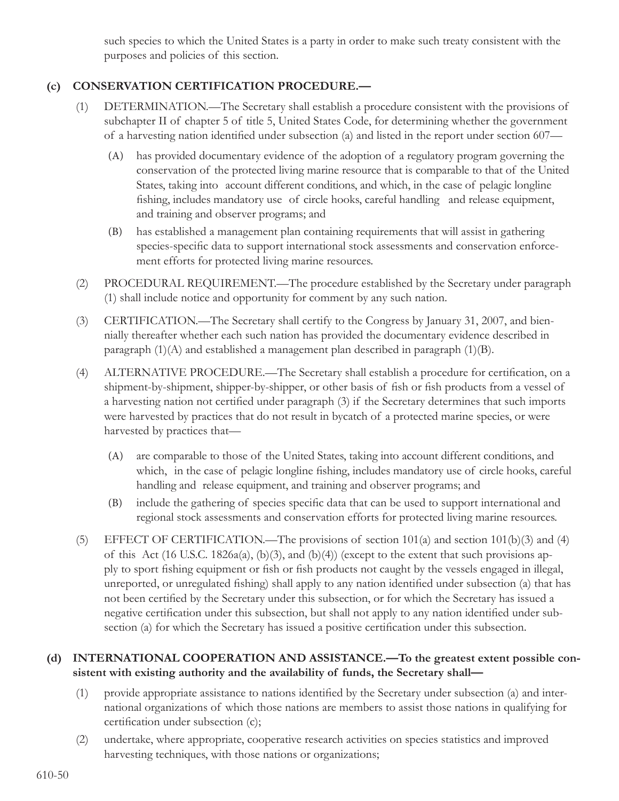such species to which the United States is a party in order to make such treaty consistent with the purposes and policies of this section.

### **(c) CONSERVATION CERTIFICATION PROCEDURE.—**

- (1) DETERMINATION.—The Secretary shall establish a procedure consistent with the provisions of subchapter II of chapter 5 of title 5, United States Code, for determining whether the government of a harvesting nation identified under subsection (a) and listed in the report under section 607—
	- (A) has provided documentary evidence of the adoption of a regulatory program governing the conservation of the protected living marine resource that is comparable to that of the United States, taking into account different conditions, and which, in the case of pelagic longline fishing, includes mandatory use of circle hooks, careful handling and release equipment, and training and observer programs; and
	- (B) has established a management plan containing requirements that will assist in gathering species-specific data to support international stock assessments and conservation enforcement efforts for protected living marine resources.
- (2) PROCEDURAL REQUIREMENT.—The procedure established by the Secretary under paragraph (1) shall include notice and opportunity for comment by any such nation.
- (3) CERTIFICATION.—The Secretary shall certify to the Congress by January 31, 2007, and biennially thereafter whether each such nation has provided the documentary evidence described in paragraph (1)(A) and established a management plan described in paragraph (1)(B).
- (4) ALTERNATIVE PROCEDURE.—The Secretary shall establish a procedure for certification, on a shipment-by-shipment, shipper-by-shipper, or other basis of fish or fish products from a vessel of a harvesting nation not certified under paragraph (3) if the Secretary determines that such imports were harvested by practices that do not result in bycatch of a protected marine species, or were harvested by practices that—
	- (A) are comparable to those of the United States, taking into account different conditions, and which, in the case of pelagic longline fishing, includes mandatory use of circle hooks, careful handling and release equipment, and training and observer programs; and
	- (B) include the gathering of species specific data that can be used to support international and regional stock assessments and conservation efforts for protected living marine resources.
- (5) EFFECT OF CERTIFICATION.—The provisions of section 101(a) and section 101(b)(3) and (4) of this Act (16 U.S.C. 1826a(a), (b)(3), and (b)(4)) (except to the extent that such provisions apply to sport fishing equipment or fish or fish products not caught by the vessels engaged in illegal, unreported, or unregulated fishing) shall apply to any nation identified under subsection (a) that has not been certified by the Secretary under this subsection, or for which the Secretary has issued a negative certification under this subsection, but shall not apply to any nation identified under subsection (a) for which the Secretary has issued a positive certification under this subsection.

### **(d) INTERNATIONAL COOPERATION AND ASSISTANCE.—To the greatest extent possible consistent with existing authority and the availability of funds, the Secretary shall—**

- (1) provide appropriate assistance to nations identified by the Secretary under subsection (a) and international organizations of which those nations are members to assist those nations in qualifying for certification under subsection (c);
- (2) undertake, where appropriate, cooperative research activities on species statistics and improved harvesting techniques, with those nations or organizations;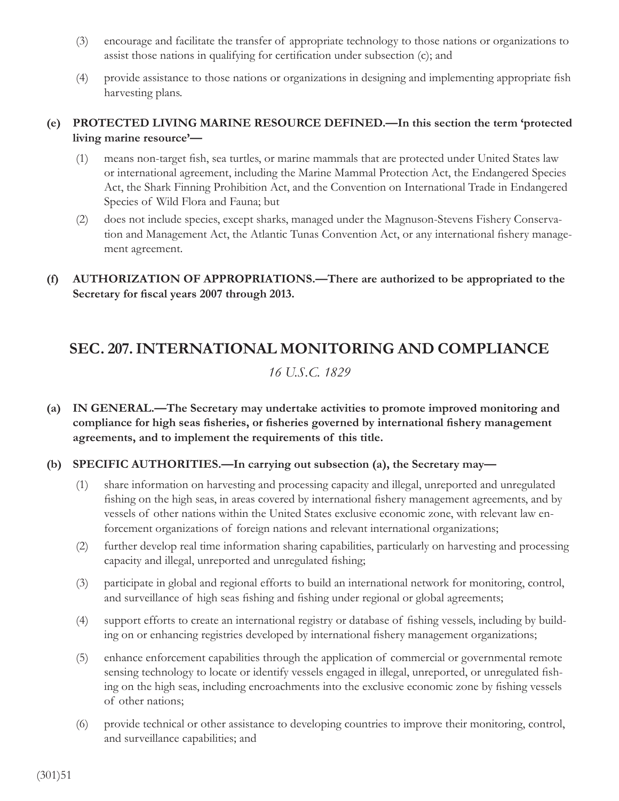- (3) encourage and facilitate the transfer of appropriate technology to those nations or organizations to assist those nations in qualifying for certification under subsection (c); and
- (4) provide assistance to those nations or organizations in designing and implementing appropriate fish harvesting plans.

#### **(e) PROTECTED LIVING MARINE RESOURCE DEFINED.—In this section the term 'protected living marine resource'—**

- (1) means non-target fish, sea turtles, or marine mammals that are protected under United States law or international agreement, including the Marine Mammal Protection Act, the Endangered Species Act, the Shark Finning Prohibition Act, and the Convention on International Trade in Endangered Species of Wild Flora and Fauna; but
- (2) does not include species, except sharks, managed under the Magnuson-Stevens Fishery Conservation and Management Act, the Atlantic Tunas Convention Act, or any international fishery management agreement.
- **(f) AUTHORIZATION OF APPROPRIATIONS.—There are authorized to be appropriated to the**  Secretary for fiscal years 2007 through 2013.

# **SEC. 207. INTERNATIONAL MONITORING AND COMPLIANCE**

*16 U.S.C. 1829*

 **(a) IN GENERAL.—The Secretary may undertake activities to promote improved monitoring and**  compliance for high seas fisheries, or fisheries governed by international fishery management **agreements, and to implement the requirements of this title.**

### **(b) SPECIFIC AUTHORITIES.—In carrying out subsection (a), the Secretary may—**

- (1) share information on harvesting and processing capacity and illegal, unreported and unregulated fishing on the high seas, in areas covered by international fishery management agreements, and by vessels of other nations within the United States exclusive economic zone, with relevant law enforcement organizations of foreign nations and relevant international organizations;
- (2) further develop real time information sharing capabilities, particularly on harvesting and processing capacity and illegal, unreported and unregulated fishing;
- (3) participate in global and regional efforts to build an international network for monitoring, control, and surveillance of high seas fishing and fishing under regional or global agreements;
- (4) support efforts to create an international registry or database of fishing vessels, including by building on or enhancing registries developed by international fishery management organizations;
- (5) enhance enforcement capabilities through the application of commercial or governmental remote sensing technology to locate or identify vessels engaged in illegal, unreported, or unregulated fishing on the high seas, including encroachments into the exclusive economic zone by fishing vessels of other nations;
- (6) provide technical or other assistance to developing countries to improve their monitoring, control, and surveillance capabilities; and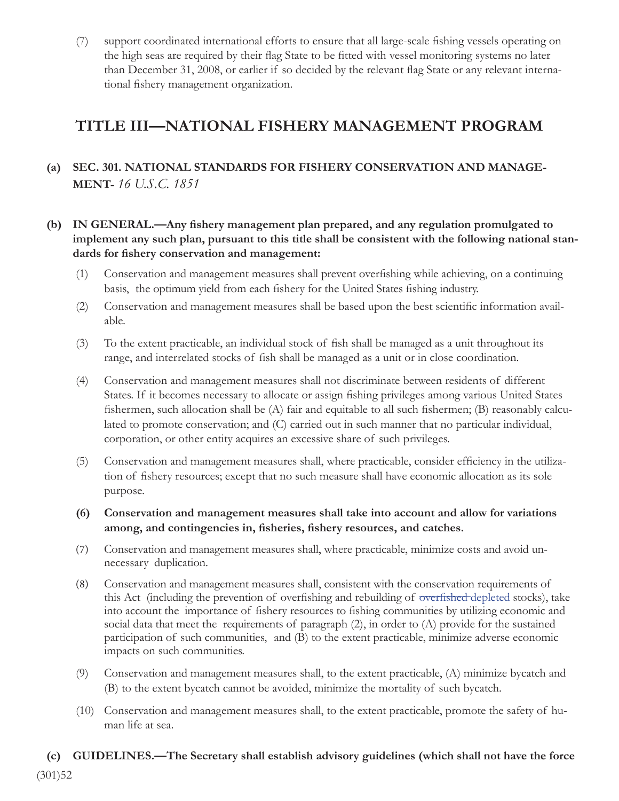(7) support coordinated international efforts to ensure that all large-scale fi shing vessels operating on the high seas are required by their flag State to be fitted with vessel monitoring systems no later than December 31, 2008, or earlier if so decided by the relevant flag State or any relevant international fishery management organization.

# **TITLE III—NATIONAL FISHERY MANAGEMENT PROGRAM**

### **(a) SEC. 301. NATIONAL STANDARDS FOR FISHERY CONSERVATION AND MANAGE-MENT-** *16 U.S.C. 1851*

- **(b) IN GENERAL.—Any fishery management plan prepared, and any regulation promulgated to implement any such plan, pursuant to this title shall be consistent with the following national stan**dards for fishery conservation and management:
	- (1) Conservation and management measures shall prevent overfi shing while achieving, on a continuing basis, the optimum yield from each fishery for the United States fishing industry.
	- (2) Conservation and management measures shall be based upon the best scientifi c information available.
	- (3) To the extent practicable, an individual stock of fish shall be managed as a unit throughout its range, and interrelated stocks of fish shall be managed as a unit or in close coordination.
	- (4) Conservation and management measures shall not discriminate between residents of different States. If it becomes necessary to allocate or assign fishing privileges among various United States fishermen, such allocation shall be  $(A)$  fair and equitable to all such fishermen;  $(B)$  reasonably calculated to promote conservation; and (C) carried out in such manner that no particular individual, corporation, or other entity acquires an excessive share of such privileges.
	- (5) Conservation and management measures shall, where practicable, consider efficiency in the utilization of fishery resources; except that no such measure shall have economic allocation as its sole purpose.
	- **(6) Conservation and management measures shall take into account and allow for variations**  among, and contingencies in, fisheries, fishery resources, and catches.
	- (7) Conservation and management measures shall, where practicable, minimize costs and avoid unnecessary duplication.
	- (8) Conservation and management measures shall, consistent with the conservation requirements of this Act (including the prevention of overfishing and rebuilding of <del>overfished depleted</del> stocks), take into account the importance of fishery resources to fishing communities by utilizing economic and social data that meet the requirements of paragraph (2), in order to (A) provide for the sustained participation of such communities, and (B) to the extent practicable, minimize adverse economic impacts on such communities.
	- (9) Conservation and management measures shall, to the extent practicable, (A) minimize bycatch and (B) to the extent bycatch cannot be avoided, minimize the mortality of such bycatch.
	- (10) Conservation and management measures shall, to the extent practicable, promote the safety of human life at sea.

## (301)52  **(c) GUIDELINES.—The Secretary shall establish advisory guidelines (which shall not have the force**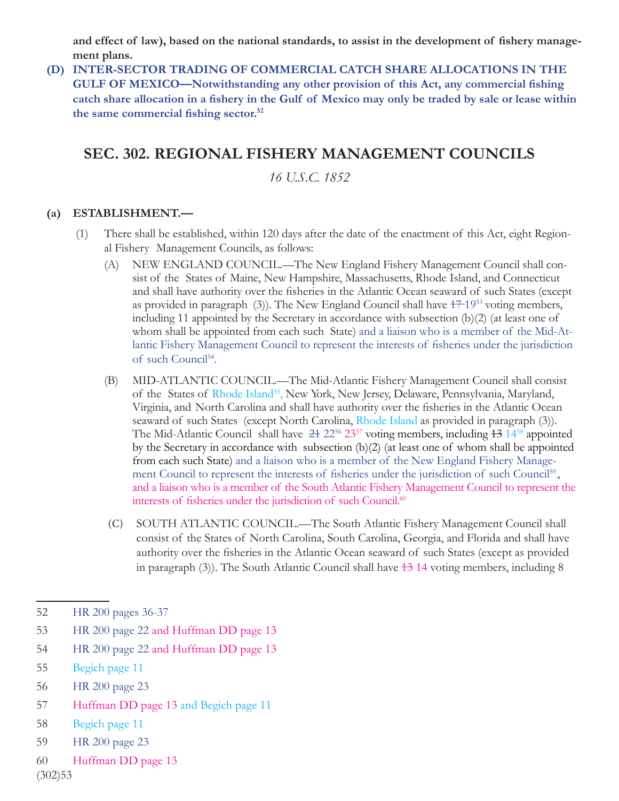and effect of law), based on the national standards, to assist in the development of fishery manage**ment plans.**

 **(D) INTER-SECTOR TRADING OF COMMERCIAL CATCH SHARE ALLOCATIONS IN THE GULF OF MEXICO—Notwithstanding any other provision of this Act, any commercial fishing** catch share allocation in a fishery in the Gulf of Mexico may only be traded by sale or lease within the same commercial fishing sector.<sup>52</sup>

# **SEC. 302. REGIONAL FISHERY MANAGEMENT COUNCILS**

*16 U.S.C. 1852*

#### **(a) ESTABLISHMENT.—**

- (1) There shall be established, within 120 days after the date of the enactment of this Act, eight Regional Fishery Management Councils, as follows:
	- (A) NEW ENGLAND COUNCIL.—The New England Fishery Management Council shall consist of the States of Maine, New Hampshire, Massachusetts, Rhode Island, and Connecticut and shall have authority over the fisheries in the Atlantic Ocean seaward of such States (except as provided in paragraph (3)). The New England Council shall have  $17-19^{53}$  voting members, including 11 appointed by the Secretary in accordance with subsection (b)(2) (at least one of whom shall be appointed from each such State) and a liaison who is a member of the Mid-Atlantic Fishery Management Council to represent the interests of fisheries under the jurisdiction of such Council<sup>54</sup>.
	- (B) MID-ATLANTIC COUNCIL.—The Mid-Atlantic Fishery Management Council shall consist of the States of Rhode Island<sup>55</sup>, New York, New Jersey, Delaware, Pennsylvania, Maryland, Virginia, and North Carolina and shall have authority over the fisheries in the Atlantic Ocean seaward of such States (except North Carolina, Rhode Island as provided in paragraph (3)). The Mid-Atlantic Council shall have  $2\frac{1}{2}$   $2^{56}$   $2^{57}$  voting members, including  $\frac{1}{3}$   $14^{58}$  appointed by the Secretary in accordance with subsection (b)(2) (at least one of whom shall be appointed from each such State) and a liaison who is a member of the New England Fishery Management Council to represent the interests of fisheries under the jurisdiction of such Council<sup>59</sup>, and a liaison who is a member of the South Atlantic Fishery Management Council to represent the interests of fisheries under the jurisdiction of such Council.<sup>60</sup>
	- (C) SOUTH ATLANTIC COUNCIL.—The South Atlantic Fishery Management Council shall consist of the States of North Carolina, South Carolina, Georgia, and Florida and shall have authority over the fisheries in the Atlantic Ocean seaward of such States (except as provided in paragraph (3)). The South Atlantic Council shall have 13 14 voting members, including 8

- 53 HR 200 page 22 and Huffman DD page 13
- 54 HR 200 page 22 and Huffman DD page 13
- 55 Begich page 11
- 56 HR 200 page 23
- 57 Huffman DD page 13 and Begich page 11
- 58 Begich page 11
- 59 HR 200 page 23
- 60 Huffman DD page 13

(302)53

<sup>52</sup> HR 200 pages 36-37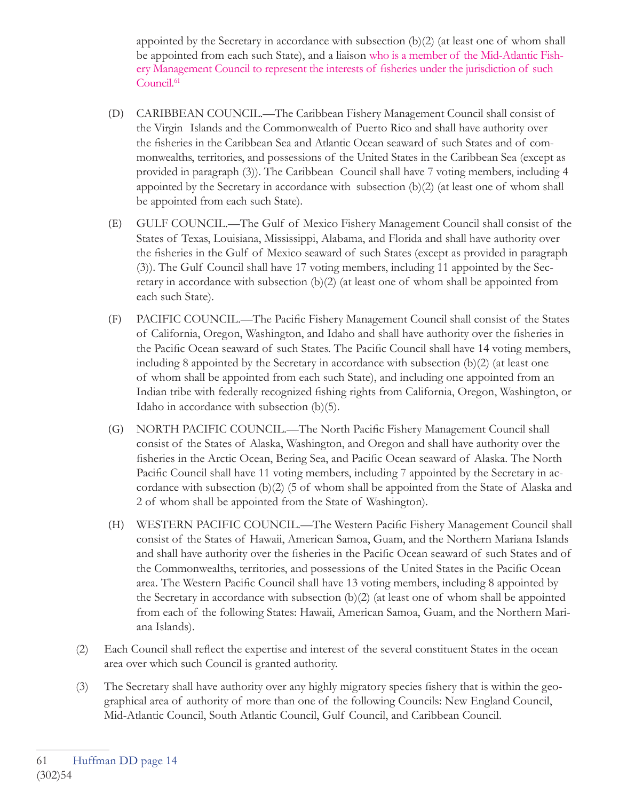appointed by the Secretary in accordance with subsection (b)(2) (at least one of whom shall be appointed from each such State), and a liaison who is a member of the Mid-Atlantic Fishery Management Council to represent the interests of fisheries under the jurisdiction of such Council.<sup>61</sup>

- (D) CARIBBEAN COUNCIL.—The Caribbean Fishery Management Council shall consist of the Virgin Islands and the Commonwealth of Puerto Rico and shall have authority over the fisheries in the Caribbean Sea and Atlantic Ocean seaward of such States and of commonwealths, territories, and possessions of the United States in the Caribbean Sea (except as provided in paragraph (3)). The Caribbean Council shall have 7 voting members, including 4 appointed by the Secretary in accordance with subsection (b)(2) (at least one of whom shall be appointed from each such State).
- (E) GULF COUNCIL.—The Gulf of Mexico Fishery Management Council shall consist of the States of Texas, Louisiana, Mississippi, Alabama, and Florida and shall have authority over the fisheries in the Gulf of Mexico seaward of such States (except as provided in paragraph (3)). The Gulf Council shall have 17 voting members, including 11 appointed by the Secretary in accordance with subsection (b)(2) (at least one of whom shall be appointed from each such State).
- (F) PACIFIC COUNCIL.—The Pacific Fishery Management Council shall consist of the States of California, Oregon, Washington, and Idaho and shall have authority over the fisheries in the Pacific Ocean seaward of such States. The Pacific Council shall have 14 voting members, including 8 appointed by the Secretary in accordance with subsection  $(b)(2)$  (at least one of whom shall be appointed from each such State), and including one appointed from an Indian tribe with federally recognized fishing rights from California, Oregon, Washington, or Idaho in accordance with subsection (b)(5).
- (G) NORTH PACIFIC COUNCIL.—The North Pacifi c Fishery Management Council shall consist of the States of Alaska, Washington, and Oregon and shall have authority over the fisheries in the Arctic Ocean, Bering Sea, and Pacific Ocean seaward of Alaska. The North Pacific Council shall have 11 voting members, including 7 appointed by the Secretary in accordance with subsection (b)(2) (5 of whom shall be appointed from the State of Alaska and 2 of whom shall be appointed from the State of Washington).
- (H) WESTERN PACIFIC COUNCIL.—The Western Pacific Fishery Management Council shall consist of the States of Hawaii, American Samoa, Guam, and the Northern Mariana Islands and shall have authority over the fisheries in the Pacific Ocean seaward of such States and of the Commonwealths, territories, and possessions of the United States in the Pacific Ocean area. The Western Pacific Council shall have 13 voting members, including 8 appointed by the Secretary in accordance with subsection (b)(2) (at least one of whom shall be appointed from each of the following States: Hawaii, American Samoa, Guam, and the Northern Mariana Islands).
- (2) Each Council shall reflect the expertise and interest of the several constituent States in the ocean area over which such Council is granted authority.
- (3) The Secretary shall have authority over any highly migratory species fishery that is within the geographical area of authority of more than one of the following Councils: New England Council, Mid-Atlantic Council, South Atlantic Council, Gulf Council, and Caribbean Council.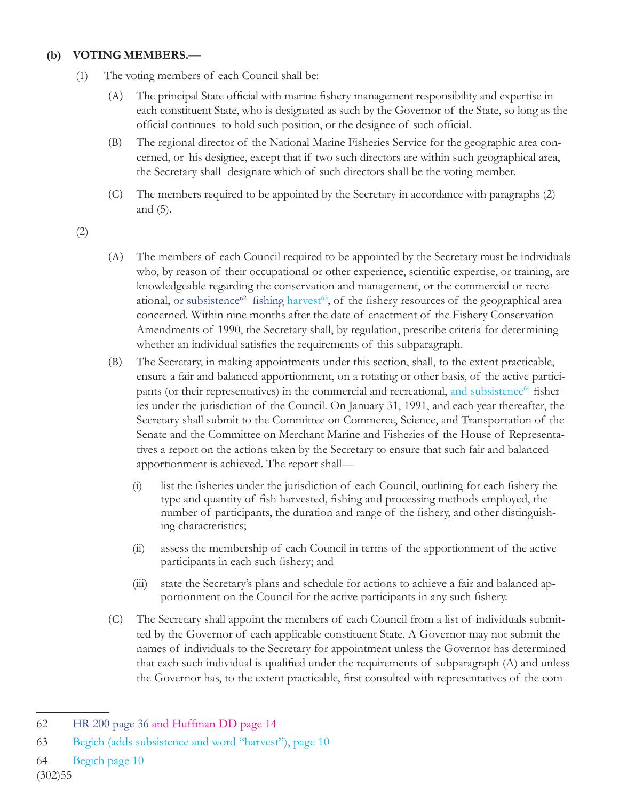#### **(b) VOTING MEMBERS.—**

- (1) The voting members of each Council shall be:
	- (A) The principal State official with marine fishery management responsibility and expertise in each constituent State, who is designated as such by the Governor of the State, so long as the official continues to hold such position, or the designee of such official.
	- (B) The regional director of the National Marine Fisheries Service for the geographic area concerned, or his designee, except that if two such directors are within such geographical area, the Secretary shall designate which of such directors shall be the voting member.
	- (C) The members required to be appointed by the Secretary in accordance with paragraphs (2) and (5).

(2)

- (A) The members of each Council required to be appointed by the Secretary must be individuals who, by reason of their occupational or other experience, scientific expertise, or training, are knowledgeable regarding the conservation and management, or the commercial or recreational, or subsistence<sup>62</sup> fishing harvest<sup>63</sup>, of the fishery resources of the geographical area concerned. Within nine months after the date of enactment of the Fishery Conservation Amendments of 1990, the Secretary shall, by regulation, prescribe criteria for determining whether an individual satisfies the requirements of this subparagraph.
- (B) The Secretary, in making appointments under this section, shall, to the extent practicable, ensure a fair and balanced apportionment, on a rotating or other basis, of the active participants (or their representatives) in the commercial and recreational, and subsistence<sup>64</sup> fisheries under the jurisdiction of the Council. On January 31, 1991, and each year thereafter, the Secretary shall submit to the Committee on Commerce, Science, and Transportation of the Senate and the Committee on Merchant Marine and Fisheries of the House of Representatives a report on the actions taken by the Secretary to ensure that such fair and balanced apportionment is achieved. The report shall—
	- (i) list the fisheries under the jurisdiction of each Council, outlining for each fishery the type and quantity of fish harvested, fishing and processing methods employed, the number of participants, the duration and range of the fishery, and other distinguishing characteristics;
	- (ii) assess the membership of each Council in terms of the apportionment of the active participants in each such fishery; and
	- (iii) state the Secretary's plans and schedule for actions to achieve a fair and balanced apportionment on the Council for the active participants in any such fishery.
- (C) The Secretary shall appoint the members of each Council from a list of individuals submitted by the Governor of each applicable constituent State. A Governor may not submit the names of individuals to the Secretary for appointment unless the Governor has determined that each such individual is qualified under the requirements of subparagraph (A) and unless the Governor has, to the extent practicable, first consulted with representatives of the com-

<sup>62</sup> HR 200 page 36 and Huffman DD page 14

<sup>63</sup> Begich (adds subsistence and word "harvest"), page 10

<sup>64</sup> Begich page 10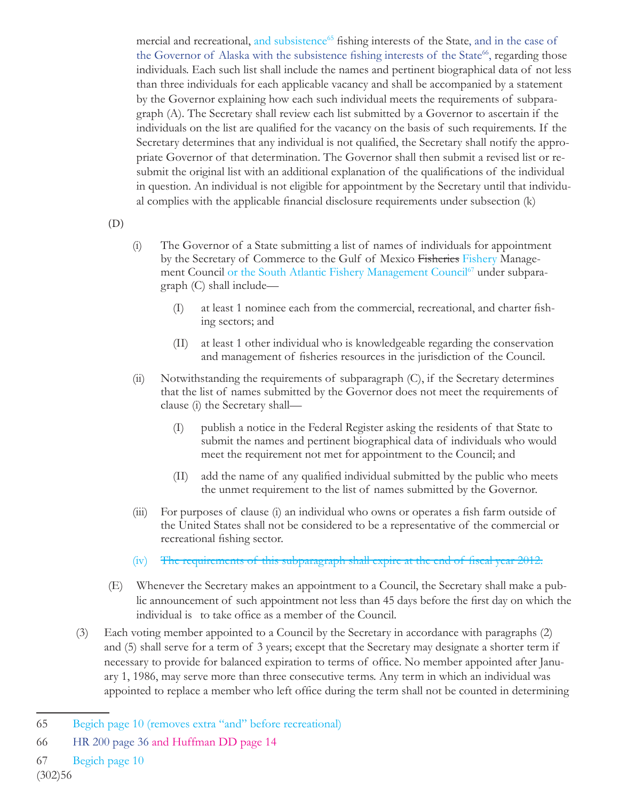mercial and recreational, and subsistence<sup>65</sup> fishing interests of the State, and in the case of the Governor of Alaska with the subsistence fishing interests of the State<sup>66</sup>, regarding those individuals. Each such list shall include the names and pertinent biographical data of not less than three individuals for each applicable vacancy and shall be accompanied by a statement by the Governor explaining how each such individual meets the requirements of subparagraph (A). The Secretary shall review each list submitted by a Governor to ascertain if the individuals on the list are qualified for the vacancy on the basis of such requirements. If the Secretary determines that any individual is not qualified, the Secretary shall notify the appropriate Governor of that determination. The Governor shall then submit a revised list or resubmit the original list with an additional explanation of the qualifications of the individual in question. An individual is not eligible for appointment by the Secretary until that individual complies with the applicable financial disclosure requirements under subsection (k)

- (D)
- (i) The Governor of a State submitting a list of names of individuals for appointment by the Secretary of Commerce to the Gulf of Mexico Fisheries Fishery Management Council or the South Atlantic Fishery Management Council<sup>67</sup> under subparagraph (C) shall include—
	- (I) at least 1 nominee each from the commercial, recreational, and charter fishing sectors; and
	- (II) at least 1 other individual who is knowledgeable regarding the conservation and management of fisheries resources in the jurisdiction of the Council.
- (ii) Notwithstanding the requirements of subparagraph (C), if the Secretary determines that the list of names submitted by the Governor does not meet the requirements of clause (i) the Secretary shall—
	- (I) publish a notice in the Federal Register asking the residents of that State to submit the names and pertinent biographical data of individuals who would meet the requirement not met for appointment to the Council; and
	- (II) add the name of any qualified individual submitted by the public who meets the unmet requirement to the list of names submitted by the Governor.
- $(iii)$  For purposes of clause  $(i)$  an individual who owns or operates a fish farm outside of the United States shall not be considered to be a representative of the commercial or recreational fishing sector.
- (iv) The requirements of this subparagraph shall expire at the end of fiscal year 2012.
- (E) Whenever the Secretary makes an appointment to a Council, the Secretary shall make a public announcement of such appointment not less than 45 days before the first day on which the individual is to take office as a member of the Council.
- (3) Each voting member appointed to a Council by the Secretary in accordance with paragraphs (2) and (5) shall serve for a term of 3 years; except that the Secretary may designate a shorter term if necessary to provide for balanced expiration to terms of office. No member appointed after January 1, 1986, may serve more than three consecutive terms. Any term in which an individual was appointed to replace a member who left office during the term shall not be counted in determining

<sup>65</sup> Begich page 10 (removes extra "and" before recreational)

<sup>66</sup> HR 200 page 36 and Huffman DD page 14

<sup>67</sup> Begich page 10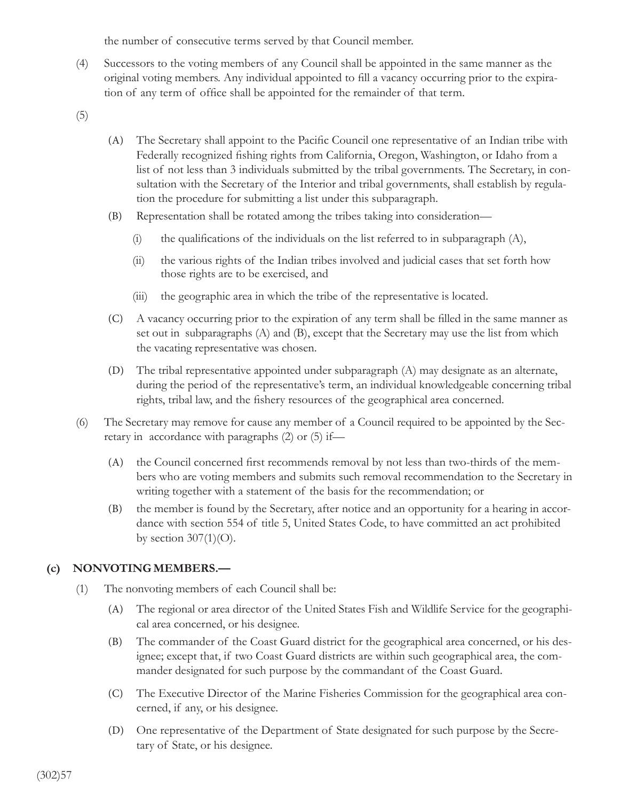the number of consecutive terms served by that Council member.

- (4) Successors to the voting members of any Council shall be appointed in the same manner as the original voting members. Any individual appointed to fill a vacancy occurring prior to the expiration of any term of office shall be appointed for the remainder of that term.
- (5)
- (A) The Secretary shall appoint to the Pacific Council one representative of an Indian tribe with Federally recognized fishing rights from California, Oregon, Washington, or Idaho from a list of not less than 3 individuals submitted by the tribal governments. The Secretary, in consultation with the Secretary of the Interior and tribal governments, shall establish by regulation the procedure for submitting a list under this subparagraph.
- (B) Representation shall be rotated among the tribes taking into consideration—
	- $(i)$  the qualifications of the individuals on the list referred to in subparagraph  $(A)$ ,
	- (ii) the various rights of the Indian tribes involved and judicial cases that set forth how those rights are to be exercised, and
	- (iii) the geographic area in which the tribe of the representative is located.
- (C) A vacancy occurring prior to the expiration of any term shall be filled in the same manner as set out in subparagraphs (A) and (B), except that the Secretary may use the list from which the vacating representative was chosen.
- (D) The tribal representative appointed under subparagraph (A) may designate as an alternate, during the period of the representative's term, an individual knowledgeable concerning tribal rights, tribal law, and the fishery resources of the geographical area concerned.
- (6) The Secretary may remove for cause any member of a Council required to be appointed by the Secretary in accordance with paragraphs (2) or (5) if—
	- (A) the Council concerned first recommends removal by not less than two-thirds of the members who are voting members and submits such removal recommendation to the Secretary in writing together with a statement of the basis for the recommendation; or
	- (B) the member is found by the Secretary, after notice and an opportunity for a hearing in accordance with section 554 of title 5, United States Code, to have committed an act prohibited by section  $307(1)(O)$ .

#### **(c) NONVOTING MEMBERS.—**

- (1) The nonvoting members of each Council shall be:
	- (A) The regional or area director of the United States Fish and Wildlife Service for the geographical area concerned, or his designee.
	- (B) The commander of the Coast Guard district for the geographical area concerned, or his designee; except that, if two Coast Guard districts are within such geographical area, the commander designated for such purpose by the commandant of the Coast Guard.
	- (C) The Executive Director of the Marine Fisheries Commission for the geographical area concerned, if any, or his designee.
	- (D) One representative of the Department of State designated for such purpose by the Secretary of State, or his designee.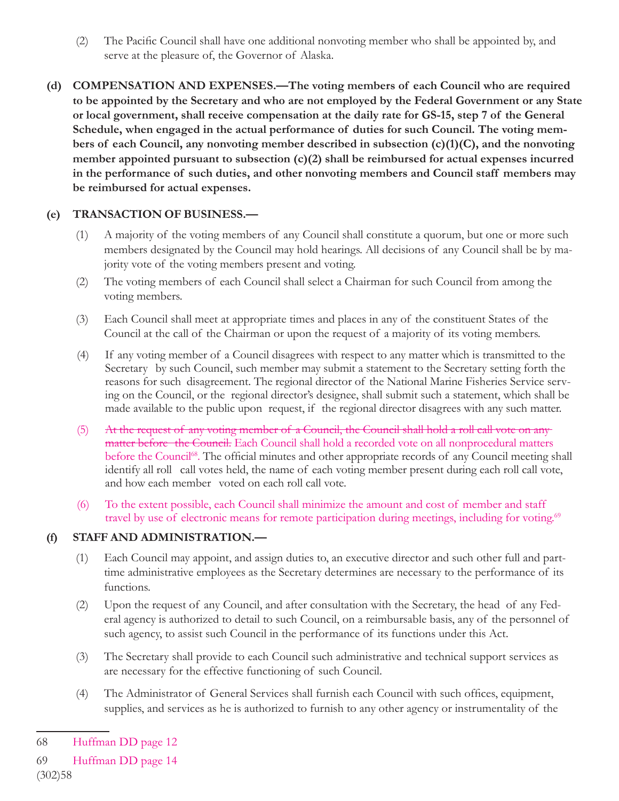- (2) The Pacific Council shall have one additional nonvoting member who shall be appointed by, and serve at the pleasure of, the Governor of Alaska.
- **(d) COMPENSATION AND EXPENSES.—The voting members of each Council who are required to be appointed by the Secretary and who are not employed by the Federal Government or any State or local government, shall receive compensation at the daily rate for GS-15, step 7 of the General Schedule, when engaged in the actual performance of duties for such Council. The voting members of each Council, any nonvoting member described in subsection (c)(1)(C), and the nonvoting member appointed pursuant to subsection (c)(2) shall be reimbursed for actual expenses incurred in the performance of such duties, and other nonvoting members and Council staff members may be reimbursed for actual expenses.**

#### **(e) TRANSACTION OF BUSINESS.—**

- (1) A majority of the voting members of any Council shall constitute a quorum, but one or more such members designated by the Council may hold hearings. All decisions of any Council shall be by majority vote of the voting members present and voting.
- (2) The voting members of each Council shall select a Chairman for such Council from among the voting members.
- (3) Each Council shall meet at appropriate times and places in any of the constituent States of the Council at the call of the Chairman or upon the request of a majority of its voting members.
- (4) If any voting member of a Council disagrees with respect to any matter which is transmitted to the Secretary by such Council, such member may submit a statement to the Secretary setting forth the reasons for such disagreement. The regional director of the National Marine Fisheries Service serving on the Council, or the regional director's designee, shall submit such a statement, which shall be made available to the public upon request, if the regional director disagrees with any such matter.
- $(5)$  At the request of any voting member of a Council, the Council shall hold a roll call vote on any matter before the Council. Each Council shall hold a recorded vote on all nonprocedural matters before the Council<sup>68</sup>. The official minutes and other appropriate records of any Council meeting shall identify all roll call votes held, the name of each voting member present during each roll call vote, and how each member voted on each roll call vote.
- (6) To the extent possible, each Council shall minimize the amount and cost of member and staff travel by use of electronic means for remote participation during meetings, including for voting.<sup>69</sup>

#### **(f) STAFF AND ADMINISTRATION.—**

- (1) Each Council may appoint, and assign duties to, an executive director and such other full and parttime administrative employees as the Secretary determines are necessary to the performance of its functions.
- (2) Upon the request of any Council, and after consultation with the Secretary, the head of any Federal agency is authorized to detail to such Council, on a reimbursable basis, any of the personnel of such agency, to assist such Council in the performance of its functions under this Act.
- (3) The Secretary shall provide to each Council such administrative and technical support services as are necessary for the effective functioning of such Council.
- (4) The Administrator of General Services shall furnish each Council with such offices, equipment, supplies, and services as he is authorized to furnish to any other agency or instrumentality of the

<sup>68</sup> Huffman DD page 12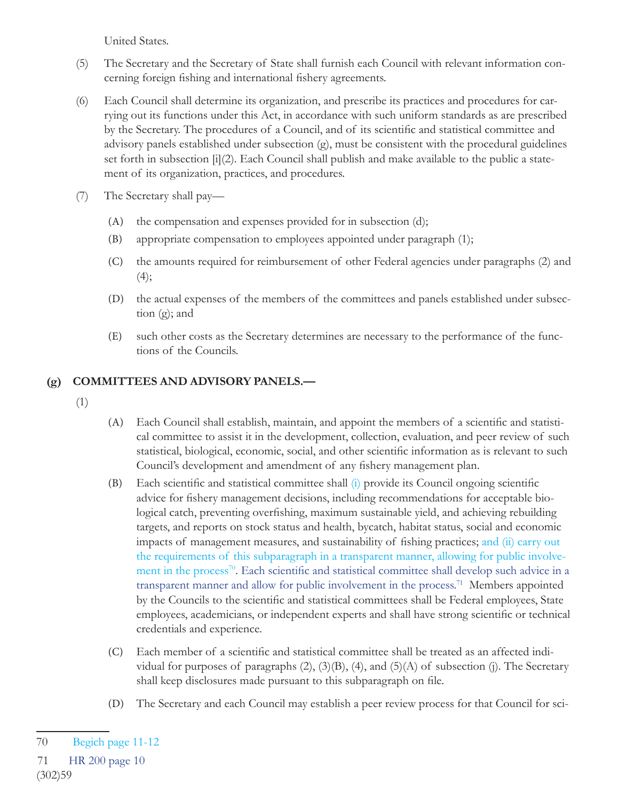United States.

- (5) The Secretary and the Secretary of State shall furnish each Council with relevant information concerning foreign fishing and international fishery agreements.
- (6) Each Council shall determine its organization, and prescribe its practices and procedures for carrying out its functions under this Act, in accordance with such uniform standards as are prescribed by the Secretary. The procedures of a Council, and of its scientific and statistical committee and advisory panels established under subsection (g), must be consistent with the procedural guidelines set forth in subsection  $[i](2)$ . Each Council shall publish and make available to the public a statement of its organization, practices, and procedures.
- (7) The Secretary shall pay—
	- (A) the compensation and expenses provided for in subsection (d);
	- (B) appropriate compensation to employees appointed under paragraph (1);
	- (C) the amounts required for reimbursement of other Federal agencies under paragraphs (2) and  $(4);$
	- (D) the actual expenses of the members of the committees and panels established under subsection (g); and
	- (E) such other costs as the Secretary determines are necessary to the performance of the functions of the Councils.

### **(g) COMMITTEES AND ADVISORY PANELS.—**

- (1)
- (A) Each Council shall establish, maintain, and appoint the members of a scientific and statistical committee to assist it in the development, collection, evaluation, and peer review of such statistical, biological, economic, social, and other scientific information as is relevant to such Council's development and amendment of any fishery management plan.
- (B) Each scientific and statistical committee shall  $(i)$  provide its Council ongoing scientific advice for fishery management decisions, including recommendations for acceptable biological catch, preventing overfishing, maximum sustainable yield, and achieving rebuilding targets, and reports on stock status and health, bycatch, habitat status, social and economic impacts of management measures, and sustainability of fishing practices; and (ii) carry out the requirements of this subparagraph in a transparent manner, allowing for public involvement in the process<sup>70</sup>. Each scientific and statistical committee shall develop such advice in a transparent manner and allow for public involvement in the process.<sup>71</sup> Members appointed by the Councils to the scientific and statistical committees shall be Federal employees, State employees, academicians, or independent experts and shall have strong scientific or technical credentials and experience.
- (C) Each member of a scientific and statistical committee shall be treated as an affected individual for purposes of paragraphs  $(2)$ ,  $(3)(B)$ ,  $(4)$ , and  $(5)(A)$  of subsection (j). The Secretary shall keep disclosures made pursuant to this subparagraph on file.
- (D) The Secretary and each Council may establish a peer review process for that Council for sci-

<sup>70</sup> Begich page 11-12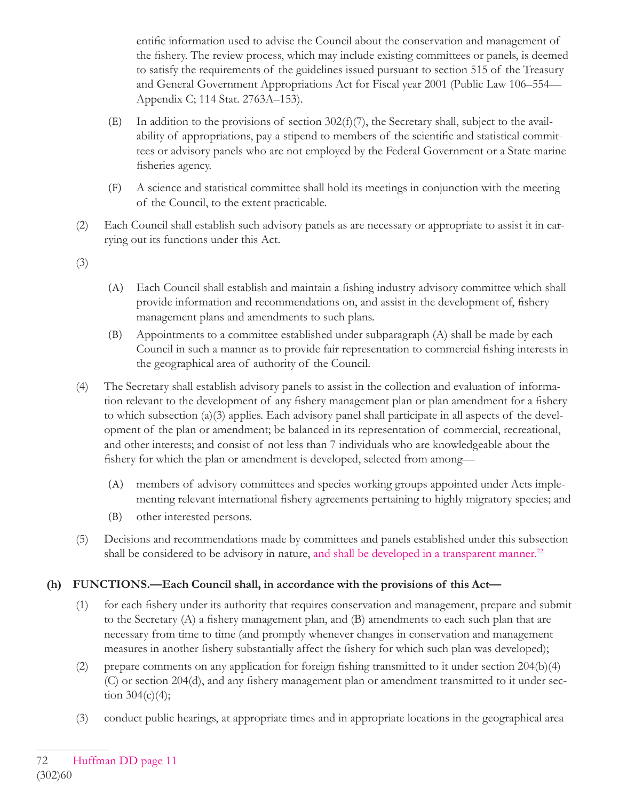entific information used to advise the Council about the conservation and management of the fishery. The review process, which may include existing committees or panels, is deemed to satisfy the requirements of the guidelines issued pursuant to section 515 of the Treasury and General Government Appropriations Act for Fiscal year 2001 (Public Law 106–554— Appendix C; 114 Stat. 2763A–153).

- (E) In addition to the provisions of section 302(f)(7), the Secretary shall, subject to the availability of appropriations, pay a stipend to members of the scientific and statistical committees or advisory panels who are not employed by the Federal Government or a State marine fisheries agency.
- (F) A science and statistical committee shall hold its meetings in conjunction with the meeting of the Council, to the extent practicable.
- (2) Each Council shall establish such advisory panels as are necessary or appropriate to assist it in carrying out its functions under this Act.
- (3)
- (A) Each Council shall establish and maintain a fishing industry advisory committee which shall provide information and recommendations on, and assist in the development of, fishery management plans and amendments to such plans.
- (B) Appointments to a committee established under subparagraph (A) shall be made by each Council in such a manner as to provide fair representation to commercial fishing interests in the geographical area of authority of the Council.
- (4) The Secretary shall establish advisory panels to assist in the collection and evaluation of information relevant to the development of any fishery management plan or plan amendment for a fishery to which subsection (a)(3) applies. Each advisory panel shall participate in all aspects of the development of the plan or amendment; be balanced in its representation of commercial, recreational, and other interests; and consist of not less than 7 individuals who are knowledgeable about the fishery for which the plan or amendment is developed, selected from among—
	- (A) members of advisory committees and species working groups appointed under Acts implementing relevant international fishery agreements pertaining to highly migratory species; and
	- (B) other interested persons.
- (5) Decisions and recommendations made by committees and panels established under this subsection shall be considered to be advisory in nature, and shall be developed in a transparent manner.<sup>72</sup>

## **(h) FUNCTIONS.—Each Council shall, in accordance with the provisions of this Act—**

- (1) for each fi shery under its authority that requires conservation and management, prepare and submit to the Secretary  $(A)$  a fishery management plan, and  $(B)$  amendments to each such plan that are necessary from time to time (and promptly whenever changes in conservation and management measures in another fishery substantially affect the fishery for which such plan was developed);
- (2) prepare comments on any application for foreign fishing transmitted to it under section  $204(b)(4)$  $(C)$  or section 204 $(d)$ , and any fishery management plan or amendment transmitted to it under section  $304(c)(4)$ ;
- (3) conduct public hearings, at appropriate times and in appropriate locations in the geographical area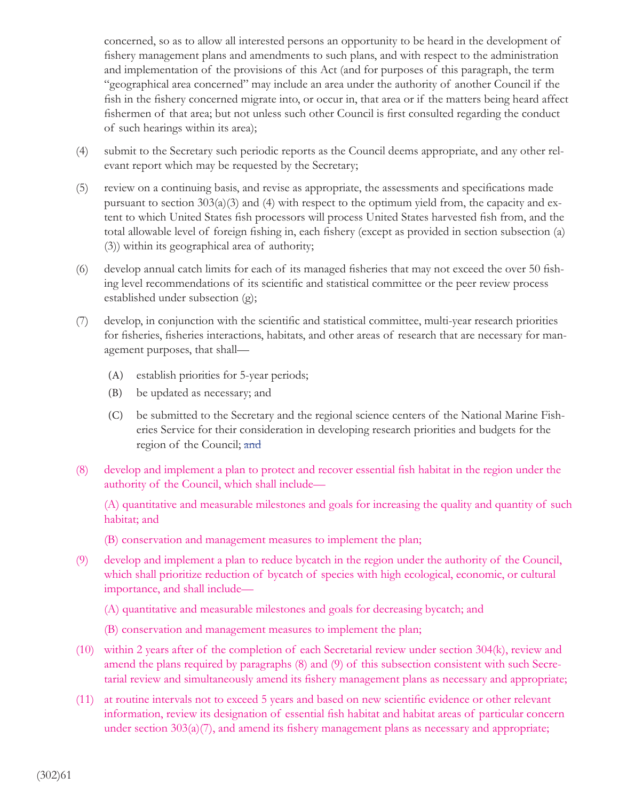concerned, so as to allow all interested persons an opportunity to be heard in the development of fishery management plans and amendments to such plans, and with respect to the administration and implementation of the provisions of this Act (and for purposes of this paragraph, the term "geographical area concerned" may include an area under the authority of another Council if the fish in the fishery concerned migrate into, or occur in, that area or if the matters being heard affect fishermen of that area; but not unless such other Council is first consulted regarding the conduct of such hearings within its area);

- (4) submit to the Secretary such periodic reports as the Council deems appropriate, and any other relevant report which may be requested by the Secretary;
- (5) review on a continuing basis, and revise as appropriate, the assessments and specifications made pursuant to section 303(a)(3) and (4) with respect to the optimum yield from, the capacity and extent to which United States fish processors will process United States harvested fish from, and the total allowable level of foreign fishing in, each fishery (except as provided in section subsection (a) (3)) within its geographical area of authority;
- (6) develop annual catch limits for each of its managed fisheries that may not exceed the over 50 fishing level recommendations of its scientific and statistical committee or the peer review process established under subsection (g);
- (7) develop, in conjunction with the scientific and statistical committee, multi-year research priorities for fisheries, fisheries interactions, habitats, and other areas of research that are necessary for management purposes, that shall—
	- (A) establish priorities for 5-year periods;
	- (B) be updated as necessary; and
	- (C) be submitted to the Secretary and the regional science centers of the National Marine Fisheries Service for their consideration in developing research priorities and budgets for the region of the Council; and
- (8) develop and implement a plan to protect and recover essential fish habitat in the region under the authority of the Council, which shall include—

 (A) quantitative and measurable milestones and goals for increasing the quality and quantity of such habitat; and

- (B) conservation and management measures to implement the plan;
- (9) develop and implement a plan to reduce bycatch in the region under the authority of the Council, which shall prioritize reduction of bycatch of species with high ecological, economic, or cultural importance, and shall include—
	- (A) quantitative and measurable milestones and goals for decreasing bycatch; and
	- (B) conservation and management measures to implement the plan;
- (10) within 2 years after of the completion of each Secretarial review under section 304(k), review and amend the plans required by paragraphs (8) and (9) of this subsection consistent with such Secretarial review and simultaneously amend its fishery management plans as necessary and appropriate;
- (11) at routine intervals not to exceed 5 years and based on new scientific evidence or other relevant information, review its designation of essential fish habitat and habitat areas of particular concern under section  $303(a)(7)$ , and amend its fishery management plans as necessary and appropriate;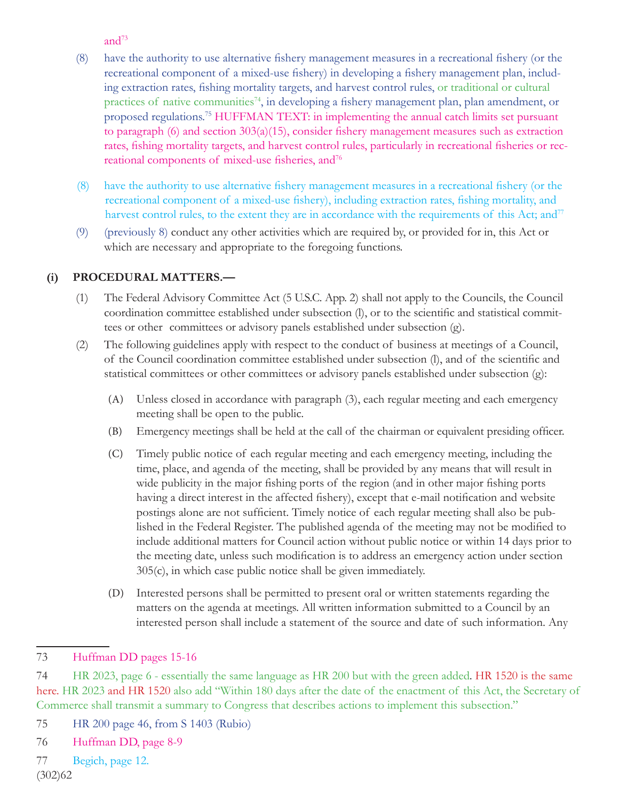and $73$ 

- (8) have the authority to use alternative fishery management measures in a recreational fishery (or the recreational component of a mixed-use fishery) in developing a fishery management plan, including extraction rates, fishing mortality targets, and harvest control rules, or traditional or cultural practices of native communities<sup>74</sup>, in developing a fishery management plan, plan amendment, or proposed regulations.75 HUFFMAN TEXT: in implementing the annual catch limits set pursuant to paragraph  $(6)$  and section  $303(a)(15)$ , consider fishery management measures such as extraction rates, fishing mortality targets, and harvest control rules, particularly in recreational fisheries or recreational components of mixed-use fisheries, and<sup>76</sup>
- (8) have the authority to use alternative fishery management measures in a recreational fishery (or the recreational component of a mixed-use fishery), including extraction rates, fishing mortality, and harvest control rules, to the extent they are in accordance with the requirements of this Act; and  $77$
- (9) (previously 8) conduct any other activities which are required by, or provided for in, this Act or which are necessary and appropriate to the foregoing functions.

### **(i) PROCEDURAL MATTERS.—**

- (1) The Federal Advisory Committee Act (5 U.S.C. App. 2) shall not apply to the Councils, the Council coordination committee established under subsection (l), or to the scientific and statistical committees or other committees or advisory panels established under subsection (g).
- (2) The following guidelines apply with respect to the conduct of business at meetings of a Council, of the Council coordination committee established under subsection (l), and of the scientific and statistical committees or other committees or advisory panels established under subsection (g):
	- (A) Unless closed in accordance with paragraph (3), each regular meeting and each emergency meeting shall be open to the public.
	- (B) Emergency meetings shall be held at the call of the chairman or equivalent presiding officer.
	- (C) Timely public notice of each regular meeting and each emergency meeting, including the time, place, and agenda of the meeting, shall be provided by any means that will result in wide publicity in the major fishing ports of the region (and in other major fishing ports having a direct interest in the affected fishery), except that e-mail notification and website postings alone are not sufficient. Timely notice of each regular meeting shall also be published in the Federal Register. The published agenda of the meeting may not be modified to include additional matters for Council action without public notice or within 14 days prior to the meeting date, unless such modification is to address an emergency action under section 305(c), in which case public notice shall be given immediately.
	- (D) Interested persons shall be permitted to present oral or written statements regarding the matters on the agenda at meetings. All written information submitted to a Council by an interested person shall include a statement of the source and date of such information. Any

- 75 HR 200 page 46, from S 1403 (Rubio)
- 76 Huffman DD, page 8-9

(302)62

<sup>73</sup> Huffman DD pages 15-16

<sup>74</sup> HR 2023, page 6 - essentially the same language as HR 200 but with the green added. HR 1520 is the same here. HR 2023 and HR 1520 also add "Within 180 days after the date of the enactment of this Act, the Secretary of Commerce shall transmit a summary to Congress that describes actions to implement this subsection."

<sup>77</sup> Begich, page 12.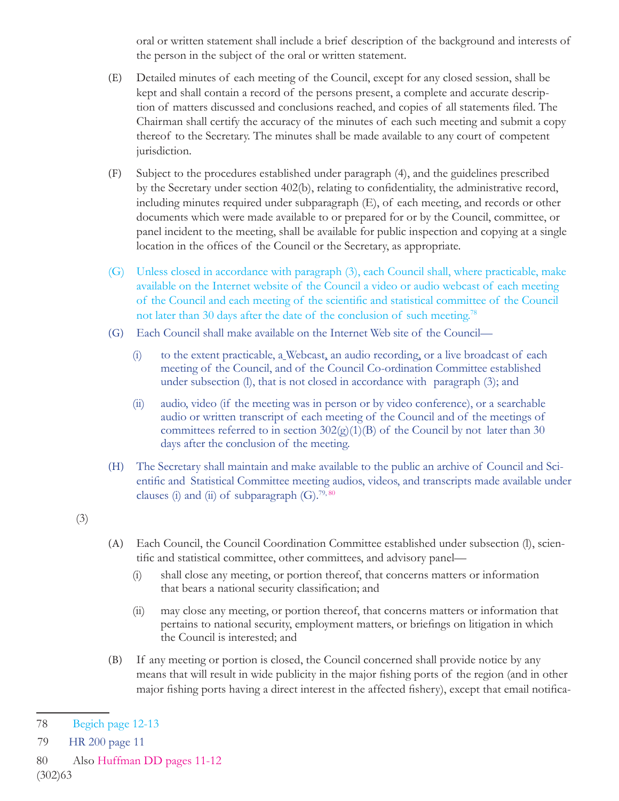oral or written statement shall include a brief description of the background and interests of the person in the subject of the oral or written statement.

- (E) Detailed minutes of each meeting of the Council, except for any closed session, shall be kept and shall contain a record of the persons present, a complete and accurate description of matters discussed and conclusions reached, and copies of all statements filed. The Chairman shall certify the accuracy of the minutes of each such meeting and submit a copy thereof to the Secretary. The minutes shall be made available to any court of competent jurisdiction.
- (F) Subject to the procedures established under paragraph (4), and the guidelines prescribed by the Secretary under section 402(b), relating to confidentiality, the administrative record, including minutes required under subparagraph (E), of each meeting, and records or other documents which were made available to or prepared for or by the Council, committee, or panel incident to the meeting, shall be available for public inspection and copying at a single location in the offices of the Council or the Secretary, as appropriate.
- (G) Unless closed in accordance with paragraph (3), each Council shall, where practicable, make available on the Internet website of the Council a video or audio webcast of each meeting of the Council and each meeting of the scientific and statistical committee of the Council not later than 30 days after the date of the conclusion of such meeting.78
- (G) Each Council shall make available on the Internet Web site of the Council—
	- (i) to the extent practicable, a Webcast, an audio recording, or a live broadcast of each meeting of the Council, and of the Council Co-ordination Committee established under subsection (l), that is not closed in accordance with paragraph (3); and
	- (ii) audio, video (if the meeting was in person or by video conference), or a searchable audio or written transcript of each meeting of the Council and of the meetings of committees referred to in section  $302(g)(1)(B)$  of the Council by not later than 30 days after the conclusion of the meeting.
- (H) The Secretary shall maintain and make available to the public an archive of Council and Scientific and Statistical Committee meeting audios, videos, and transcripts made available under clauses (i) and (ii) of subparagraph  $(G)$ .<sup>79, 80</sup>
- (3)
- (A) Each Council, the Council Coordination Committee established under subsection (l), scientific and statistical committee, other committees, and advisory panel—
	- (i) shall close any meeting, or portion thereof, that concerns matters or information that bears a national security classification; and
	- (ii) may close any meeting, or portion thereof, that concerns matters or information that pertains to national security, employment matters, or briefings on litigation in which the Council is interested; and
- (B) If any meeting or portion is closed, the Council concerned shall provide notice by any means that will result in wide publicity in the major fishing ports of the region (and in other major fishing ports having a direct interest in the affected fishery), except that email notifica-

<sup>78</sup> Begich page 12-13

<sup>79</sup> HR 200 page 11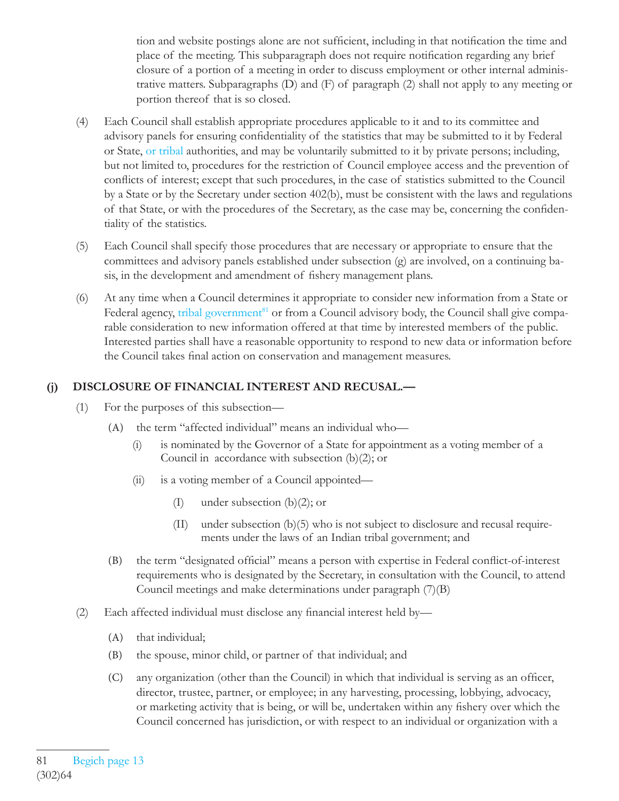tion and website postings alone are not sufficient, including in that notification the time and place of the meeting. This subparagraph does not require notification regarding any brief closure of a portion of a meeting in order to discuss employment or other internal administrative matters. Subparagraphs (D) and (F) of paragraph (2) shall not apply to any meeting or portion thereof that is so closed.

- (4) Each Council shall establish appropriate procedures applicable to it and to its committee and advisory panels for ensuring confidentiality of the statistics that may be submitted to it by Federal or State, or tribal authorities, and may be voluntarily submitted to it by private persons; including, but not limited to, procedures for the restriction of Council employee access and the prevention of conflicts of interest; except that such procedures, in the case of statistics submitted to the Council by a State or by the Secretary under section 402(b), must be consistent with the laws and regulations of that State, or with the procedures of the Secretary, as the case may be, concerning the confidentiality of the statistics.
- (5) Each Council shall specify those procedures that are necessary or appropriate to ensure that the committees and advisory panels established under subsection (g) are involved, on a continuing basis, in the development and amendment of fishery management plans.
- (6) At any time when a Council determines it appropriate to consider new information from a State or Federal agency, tribal government<sup>81</sup> or from a Council advisory body, the Council shall give comparable consideration to new information offered at that time by interested members of the public. Interested parties shall have a reasonable opportunity to respond to new data or information before the Council takes final action on conservation and management measures.

### **(j) DISCLOSURE OF FINANCIAL INTEREST AND RECUSAL.—**

- (1) For the purposes of this subsection—
	- (A) the term "affected individual" means an individual who—
		- (i) is nominated by the Governor of a State for appointment as a voting member of a Council in accordance with subsection (b)(2); or
		- (ii) is a voting member of a Council appointed—
			- (I) under subsection (b)(2); or
			- (II) under subsection (b)(5) who is not subject to disclosure and recusal requirements under the laws of an Indian tribal government; and
	- (B) the term "designated official" means a person with expertise in Federal conflict-of-interest requirements who is designated by the Secretary, in consultation with the Council, to attend Council meetings and make determinations under paragraph (7)(B)
- (2) Each affected individual must disclose any financial interest held by—
	- (A) that individual;
	- (B) the spouse, minor child, or partner of that individual; and
	- (C) any organization (other than the Council) in which that individual is serving as an officer, director, trustee, partner, or employee; in any harvesting, processing, lobbying, advocacy, or marketing activity that is being, or will be, undertaken within any fishery over which the Council concerned has jurisdiction, or with respect to an individual or organization with a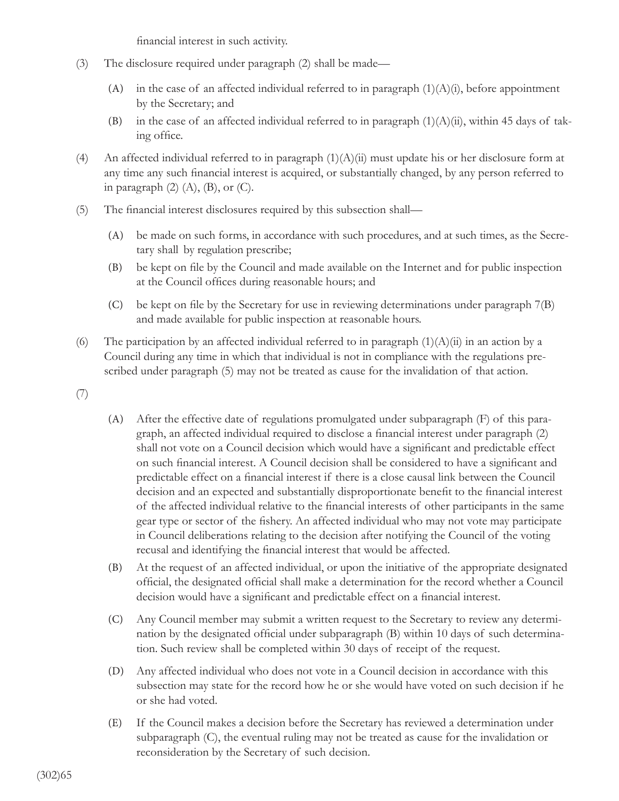financial interest in such activity.

- (3) The disclosure required under paragraph (2) shall be made—
	- (A) in the case of an affected individual referred to in paragraph  $(1)(A)(i)$ , before appointment by the Secretary; and
	- (B) in the case of an affected individual referred to in paragraph  $(1)(A)(ii)$ , within 45 days of taking office.
- (4) An affected individual referred to in paragraph  $(1)(A)(ii)$  must update his or her disclosure form at any time any such financial interest is acquired, or substantially changed, by any person referred to in paragraph  $(2)$   $(A)$ ,  $(B)$ , or  $(C)$ .
- (5) The financial interest disclosures required by this subsection shall—
	- (A) be made on such forms, in accordance with such procedures, and at such times, as the Secretary shall by regulation prescribe;
	- (B) be kept on file by the Council and made available on the Internet and for public inspection at the Council offices during reasonable hours; and
	- (C) be kept on file by the Secretary for use in reviewing determinations under paragraph  $7(B)$ and made available for public inspection at reasonable hours.
- (6) The participation by an affected individual referred to in paragraph  $(1)(A)(ii)$  in an action by a Council during any time in which that individual is not in compliance with the regulations prescribed under paragraph (5) may not be treated as cause for the invalidation of that action.
- (7)
- (A) After the effective date of regulations promulgated under subparagraph (F) of this paragraph, an affected individual required to disclose a financial interest under paragraph (2) shall not vote on a Council decision which would have a significant and predictable effect on such financial interest. A Council decision shall be considered to have a significant and predictable effect on a financial interest if there is a close causal link between the Council decision and an expected and substantially disproportionate benefit to the financial interest of the affected individual relative to the financial interests of other participants in the same gear type or sector of the fishery. An affected individual who may not vote may participate in Council deliberations relating to the decision after notifying the Council of the voting recusal and identifying the financial interest that would be affected.
- (B) At the request of an affected individual, or upon the initiative of the appropriate designated official, the designated official shall make a determination for the record whether a Council decision would have a significant and predictable effect on a financial interest.
- (C) Any Council member may submit a written request to the Secretary to review any determination by the designated official under subparagraph (B) within 10 days of such determination. Such review shall be completed within 30 days of receipt of the request.
- (D) Any affected individual who does not vote in a Council decision in accordance with this subsection may state for the record how he or she would have voted on such decision if he or she had voted.
- (E) If the Council makes a decision before the Secretary has reviewed a determination under subparagraph (C), the eventual ruling may not be treated as cause for the invalidation or reconsideration by the Secretary of such decision.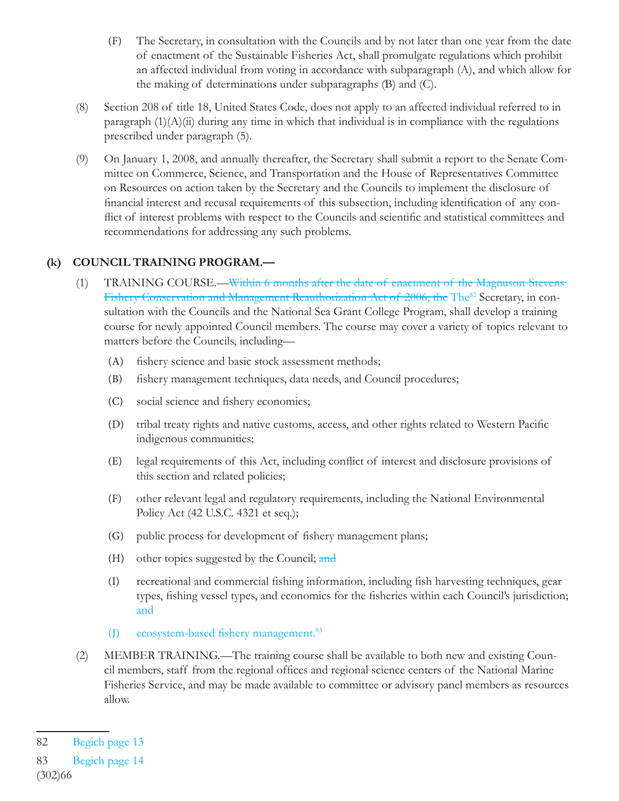- (F) The Secretary, in consultation with the Councils and by not later than one year from the date of enactment of the Sustainable Fisheries Act, shall promulgate regulations which prohibit an affected individual from voting in accordance with subparagraph (A), and which allow for the making of determinations under subparagraphs (B) and (C).
- (8) Section 208 of title 18, United States Code, does not apply to an affected individual referred to in paragraph  $(1)(A)(ii)$  during any time in which that individual is in compliance with the regulations prescribed under paragraph (5).
- (9) On January 1, 2008, and annually thereafter, the Secretary shall submit a report to the Senate Committee on Commerce, Science, and Transportation and the House of Representatives Committee on Resources on action taken by the Secretary and the Councils to implement the disclosure of financial interest and recusal requirements of this subsection, including identification of any conflict of interest problems with respect to the Councils and scientific and statistical committees and recommendations for addressing any such problems.

### **(k) COUNCIL TRAINING PROGRAM.—**

- (1) TRAINING COURSE.—Within 6 months after the date of enactment of the Magnuson-Stevens Fishery Conservation and Management Reauthorization Act of 2006, the The<sup>82</sup> Secretary, in consultation with the Councils and the National Sea Grant College Program, shall develop a training course for newly appointed Council members. The course may cover a variety of topics relevant to matters before the Councils, including—
	- (A) fishery science and basic stock assessment methods;
	- (B) fi shery management techniques, data needs, and Council procedures;
	- (C) social science and fishery economics;
	- (D) tribal treaty rights and native customs, access, and other rights related to Western Pacific indigenous communities;
	- (E) legal requirements of this Act, including conflict of interest and disclosure provisions of this section and related policies;
	- (F) other relevant legal and regulatory requirements, including the National Environmental Policy Act (42 U.S.C. 4321 et seq.);
	- (G) public process for development of fishery management plans;
	- (H) other topics suggested by the Council; and
	- (I) recreational and commercial fishing information, including fish harvesting techniques, gear types, fishing vessel types, and economics for the fisheries within each Council's jurisdiction; and
	- (J) ecosystem-based fishery management.<sup>83</sup>
- (2) MEMBER TRAINING.—The training course shall be available to both new and existing Council members, staff from the regional offices and regional science centers of the National Marine Fisheries Service, and may be made available to committee or advisory panel members as resources allow.

<sup>82</sup> Begich page 13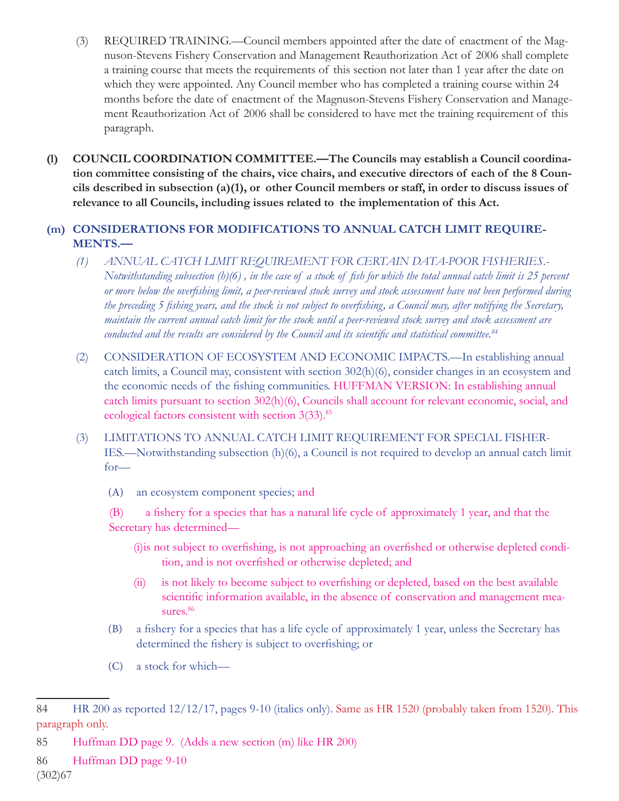- (3) REQUIRED TRAINING.—Council members appointed after the date of enactment of the Magnuson-Stevens Fishery Conservation and Management Reauthorization Act of 2006 shall complete a training course that meets the requirements of this section not later than 1 year after the date on which they were appointed. Any Council member who has completed a training course within 24 months before the date of enactment of the Magnuson-Stevens Fishery Conservation and Management Reauthorization Act of 2006 shall be considered to have met the training requirement of this paragraph.
- **(l) COUNCIL COORDINATION COMMITTEE.—The Councils may establish a Council coordination committee consisting of the chairs, vice chairs, and executive directors of each of the 8 Councils described in subsection (a)(1), or other Council members or staff, in order to discuss issues of relevance to all Councils, including issues related to the implementation of this Act.**

#### **(m) CONSIDERATIONS FOR MODIFICATIONS TO ANNUAL CATCH LIMIT REQUIRE-MENTS.—**

- *(1) ANNUAL CATCH LIMIT REQUIREMENT FOR CERTAIN DATA-POOR FISHERIES.- Notwithstanding subsection (h)(6), in the case of a stock of fish for which the total annual catch limit is 25 percent or more below the overfi shing limit, a peer-reviewed stock survey and stock assessment have not been performed during the preceding 5 fishing years, and the stock is not subject to overfishing, a Council may, after notifying the Secretary, maintain the current annual catch limit for the stock until a peer-reviewed stock survey and stock assessment are*  conducted and the results are considered by the Council and its scientific and statistical committee.<sup>84</sup>
- (2) CONSIDERATION OF ECOSYSTEM AND ECONOMIC IMPACTS.—In establishing annual catch limits, a Council may, consistent with section 302(h)(6), consider changes in an ecosystem and the economic needs of the fishing communities. HUFFMAN VERSION: In establishing annual catch limits pursuant to section 302(h)(6), Councils shall account for relevant economic, social, and ecological factors consistent with section 3(33).<sup>85</sup>
- (3) LIMITATIONS TO ANNUAL CATCH LIMIT REQUIREMENT FOR SPECIAL FISHER-IES.—Notwithstanding subsection (h)(6), a Council is not required to develop an annual catch limit for—
	- (A) an ecosystem component species; and

(B) a fishery for a species that has a natural life cycle of approximately 1 year, and that the Secretary has determined—

- (i) is not subject to overfishing, is not approaching an overfished or otherwise depleted condition, and is not overfished or otherwise depleted; and
- (ii) is not likely to become subject to overfishing or depleted, based on the best available scientific information available, in the absence of conservation and management measures.<sup>86</sup>
- (B) a fi shery for a species that has a life cycle of approximately 1 year, unless the Secretary has determined the fishery is subject to overfishing; or
- (C) a stock for which—

86 Huffman DD page 9-10

(302)67

<sup>84</sup> HR 200 as reported  $12/12/17$ , pages 9-10 (italics only). Same as HR 1520 (probably taken from 1520). This paragraph only.

<sup>85</sup> Huffman DD page 9. (Adds a new section (m) like HR 200)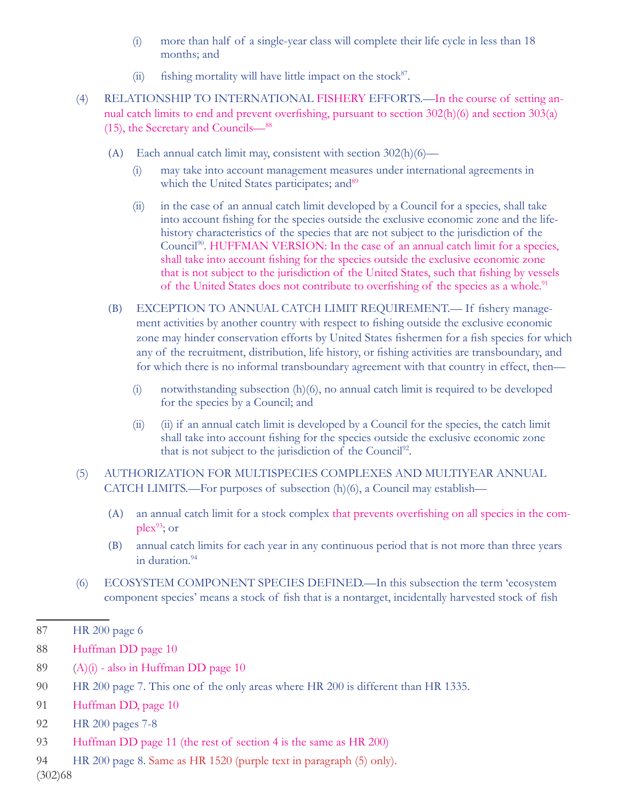- (i) more than half of a single-year class will complete their life cycle in less than 18 months; and
- (ii) fishing mortality will have little impact on the stock $87$ .
- (4) RELATIONSHIP TO INTERNATIONAL FISHERY EFFORTS.—In the course of setting annual catch limits to end and prevent overfishing, pursuant to section  $302(h)(6)$  and section  $303(a)$ (15), the Secretary and Councils—88
	- (A) Each annual catch limit may, consistent with section 302(h)(6)—
		- (i) may take into account management measures under international agreements in which the United States participates; and<sup>89</sup>
		- (ii) in the case of an annual catch limit developed by a Council for a species, shall take into account fishing for the species outside the exclusive economic zone and the lifehistory characteristics of the species that are not subject to the jurisdiction of the Council<sup>90</sup>. HUFFMAN VERSION: In the case of an annual catch limit for a species, shall take into account fishing for the species outside the exclusive economic zone that is not subject to the jurisdiction of the United States, such that fishing by vessels of the United States does not contribute to overfishing of the species as a whole.<sup>91</sup>
	- (B) EXCEPTION TO ANNUAL CATCH LIMIT REQUIREMENT.— If fishery management activities by another country with respect to fishing outside the exclusive economic zone may hinder conservation efforts by United States fishermen for a fish species for which any of the recruitment, distribution, life history, or fishing activities are transboundary, and for which there is no informal transboundary agreement with that country in effect, then—
		- (i) notwithstanding subsection  $(h)(6)$ , no annual catch limit is required to be developed for the species by a Council; and
		- (ii) (ii) if an annual catch limit is developed by a Council for the species, the catch limit shall take into account fishing for the species outside the exclusive economic zone that is not subject to the jurisdiction of the Council<sup>92</sup>.
- (5) AUTHORIZATION FOR MULTISPECIES COMPLEXES AND MULTIYEAR ANNUAL CATCH LIMITS.—For purposes of subsection (h)(6), a Council may establish—
	- (A) an annual catch limit for a stock complex that prevents overfishing on all species in the com $plex^{93}$ ; or
	- (B) annual catch limits for each year in any continuous period that is not more than three years in duration.<sup>94</sup>
- (6) ECOSYSTEM COMPONENT SPECIES DEFINED.—In this subsection the term 'ecosystem component species' means a stock of fish that is a nontarget, incidentally harvested stock of fish

- 89  $(A)(i)$  also in Huffman DD page 10
- 90 HR 200 page 7. This one of the only areas where HR 200 is different than HR 1335.
- 91 Huffman DD, page 10
- 92 HR 200 pages 7-8
- 93 Huffman DD page 11 (the rest of section 4 is the same as HR 200)
- 94 HR 200 page 8. Same as HR 1520 (purple text in paragraph (5) only).

(302)68

<sup>87</sup> HR 200 page 6

<sup>88</sup> Huffman DD page 10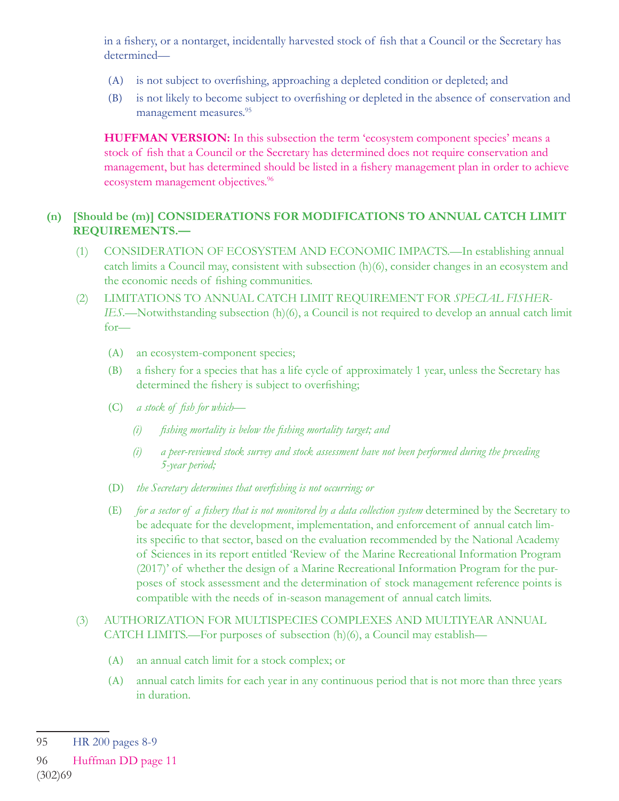in a fishery, or a nontarget, incidentally harvested stock of fish that a Council or the Secretary has determined—

- (A) is not subject to overfishing, approaching a depleted condition or depleted; and
- (B) is not likely to become subject to overfishing or depleted in the absence of conservation and management measures.<sup>95</sup>

**HUFFMAN VERSION:** In this subsection the term 'ecosystem component species' means a stock of fish that a Council or the Secretary has determined does not require conservation and management, but has determined should be listed in a fishery management plan in order to achieve ecosystem management objectives.<sup>96</sup>

### **(n) [Should be (m)] CONSIDERATIONS FOR MODIFICATIONS TO ANNUAL CATCH LIMIT REQUIREMENTS.—**

- (1) CONSIDERATION OF ECOSYSTEM AND ECONOMIC IMPACTS.—In establishing annual catch limits a Council may, consistent with subsection (h)(6), consider changes in an ecosystem and the economic needs of fishing communities.
- (2) LIMITATIONS TO ANNUAL CATCH LIMIT REQUIREMENT FOR *SPECIAL FISHER-IES*.—Notwithstanding subsection (h)(6), a Council is not required to develop an annual catch limit for—
	- (A) an ecosystem-component species;
	- (B) a fi shery for a species that has a life cycle of approximately 1 year, unless the Secretary has determined the fishery is subject to overfishing;
	- (C) *a stock of fish for which*
		- *(i) fi shing mortality is below the fi shing mortality target; and*
		- *(i) a peer-reviewed stock survey and stock assessment have not been performed during the preceding 5-year period;*
	- (D) *the Secretary determines that overfi shing is not occurring; or*
	- (E) *for a sector of a fi shery that is not monitored by a data collection system* determined by the Secretary to be adequate for the development, implementation, and enforcement of annual catch limits specific to that sector, based on the evaluation recommended by the National Academy of Sciences in its report entitled 'Review of the Marine Recreational Information Program (2017)' of whether the design of a Marine Recreational Information Program for the purposes of stock assessment and the determination of stock management reference points is compatible with the needs of in-season management of annual catch limits.
- (3) AUTHORIZATION FOR MULTISPECIES COMPLEXES AND MULTIYEAR ANNUAL CATCH LIMITS.—For purposes of subsection (h)(6), a Council may establish—
	- (A) an annual catch limit for a stock complex; or
	- (A) annual catch limits for each year in any continuous period that is not more than three years in duration.

<sup>95</sup> HR 200 pages 8-9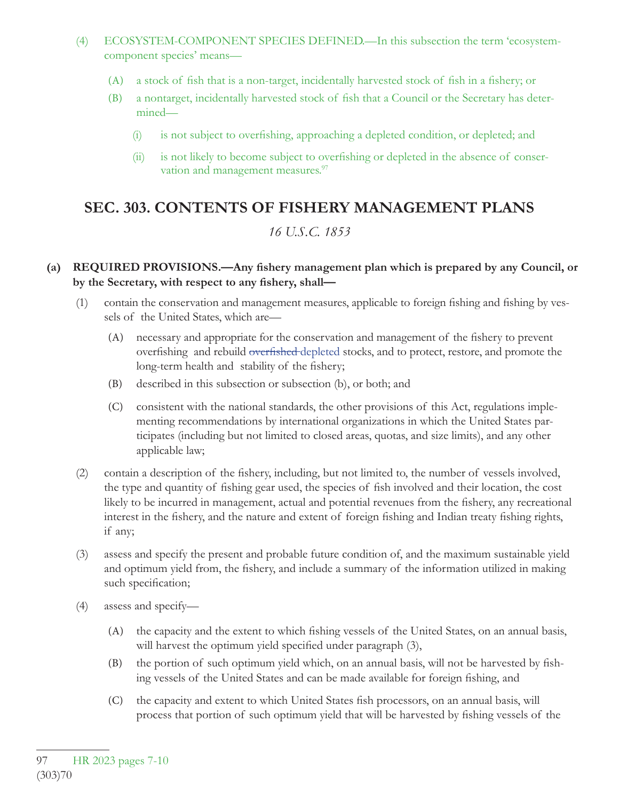- (4) ECOSYSTEM-COMPONENT SPECIES DEFINED.—In this subsection the term 'ecosystemcomponent species' means—
	- (A) a stock of fish that is a non-target, incidentally harvested stock of fish in a fishery; or
	- (B) a nontarget, incidentally harvested stock of fish that a Council or the Secretary has determined—
		- (i) is not subject to overfishing, approaching a depleted condition, or depleted; and
		- $(ii)$  is not likely to become subject to overfishing or depleted in the absence of conservation and management measures.<sup>97</sup>

# **SEC. 303. CONTENTS OF FISHERY MANAGEMENT PLANS** *16 U.S.C. 1853*

### (a) REQUIRED PROVISIONS.—Any fishery management plan which is prepared by any Council, or by the Secretary, with respect to any fishery, shall-

- (1) contain the conservation and management measures, applicable to foreign fishing and fishing by vessels of the United States, which are—
	- (A) necessary and appropriate for the conservation and management of the fishery to prevent overfishing and rebuild overfished depleted stocks, and to protect, restore, and promote the long-term health and stability of the fishery;
	- (B) described in this subsection or subsection (b), or both; and
	- (C) consistent with the national standards, the other provisions of this Act, regulations implementing recommendations by international organizations in which the United States participates (including but not limited to closed areas, quotas, and size limits), and any other applicable law;
- $(2)$  contain a description of the fishery, including, but not limited to, the number of vessels involved, the type and quantity of fishing gear used, the species of fish involved and their location, the cost likely to be incurred in management, actual and potential revenues from the fishery, any recreational interest in the fishery, and the nature and extent of foreign fishing and Indian treaty fishing rights, if any;
- (3) assess and specify the present and probable future condition of, and the maximum sustainable yield and optimum yield from, the fishery, and include a summary of the information utilized in making such specification;
- (4) assess and specify—
	- (A) the capacity and the extent to which fishing vessels of the United States, on an annual basis, will harvest the optimum yield specified under paragraph (3),
	- (B) the portion of such optimum yield which, on an annual basis, will not be harvested by fishing vessels of the United States and can be made available for foreign fishing, and
	- (C) the capacity and extent to which United States fish processors, on an annual basis, will process that portion of such optimum yield that will be harvested by fishing vessels of the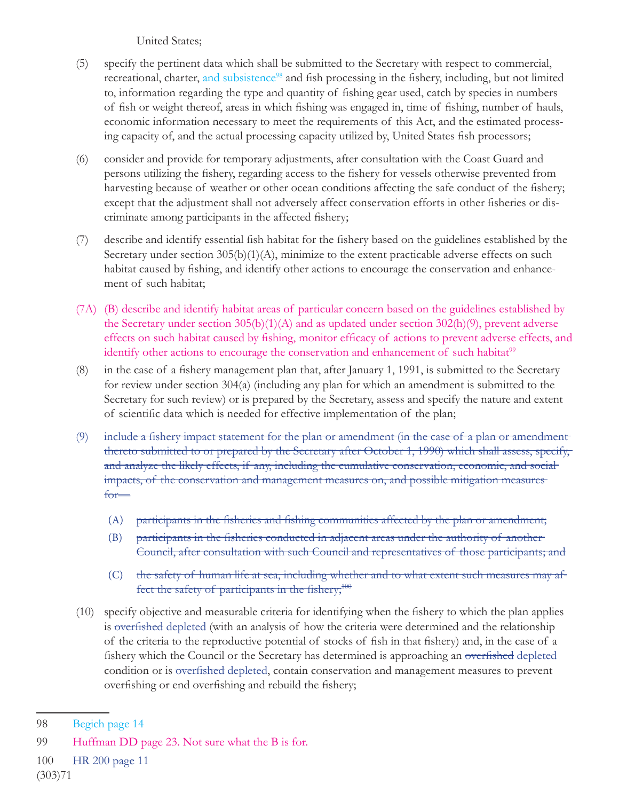United States;

- (5) specify the pertinent data which shall be submitted to the Secretary with respect to commercial, recreational, charter, and subsistence<sup>98</sup> and fish processing in the fishery, including, but not limited to, information regarding the type and quantity of fishing gear used, catch by species in numbers of fish or weight thereof, areas in which fishing was engaged in, time of fishing, number of hauls, economic information necessary to meet the requirements of this Act, and the estimated processing capacity of, and the actual processing capacity utilized by, United States fish processors;
- (6) consider and provide for temporary adjustments, after consultation with the Coast Guard and persons utilizing the fishery, regarding access to the fishery for vessels otherwise prevented from harvesting because of weather or other ocean conditions affecting the safe conduct of the fishery; except that the adjustment shall not adversely affect conservation efforts in other fisheries or discriminate among participants in the affected fishery;
- (7) describe and identify essential fish habitat for the fishery based on the guidelines established by the Secretary under section  $305(b)(1)(A)$ , minimize to the extent practicable adverse effects on such habitat caused by fishing, and identify other actions to encourage the conservation and enhancement of such habitat;
- (7A) (B) describe and identify habitat areas of particular concern based on the guidelines established by the Secretary under section 305(b)(1)(A) and as updated under section 302(h)(9), prevent adverse effects on such habitat caused by fishing, monitor efficacy of actions to prevent adverse effects, and identify other actions to encourage the conservation and enhancement of such habitat<sup>99</sup>
- $(8)$  in the case of a fishery management plan that, after January 1, 1991, is submitted to the Secretary for review under section 304(a) (including any plan for which an amendment is submitted to the Secretary for such review) or is prepared by the Secretary, assess and specify the nature and extent of scientific data which is needed for effective implementation of the plan;
- (9) include a fishery impact statement for the plan or amendment (in the case of a plan or amendment thereto submitted to or prepared by the Secretary after October 1, 1990) which shall assess, specify, and analyze the likely effects, if any, including the cumulative conservation, economic, and social impacts, of the conservation and management measures on, and possible mitigation measures for—
	- (A) participants in the fisheries and fishing communities affected by the plan or amendment;
	- (B) participants in the fisheries conducted in adjacent areas under the authority of another Council, after consultation with such Council and representatives of those participants; and
	- (C) the safety of human life at sea, including whether and to what extent such measures may affect the safety of participants in the fishery;<sup>100</sup>
- (10) specify objective and measurable criteria for identifying when the fishery to which the plan applies is overfished depleted (with an analysis of how the criteria were determined and the relationship of the criteria to the reproductive potential of stocks of fish in that fishery) and, in the case of a fishery which the Council or the Secretary has determined is approaching an overfished depleted condition or is overfished depleted, contain conservation and management measures to prevent overfishing or end overfishing and rebuild the fishery;

<sup>98</sup> Begich page 14

<sup>99</sup> Huffman DD page 23. Not sure what the B is for.

<sup>100</sup> HR 200 page 11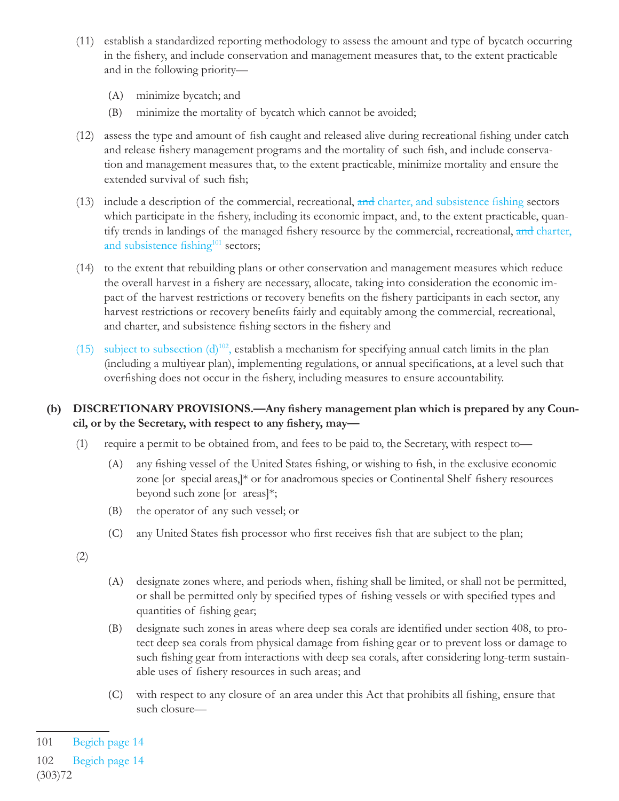- (11) establish a standardized reporting methodology to assess the amount and type of bycatch occurring in the fishery, and include conservation and management measures that, to the extent practicable and in the following priority—
	- (A) minimize bycatch; and
	- (B) minimize the mortality of bycatch which cannot be avoided;
- (12) assess the type and amount of fish caught and released alive during recreational fishing under catch and release fishery management programs and the mortality of such fish, and include conservation and management measures that, to the extent practicable, minimize mortality and ensure the extended survival of such fish;
- $(13)$  include a description of the commercial, recreational, and charter, and subsistence fishing sectors which participate in the fishery, including its economic impact, and, to the extent practicable, quantify trends in landings of the managed fishery resource by the commercial, recreational, and charter, and subsistence fishing $101$  sectors;
- (14) to the extent that rebuilding plans or other conservation and management measures which reduce the overall harvest in a fishery are necessary, allocate, taking into consideration the economic impact of the harvest restrictions or recovery benefits on the fishery participants in each sector, any harvest restrictions or recovery benefits fairly and equitably among the commercial, recreational, and charter, and subsistence fishing sectors in the fishery and
- (15) subject to subsection  $(d)^{102}$ , establish a mechanism for specifying annual catch limits in the plan (including a multiyear plan), implementing regulations, or annual specifications, at a level such that overfishing does not occur in the fishery, including measures to ensure accountability.

#### (b) DISCRETIONARY PROVISIONS.—Any fishery management plan which is prepared by any Council, or by the Secretary, with respect to any fishery, may—

- (1) require a permit to be obtained from, and fees to be paid to, the Secretary, with respect to—
	- (A) any fishing vessel of the United States fishing, or wishing to fish, in the exclusive economic zone [or special areas,]\* or for anadromous species or Continental Shelf fishery resources beyond such zone [or areas]\*;
	- (B) the operator of any such vessel; or
	- (C) any United States fish processor who first receives fish that are subject to the plan;

(2)

- (A) designate zones where, and periods when, fishing shall be limited, or shall not be permitted, or shall be permitted only by specified types of fishing vessels or with specified types and quantities of fishing gear;
- (B) designate such zones in areas where deep sea corals are identified under section 408, to protect deep sea corals from physical damage from fishing gear or to prevent loss or damage to such fishing gear from interactions with deep sea corals, after considering long-term sustainable uses of fishery resources in such areas; and
- (C) with respect to any closure of an area under this Act that prohibits all fishing, ensure that such closure—

<sup>101</sup> Begich page 14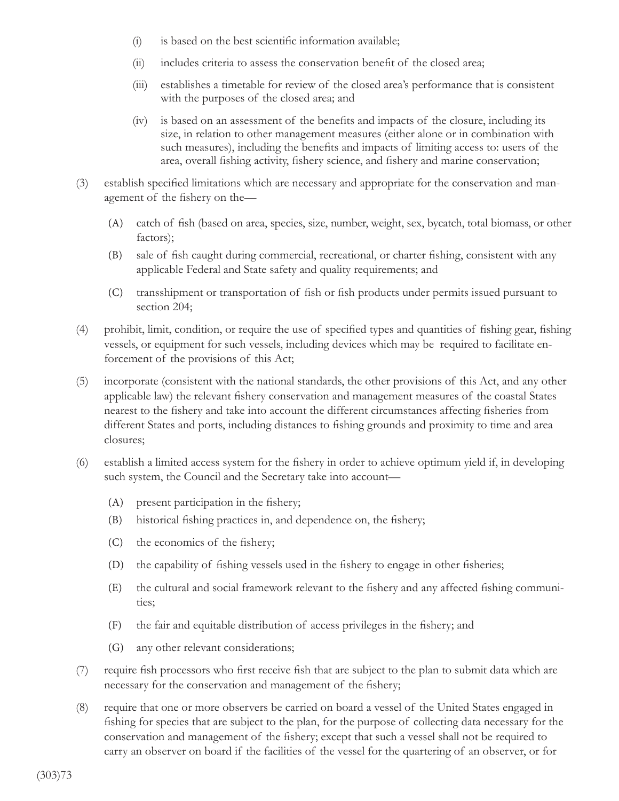- $(i)$  is based on the best scientific information available;
- (ii) includes criteria to assess the conservation benefit of the closed area;
- (iii) establishes a timetable for review of the closed area's performance that is consistent with the purposes of the closed area; and
- $(iv)$  is based on an assessment of the benefits and impacts of the closure, including its size, in relation to other management measures (either alone or in combination with such measures), including the benefits and impacts of limiting access to: users of the area, overall fishing activity, fishery science, and fishery and marine conservation;
- (3) establish specified limitations which are necessary and appropriate for the conservation and management of the fishery on the-
	- (A) catch of fish (based on area, species, size, number, weight, sex, bycatch, total biomass, or other factors);
	- (B) sale of fish caught during commercial, recreational, or charter fishing, consistent with any applicable Federal and State safety and quality requirements; and
	- (C) transshipment or transportation of fish or fish products under permits issued pursuant to section 204;
- $(4)$  prohibit, limit, condition, or require the use of specified types and quantities of fishing gear, fishing vessels, or equipment for such vessels, including devices which may be required to facilitate enforcement of the provisions of this Act;
- (5) incorporate (consistent with the national standards, the other provisions of this Act, and any other applicable law) the relevant fishery conservation and management measures of the coastal States nearest to the fishery and take into account the different circumstances affecting fisheries from different States and ports, including distances to fishing grounds and proximity to time and area closures;
- $(6)$  establish a limited access system for the fishery in order to achieve optimum yield if, in developing such system, the Council and the Secretary take into account—
	- $(A)$  present participation in the fishery;
	- (B) historical fishing practices in, and dependence on, the fishery;
	- (C) the economics of the fishery;
	- (D) the capability of fishing vessels used in the fishery to engage in other fisheries;
	- (E) the cultural and social framework relevant to the fishery and any affected fishing communities;
	- (F) the fair and equitable distribution of access privileges in the fishery; and
	- (G) any other relevant considerations;
- (7) require fish processors who first receive fish that are subject to the plan to submit data which are necessary for the conservation and management of the fishery;
- (8) require that one or more observers be carried on board a vessel of the United States engaged in fishing for species that are subject to the plan, for the purpose of collecting data necessary for the conservation and management of the fishery; except that such a vessel shall not be required to carry an observer on board if the facilities of the vessel for the quartering of an observer, or for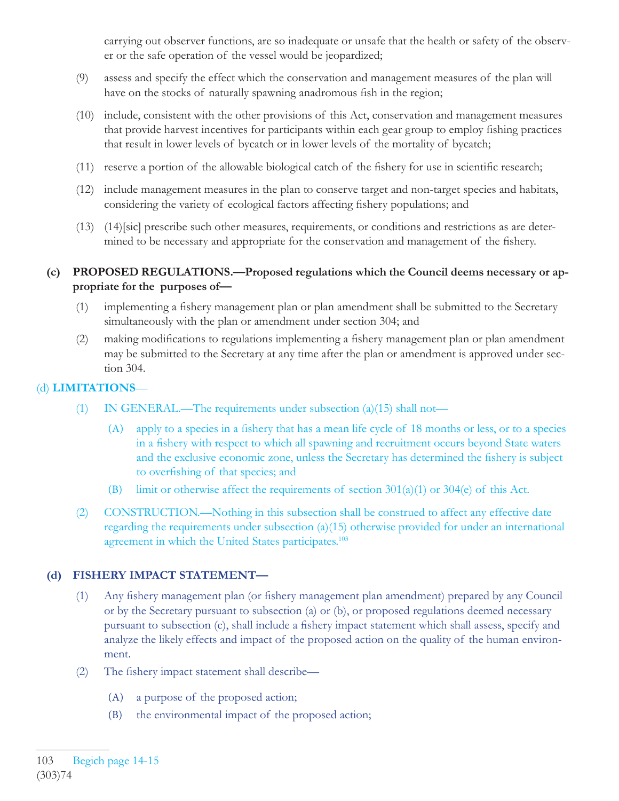carrying out observer functions, are so inadequate or unsafe that the health or safety of the observer or the safe operation of the vessel would be jeopardized;

- (9) assess and specify the effect which the conservation and management measures of the plan will have on the stocks of naturally spawning anadromous fish in the region;
- (10) include, consistent with the other provisions of this Act, conservation and management measures that provide harvest incentives for participants within each gear group to employ fishing practices that result in lower levels of bycatch or in lower levels of the mortality of bycatch;
- $(11)$  reserve a portion of the allowable biological catch of the fishery for use in scientific research;
- (12) include management measures in the plan to conserve target and non-target species and habitats, considering the variety of ecological factors affecting fishery populations; and
- (13) (14)[sic] prescribe such other measures, requirements, or conditions and restrictions as are determined to be necessary and appropriate for the conservation and management of the fishery.

#### **(c) PROPOSED REGULATIONS.—Proposed regulations which the Council deems necessary or appropriate for the purposes of—**

- $(1)$  implementing a fishery management plan or plan amendment shall be submitted to the Secretary simultaneously with the plan or amendment under section 304; and
- (2) making modifications to regulations implementing a fishery management plan or plan amendment may be submitted to the Secretary at any time after the plan or amendment is approved under section 304.

### (d) **LIMITATIONS**—

- (1) IN GENERAL.—The requirements under subsection (a)(15) shall not—
	- (A) apply to a species in a fishery that has a mean life cycle of 18 months or less, or to a species in a fishery with respect to which all spawning and recruitment occurs beyond State waters and the exclusive economic zone, unless the Secretary has determined the fishery is subject to overfishing of that species; and
	- (B) limit or otherwise affect the requirements of section  $301(a)(1)$  or  $304(e)$  of this Act.
- (2) CONSTRUCTION.—Nothing in this subsection shall be construed to affect any effective date regarding the requirements under subsection (a)(15) otherwise provided for under an international agreement in which the United States participates.<sup>103</sup>

## **(d) FISHERY IMPACT STATEMENT—**

- (1) Any fi shery management plan (or fi shery management plan amendment) prepared by any Council or by the Secretary pursuant to subsection (a) or (b), or proposed regulations deemed necessary pursuant to subsection (c), shall include a fishery impact statement which shall assess, specify and analyze the likely effects and impact of the proposed action on the quality of the human environment.
- (2) The fishery impact statement shall describe—
	- (A) a purpose of the proposed action;
	- (B) the environmental impact of the proposed action;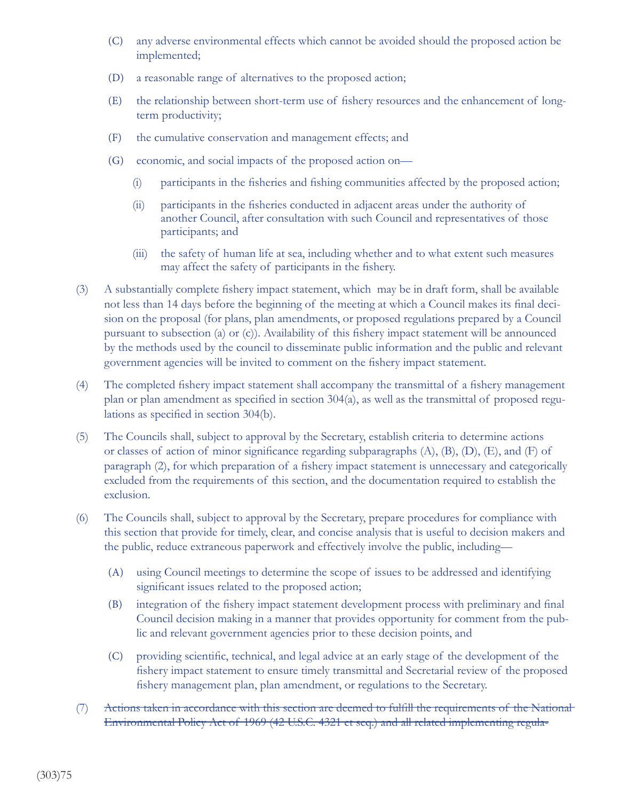- (C) any adverse environmental effects which cannot be avoided should the proposed action be implemented;
- (D) a reasonable range of alternatives to the proposed action;
- (E) the relationship between short-term use of fishery resources and the enhancement of longterm productivity;
- (F) the cumulative conservation and management effects; and
- (G) economic, and social impacts of the proposed action on—
	- (i) participants in the fisheries and fishing communities affected by the proposed action;
	- (ii) participants in the fisheries conducted in adjacent areas under the authority of another Council, after consultation with such Council and representatives of those participants; and
	- (iii) the safety of human life at sea, including whether and to what extent such measures may affect the safety of participants in the fishery.
- (3) A substantially complete fishery impact statement, which may be in draft form, shall be available not less than 14 days before the beginning of the meeting at which a Council makes its final decision on the proposal (for plans, plan amendments, or proposed regulations prepared by a Council pursuant to subsection (a) or (c)). Availability of this fishery impact statement will be announced by the methods used by the council to disseminate public information and the public and relevant government agencies will be invited to comment on the fishery impact statement.
- (4) The completed fishery impact statement shall accompany the transmittal of a fishery management plan or plan amendment as specified in section  $304(a)$ , as well as the transmittal of proposed regulations as specified in section 304(b).
- (5) The Councils shall, subject to approval by the Secretary, establish criteria to determine actions or classes of action of minor significance regarding subparagraphs  $(A)$ ,  $(B)$ ,  $(D)$ ,  $(E)$ , and  $(F)$  of paragraph (2), for which preparation of a fishery impact statement is unnecessary and categorically excluded from the requirements of this section, and the documentation required to establish the exclusion.
- (6) The Councils shall, subject to approval by the Secretary, prepare procedures for compliance with this section that provide for timely, clear, and concise analysis that is useful to decision makers and the public, reduce extraneous paperwork and effectively involve the public, including—
	- (A) using Council meetings to determine the scope of issues to be addressed and identifying significant issues related to the proposed action;
	- (B) integration of the fishery impact statement development process with preliminary and final Council decision making in a manner that provides opportunity for comment from the public and relevant government agencies prior to these decision points, and
	- (C) providing scientific, technical, and legal advice at an early stage of the development of the fishery impact statement to ensure timely transmittal and Secretarial review of the proposed fishery management plan, plan amendment, or regulations to the Secretary.
- (7) Actions taken in accordance with this section are deemed to fulfill the requirements of the National-Environmental Policy Act of 1969 (42 U.S.C. 4321 et seq.) and all related implementing regula-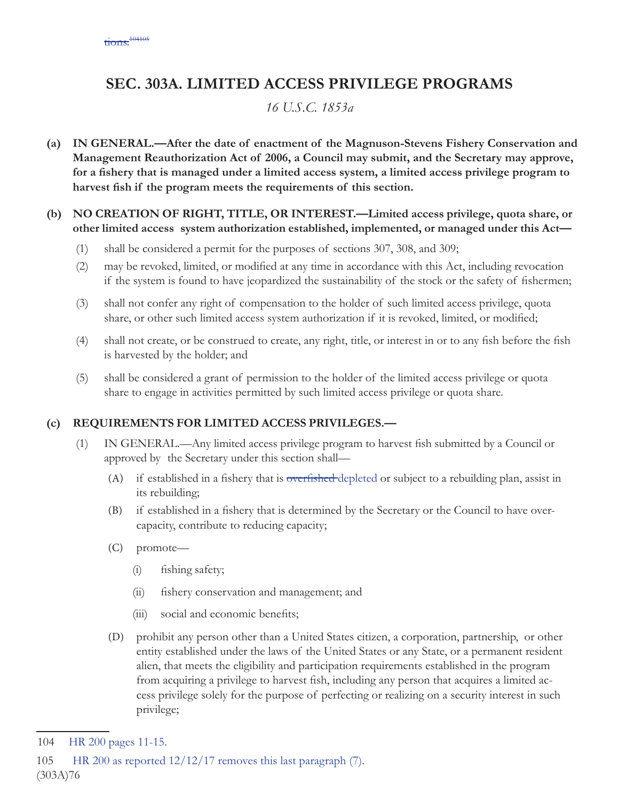# **SEC. 303A. LIMITED ACCESS PRIVILEGE PROGRAMS**

## *16 U.S.C. 1853a*

 **(a) IN GENERAL.—After the date of enactment of the Magnuson-Stevens Fishery Conservation and Management Reauthorization Act of 2006, a Council may submit, and the Secretary may approve,**  for a fishery that is managed under a limited access system, a limited access privilege program to harvest fish if the program meets the requirements of this section.

#### **(b) NO CREATION OF RIGHT, TITLE, OR INTEREST.—Limited access privilege, quota share, or other limited access system authorization established, implemented, or managed under this Act—**

- (1) shall be considered a permit for the purposes of sections 307, 308, and 309;
- (2) may be revoked, limited, or modified at any time in accordance with this Act, including revocation if the system is found to have jeopardized the sustainability of the stock or the safety of fishermen;
- (3) shall not confer any right of compensation to the holder of such limited access privilege, quota share, or other such limited access system authorization if it is revoked, limited, or modified;
- $(4)$  shall not create, or be construed to create, any right, title, or interest in or to any fish before the fish is harvested by the holder; and
- (5) shall be considered a grant of permission to the holder of the limited access privilege or quota share to engage in activities permitted by such limited access privilege or quota share.

### **(c) REQUIREMENTS FOR LIMITED ACCESS PRIVILEGES.—**

- (1) IN GENERAL.—Any limited access privilege program to harvest fish submitted by a Council or approved by the Secretary under this section shall—
	- (A) if established in a fishery that is <del>overfished depleted</del> or subject to a rebuilding plan, assist in its rebuilding;
	- (B) if established in a fishery that is determined by the Secretary or the Council to have overcapacity, contribute to reducing capacity;
	- (C) promote—
		- $(i)$  fishing safety;
		- (ii) fishery conservation and management; and
		- (iii) social and economic benefits;
	- (D) prohibit any person other than a United States citizen, a corporation, partnership, or other entity established under the laws of the United States or any State, or a permanent resident alien, that meets the eligibility and participation requirements established in the program from acquiring a privilege to harvest fish, including any person that acquires a limited access privilege solely for the purpose of perfecting or realizing on a security interest in such privilege;

<sup>104</sup> HR 200 pages 11-15.

<sup>(303</sup>A)76 105 HR 200 as reported 12/12/17 removes this last paragraph (7).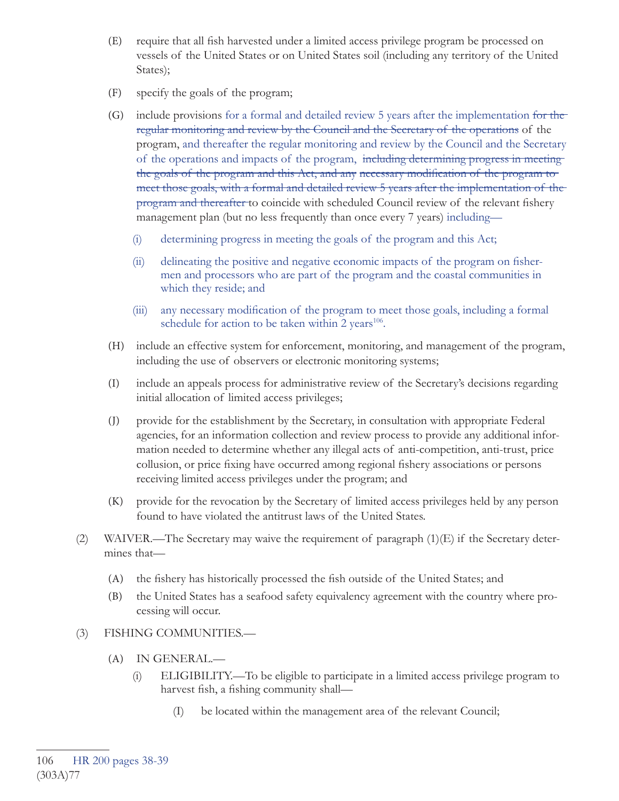- (E) require that all fish harvested under a limited access privilege program be processed on vessels of the United States or on United States soil (including any territory of the United States);
- (F) specify the goals of the program;
- (G) include provisions for a formal and detailed review 5 years after the implementation for the regular monitoring and review by the Council and the Secretary of the operations of the program, and thereafter the regular monitoring and review by the Council and the Secretary of the operations and impacts of the program, including determining progress in meeting the goals of the program and this Act, and any necessary modification of the program to meet those goals, with a formal and detailed review 5 years after the implementation of the program and thereafter to coincide with scheduled Council review of the relevant fishery management plan (but no less frequently than once every 7 years) including—
	- (i) determining progress in meeting the goals of the program and this Act;
	- (ii) delineating the positive and negative economic impacts of the program on fishermen and processors who are part of the program and the coastal communities in which they reside; and
	- (iii) any necessary modification of the program to meet those goals, including a formal schedule for action to be taken within 2 years $106$ .
- (H) include an effective system for enforcement, monitoring, and management of the program, including the use of observers or electronic monitoring systems;
- (I) include an appeals process for administrative review of the Secretary's decisions regarding initial allocation of limited access privileges;
- (J) provide for the establishment by the Secretary, in consultation with appropriate Federal agencies, for an information collection and review process to provide any additional information needed to determine whether any illegal acts of anti-competition, anti-trust, price collusion, or price fixing have occurred among regional fishery associations or persons receiving limited access privileges under the program; and
- (K) provide for the revocation by the Secretary of limited access privileges held by any person found to have violated the antitrust laws of the United States.
- (2) WAIVER.—The Secretary may waive the requirement of paragraph (1)(E) if the Secretary determines that—
	- (A) the fishery has historically processed the fish outside of the United States; and
	- (B) the United States has a seafood safety equivalency agreement with the country where processing will occur.
- (3) FISHING COMMUNITIES.—
	- (A) IN GENERAL.—
		- (i) ELIGIBILITY.—To be eligible to participate in a limited access privilege program to harvest fish, a fishing community shall—
			- (I) be located within the management area of the relevant Council;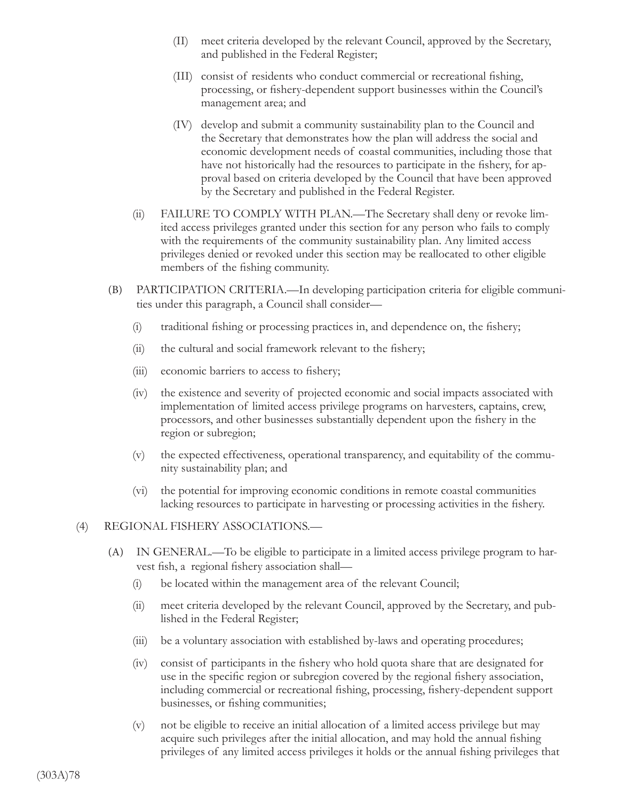- (II) meet criteria developed by the relevant Council, approved by the Secretary, and published in the Federal Register;
- (III) consist of residents who conduct commercial or recreational fishing, processing, or fishery-dependent support businesses within the Council's management area; and
- (IV) develop and submit a community sustainability plan to the Council and the Secretary that demonstrates how the plan will address the social and economic development needs of coastal communities, including those that have not historically had the resources to participate in the fishery, for approval based on criteria developed by the Council that have been approved by the Secretary and published in the Federal Register.
- (ii) FAILURE TO COMPLY WITH PLAN.—The Secretary shall deny or revoke limited access privileges granted under this section for any person who fails to comply with the requirements of the community sustainability plan. Any limited access privileges denied or revoked under this section may be reallocated to other eligible members of the fishing community.
- (B) PARTICIPATION CRITERIA.—In developing participation criteria for eligible communities under this paragraph, a Council shall consider—
	- $(i)$  traditional fishing or processing practices in, and dependence on, the fishery;
	- (ii) the cultural and social framework relevant to the fishery;
	- (iii) economic barriers to access to fishery;
	- (iv) the existence and severity of projected economic and social impacts associated with implementation of limited access privilege programs on harvesters, captains, crew, processors, and other businesses substantially dependent upon the fishery in the region or subregion;
	- (v) the expected effectiveness, operational transparency, and equitability of the community sustainability plan; and
	- (vi) the potential for improving economic conditions in remote coastal communities lacking resources to participate in harvesting or processing activities in the fishery.

#### (4) REGIONAL FISHERY ASSOCIATIONS.—

- (A) IN GENERAL.—To be eligible to participate in a limited access privilege program to harvest fish, a regional fishery association shall—
	- (i) be located within the management area of the relevant Council;
	- (ii) meet criteria developed by the relevant Council, approved by the Secretary, and published in the Federal Register;
	- (iii) be a voluntary association with established by-laws and operating procedures;
	- (iv) consist of participants in the fishery who hold quota share that are designated for use in the specific region or subregion covered by the regional fishery association, including commercial or recreational fishing, processing, fishery-dependent support businesses, or fishing communities;
	- (v) not be eligible to receive an initial allocation of a limited access privilege but may acquire such privileges after the initial allocation, and may hold the annual fishing privileges of any limited access privileges it holds or the annual fishing privileges that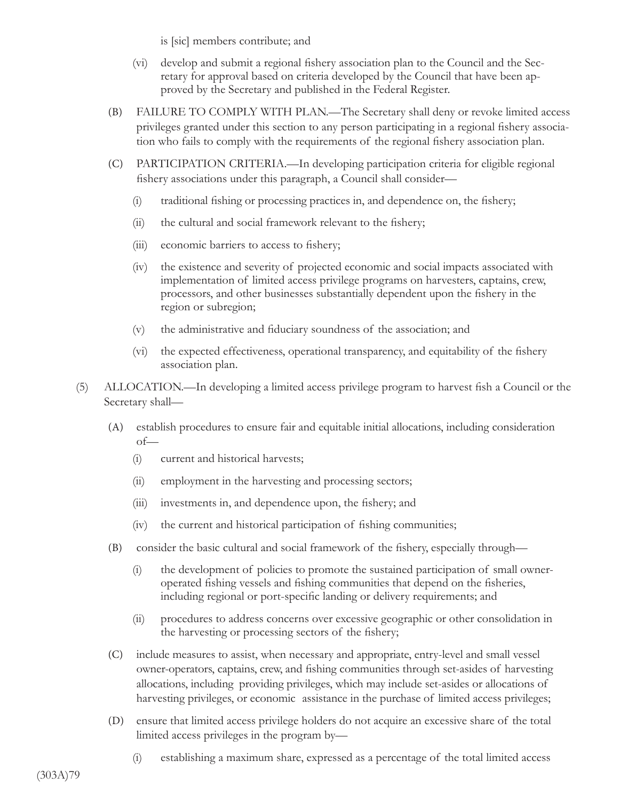is [sic] members contribute; and

- (vi) develop and submit a regional fishery association plan to the Council and the Secretary for approval based on criteria developed by the Council that have been approved by the Secretary and published in the Federal Register.
- (B) FAILURE TO COMPLY WITH PLAN.—The Secretary shall deny or revoke limited access privileges granted under this section to any person participating in a regional fishery association who fails to comply with the requirements of the regional fishery association plan.
- (C) PARTICIPATION CRITERIA.—In developing participation criteria for eligible regional fishery associations under this paragraph, a Council shall consider—
	- $(i)$  traditional fishing or processing practices in, and dependence on, the fishery;
	- (ii) the cultural and social framework relevant to the fishery;
	- (iii) economic barriers to access to fishery;
	- (iv) the existence and severity of projected economic and social impacts associated with implementation of limited access privilege programs on harvesters, captains, crew, processors, and other businesses substantially dependent upon the fishery in the region or subregion;
	- (v) the administrative and fiduciary soundness of the association; and
	- (vi) the expected effectiveness, operational transparency, and equitability of the fishery association plan.
- (5) ALLOCATION.—In developing a limited access privilege program to harvest fish a Council or the Secretary shall—
	- (A) establish procedures to ensure fair and equitable initial allocations, including consideration of—
		- (i) current and historical harvests;
		- (ii) employment in the harvesting and processing sectors;
		- (iii) investments in, and dependence upon, the fishery; and
		- $(iv)$  the current and historical participation of fishing communities;
	- (B) consider the basic cultural and social framework of the fishery, especially through—
		- (i) the development of policies to promote the sustained participation of small owneroperated fishing vessels and fishing communities that depend on the fisheries, including regional or port-specific landing or delivery requirements; and
		- (ii) procedures to address concerns over excessive geographic or other consolidation in the harvesting or processing sectors of the fishery;
	- (C) include measures to assist, when necessary and appropriate, entry-level and small vessel owner-operators, captains, crew, and fishing communities through set-asides of harvesting allocations, including providing privileges, which may include set-asides or allocations of harvesting privileges, or economic assistance in the purchase of limited access privileges;
	- (D) ensure that limited access privilege holders do not acquire an excessive share of the total limited access privileges in the program by—
		- (i) establishing a maximum share, expressed as a percentage of the total limited access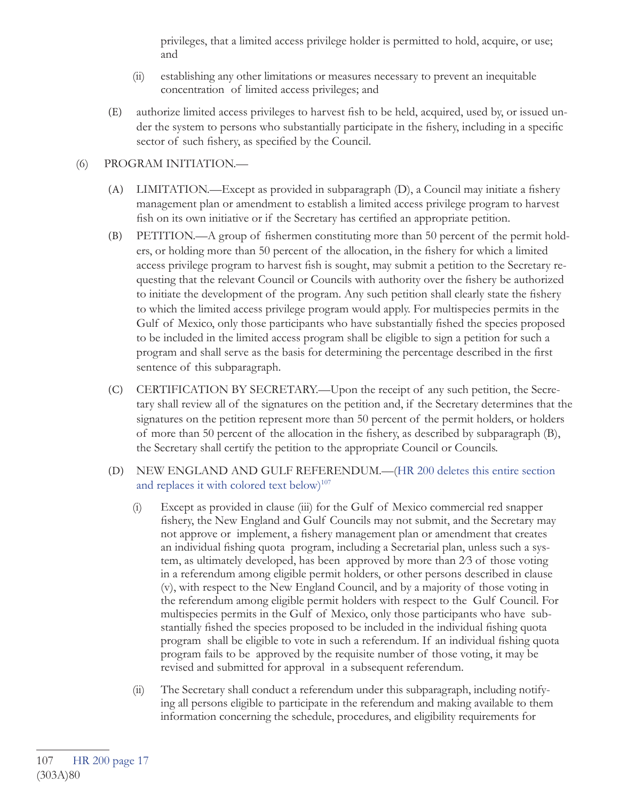privileges, that a limited access privilege holder is permitted to hold, acquire, or use; and

- (ii) establishing any other limitations or measures necessary to prevent an inequitable concentration of limited access privileges; and
- (E) authorize limited access privileges to harvest fish to be held, acquired, used by, or issued under the system to persons who substantially participate in the fishery, including in a specific sector of such fishery, as specified by the Council.

#### (6) PROGRAM INITIATION.—

- (A) LIMITATION.—Except as provided in subparagraph (D), a Council may initiate a fishery management plan or amendment to establish a limited access privilege program to harvest fish on its own initiative or if the Secretary has certified an appropriate petition.
- (B) PETITION.—A group of fishermen constituting more than 50 percent of the permit holders, or holding more than 50 percent of the allocation, in the fishery for which a limited access privilege program to harvest fish is sought, may submit a petition to the Secretary requesting that the relevant Council or Councils with authority over the fishery be authorized to initiate the development of the program. Any such petition shall clearly state the fishery to which the limited access privilege program would apply. For multispecies permits in the Gulf of Mexico, only those participants who have substantially fished the species proposed to be included in the limited access program shall be eligible to sign a petition for such a program and shall serve as the basis for determining the percentage described in the first sentence of this subparagraph.
- (C) CERTIFICATION BY SECRETARY.—Upon the receipt of any such petition, the Secretary shall review all of the signatures on the petition and, if the Secretary determines that the signatures on the petition represent more than 50 percent of the permit holders, or holders of more than 50 percent of the allocation in the fishery, as described by subparagraph (B), the Secretary shall certify the petition to the appropriate Council or Councils.
- (D) NEW ENGLAND AND GULF REFERENDUM.—(HR 200 deletes this entire section and replaces it with colored text below)<sup>107</sup>
	- (i) Except as provided in clause (iii) for the Gulf of Mexico commercial red snapper fishery, the New England and Gulf Councils may not submit, and the Secretary may not approve or implement, a fishery management plan or amendment that creates an individual fishing quota program, including a Secretarial plan, unless such a system, as ultimately developed, has been approved by more than 2⁄3 of those voting in a referendum among eligible permit holders, or other persons described in clause (v), with respect to the New England Council, and by a majority of those voting in the referendum among eligible permit holders with respect to the Gulf Council. For multispecies permits in the Gulf of Mexico, only those participants who have substantially fished the species proposed to be included in the individual fishing quota program shall be eligible to vote in such a referendum. If an individual fishing quota program fails to be approved by the requisite number of those voting, it may be revised and submitted for approval in a subsequent referendum.
	- (ii) The Secretary shall conduct a referendum under this subparagraph, including notifying all persons eligible to participate in the referendum and making available to them information concerning the schedule, procedures, and eligibility requirements for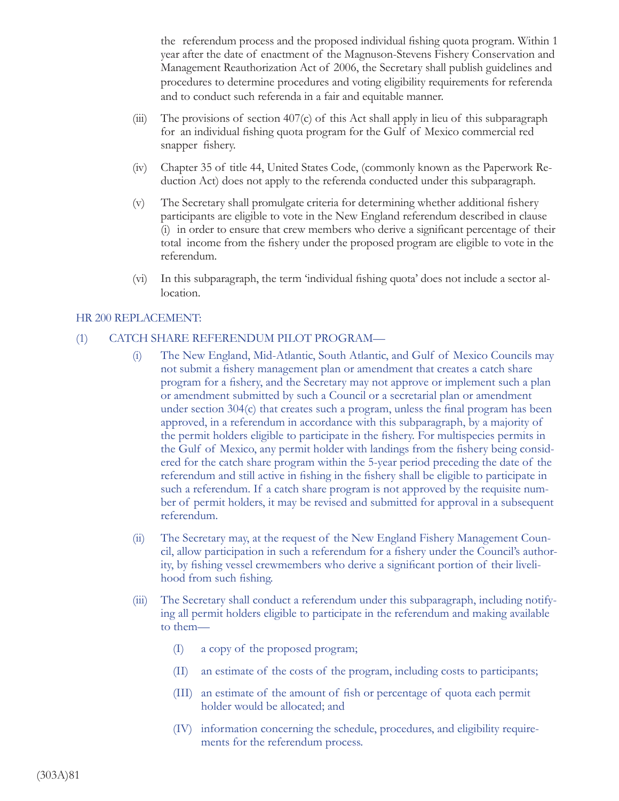the referendum process and the proposed individual fishing quota program. Within 1 year after the date of enactment of the Magnuson-Stevens Fishery Conservation and Management Reauthorization Act of 2006, the Secretary shall publish guidelines and procedures to determine procedures and voting eligibility requirements for referenda and to conduct such referenda in a fair and equitable manner.

- (iii) The provisions of section 407(c) of this Act shall apply in lieu of this subparagraph for an individual fishing quota program for the Gulf of Mexico commercial red snapper fishery.
- (iv) Chapter 35 of title 44, United States Code, (commonly known as the Paperwork Reduction Act) does not apply to the referenda conducted under this subparagraph.
- $(v)$  The Secretary shall promulgate criteria for determining whether additional fishery participants are eligible to vote in the New England referendum described in clause  $(i)$  in order to ensure that crew members who derive a significant percentage of their total income from the fishery under the proposed program are eligible to vote in the referendum.
- (vi) In this subparagraph, the term 'individual fishing quota' does not include a sector allocation.

#### HR 200 REPLACEMENT:

#### (1) CATCH SHARE REFERENDUM PILOT PROGRAM—

- (i) The New England, Mid-Atlantic, South Atlantic, and Gulf of Mexico Councils may not submit a fishery management plan or amendment that creates a catch share program for a fishery, and the Secretary may not approve or implement such a plan or amendment submitted by such a Council or a secretarial plan or amendment under section  $304(c)$  that creates such a program, unless the final program has been approved, in a referendum in accordance with this subparagraph, by a majority of the permit holders eligible to participate in the fishery. For multispecies permits in the Gulf of Mexico, any permit holder with landings from the fishery being considered for the catch share program within the 5-year period preceding the date of the referendum and still active in fishing in the fishery shall be eligible to participate in such a referendum. If a catch share program is not approved by the requisite number of permit holders, it may be revised and submitted for approval in a subsequent referendum.
- (ii) The Secretary may, at the request of the New England Fishery Management Council, allow participation in such a referendum for a fishery under the Council's authority, by fishing vessel crewmembers who derive a significant portion of their livelihood from such fishing.
- (iii) The Secretary shall conduct a referendum under this subparagraph, including notifying all permit holders eligible to participate in the referendum and making available to them—
	- (I) a copy of the proposed program;
	- (II) an estimate of the costs of the program, including costs to participants;
	- (III) an estimate of the amount of fish or percentage of quota each permit holder would be allocated; and
	- (IV) information concerning the schedule, procedures, and eligibility requirements for the referendum process.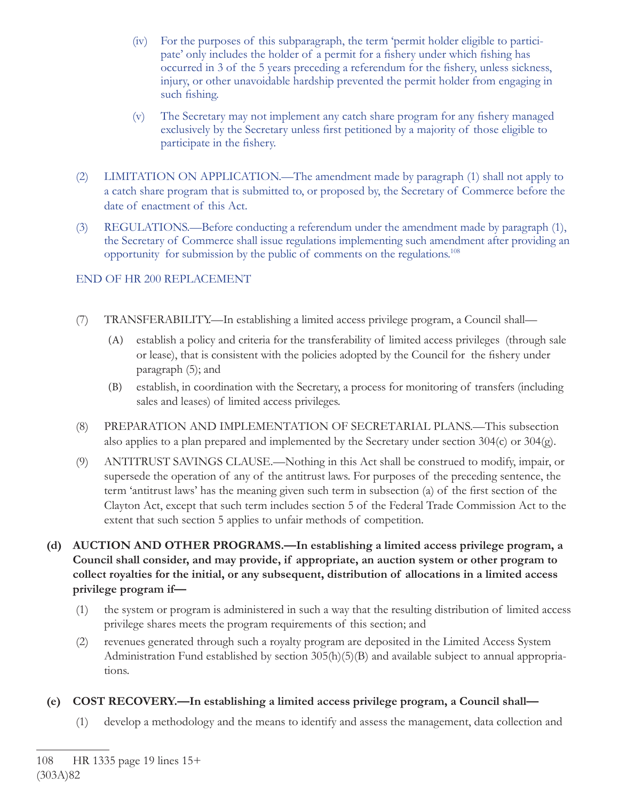- (iv) For the purposes of this subparagraph, the term 'permit holder eligible to participate' only includes the holder of a permit for a fishery under which fishing has occurred in 3 of the 5 years preceding a referendum for the fishery, unless sickness, injury, or other unavoidable hardship prevented the permit holder from engaging in such fishing.
- (v) The Secretary may not implement any catch share program for any fishery managed exclusively by the Secretary unless first petitioned by a majority of those eligible to participate in the fishery.
- (2) LIMITATION ON APPLICATION.—The amendment made by paragraph (1) shall not apply to a catch share program that is submitted to, or proposed by, the Secretary of Commerce before the date of enactment of this Act.
- (3) REGULATIONS.—Before conducting a referendum under the amendment made by paragraph (1), the Secretary of Commerce shall issue regulations implementing such amendment after providing an opportunity for submission by the public of comments on the regulations.108

#### END OF HR 200 REPLACEMENT

- (7) TRANSFERABILITY.—In establishing a limited access privilege program, a Council shall—
	- (A) establish a policy and criteria for the transferability of limited access privileges (through sale or lease), that is consistent with the policies adopted by the Council for the fishery under paragraph (5); and
	- (B) establish, in coordination with the Secretary, a process for monitoring of transfers (including sales and leases) of limited access privileges.
- (8) PREPARATION AND IMPLEMENTATION OF SECRETARIAL PLANS.—This subsection also applies to a plan prepared and implemented by the Secretary under section 304(c) or 304(g).
- (9) ANTITRUST SAVINGS CLAUSE.—Nothing in this Act shall be construed to modify, impair, or supersede the operation of any of the antitrust laws. For purposes of the preceding sentence, the term 'antitrust laws' has the meaning given such term in subsection (a) of the first section of the Clayton Act, except that such term includes section 5 of the Federal Trade Commission Act to the extent that such section 5 applies to unfair methods of competition.
- **(d) AUCTION AND OTHER PROGRAMS.—In establishing a limited access privilege program, a Council shall consider, and may provide, if appropriate, an auction system or other program to collect royalties for the initial, or any subsequent, distribution of allocations in a limited access privilege program if—**
	- (1) the system or program is administered in such a way that the resulting distribution of limited access privilege shares meets the program requirements of this section; and
	- (2) revenues generated through such a royalty program are deposited in the Limited Access System Administration Fund established by section 305(h)(5)(B) and available subject to annual appropriations.

### **(e) COST RECOVERY.—In establishing a limited access privilege program, a Council shall—**

(1) develop a methodology and the means to identify and assess the management, data collection and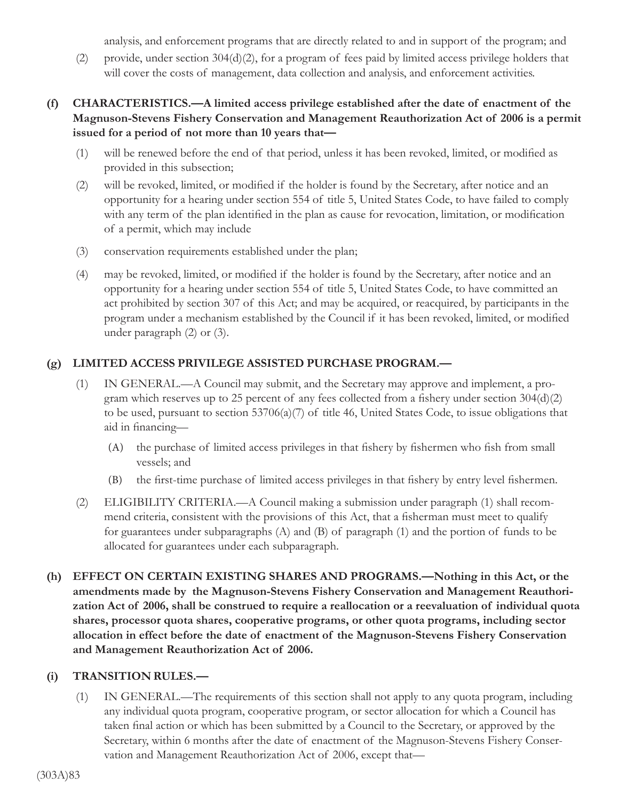analysis, and enforcement programs that are directly related to and in support of the program; and

(2) provide, under section 304(d)(2), for a program of fees paid by limited access privilege holders that will cover the costs of management, data collection and analysis, and enforcement activities.

### **(f) CHARACTERISTICS.—A limited access privilege established after the date of enactment of the Magnuson-Stevens Fishery Conservation and Management Reauthorization Act of 2006 is a permit issued for a period of not more than 10 years that—**

- (1) will be renewed before the end of that period, unless it has been revoked, limited, or modified as provided in this subsection;
- (2) will be revoked, limited, or modified if the holder is found by the Secretary, after notice and an opportunity for a hearing under section 554 of title 5, United States Code, to have failed to comply with any term of the plan identified in the plan as cause for revocation, limitation, or modification of a permit, which may include
- (3) conservation requirements established under the plan;
- (4) may be revoked, limited, or modified if the holder is found by the Secretary, after notice and an opportunity for a hearing under section 554 of title 5, United States Code, to have committed an act prohibited by section 307 of this Act; and may be acquired, or reacquired, by participants in the program under a mechanism established by the Council if it has been revoked, limited, or modified under paragraph (2) or (3).

### **(g) LIMITED ACCESS PRIVILEGE ASSISTED PURCHASE PROGRAM.—**

- (1) IN GENERAL.—A Council may submit, and the Secretary may approve and implement, a program which reserves up to 25 percent of any fees collected from a fishery under section  $304(d)(2)$ to be used, pursuant to section 53706(a)(7) of title 46, United States Code, to issue obligations that aid in financing-
	- (A) the purchase of limited access privileges in that fishery by fishermen who fish from small vessels; and
	- (B) the first-time purchase of limited access privileges in that fishery by entry level fishermen.
- (2) ELIGIBILITY CRITERIA.—A Council making a submission under paragraph (1) shall recommend criteria, consistent with the provisions of this Act, that a fisherman must meet to qualify for guarantees under subparagraphs (A) and (B) of paragraph (1) and the portion of funds to be allocated for guarantees under each subparagraph.
- **(h) EFFECT ON CERTAIN EXISTING SHARES AND PROGRAMS.—Nothing in this Act, or the amendments made by the Magnuson-Stevens Fishery Conservation and Management Reauthorization Act of 2006, shall be construed to require a reallocation or a reevaluation of individual quota shares, processor quota shares, cooperative programs, or other quota programs, including sector allocation in effect before the date of enactment of the Magnuson-Stevens Fishery Conservation and Management Reauthorization Act of 2006.**

### **(i) TRANSITION RULES.—**

(1) IN GENERAL.—The requirements of this section shall not apply to any quota program, including any individual quota program, cooperative program, or sector allocation for which a Council has taken final action or which has been submitted by a Council to the Secretary, or approved by the Secretary, within 6 months after the date of enactment of the Magnuson-Stevens Fishery Conservation and Management Reauthorization Act of 2006, except that—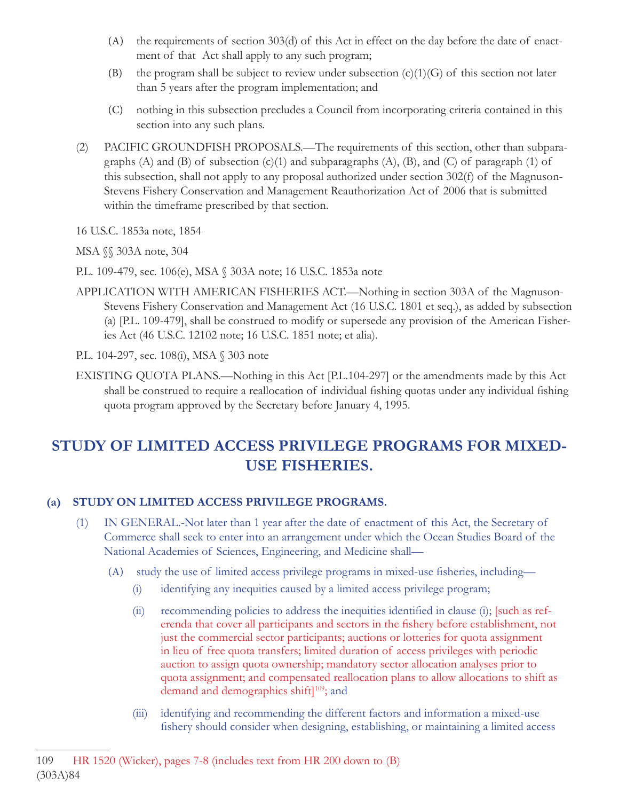- (A) the requirements of section 303(d) of this Act in effect on the day before the date of enactment of that Act shall apply to any such program;
- (B) the program shall be subject to review under subsection  $(c)(1)(G)$  of this section not later than 5 years after the program implementation; and
- (C) nothing in this subsection precludes a Council from incorporating criteria contained in this section into any such plans.
- (2) PACIFIC GROUNDFISH PROPOSALS.—The requirements of this section, other than subparagraphs  $(A)$  and  $(B)$  of subsection  $(c)(1)$  and subparagraphs  $(A)$ ,  $(B)$ , and  $(C)$  of paragraph  $(1)$  of this subsection, shall not apply to any proposal authorized under section 302(f) of the Magnuson-Stevens Fishery Conservation and Management Reauthorization Act of 2006 that is submitted within the timeframe prescribed by that section.

16 U.S.C. 1853a note, 1854

MSA §§ 303A note, 304

P.L. 109-479, sec. 106(e), MSA § 303A note; 16 U.S.C. 1853a note

APPLICATION WITH AMERICAN FISHERIES ACT.—Nothing in section 303A of the Magnuson-Stevens Fishery Conservation and Management Act (16 U.S.C. 1801 et seq.), as added by subsection (a) [P.L. 109-479], shall be construed to modify or supersede any provision of the American Fisheries Act (46 U.S.C. 12102 note; 16 U.S.C. 1851 note; et alia).

P.L. 104-297, sec. 108(i), MSA § 303 note

EXISTING QUOTA PLANS.—Nothing in this Act [P.L.104-297] or the amendments made by this Act shall be construed to require a reallocation of individual fishing quotas under any individual fishing quota program approved by the Secretary before January 4, 1995.

# **STUDY OF LIMITED ACCESS PRIVILEGE PROGRAMS FOR MIXED-USE FISHERIES.**

### **(a) STUDY ON LIMITED ACCESS PRIVILEGE PROGRAMS.**

- (1) IN GENERAL.-Not later than 1 year after the date of enactment of this Act, the Secretary of Commerce shall seek to enter into an arrangement under which the Ocean Studies Board of the National Academies of Sciences, Engineering, and Medicine shall—
	- (A) study the use of limited access privilege programs in mixed-use fisheries, including—
		- (i) identifying any inequities caused by a limited access privilege program;
		- $(ii)$  recommending policies to address the inequities identified in clause (i); [such as referenda that cover all participants and sectors in the fishery before establishment, not just the commercial sector participants; auctions or lotteries for quota assignment in lieu of free quota transfers; limited duration of access privileges with periodic auction to assign quota ownership; mandatory sector allocation analyses prior to quota assignment; and compensated reallocation plans to allow allocations to shift as demand and demographics shift<sup>109</sup>; and
		- (iii) identifying and recommending the different factors and information a mixed-use fishery should consider when designing, establishing, or maintaining a limited access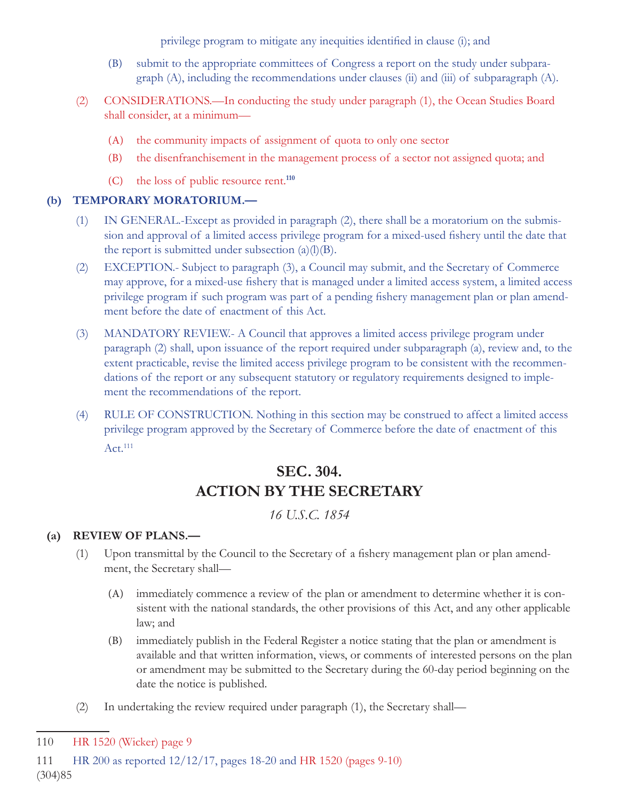privilege program to mitigate any inequities identified in clause (i); and

- (B) submit to the appropriate committees of Congress a report on the study under subparagraph (A), including the recommendations under clauses (ii) and (iii) of subparagraph (A).
- (2) CONSIDERATIONS.—In conducting the study under paragraph (1), the Ocean Studies Board shall consider, at a minimum—
	- (A) the community impacts of assignment of quota to only one sector
	- (B) the disenfranchisement in the management process of a sector not assigned quota; and
	- (C) the loss of public resource rent.**<sup>110</sup>**

### **(b) TEMPORARY MORATORIUM.—**

- (1) IN GENERAL.-Except as provided in paragraph (2), there shall be a moratorium on the submission and approval of a limited access privilege program for a mixed-used fishery until the date that the report is submitted under subsection  $(a)(l)(B)$ .
- (2) EXCEPTION.- Subject to paragraph (3), a Council may submit, and the Secretary of Commerce may approve, for a mixed-use fishery that is managed under a limited access system, a limited access privilege program if such program was part of a pending fishery management plan or plan amendment before the date of enactment of this Act.
- (3) MANDATORY REVIEW.- A Council that approves a limited access privilege program under paragraph (2) shall, upon issuance of the report required under subparagraph (a), review and, to the extent practicable, revise the limited access privilege program to be consistent with the recommendations of the report or any subsequent statutory or regulatory requirements designed to implement the recommendations of the report.
- (4) RULE OF CONSTRUCTION. Nothing in this section may be construed to affect a limited access privilege program approved by the Secretary of Commerce before the date of enactment of this  $Act.<sup>111</sup>$

# **SEC. 304. ACTION BY THE SECRETARY**

## *16 U.S.C. 1854*

## **(a) REVIEW OF PLANS.—**

- (1) Upon transmittal by the Council to the Secretary of a fishery management plan or plan amendment, the Secretary shall—
	- (A) immediately commence a review of the plan or amendment to determine whether it is consistent with the national standards, the other provisions of this Act, and any other applicable law; and
	- (B) immediately publish in the Federal Register a notice stating that the plan or amendment is available and that written information, views, or comments of interested persons on the plan or amendment may be submitted to the Secretary during the 60-day period beginning on the date the notice is published.
- (2) In undertaking the review required under paragraph (1), the Secretary shall—

<sup>110</sup> HR 1520 (Wicker) page 9

<sup>(304)85</sup> 111 HR 200 as reported 12/12/17, pages 18-20 and HR 1520 (pages 9-10)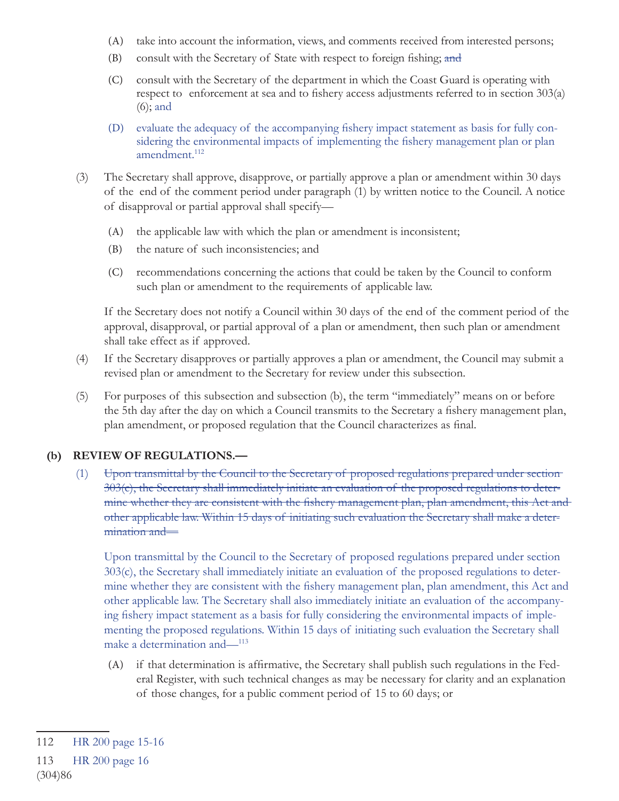- (A) take into account the information, views, and comments received from interested persons;
- (B) consult with the Secretary of State with respect to foreign fishing; and
- (C) consult with the Secretary of the department in which the Coast Guard is operating with respect to enforcement at sea and to fishery access adjustments referred to in section 303(a) (6); and
- (D) evaluate the adequacy of the accompanying fishery impact statement as basis for fully considering the environmental impacts of implementing the fishery management plan or plan amendment.<sup>112</sup>
- (3) The Secretary shall approve, disapprove, or partially approve a plan or amendment within 30 days of the end of the comment period under paragraph (1) by written notice to the Council. A notice of disapproval or partial approval shall specify—
	- (A) the applicable law with which the plan or amendment is inconsistent;
	- (B) the nature of such inconsistencies; and
	- (C) recommendations concerning the actions that could be taken by the Council to conform such plan or amendment to the requirements of applicable law.

 If the Secretary does not notify a Council within 30 days of the end of the comment period of the approval, disapproval, or partial approval of a plan or amendment, then such plan or amendment shall take effect as if approved.

- (4) If the Secretary disapproves or partially approves a plan or amendment, the Council may submit a revised plan or amendment to the Secretary for review under this subsection.
- (5) For purposes of this subsection and subsection (b), the term "immediately" means on or before the 5th day after the day on which a Council transmits to the Secretary a fishery management plan, plan amendment, or proposed regulation that the Council characterizes as final.

#### **(b) REVIEW OF REGULATIONS.—**

(1) Upon transmittal by the Council to the Secretary of proposed regulations prepared under section 303(c), the Secretary shall immediately initiate an evaluation of the proposed regulations to determine whether they are consistent with the fishery management plan, plan amendment, this Act and other applicable law. Within 15 days of initiating such evaluation the Secretary shall make a determination and—

 Upon transmittal by the Council to the Secretary of proposed regulations prepared under section 303(c), the Secretary shall immediately initiate an evaluation of the proposed regulations to determine whether they are consistent with the fishery management plan, plan amendment, this Act and other applicable law. The Secretary shall also immediately initiate an evaluation of the accompanying fishery impact statement as a basis for fully considering the environmental impacts of implementing the proposed regulations. Within 15 days of initiating such evaluation the Secretary shall make a determination and—113

(A) if that determination is affirmative, the Secretary shall publish such regulations in the Federal Register, with such technical changes as may be necessary for clarity and an explanation of those changes, for a public comment period of 15 to 60 days; or

<sup>112</sup> HR 200 page 15-16

<sup>(304)86</sup> 113 HR 200 page 16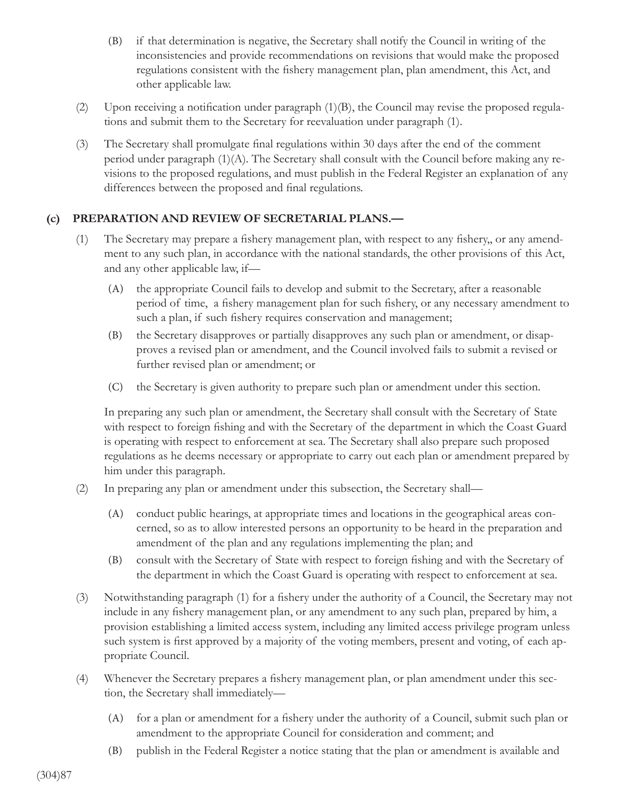- (B) if that determination is negative, the Secretary shall notify the Council in writing of the inconsistencies and provide recommendations on revisions that would make the proposed regulations consistent with the fishery management plan, plan amendment, this Act, and other applicable law.
- (2) Upon receiving a notification under paragraph  $(1)(B)$ , the Council may revise the proposed regulations and submit them to the Secretary for reevaluation under paragraph (1).
- (3) The Secretary shall promulgate final regulations within 30 days after the end of the comment period under paragraph (1)(A). The Secretary shall consult with the Council before making any revisions to the proposed regulations, and must publish in the Federal Register an explanation of any differences between the proposed and final regulations.

#### **(c) PREPARATION AND REVIEW OF SECRETARIAL PLANS.—**

- (1) The Secretary may prepare a fishery management plan, with respect to any fishery, or any amendment to any such plan, in accordance with the national standards, the other provisions of this Act, and any other applicable law, if—
	- (A) the appropriate Council fails to develop and submit to the Secretary, after a reasonable period of time, a fishery management plan for such fishery, or any necessary amendment to such a plan, if such fishery requires conservation and management;
	- (B) the Secretary disapproves or partially disapproves any such plan or amendment, or disapproves a revised plan or amendment, and the Council involved fails to submit a revised or further revised plan or amendment; or
	- (C) the Secretary is given authority to prepare such plan or amendment under this section.

 In preparing any such plan or amendment, the Secretary shall consult with the Secretary of State with respect to foreign fishing and with the Secretary of the department in which the Coast Guard is operating with respect to enforcement at sea. The Secretary shall also prepare such proposed regulations as he deems necessary or appropriate to carry out each plan or amendment prepared by him under this paragraph.

- (2) In preparing any plan or amendment under this subsection, the Secretary shall—
	- (A) conduct public hearings, at appropriate times and locations in the geographical areas concerned, so as to allow interested persons an opportunity to be heard in the preparation and amendment of the plan and any regulations implementing the plan; and
	- (B) consult with the Secretary of State with respect to foreign fishing and with the Secretary of the department in which the Coast Guard is operating with respect to enforcement at sea.
- (3) Notwithstanding paragraph (1) for a fishery under the authority of a Council, the Secretary may not include in any fishery management plan, or any amendment to any such plan, prepared by him, a provision establishing a limited access system, including any limited access privilege program unless such system is first approved by a majority of the voting members, present and voting, of each appropriate Council.
- (4) Whenever the Secretary prepares a fishery management plan, or plan amendment under this section, the Secretary shall immediately—
	- (A) for a plan or amendment for a fishery under the authority of a Council, submit such plan or amendment to the appropriate Council for consideration and comment; and
	- (B) publish in the Federal Register a notice stating that the plan or amendment is available and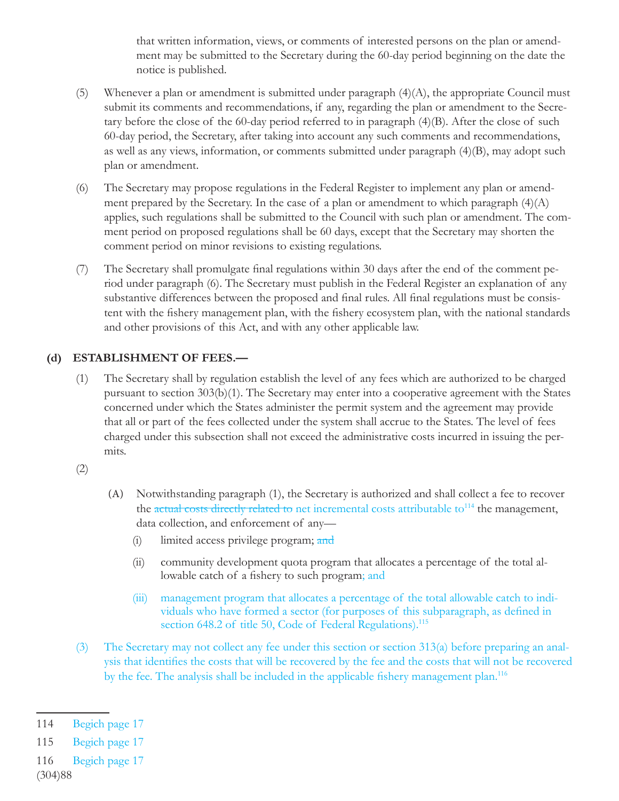that written information, views, or comments of interested persons on the plan or amendment may be submitted to the Secretary during the 60-day period beginning on the date the notice is published.

- (5) Whenever a plan or amendment is submitted under paragraph  $(4)(A)$ , the appropriate Council must submit its comments and recommendations, if any, regarding the plan or amendment to the Secretary before the close of the 60-day period referred to in paragraph (4)(B). After the close of such 60-day period, the Secretary, after taking into account any such comments and recommendations, as well as any views, information, or comments submitted under paragraph (4)(B), may adopt such plan or amendment.
- (6) The Secretary may propose regulations in the Federal Register to implement any plan or amendment prepared by the Secretary. In the case of a plan or amendment to which paragraph (4)(A) applies, such regulations shall be submitted to the Council with such plan or amendment. The comment period on proposed regulations shall be 60 days, except that the Secretary may shorten the comment period on minor revisions to existing regulations.
- (7) The Secretary shall promulgate final regulations within 30 days after the end of the comment period under paragraph (6). The Secretary must publish in the Federal Register an explanation of any substantive differences between the proposed and final rules. All final regulations must be consistent with the fishery management plan, with the fishery ecosystem plan, with the national standards and other provisions of this Act, and with any other applicable law.

#### **(d) ESTABLISHMENT OF FEES.—**

- (1) The Secretary shall by regulation establish the level of any fees which are authorized to be charged pursuant to section 303(b)(1). The Secretary may enter into a cooperative agreement with the States concerned under which the States administer the permit system and the agreement may provide that all or part of the fees collected under the system shall accrue to the States. The level of fees charged under this subsection shall not exceed the administrative costs incurred in issuing the permits.
- (2)
- (A) Notwithstanding paragraph (1), the Secretary is authorized and shall collect a fee to recover the  $\alpha$  actual costs directly related to net incremental costs attributable to<sup>114</sup> the management, data collection, and enforcement of any—
	- (i) limited access privilege program; and
	- (ii) community development quota program that allocates a percentage of the total allowable catch of a fishery to such program; and
	- (iii) management program that allocates a percentage of the total allowable catch to individuals who have formed a sector (for purposes of this subparagraph, as defined in section 648.2 of title 50, Code of Federal Regulations).<sup>115</sup>
- (3) The Secretary may not collect any fee under this section or section 313(a) before preparing an analysis that identifies the costs that will be recovered by the fee and the costs that will not be recovered by the fee. The analysis shall be included in the applicable fishery management plan.<sup>116</sup>

<sup>114</sup> Begich page 17

<sup>115</sup> Begich page 17

<sup>(304)88</sup> 116 Begich page 17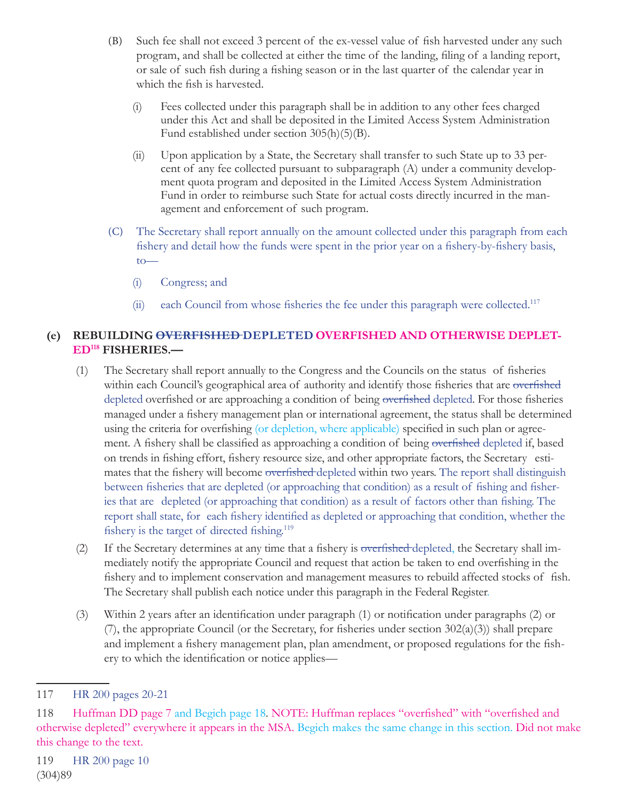- (B) Such fee shall not exceed 3 percent of the ex-vessel value of fish harvested under any such program, and shall be collected at either the time of the landing, filing of a landing report, or sale of such fish during a fishing season or in the last quarter of the calendar year in which the fish is harvested.
	- (i) Fees collected under this paragraph shall be in addition to any other fees charged under this Act and shall be deposited in the Limited Access System Administration Fund established under section 305(h)(5)(B).
	- (ii) Upon application by a State, the Secretary shall transfer to such State up to 33 percent of any fee collected pursuant to subparagraph (A) under a community development quota program and deposited in the Limited Access System Administration Fund in order to reimburse such State for actual costs directly incurred in the management and enforcement of such program.
- (C) The Secretary shall report annually on the amount collected under this paragraph from each fishery and detail how the funds were spent in the prior year on a fishery-by-fishery basis, to—
	- (i) Congress; and
	- (ii) each Council from whose fisheries the fee under this paragraph were collected.<sup>117</sup>

### **(e) REBUILDING OVERFISHED DEPLETED OVERFISHED AND OTHERWISE DEPLET-ED118 FISHERIES.—**

- (1) The Secretary shall report annually to the Congress and the Councils on the status of fisheries within each Council's geographical area of authority and identify those fisheries that are overfished depleted overfished or are approaching a condition of being overfished depleted. For those fisheries managed under a fishery management plan or international agreement, the status shall be determined using the criteria for overfishing (or depletion, where applicable) specified in such plan or agreement. A fishery shall be classified as approaching a condition of being overfished depleted if, based on trends in fishing effort, fishery resource size, and other appropriate factors, the Secretary estimates that the fishery will become overfished depleted within two years. The report shall distinguish between fisheries that are depleted (or approaching that condition) as a result of fishing and fisheries that are depleted (or approaching that condition) as a result of factors other than fishing. The report shall state, for each fishery identified as depleted or approaching that condition, whether the fishery is the target of directed fishing.<sup>119</sup>
- (2) If the Secretary determines at any time that a fishery is overfished depleted, the Secretary shall immediately notify the appropriate Council and request that action be taken to end overfishing in the fishery and to implement conservation and management measures to rebuild affected stocks of fish. The Secretary shall publish each notice under this paragraph in the Federal Register.
- (3) Within 2 years after an identification under paragraph  $(1)$  or notification under paragraphs  $(2)$  or (7), the appropriate Council (or the Secretary, for fisheries under section  $302(a)(3)$ ) shall prepare and implement a fishery management plan, plan amendment, or proposed regulations for the fishery to which the identification or notice applies—

<sup>117</sup> HR 200 pages 20-21

<sup>118</sup> Huffman DD page 7 and Begich page 18. NOTE: Huffman replaces "overfished" with "overfished and otherwise depleted" everywhere it appears in the MSA. Begich makes the same change in this section. Did not make this change to the text.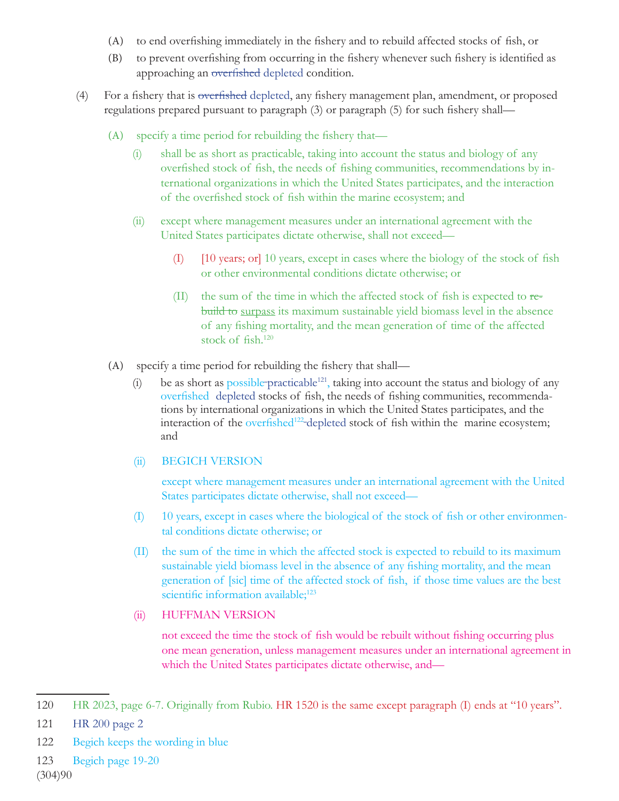- (A) to end overfishing immediately in the fishery and to rebuild affected stocks of fish, or
- (B) to prevent overfishing from occurring in the fishery whenever such fishery is identified as approaching an overfished depleted condition.
- (4) For a fishery that is <del>overfished</del> depleted, any fishery management plan, amendment, or proposed regulations prepared pursuant to paragraph (3) or paragraph (5) for such fishery shall—
	- (A) specify a time period for rebuilding the fishery that—
		- (i) shall be as short as practicable, taking into account the status and biology of any overfished stock of fish, the needs of fishing communities, recommendations by international organizations in which the United States participates, and the interaction of the overfished stock of fish within the marine ecosystem; and
		- (ii) except where management measures under an international agreement with the United States participates dictate otherwise, shall not exceed—
			- $(I)$  [10 years; or] 10 years, except in cases where the biology of the stock of fish or other environmental conditions dictate otherwise; or
			- (II) the sum of the time in which the affected stock of fish is expected to  $\tau$ ebuild to surpass its maximum sustainable yield biomass level in the absence of any fishing mortality, and the mean generation of time of the affected stock of  $fish.^{120}$
	- $(A)$  specify a time period for rebuilding the fishery that shall—
		- (i) be as short as possible-practicable<sup>121</sup>, taking into account the status and biology of any overfished depleted stocks of fish, the needs of fishing communities, recommendations by international organizations in which the United States participates, and the interaction of the overfished<sup>122</sup>-depleted stock of fish within the marine ecosystem; and

#### (ii) BEGICH VERSION

 except where management measures under an international agreement with the United States participates dictate otherwise, shall not exceed—

- (I) 10 years, except in cases where the biological of the stock of fish or other environmental conditions dictate otherwise; or
- (II) the sum of the time in which the affected stock is expected to rebuild to its maximum sustainable yield biomass level in the absence of any fishing mortality, and the mean generation of [sic] time of the affected stock of fish, if those time values are the best scientific information available;<sup>123</sup>

#### (ii) HUFFMAN VERSION

not exceed the time the stock of fish would be rebuilt without fishing occurring plus one mean generation, unless management measures under an international agreement in which the United States participates dictate otherwise, and—

(304)90

<sup>120</sup> HR 2023, page 6-7. Originally from Rubio. HR 1520 is the same except paragraph (I) ends at "10 years".

<sup>121</sup> HR 200 page 2

<sup>122</sup> Begich keeps the wording in blue

<sup>123</sup> Begich page 19-20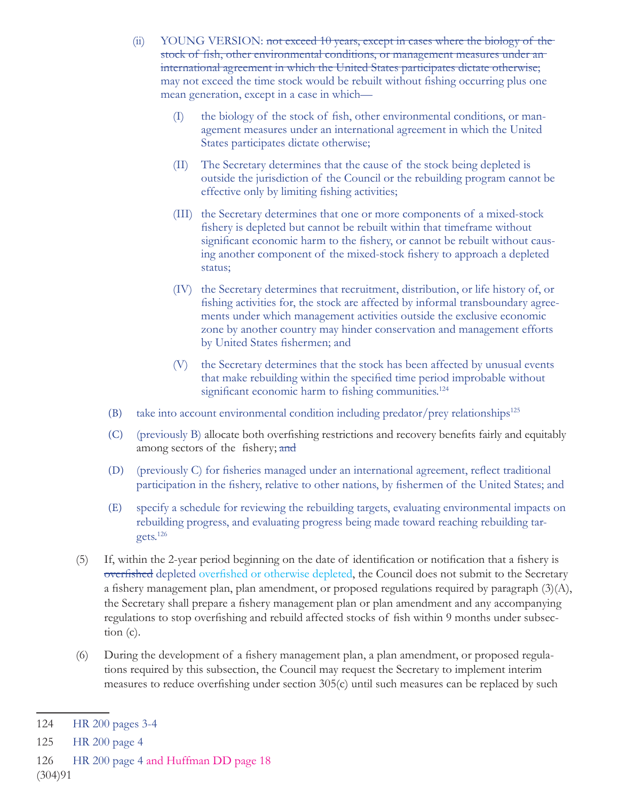- (ii) YOUNG VERSION: not exceed 10 years, except in cases where the biology of the stock of fish, other environmental conditions, or management measures under an international agreement in which the United States participates dictate otherwise; may not exceed the time stock would be rebuilt without fishing occurring plus one mean generation, except in a case in which—
	- (I) the biology of the stock of fish, other environmental conditions, or management measures under an international agreement in which the United States participates dictate otherwise;
	- (II) The Secretary determines that the cause of the stock being depleted is outside the jurisdiction of the Council or the rebuilding program cannot be effective only by limiting fishing activities;
	- (III) the Secretary determines that one or more components of a mixed-stock fishery is depleted but cannot be rebuilt within that timeframe without significant economic harm to the fishery, or cannot be rebuilt without causing another component of the mixed-stock fishery to approach a depleted status;
	- (IV) the Secretary determines that recruitment, distribution, or life history of, or fishing activities for, the stock are affected by informal transboundary agreements under which management activities outside the exclusive economic zone by another country may hinder conservation and management efforts by United States fishermen; and
	- (V) the Secretary determines that the stock has been affected by unusual events that make rebuilding within the specified time period improbable without significant economic harm to fishing communities.<sup>124</sup>
- (B) take into account environmental condition including predator/prey relationships125
- (C) (previously B) allocate both overfishing restrictions and recovery benefits fairly and equitably among sectors of the fishery; and
- (D) (previously C) for fisheries managed under an international agreement, reflect traditional participation in the fishery, relative to other nations, by fishermen of the United States; and
- (E) specify a schedule for reviewing the rebuilding targets, evaluating environmental impacts on rebuilding progress, and evaluating progress being made toward reaching rebuilding targets.126
- $(5)$  If, within the 2-year period beginning on the date of identification or notification that a fishery is overfished depleted overfished or otherwise depleted, the Council does not submit to the Secretary a fishery management plan, plan amendment, or proposed regulations required by paragraph  $(3)(A)$ , the Secretary shall prepare a fishery management plan or plan amendment and any accompanying regulations to stop overfishing and rebuild affected stocks of fish within 9 months under subsection (c).
- (6) During the development of a fishery management plan, a plan amendment, or proposed regulations required by this subsection, the Council may request the Secretary to implement interim measures to reduce overfishing under section 305(c) until such measures can be replaced by such

<sup>124</sup> HR 200 pages 3-4

<sup>125</sup> HR 200 page 4

<sup>(304)91</sup> 126 HR 200 page 4 and Huffman DD page 18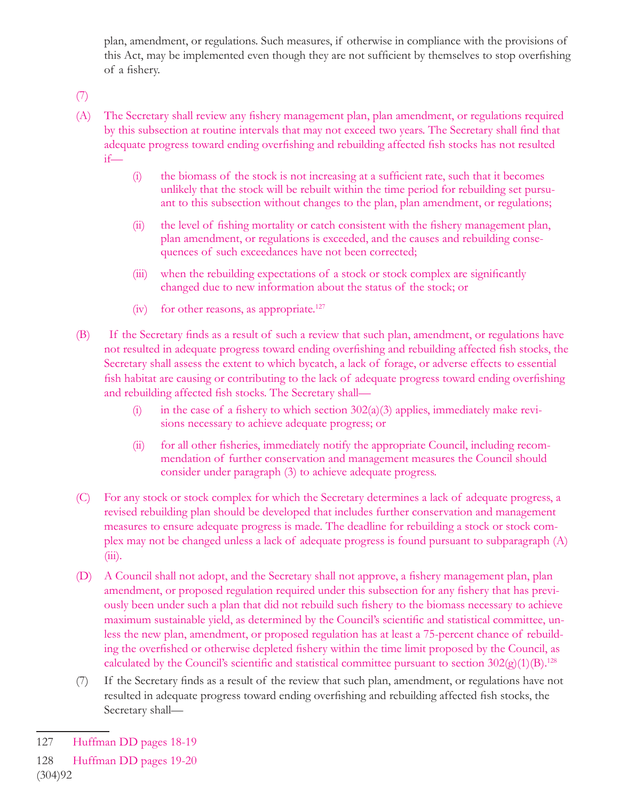plan, amendment, or regulations. Such measures, if otherwise in compliance with the provisions of this Act, may be implemented even though they are not sufficient by themselves to stop overfishing of a fishery.

- (7)
- (A) The Secretary shall review any fishery management plan, plan amendment, or regulations required by this subsection at routine intervals that may not exceed two years. The Secretary shall find that adequate progress toward ending overfishing and rebuilding affected fish stocks has not resulted if—
	- $(i)$  the biomass of the stock is not increasing at a sufficient rate, such that it becomes unlikely that the stock will be rebuilt within the time period for rebuilding set pursuant to this subsection without changes to the plan, plan amendment, or regulations;
	- $(ii)$  the level of fishing mortality or catch consistent with the fishery management plan, plan amendment, or regulations is exceeded, and the causes and rebuilding consequences of such exceedances have not been corrected;
	- (iii) when the rebuilding expectations of a stock or stock complex are significantly changed due to new information about the status of the stock; or
	- $(iv)$  for other reasons, as appropriate.<sup>127</sup>
- (B) If the Secretary finds as a result of such a review that such plan, amendment, or regulations have not resulted in adequate progress toward ending overfishing and rebuilding affected fish stocks, the Secretary shall assess the extent to which bycatch, a lack of forage, or adverse effects to essential fish habitat are causing or contributing to the lack of adequate progress toward ending overfishing and rebuilding affected fish stocks. The Secretary shall-
	- (i) in the case of a fishery to which section  $302(a)(3)$  applies, immediately make revisions necessary to achieve adequate progress; or
	- (ii) for all other fisheries, immediately notify the appropriate Council, including recommendation of further conservation and management measures the Council should consider under paragraph (3) to achieve adequate progress.
- (C) For any stock or stock complex for which the Secretary determines a lack of adequate progress, a revised rebuilding plan should be developed that includes further conservation and management measures to ensure adequate progress is made. The deadline for rebuilding a stock or stock complex may not be changed unless a lack of adequate progress is found pursuant to subparagraph (A)  $(iii)$ .
- (D) A Council shall not adopt, and the Secretary shall not approve, a fishery management plan, plan amendment, or proposed regulation required under this subsection for any fishery that has previously been under such a plan that did not rebuild such fishery to the biomass necessary to achieve maximum sustainable yield, as determined by the Council's scientific and statistical committee, unless the new plan, amendment, or proposed regulation has at least a 75-percent chance of rebuilding the overfished or otherwise depleted fishery within the time limit proposed by the Council, as calculated by the Council's scientific and statistical committee pursuant to section  $302(g)(1)(B)$ .<sup>128</sup>
- (7) If the Secretary finds as a result of the review that such plan, amendment, or regulations have not resulted in adequate progress toward ending overfishing and rebuilding affected fish stocks, the Secretary shall—

<sup>127</sup> Huffman DD pages 18-19

<sup>(304)92</sup> 128 Huffman DD pages 19-20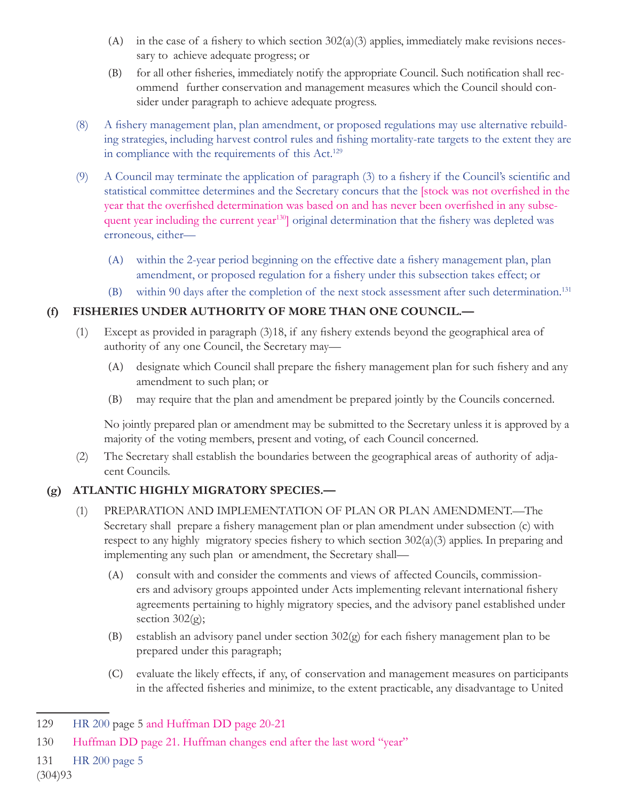- (A) in the case of a fishery to which section  $302(a)(3)$  applies, immediately make revisions necessary to achieve adequate progress; or
- (B) for all other fisheries, immediately notify the appropriate Council. Such notification shall recommend further conservation and management measures which the Council should consider under paragraph to achieve adequate progress.
- (8) A fishery management plan, plan amendment, or proposed regulations may use alternative rebuilding strategies, including harvest control rules and fishing mortality-rate targets to the extent they are in compliance with the requirements of this Act.<sup>129</sup>
- (9) A Council may terminate the application of paragraph (3) to a fishery if the Council's scientific and statistical committee determines and the Secretary concurs that the [stock was not overfished in the year that the overfished determination was based on and has never been overfished in any subsequent year including the current year<sup>130</sup>] original determination that the fishery was depleted was erroneous, either—
	- (A) within the 2-year period beginning on the effective date a fishery management plan, plan amendment, or proposed regulation for a fishery under this subsection takes effect; or
	- (B) within 90 days after the completion of the next stock assessment after such determination.131

## **(f) FISHERIES UNDER AUTHORITY OF MORE THAN ONE COUNCIL.—**

- $(1)$  Except as provided in paragraph  $(3)18$ , if any fishery extends beyond the geographical area of authority of any one Council, the Secretary may—
	- (A) designate which Council shall prepare the fishery management plan for such fishery and any amendment to such plan; or
	- (B) may require that the plan and amendment be prepared jointly by the Councils concerned.

 No jointly prepared plan or amendment may be submitted to the Secretary unless it is approved by a majority of the voting members, present and voting, of each Council concerned.

(2) The Secretary shall establish the boundaries between the geographical areas of authority of adjacent Councils.

## **(g) ATLANTIC HIGHLY MIGRATORY SPECIES.—**

- (1) PREPARATION AND IMPLEMENTATION OF PLAN OR PLAN AMENDMENT.—The Secretary shall prepare a fishery management plan or plan amendment under subsection (c) with respect to any highly migratory species fishery to which section  $302(a)(3)$  applies. In preparing and implementing any such plan or amendment, the Secretary shall—
	- (A) consult with and consider the comments and views of affected Councils, commissioners and advisory groups appointed under Acts implementing relevant international fishery agreements pertaining to highly migratory species, and the advisory panel established under section  $302(e)$ ;
	- (B) establish an advisory panel under section  $302(g)$  for each fishery management plan to be prepared under this paragraph;
	- (C) evaluate the likely effects, if any, of conservation and management measures on participants in the affected fisheries and minimize, to the extent practicable, any disadvantage to United

<sup>129</sup> HR 200 page 5 and Huffman DD page 20-21

<sup>130</sup> Huffman DD page 21. Huffman changes end after the last word "year"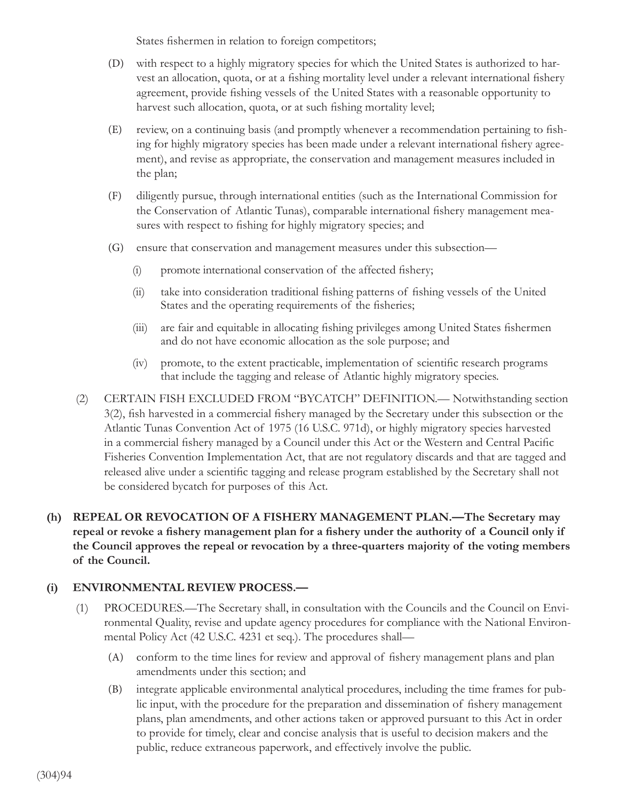States fishermen in relation to foreign competitors;

- (D) with respect to a highly migratory species for which the United States is authorized to harvest an allocation, quota, or at a fishing mortality level under a relevant international fishery agreement, provide fishing vessels of the United States with a reasonable opportunity to harvest such allocation, quota, or at such fishing mortality level;
- (E) review, on a continuing basis (and promptly whenever a recommendation pertaining to fishing for highly migratory species has been made under a relevant international fishery agreement), and revise as appropriate, the conservation and management measures included in the plan;
- (F) diligently pursue, through international entities (such as the International Commission for the Conservation of Atlantic Tunas), comparable international fishery management measures with respect to fishing for highly migratory species; and
- (G) ensure that conservation and management measures under this subsection—
	- (i) promote international conservation of the affected fishery;
	- (ii) take into consideration traditional fishing patterns of fishing vessels of the United States and the operating requirements of the fisheries;
	- (iii) are fair and equitable in allocating fishing privileges among United States fishermen and do not have economic allocation as the sole purpose; and
	- (iv) promote, to the extent practicable, implementation of scientific research programs that include the tagging and release of Atlantic highly migratory species.
- (2) CERTAIN FISH EXCLUDED FROM "BYCATCH" DEFINITION.— Notwithstanding section 3(2), fish harvested in a commercial fishery managed by the Secretary under this subsection or the Atlantic Tunas Convention Act of 1975 (16 U.S.C. 971d), or highly migratory species harvested in a commercial fishery managed by a Council under this Act or the Western and Central Pacific Fisheries Convention Implementation Act, that are not regulatory discards and that are tagged and released alive under a scientific tagging and release program established by the Secretary shall not be considered bycatch for purposes of this Act.
- **(h) REPEAL OR REVOCATION OF A FISHERY MANAGEMENT PLAN.—The Secretary may**  repeal or revoke a fishery management plan for a fishery under the authority of a Council only if **the Council approves the repeal or revocation by a three-quarters majority of the voting members of the Council.**

### **(i) ENVIRONMENTAL REVIEW PROCESS.—**

- (1) PROCEDURES.—The Secretary shall, in consultation with the Councils and the Council on Environmental Quality, revise and update agency procedures for compliance with the National Environmental Policy Act (42 U.S.C. 4231 et seq.). The procedures shall—
	- (A) conform to the time lines for review and approval of fishery management plans and plan amendments under this section; and
	- (B) integrate applicable environmental analytical procedures, including the time frames for public input, with the procedure for the preparation and dissemination of fishery management plans, plan amendments, and other actions taken or approved pursuant to this Act in order to provide for timely, clear and concise analysis that is useful to decision makers and the public, reduce extraneous paperwork, and effectively involve the public.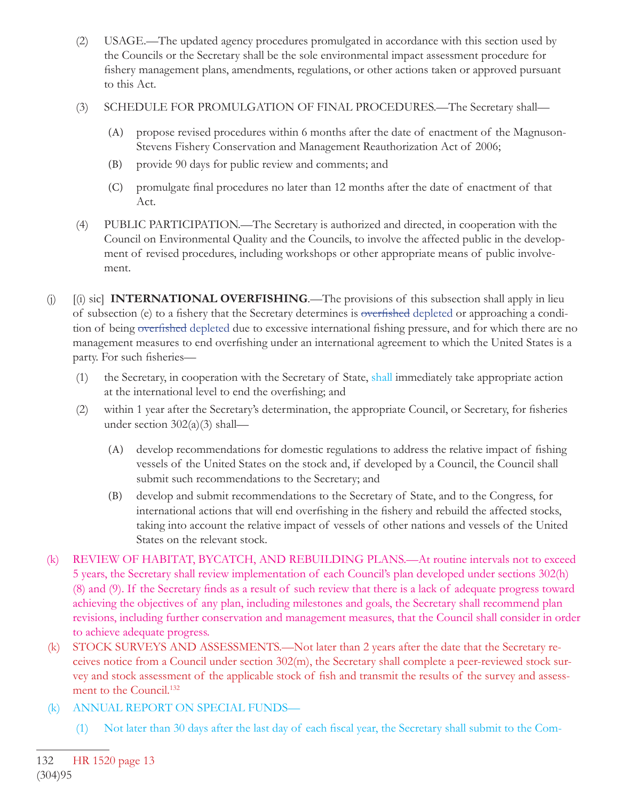- (2) USAGE.—The updated agency procedures promulgated in accordance with this section used by the Councils or the Secretary shall be the sole environmental impact assessment procedure for fishery management plans, amendments, regulations, or other actions taken or approved pursuant to this Act.
- (3) SCHEDULE FOR PROMULGATION OF FINAL PROCEDURES.—The Secretary shall—
	- (A) propose revised procedures within 6 months after the date of enactment of the Magnuson-Stevens Fishery Conservation and Management Reauthorization Act of 2006;
	- (B) provide 90 days for public review and comments; and
	- (C) promulgate final procedures no later than 12 months after the date of enactment of that Act.
- (4) PUBLIC PARTICIPATION.—The Secretary is authorized and directed, in cooperation with the Council on Environmental Quality and the Councils, to involve the affected public in the development of revised procedures, including workshops or other appropriate means of public involvement.
- (j) [(i) sic] **INTERNATIONAL OVERFISHING**.—The provisions of this subsection shall apply in lieu of subsection (e) to a fishery that the Secretary determines is <del>overfished</del> depleted or approaching a condition of being overfished depleted due to excessive international fishing pressure, and for which there are no management measures to end overfishing under an international agreement to which the United States is a party. For such fisheries—
	- (1) the Secretary, in cooperation with the Secretary of State, shall immediately take appropriate action at the international level to end the overfishing; and
	- (2) within 1 year after the Secretary's determination, the appropriate Council, or Secretary, for fisheries under section 302(a)(3) shall—
		- (A) develop recommendations for domestic regulations to address the relative impact of fishing vessels of the United States on the stock and, if developed by a Council, the Council shall submit such recommendations to the Secretary; and
		- (B) develop and submit recommendations to the Secretary of State, and to the Congress, for international actions that will end overfishing in the fishery and rebuild the affected stocks, taking into account the relative impact of vessels of other nations and vessels of the United States on the relevant stock.
- (k) REVIEW OF HABITAT, BYCATCH, AND REBUILDING PLANS.—At routine intervals not to exceed 5 years, the Secretary shall review implementation of each Council's plan developed under sections 302(h) (8) and (9). If the Secretary finds as a result of such review that there is a lack of adequate progress toward achieving the objectives of any plan, including milestones and goals, the Secretary shall recommend plan revisions, including further conservation and management measures, that the Council shall consider in order to achieve adequate progress.
- (k) STOCK SURVEYS AND ASSESSMENTS.—Not later than 2 years after the date that the Secretary receives notice from a Council under section 302(m), the Secretary shall complete a peer-reviewed stock survey and stock assessment of the applicable stock of fish and transmit the results of the survey and assessment to the Council.132
- (k) ANNUAL REPORT ON SPECIAL FUNDS—
	- (1) Not later than 30 days after the last day of each fiscal year, the Secretary shall submit to the Com-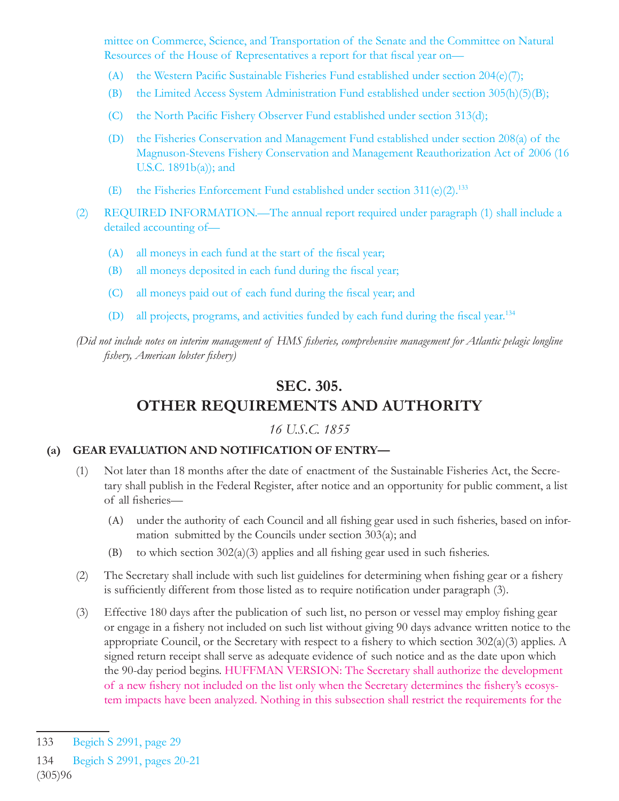mittee on Commerce, Science, and Transportation of the Senate and the Committee on Natural Resources of the House of Representatives a report for that fiscal year on—

- (A) the Western Pacific Sustainable Fisheries Fund established under section  $204(e)/7$ ;
- (B) the Limited Access System Administration Fund established under section 305(h)(5)(B);
- (C) the North Pacific Fishery Observer Fund established under section  $313(d)$ ;
- (D) the Fisheries Conservation and Management Fund established under section 208(a) of the Magnuson-Stevens Fishery Conservation and Management Reauthorization Act of 2006 (16 U.S.C. 1891b(a)); and
- (E) the Fisheries Enforcement Fund established under section 311(e)(2).133
- (2) REQUIRED INFORMATION.—The annual report required under paragraph (1) shall include a detailed accounting of—
	- $(A)$  all moneys in each fund at the start of the fiscal year;
	- (B) all moneys deposited in each fund during the fiscal year;
	- (C) all moneys paid out of each fund during the fiscal year; and
	- (D) all projects, programs, and activities funded by each fund during the fiscal year.<sup>134</sup>

*(Did not include notes on interim management of HMS fisheries, comprehensive management for Atlantic pelagic longline fi shery, American lobster fi shery)*

# **SEC. 305. OTHER REQUIREMENTS AND AUTHORITY**

### *16 U.S.C. 1855*

#### **(a) GEAR EVALUATION AND NOTIFICATION OF ENTRY—**

- (1) Not later than 18 months after the date of enactment of the Sustainable Fisheries Act, the Secretary shall publish in the Federal Register, after notice and an opportunity for public comment, a list of all fisheries-
	- (A) under the authority of each Council and all fishing gear used in such fisheries, based on information submitted by the Councils under section 303(a); and
	- (B) to which section  $302(a)(3)$  applies and all fishing gear used in such fisheries.
- (2) The Secretary shall include with such list guidelines for determining when fishing gear or a fishery is sufficiently different from those listed as to require notification under paragraph (3).
- $(3)$  Effective 180 days after the publication of such list, no person or vessel may employ fishing gear or engage in a fishery not included on such list without giving 90 days advance written notice to the appropriate Council, or the Secretary with respect to a fishery to which section  $302(a)(3)$  applies. A signed return receipt shall serve as adequate evidence of such notice and as the date upon which the 90-day period begins. HUFFMAN VERSION: The Secretary shall authorize the development of a new fishery not included on the list only when the Secretary determines the fishery's ecosystem impacts have been analyzed. Nothing in this subsection shall restrict the requirements for the

<sup>133</sup> Begich S 2991, page 29

<sup>(305)96</sup> 134 Begich S 2991, pages 20-21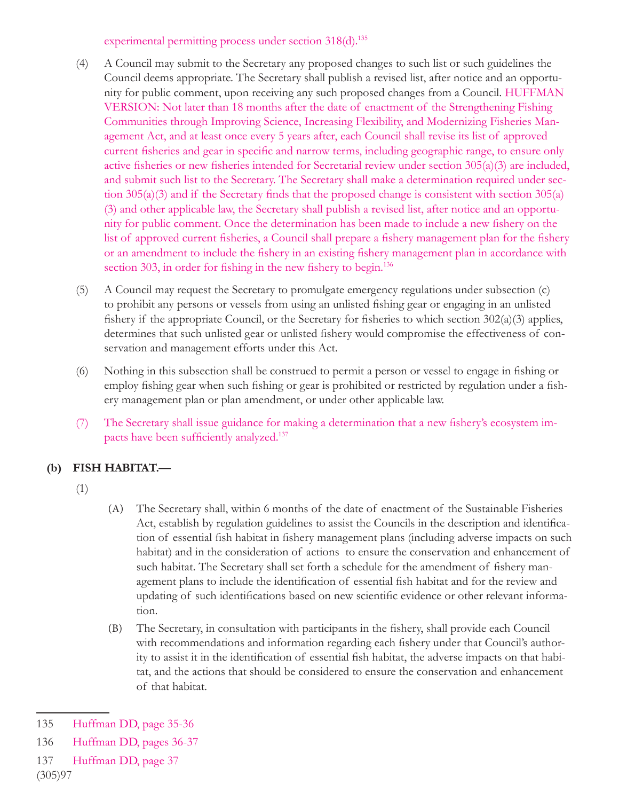experimental permitting process under section 318(d).<sup>135</sup>

- (4) A Council may submit to the Secretary any proposed changes to such list or such guidelines the Council deems appropriate. The Secretary shall publish a revised list, after notice and an opportunity for public comment, upon receiving any such proposed changes from a Council. HUFFMAN VERSION: Not later than 18 months after the date of enactment of the Strengthening Fishing Communities through Improving Science, Increasing Flexibility, and Modernizing Fisheries Management Act, and at least once every 5 years after, each Council shall revise its list of approved current fisheries and gear in specific and narrow terms, including geographic range, to ensure only active fisheries or new fisheries intended for Secretarial review under section  $305(a)(3)$  are included, and submit such list to the Secretary. The Secretary shall make a determination required under section  $305(a)(3)$  and if the Secretary finds that the proposed change is consistent with section  $305(a)$ (3) and other applicable law, the Secretary shall publish a revised list, after notice and an opportunity for public comment. Once the determination has been made to include a new fishery on the list of approved current fisheries, a Council shall prepare a fishery management plan for the fishery or an amendment to include the fishery in an existing fishery management plan in accordance with section 303, in order for fishing in the new fishery to begin.<sup>136</sup>
- (5) A Council may request the Secretary to promulgate emergency regulations under subsection (c) to prohibit any persons or vessels from using an unlisted fishing gear or engaging in an unlisted fishery if the appropriate Council, or the Secretary for fisheries to which section  $302(a)(3)$  applies, determines that such unlisted gear or unlisted fishery would compromise the effectiveness of conservation and management efforts under this Act.
- (6) Nothing in this subsection shall be construed to permit a person or vessel to engage in fishing or employ fishing gear when such fishing or gear is prohibited or restricted by regulation under a fishery management plan or plan amendment, or under other applicable law.
- (7) The Secretary shall issue guidance for making a determination that a new fishery's ecosystem impacts have been sufficiently analyzed.<sup>137</sup>

#### **(b) FISH HABITAT.—**

(1)

- (A) The Secretary shall, within 6 months of the date of enactment of the Sustainable Fisheries Act, establish by regulation guidelines to assist the Councils in the description and identification of essential fish habitat in fishery management plans (including adverse impacts on such habitat) and in the consideration of actions to ensure the conservation and enhancement of such habitat. The Secretary shall set forth a schedule for the amendment of fishery management plans to include the identification of essential fish habitat and for the review and updating of such identifications based on new scientific evidence or other relevant information.
- (B) The Secretary, in consultation with participants in the fishery, shall provide each Council with recommendations and information regarding each fishery under that Council's authority to assist it in the identification of essential fish habitat, the adverse impacts on that habitat, and the actions that should be considered to ensure the conservation and enhancement of that habitat.

<sup>135</sup> Huffman DD, page 35-36

<sup>136</sup> Huffman DD, pages 36-37

<sup>(305)97</sup> 137 Huffman DD, page 37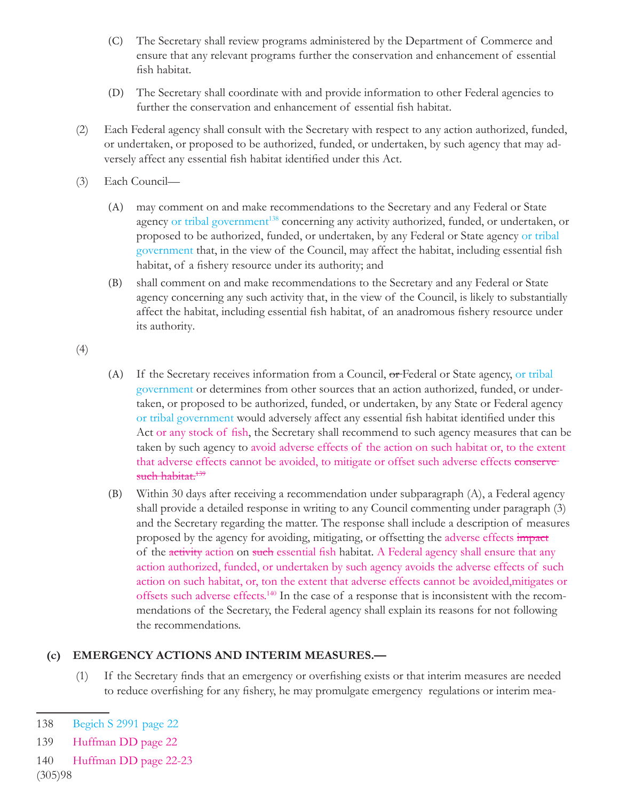- (C) The Secretary shall review programs administered by the Department of Commerce and ensure that any relevant programs further the conservation and enhancement of essential fish habitat.
- (D) The Secretary shall coordinate with and provide information to other Federal agencies to further the conservation and enhancement of essential fish habitat.
- (2) Each Federal agency shall consult with the Secretary with respect to any action authorized, funded, or undertaken, or proposed to be authorized, funded, or undertaken, by such agency that may adversely affect any essential fish habitat identified under this Act.
- (3) Each Council—
	- (A) may comment on and make recommendations to the Secretary and any Federal or State agency or tribal government<sup>138</sup> concerning any activity authorized, funded, or undertaken, or proposed to be authorized, funded, or undertaken, by any Federal or State agency or tribal government that, in the view of the Council, may affect the habitat, including essential fish habitat, of a fishery resource under its authority; and
	- (B) shall comment on and make recommendations to the Secretary and any Federal or State agency concerning any such activity that, in the view of the Council, is likely to substantially affect the habitat, including essential fish habitat, of an anadromous fishery resource under its authority.

(4)

- (A) If the Secretary receives information from a Council, or Federal or State agency, or tribal government or determines from other sources that an action authorized, funded, or undertaken, or proposed to be authorized, funded, or undertaken, by any State or Federal agency or tribal government would adversely affect any essential fish habitat identified under this Act or any stock of fish, the Secretary shall recommend to such agency measures that can be taken by such agency to avoid adverse effects of the action on such habitat or, to the extent that adverse effects cannot be avoided, to mitigate or offset such adverse effects conserve such habitat.<sup>139</sup>
- (B) Within 30 days after receiving a recommendation under subparagraph (A), a Federal agency shall provide a detailed response in writing to any Council commenting under paragraph (3) and the Secretary regarding the matter. The response shall include a description of measures proposed by the agency for avoiding, mitigating, or offsetting the adverse effects impact of the activity action on such essential fish habitat. A Federal agency shall ensure that any action authorized, funded, or undertaken by such agency avoids the adverse effects of such action on such habitat, or, ton the extent that adverse effects cannot be avoided,mitigates or offsets such adverse effects.140 In the case of a response that is inconsistent with the recommendations of the Secretary, the Federal agency shall explain its reasons for not following the recommendations.

#### **(c) EMERGENCY ACTIONS AND INTERIM MEASURES.—**

(1) If the Secretary finds that an emergency or overfishing exists or that interim measures are needed to reduce overfishing for any fishery, he may promulgate emergency regulations or interim mea-

<sup>138</sup> Begich S 2991 page 22

<sup>139</sup> Huffman DD page 22

<sup>(305)98</sup> 140 Huffman DD page 22-23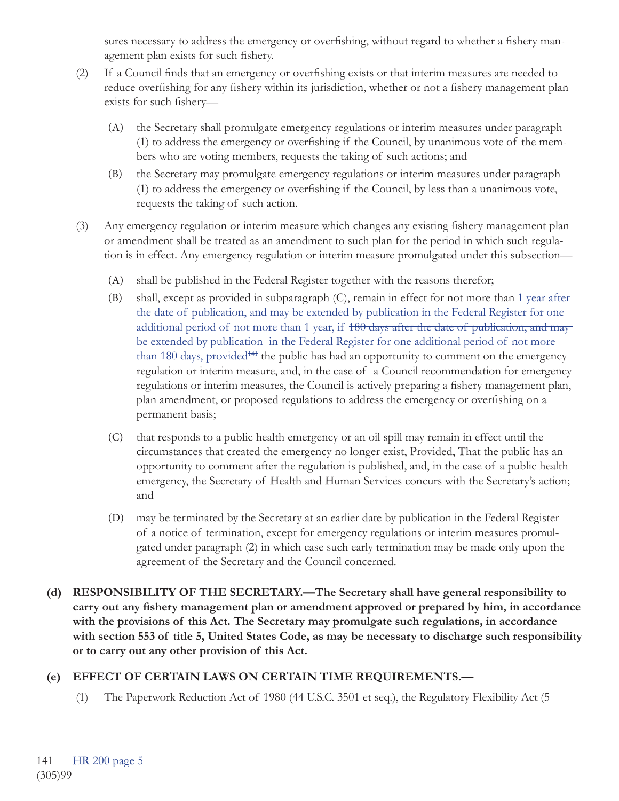sures necessary to address the emergency or overfishing, without regard to whether a fishery management plan exists for such fishery.

- (2) If a Council finds that an emergency or overfishing exists or that interim measures are needed to reduce overfishing for any fishery within its jurisdiction, whether or not a fishery management plan exists for such fishery-
	- (A) the Secretary shall promulgate emergency regulations or interim measures under paragraph  $(1)$  to address the emergency or overfishing if the Council, by unanimous vote of the members who are voting members, requests the taking of such actions; and
	- (B) the Secretary may promulgate emergency regulations or interim measures under paragraph (1) to address the emergency or overfishing if the Council, by less than a unanimous vote, requests the taking of such action.
- (3) Any emergency regulation or interim measure which changes any existing fishery management plan or amendment shall be treated as an amendment to such plan for the period in which such regulation is in effect. Any emergency regulation or interim measure promulgated under this subsection—
	- (A) shall be published in the Federal Register together with the reasons therefor;
	- (B) shall, except as provided in subparagraph (C), remain in effect for not more than 1 year after the date of publication, and may be extended by publication in the Federal Register for one additional period of not more than 1 year, if 180 days after the date of publication, and may be extended by publication in the Federal Register for one additional period of not more  $\frac{1}{2}$  than 180 days, provided<sup> $+4$ </sup> the public has had an opportunity to comment on the emergency regulation or interim measure, and, in the case of a Council recommendation for emergency regulations or interim measures, the Council is actively preparing a fishery management plan, plan amendment, or proposed regulations to address the emergency or overfishing on a permanent basis;
	- (C) that responds to a public health emergency or an oil spill may remain in effect until the circumstances that created the emergency no longer exist, Provided, That the public has an opportunity to comment after the regulation is published, and, in the case of a public health emergency, the Secretary of Health and Human Services concurs with the Secretary's action; and
	- (D) may be terminated by the Secretary at an earlier date by publication in the Federal Register of a notice of termination, except for emergency regulations or interim measures promulgated under paragraph (2) in which case such early termination may be made only upon the agreement of the Secretary and the Council concerned.
- **(d) RESPONSIBILITY OF THE SECRETARY.—The Secretary shall have general responsibility to**  carry out any fishery management plan or amendment approved or prepared by him, in accordance **with the provisions of this Act. The Secretary may promulgate such regulations, in accordance with section 553 of title 5, United States Code, as may be necessary to discharge such responsibility or to carry out any other provision of this Act.**

## **(e) EFFECT OF CERTAIN LAWS ON CERTAIN TIME REQUIREMENTS.—**

(1) The Paperwork Reduction Act of 1980 (44 U.S.C. 3501 et seq.), the Regulatory Flexibility Act (5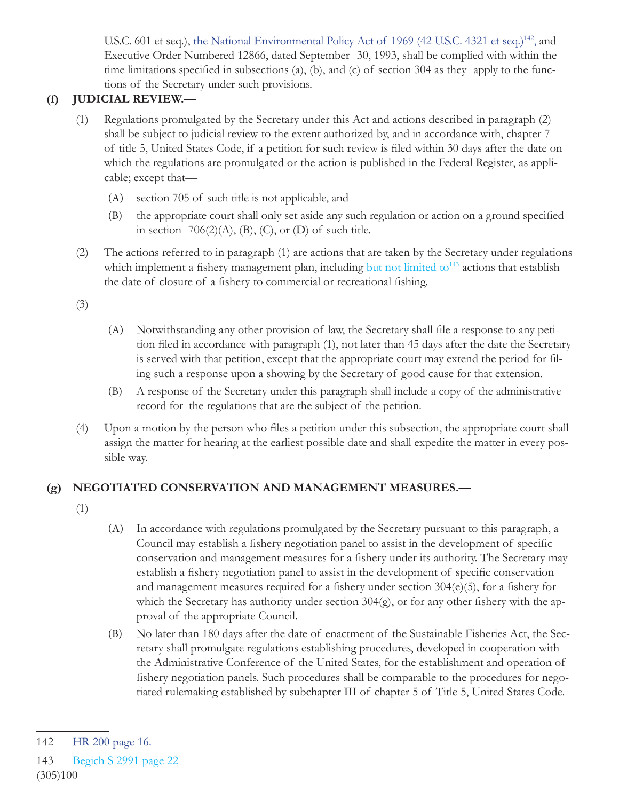U.S.C. 601 et seq.), the National Environmental Policy Act of 1969 (42 U.S.C. 4321 et seq.)<sup>142</sup>, and Executive Order Numbered 12866, dated September 30, 1993, shall be complied with within the time limitations specified in subsections (a), (b), and (c) of section 304 as they apply to the functions of the Secretary under such provisions.

## **(f) JUDICIAL REVIEW.—**

- (1) Regulations promulgated by the Secretary under this Act and actions described in paragraph (2) shall be subject to judicial review to the extent authorized by, and in accordance with, chapter 7 of title 5, United States Code, if a petition for such review is filed within 30 days after the date on which the regulations are promulgated or the action is published in the Federal Register, as applicable; except that—
	- (A) section 705 of such title is not applicable, and
	- (B) the appropriate court shall only set aside any such regulation or action on a ground specified in section  $706(2)(A)$ ,  $(B)$ ,  $(C)$ , or  $(D)$  of such title.
- (2) The actions referred to in paragraph (1) are actions that are taken by the Secretary under regulations which implement a fishery management plan, including but not limited to<sup>143</sup> actions that establish the date of closure of a fishery to commercial or recreational fishing.

(3)

- (A) Notwithstanding any other provision of law, the Secretary shall file a response to any petition filed in accordance with paragraph (1), not later than 45 days after the date the Secretary is served with that petition, except that the appropriate court may extend the period for filing such a response upon a showing by the Secretary of good cause for that extension.
- (B) A response of the Secretary under this paragraph shall include a copy of the administrative record for the regulations that are the subject of the petition.
- (4) Upon a motion by the person who files a petition under this subsection, the appropriate court shall assign the matter for hearing at the earliest possible date and shall expedite the matter in every possible way.

## **(g) NEGOTIATED CONSERVATION AND MANAGEMENT MEASURES.—**

- (1)
- (A) In accordance with regulations promulgated by the Secretary pursuant to this paragraph, a Council may establish a fishery negotiation panel to assist in the development of specific conservation and management measures for a fishery under its authority. The Secretary may establish a fishery negotiation panel to assist in the development of specific conservation and management measures required for a fishery under section  $304(e)(5)$ , for a fishery for which the Secretary has authority under section  $304(g)$ , or for any other fishery with the approval of the appropriate Council.
- (B) No later than 180 days after the date of enactment of the Sustainable Fisheries Act, the Secretary shall promulgate regulations establishing procedures, developed in cooperation with the Administrative Conference of the United States, for the establishment and operation of fishery negotiation panels. Such procedures shall be comparable to the procedures for negotiated rulemaking established by subchapter III of chapter 5 of Title 5, United States Code.

<sup>142</sup> HR 200 page 16.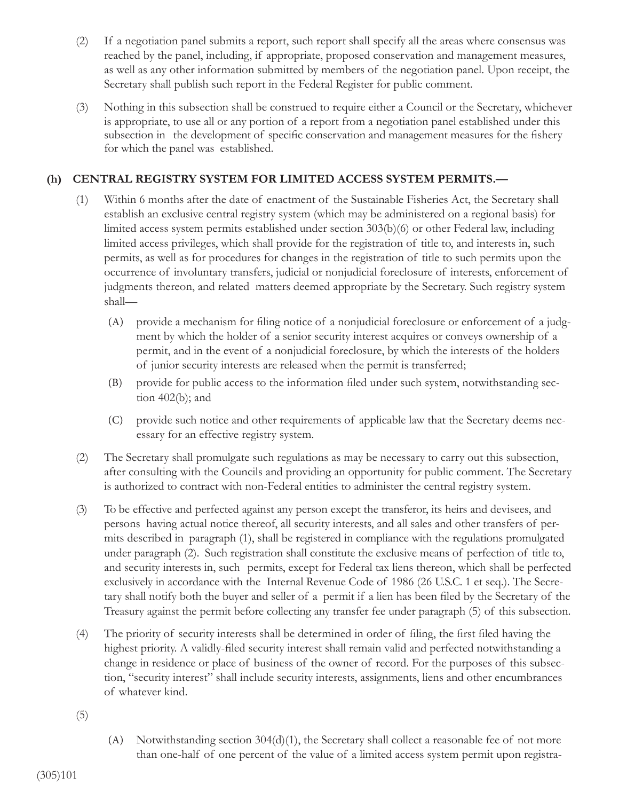- (2) If a negotiation panel submits a report, such report shall specify all the areas where consensus was reached by the panel, including, if appropriate, proposed conservation and management measures, as well as any other information submitted by members of the negotiation panel. Upon receipt, the Secretary shall publish such report in the Federal Register for public comment.
- (3) Nothing in this subsection shall be construed to require either a Council or the Secretary, whichever is appropriate, to use all or any portion of a report from a negotiation panel established under this subsection in the development of specific conservation and management measures for the fishery for which the panel was established.

#### **(h) CENTRAL REGISTRY SYSTEM FOR LIMITED ACCESS SYSTEM PERMITS.—**

- (1) Within 6 months after the date of enactment of the Sustainable Fisheries Act, the Secretary shall establish an exclusive central registry system (which may be administered on a regional basis) for limited access system permits established under section 303(b)(6) or other Federal law, including limited access privileges, which shall provide for the registration of title to, and interests in, such permits, as well as for procedures for changes in the registration of title to such permits upon the occurrence of involuntary transfers, judicial or nonjudicial foreclosure of interests, enforcement of judgments thereon, and related matters deemed appropriate by the Secretary. Such registry system shall—
	- (A) provide a mechanism for filing notice of a nonjudicial foreclosure or enforcement of a judgment by which the holder of a senior security interest acquires or conveys ownership of a permit, and in the event of a nonjudicial foreclosure, by which the interests of the holders of junior security interests are released when the permit is transferred;
	- (B) provide for public access to the information filed under such system, notwithstanding section  $402(b)$ ; and
	- (C) provide such notice and other requirements of applicable law that the Secretary deems necessary for an effective registry system.
- (2) The Secretary shall promulgate such regulations as may be necessary to carry out this subsection, after consulting with the Councils and providing an opportunity for public comment. The Secretary is authorized to contract with non-Federal entities to administer the central registry system.
- (3) To be effective and perfected against any person except the transferor, its heirs and devisees, and persons having actual notice thereof, all security interests, and all sales and other transfers of permits described in paragraph (1), shall be registered in compliance with the regulations promulgated under paragraph (2). Such registration shall constitute the exclusive means of perfection of title to, and security interests in, such permits, except for Federal tax liens thereon, which shall be perfected exclusively in accordance with the Internal Revenue Code of 1986 (26 U.S.C. 1 et seq.). The Secretary shall notify both the buyer and seller of a permit if a lien has been filed by the Secretary of the Treasury against the permit before collecting any transfer fee under paragraph (5) of this subsection.
- (4) The priority of security interests shall be determined in order of filing, the first filed having the highest priority. A validly-filed security interest shall remain valid and perfected notwithstanding a change in residence or place of business of the owner of record. For the purposes of this subsection, "security interest" shall include security interests, assignments, liens and other encumbrances of whatever kind.
- (5)
- (A) Notwithstanding section 304(d)(1), the Secretary shall collect a reasonable fee of not more than one-half of one percent of the value of a limited access system permit upon registra-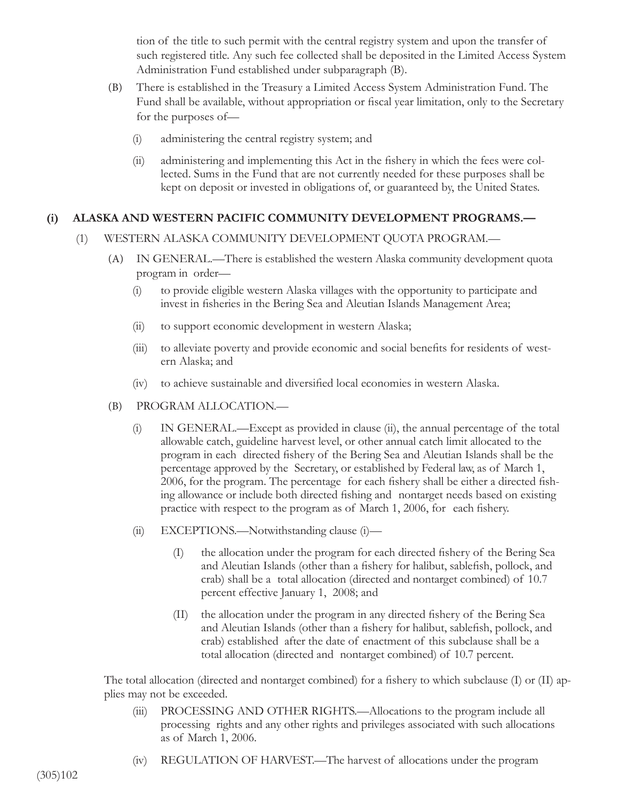tion of the title to such permit with the central registry system and upon the transfer of such registered title. Any such fee collected shall be deposited in the Limited Access System Administration Fund established under subparagraph (B).

- (B) There is established in the Treasury a Limited Access System Administration Fund. The Fund shall be available, without appropriation or fiscal year limitation, only to the Secretary for the purposes of—
	- (i) administering the central registry system; and
	- (ii) administering and implementing this Act in the fishery in which the fees were collected. Sums in the Fund that are not currently needed for these purposes shall be kept on deposit or invested in obligations of, or guaranteed by, the United States.

#### **(i) ALASKA AND WESTERN PACIFIC COMMUNITY DEVELOPMENT PROGRAMS.—**

- (1) WESTERN ALASKA COMMUNITY DEVELOPMENT QUOTA PROGRAM.—
	- (A) IN GENERAL.—There is established the western Alaska community development quota program in order—
		- (i) to provide eligible western Alaska villages with the opportunity to participate and invest in fisheries in the Bering Sea and Aleutian Islands Management Area;
		- (ii) to support economic development in western Alaska;
		- (iii) to alleviate poverty and provide economic and social benefits for residents of western Alaska; and
		- (iv) to achieve sustainable and diversified local economies in western Alaska.
	- (B) PROGRAM ALLOCATION.—
		- (i) IN GENERAL.—Except as provided in clause (ii), the annual percentage of the total allowable catch, guideline harvest level, or other annual catch limit allocated to the program in each directed fishery of the Bering Sea and Aleutian Islands shall be the percentage approved by the Secretary, or established by Federal law, as of March 1, 2006, for the program. The percentage for each fishery shall be either a directed fishing allowance or include both directed fishing and nontarget needs based on existing practice with respect to the program as of March 1, 2006, for each fishery.
		- (ii) EXCEPTIONS.—Notwithstanding clause (i)—
			- (I) the allocation under the program for each directed fishery of the Bering Sea and Aleutian Islands (other than a fishery for halibut, sablefish, pollock, and crab) shall be a total allocation (directed and nontarget combined) of 10.7 percent effective January 1, 2008; and
			- (II) the allocation under the program in any directed fishery of the Bering Sea and Aleutian Islands (other than a fishery for halibut, sablefish, pollock, and crab) established after the date of enactment of this subclause shall be a total allocation (directed and nontarget combined) of 10.7 percent.

The total allocation (directed and nontarget combined) for a fishery to which subclause (I) or (II) applies may not be exceeded.

- (iii) PROCESSING AND OTHER RIGHTS.—Allocations to the program include all processing rights and any other rights and privileges associated with such allocations as of March 1, 2006.
- (iv) REGULATION OF HARVEST.—The harvest of allocations under the program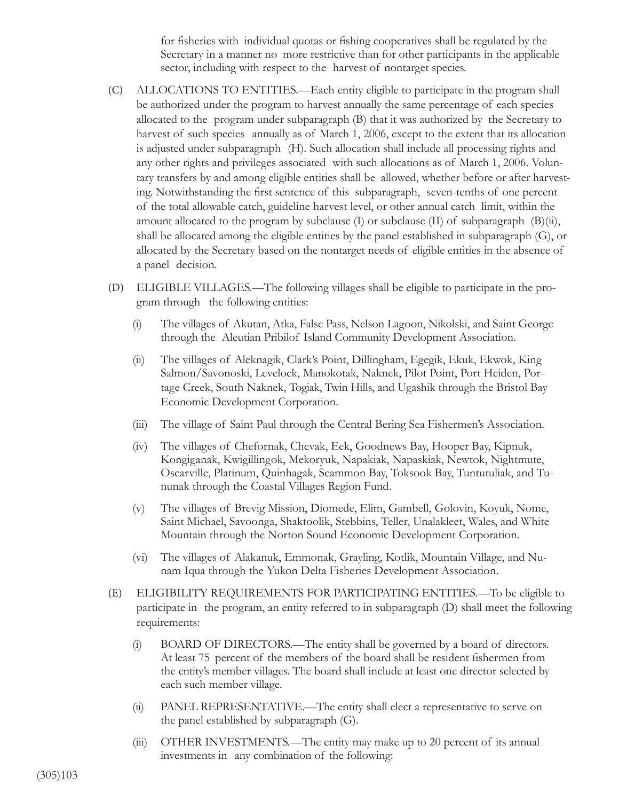for fisheries with individual quotas or fishing cooperatives shall be regulated by the Secretary in a manner no more restrictive than for other participants in the applicable sector, including with respect to the harvest of nontarget species.

- (C) ALLOCATIONS TO ENTITIES.—Each entity eligible to participate in the program shall be authorized under the program to harvest annually the same percentage of each species allocated to the program under subparagraph (B) that it was authorized by the Secretary to harvest of such species annually as of March 1, 2006, except to the extent that its allocation is adjusted under subparagraph (H). Such allocation shall include all processing rights and any other rights and privileges associated with such allocations as of March 1, 2006. Voluntary transfers by and among eligible entities shall be allowed, whether before or after harvesting. Notwithstanding the first sentence of this subparagraph, seven-tenths of one percent of the total allowable catch, guideline harvest level, or other annual catch limit, within the amount allocated to the program by subclause (I) or subclause (II) of subparagraph (B)(ii), shall be allocated among the eligible entities by the panel established in subparagraph (G), or allocated by the Secretary based on the nontarget needs of eligible entities in the absence of a panel decision.
- (D) ELIGIBLE VILLAGES.—The following villages shall be eligible to participate in the program through the following entities:
	- (i) The villages of Akutan, Atka, False Pass, Nelson Lagoon, Nikolski, and Saint George through the Aleutian Pribilof Island Community Development Association.
	- (ii) The villages of Aleknagik, Clark's Point, Dillingham, Egegik, Ekuk, Ekwok, King Salmon/Savonoski, Levelock, Manokotak, Naknek, Pilot Point, Port Heiden, Portage Creek, South Naknek, Togiak, Twin Hills, and Ugashik through the Bristol Bay Economic Development Corporation.
	- (iii) The village of Saint Paul through the Central Bering Sea Fishermen's Association.
	- (iv) The villages of Chefornak, Chevak, Eek, Goodnews Bay, Hooper Bay, Kipnuk, Kongiganak, Kwigillingok, Mekoryuk, Napakiak, Napaskiak, Newtok, Nightmute, Oscarville, Platinum, Quinhagak, Scammon Bay, Toksook Bay, Tuntutuliak, and Tununak through the Coastal Villages Region Fund.
	- (v) The villages of Brevig Mission, Diomede, Elim, Gambell, Golovin, Koyuk, Nome, Saint Michael, Savoonga, Shaktoolik, Stebbins, Teller, Unalakleet, Wales, and White Mountain through the Norton Sound Economic Development Corporation.
	- (vi) The villages of Alakanuk, Emmonak, Grayling, Kotlik, Mountain Village, and Nunam Iqua through the Yukon Delta Fisheries Development Association.
- (E) ELIGIBILITY REQUIREMENTS FOR PARTICIPATING ENTITIES.—To be eligible to participate in the program, an entity referred to in subparagraph (D) shall meet the following requirements:
	- (i) BOARD OF DIRECTORS.—The entity shall be governed by a board of directors. At least 75 percent of the members of the board shall be resident fishermen from the entity's member villages. The board shall include at least one director selected by each such member village.
	- (ii) PANEL REPRESENTATIVE.—The entity shall elect a representative to serve on the panel established by subparagraph (G).
	- (iii) OTHER INVESTMENTS.—The entity may make up to 20 percent of its annual investments in any combination of the following: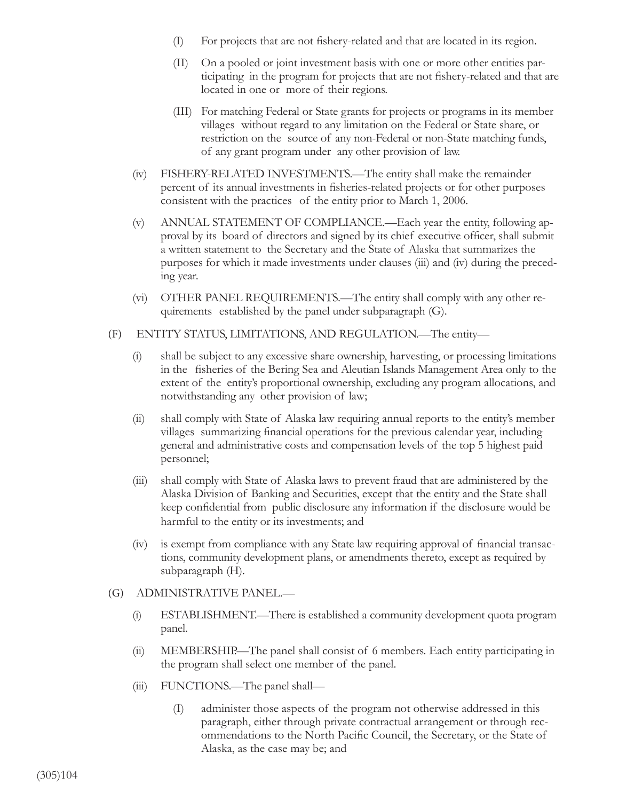- (I) For projects that are not fishery-related and that are located in its region.
- (II) On a pooled or joint investment basis with one or more other entities participating in the program for projects that are not fishery-related and that are located in one or more of their regions.
- (III) For matching Federal or State grants for projects or programs in its member villages without regard to any limitation on the Federal or State share, or restriction on the source of any non-Federal or non-State matching funds, of any grant program under any other provision of law.
- (iv) FISHERY-RELATED INVESTMENTS.—The entity shall make the remainder percent of its annual investments in fisheries-related projects or for other purposes consistent with the practices of the entity prior to March 1, 2006.
- (v) ANNUAL STATEMENT OF COMPLIANCE.—Each year the entity, following approval by its board of directors and signed by its chief executive officer, shall submit a written statement to the Secretary and the State of Alaska that summarizes the purposes for which it made investments under clauses (iii) and (iv) during the preceding year.
- (vi) OTHER PANEL REQUIREMENTS.—The entity shall comply with any other requirements established by the panel under subparagraph (G).
- (F) ENTITY STATUS, LIMITATIONS, AND REGULATION.—The entity—
	- (i) shall be subject to any excessive share ownership, harvesting, or processing limitations in the fisheries of the Bering Sea and Aleutian Islands Management Area only to the extent of the entity's proportional ownership, excluding any program allocations, and notwithstanding any other provision of law;
	- (ii) shall comply with State of Alaska law requiring annual reports to the entity's member villages summarizing financial operations for the previous calendar year, including general and administrative costs and compensation levels of the top 5 highest paid personnel;
	- (iii) shall comply with State of Alaska laws to prevent fraud that are administered by the Alaska Division of Banking and Securities, except that the entity and the State shall keep confidential from public disclosure any information if the disclosure would be harmful to the entity or its investments; and
	- (iv) is exempt from compliance with any State law requiring approval of financial transactions, community development plans, or amendments thereto, except as required by subparagraph (H).

#### (G) ADMINISTRATIVE PANEL.—

- (i) ESTABLISHMENT.—There is established a community development quota program panel.
- (ii) MEMBERSHIP.—The panel shall consist of 6 members. Each entity participating in the program shall select one member of the panel.
- (iii) FUNCTIONS.—The panel shall—
	- (I) administer those aspects of the program not otherwise addressed in this paragraph, either through private contractual arrangement or through recommendations to the North Pacific Council, the Secretary, or the State of Alaska, as the case may be; and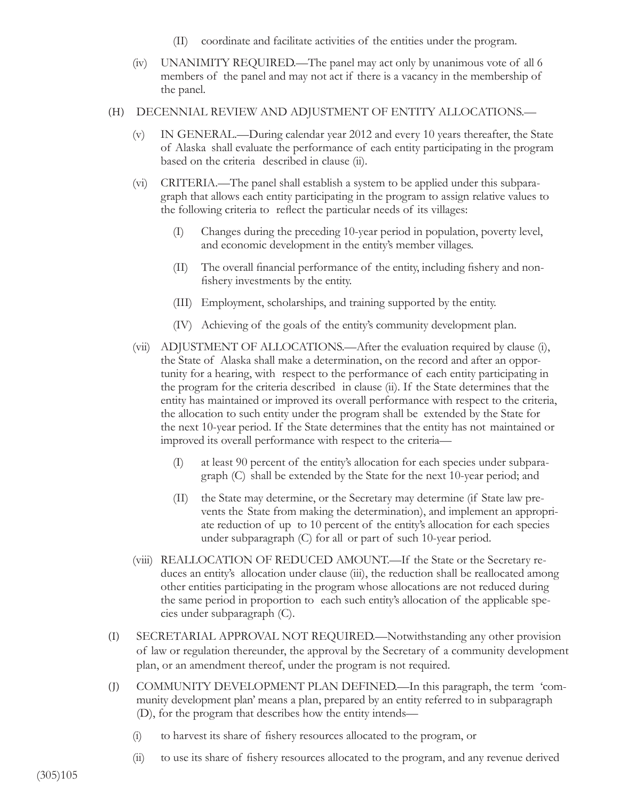- (II) coordinate and facilitate activities of the entities under the program.
- (iv) UNANIMITY REQUIRED.—The panel may act only by unanimous vote of all 6 members of the panel and may not act if there is a vacancy in the membership of the panel.

#### (H) DECENNIAL REVIEW AND ADJUSTMENT OF ENTITY ALLOCATIONS.—

- (v) IN GENERAL.—During calendar year 2012 and every 10 years thereafter, the State of Alaska shall evaluate the performance of each entity participating in the program based on the criteria described in clause (ii).
- (vi) CRITERIA.—The panel shall establish a system to be applied under this subparagraph that allows each entity participating in the program to assign relative values to the following criteria to reflect the particular needs of its villages:
	- (I) Changes during the preceding 10-year period in population, poverty level, and economic development in the entity's member villages.
	- (II) The overall financial performance of the entity, including fishery and nonfishery investments by the entity.
	- (III) Employment, scholarships, and training supported by the entity.
	- (IV) Achieving of the goals of the entity's community development plan.
- (vii) ADJUSTMENT OF ALLOCATIONS.—After the evaluation required by clause (i), the State of Alaska shall make a determination, on the record and after an opportunity for a hearing, with respect to the performance of each entity participating in the program for the criteria described in clause (ii). If the State determines that the entity has maintained or improved its overall performance with respect to the criteria, the allocation to such entity under the program shall be extended by the State for the next 10-year period. If the State determines that the entity has not maintained or improved its overall performance with respect to the criteria—
	- (I) at least 90 percent of the entity's allocation for each species under subparagraph (C) shall be extended by the State for the next 10-year period; and
	- (II) the State may determine, or the Secretary may determine (if State law prevents the State from making the determination), and implement an appropriate reduction of up to 10 percent of the entity's allocation for each species under subparagraph (C) for all or part of such 10-year period.
- (viii) REALLOCATION OF REDUCED AMOUNT.—If the State or the Secretary reduces an entity's allocation under clause (iii), the reduction shall be reallocated among other entities participating in the program whose allocations are not reduced during the same period in proportion to each such entity's allocation of the applicable species under subparagraph (C).
- (I) SECRETARIAL APPROVAL NOT REQUIRED.—Notwithstanding any other provision of law or regulation thereunder, the approval by the Secretary of a community development plan, or an amendment thereof, under the program is not required.
- (J) COMMUNITY DEVELOPMENT PLAN DEFINED.—In this paragraph, the term 'community development plan' means a plan, prepared by an entity referred to in subparagraph (D), for the program that describes how the entity intends—
	- $(i)$  to harvest its share of fishery resources allocated to the program, or
	- (ii) to use its share of fishery resources allocated to the program, and any revenue derived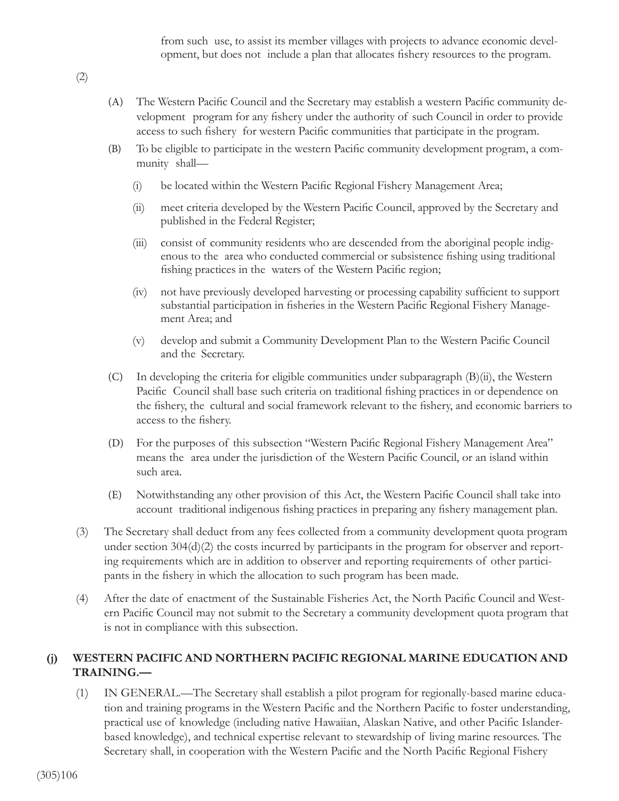from such use, to assist its member villages with projects to advance economic development, but does not include a plan that allocates fishery resources to the program.

- (A) The Western Pacific Council and the Secretary may establish a western Pacific community development program for any fishery under the authority of such Council in order to provide access to such fishery for western Pacific communities that participate in the program.
- (B) To be eligible to participate in the western Pacifi c community development program, a community shall—
	- (i) be located within the Western Pacific Regional Fishery Management Area;
	- (ii) meet criteria developed by the Western Pacifi c Council, approved by the Secretary and published in the Federal Register;
	- (iii) consist of community residents who are descended from the aboriginal people indigenous to the area who conducted commercial or subsistence fishing using traditional fishing practices in the waters of the Western Pacific region;
	- (iv) not have previously developed harvesting or processing capability sufficient to support substantial participation in fisheries in the Western Pacific Regional Fishery Management Area; and
	- (v) develop and submit a Community Development Plan to the Western Pacific Council and the Secretary.
- (C) In developing the criteria for eligible communities under subparagraph (B)(ii), the Western Pacific Council shall base such criteria on traditional fishing practices in or dependence on the fishery, the cultural and social framework relevant to the fishery, and economic barriers to access to the fishery.
- (D) For the purposes of this subsection "Western Pacific Regional Fishery Management Area" means the area under the jurisdiction of the Western Pacific Council, or an island within such area.
- (E) Notwithstanding any other provision of this Act, the Western Pacific Council shall take into account traditional indigenous fishing practices in preparing any fishery management plan.
- (3) The Secretary shall deduct from any fees collected from a community development quota program under section  $304(d)(2)$  the costs incurred by participants in the program for observer and reporting requirements which are in addition to observer and reporting requirements of other participants in the fishery in which the allocation to such program has been made.
- (4) After the date of enactment of the Sustainable Fisheries Act, the North Pacific Council and Western Pacific Council may not submit to the Secretary a community development quota program that is not in compliance with this subsection.

### **(j) WESTERN PACIFIC AND NORTHERN PACIFIC REGIONAL MARINE EDUCATION AND TRAINING.—**

(1) IN GENERAL.—The Secretary shall establish a pilot program for regionally-based marine education and training programs in the Western Pacific and the Northern Pacific to foster understanding, practical use of knowledge (including native Hawaiian, Alaskan Native, and other Pacific Islanderbased knowledge), and technical expertise relevant to stewardship of living marine resources. The Secretary shall, in cooperation with the Western Pacific and the North Pacific Regional Fishery

(2)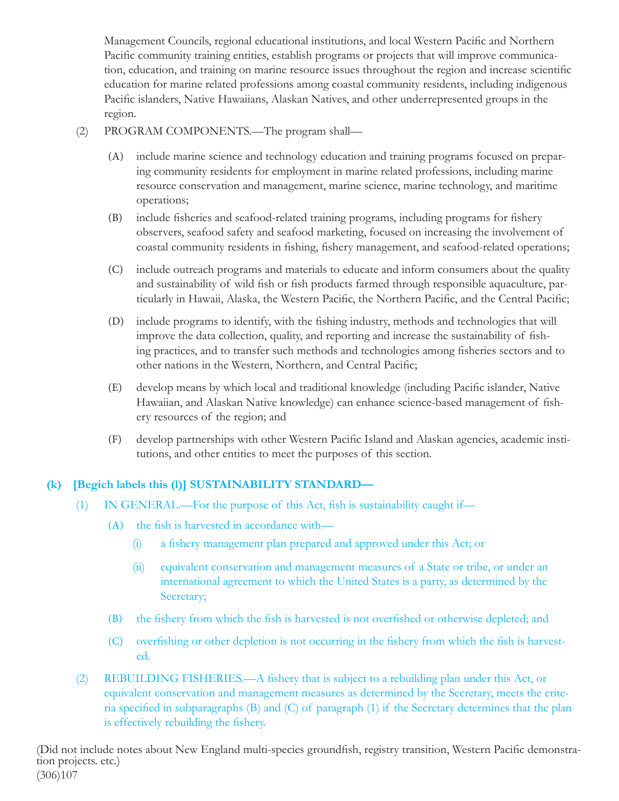Management Councils, regional educational institutions, and local Western Pacific and Northern Pacific community training entities, establish programs or projects that will improve communication, education, and training on marine resource issues throughout the region and increase scientific education for marine related professions among coastal community residents, including indigenous Pacific islanders, Native Hawaiians, Alaskan Natives, and other underrepresented groups in the region.

- (2) PROGRAM COMPONENTS.—The program shall—
	- (A) include marine science and technology education and training programs focused on preparing community residents for employment in marine related professions, including marine resource conservation and management, marine science, marine technology, and maritime operations;
	- (B) include fisheries and seafood-related training programs, including programs for fishery observers, seafood safety and seafood marketing, focused on increasing the involvement of coastal community residents in fishing, fishery management, and seafood-related operations;
	- (C) include outreach programs and materials to educate and inform consumers about the quality and sustainability of wild fish or fish products farmed through responsible aquaculture, particularly in Hawaii, Alaska, the Western Pacific, the Northern Pacific, and the Central Pacific;
	- (D) include programs to identify, with the fishing industry, methods and technologies that will improve the data collection, quality, and reporting and increase the sustainability of fishing practices, and to transfer such methods and technologies among fisheries sectors and to other nations in the Western, Northern, and Central Pacific;
	- (E) develop means by which local and traditional knowledge (including Pacifi c islander, Native Hawaiian, and Alaskan Native knowledge) can enhance science-based management of fishery resources of the region; and
	- (F) develop partnerships with other Western Pacific Island and Alaskan agencies, academic institutions, and other entities to meet the purposes of this section.

## **(k) [Begich labels this (l)] SUSTAINABILITY STANDARD—**

- (1) IN GENERAL.—For the purpose of this Act, fish is sustainability caught if—
	- $(A)$  the fish is harvested in accordance with—
		- (i) a fi shery management plan prepared and approved under this Act; or
		- (ii) equivalent conservation and management measures of a State or tribe, or under an international agreement to which the United States is a party, as determined by the Secretary;
	- (B) the fishery from which the fish is harvested is not overfished or otherwise depleted; and
	- (C) overfishing or other depletion is not occurring in the fishery from which the fish is harvested.
- (2) REBUILDING FISHERIES.—A fishery that is subject to a rebuilding plan under this Act, or equivalent conservation and management measures as determined by the Secretary, meets the criteria specified in subparagraphs  $(B)$  and  $(C)$  of paragraph  $(1)$  if the Secretary determines that the plan is effectively rebuilding the fishery.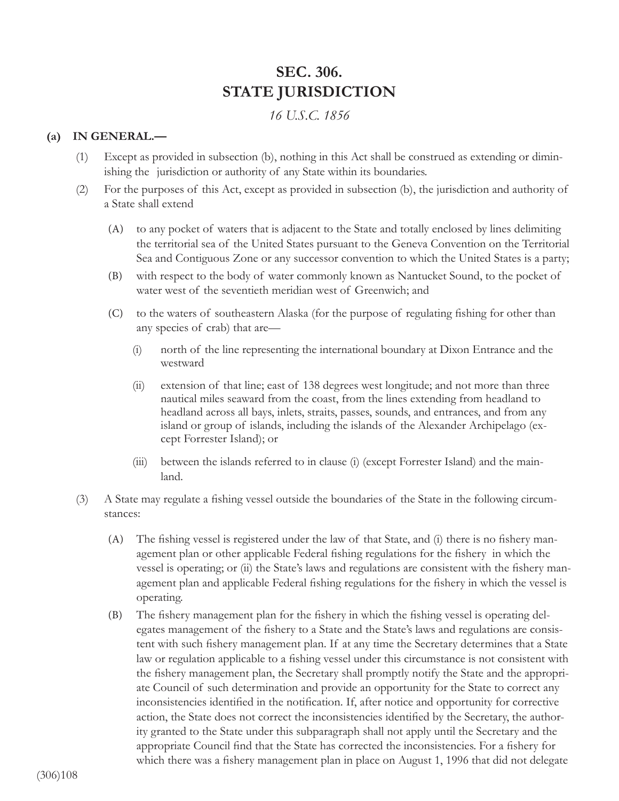# **SEC. 306. STATE JURISDICTION**

## *16 U.S.C. 1856*

#### **(a) IN GENERAL.—**

- (1) Except as provided in subsection (b), nothing in this Act shall be construed as extending or diminishing the jurisdiction or authority of any State within its boundaries.
- (2) For the purposes of this Act, except as provided in subsection (b), the jurisdiction and authority of a State shall extend
	- (A) to any pocket of waters that is adjacent to the State and totally enclosed by lines delimiting the territorial sea of the United States pursuant to the Geneva Convention on the Territorial Sea and Contiguous Zone or any successor convention to which the United States is a party;
	- (B) with respect to the body of water commonly known as Nantucket Sound, to the pocket of water west of the seventieth meridian west of Greenwich; and
	- (C) to the waters of southeastern Alaska (for the purpose of regulating fishing for other than any species of crab) that are—
		- (i) north of the line representing the international boundary at Dixon Entrance and the westward
		- (ii) extension of that line; east of 138 degrees west longitude; and not more than three nautical miles seaward from the coast, from the lines extending from headland to headland across all bays, inlets, straits, passes, sounds, and entrances, and from any island or group of islands, including the islands of the Alexander Archipelago (except Forrester Island); or
		- (iii) between the islands referred to in clause (i) (except Forrester Island) and the mainland.
- (3) A State may regulate a fishing vessel outside the boundaries of the State in the following circumstances:
	- (A) The fishing vessel is registered under the law of that State, and (i) there is no fishery management plan or other applicable Federal fishing regulations for the fishery in which the vessel is operating; or (ii) the State's laws and regulations are consistent with the fishery management plan and applicable Federal fishing regulations for the fishery in which the vessel is operating.
	- (B) The fishery management plan for the fishery in which the fishing vessel is operating delegates management of the fishery to a State and the State's laws and regulations are consistent with such fishery management plan. If at any time the Secretary determines that a State law or regulation applicable to a fishing vessel under this circumstance is not consistent with the fishery management plan, the Secretary shall promptly notify the State and the appropriate Council of such determination and provide an opportunity for the State to correct any inconsistencies identified in the notification. If, after notice and opportunity for corrective action, the State does not correct the inconsistencies identified by the Secretary, the authority granted to the State under this subparagraph shall not apply until the Secretary and the appropriate Council find that the State has corrected the inconsistencies. For a fishery for which there was a fishery management plan in place on August 1, 1996 that did not delegate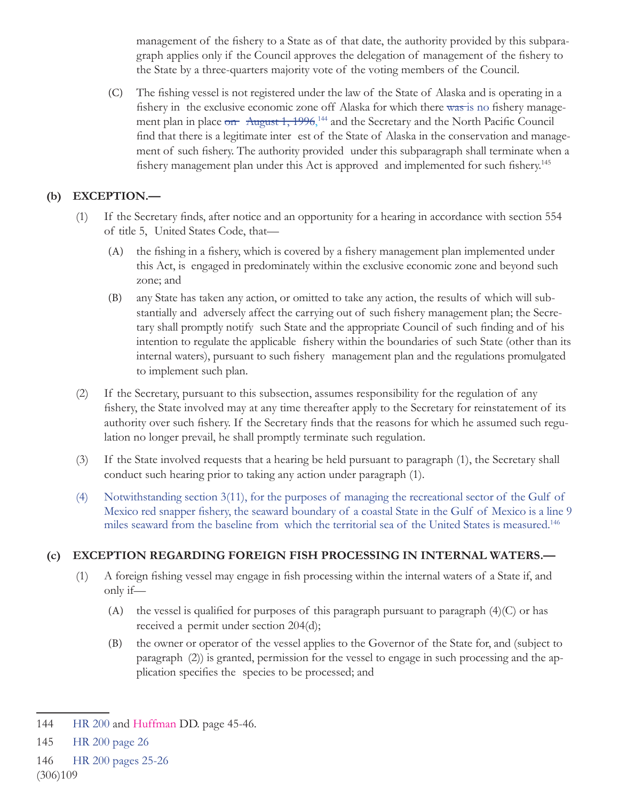management of the fishery to a State as of that date, the authority provided by this subparagraph applies only if the Council approves the delegation of management of the fishery to the State by a three-quarters majority vote of the voting members of the Council.

(C) The fishing vessel is not registered under the law of the State of Alaska and is operating in a fishery in the exclusive economic zone off Alaska for which there was is no fishery management plan in place on August 1, 1996,<sup>144</sup> and the Secretary and the North Pacific Council find that there is a legitimate inter est of the State of Alaska in the conservation and management of such fishery. The authority provided under this subparagraph shall terminate when a fishery management plan under this Act is approved and implemented for such fishery.<sup>145</sup>

### **(b) EXCEPTION.—**

- (1) If the Secretary finds, after notice and an opportunity for a hearing in accordance with section 554 of title 5, United States Code, that—
	- (A) the fishing in a fishery, which is covered by a fishery management plan implemented under this Act, is engaged in predominately within the exclusive economic zone and beyond such zone; and
	- (B) any State has taken any action, or omitted to take any action, the results of which will substantially and adversely affect the carrying out of such fishery management plan; the Secretary shall promptly notify such State and the appropriate Council of such finding and of his intention to regulate the applicable fishery within the boundaries of such State (other than its internal waters), pursuant to such fishery management plan and the regulations promulgated to implement such plan.
- (2) If the Secretary, pursuant to this subsection, assumes responsibility for the regulation of any fishery, the State involved may at any time thereafter apply to the Secretary for reinstatement of its authority over such fishery. If the Secretary finds that the reasons for which he assumed such regulation no longer prevail, he shall promptly terminate such regulation.
- (3) If the State involved requests that a hearing be held pursuant to paragraph (1), the Secretary shall conduct such hearing prior to taking any action under paragraph (1).
- (4) Notwithstanding section 3(11), for the purposes of managing the recreational sector of the Gulf of Mexico red snapper fishery, the seaward boundary of a coastal State in the Gulf of Mexico is a line 9 miles seaward from the baseline from which the territorial sea of the United States is measured.146

## **(c) EXCEPTION REGARDING FOREIGN FISH PROCESSING IN INTERNAL WATERS.—**

- $(1)$  A foreign fishing vessel may engage in fish processing within the internal waters of a State if, and only if—
	- (A) the vessel is qualified for purposes of this paragraph pursuant to paragraph  $(4)(C)$  or has received a permit under section 204(d);
	- (B) the owner or operator of the vessel applies to the Governor of the State for, and (subject to paragraph (2)) is granted, permission for the vessel to engage in such processing and the application specifies the species to be processed; and

<sup>144</sup> HR 200 and Huffman DD. page 45-46.

<sup>145</sup> HR 200 page 26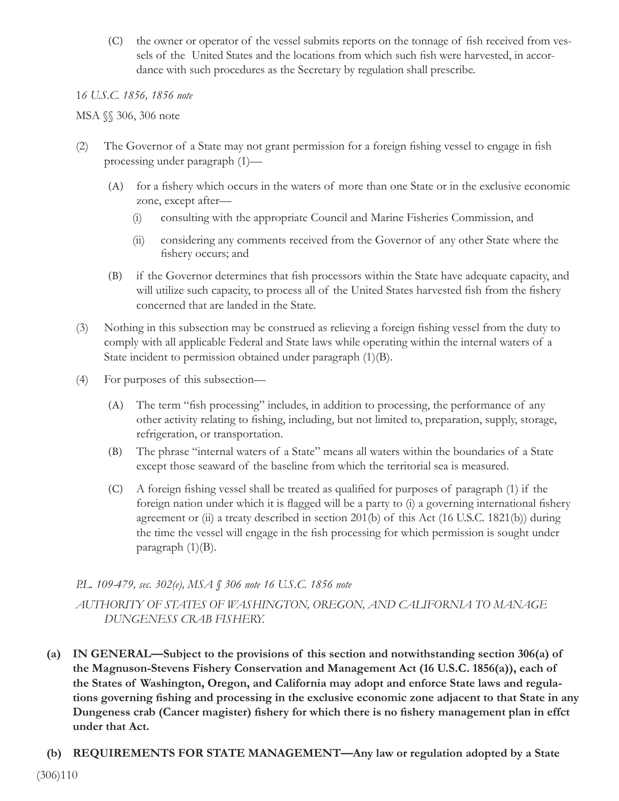(C) the owner or operator of the vessel submits reports on the tonnage of fish received from vessels of the United States and the locations from which such fish were harvested, in accordance with such procedures as the Secretary by regulation shall prescribe.

#### 1*6 U.S.C. 1856, 1856 note*

MSA §§ 306, 306 note

- (2) The Governor of a State may not grant permission for a foreign fishing vessel to engage in fish processing under paragraph (1)—
	- (A) for a fishery which occurs in the waters of more than one State or in the exclusive economic zone, except after—
		- (i) consulting with the appropriate Council and Marine Fisheries Commission, and
		- (ii) considering any comments received from the Governor of any other State where the fishery occurs; and
	- (B) if the Governor determines that fish processors within the State have adequate capacity, and will utilize such capacity, to process all of the United States harvested fish from the fishery concerned that are landed in the State.
- (3) Nothing in this subsection may be construed as relieving a foreign fishing vessel from the duty to comply with all applicable Federal and State laws while operating within the internal waters of a State incident to permission obtained under paragraph (1)(B).
- (4) For purposes of this subsection—
	- (A) The term "fish processing" includes, in addition to processing, the performance of any other activity relating to fishing, including, but not limited to, preparation, supply, storage, refrigeration, or transportation.
	- (B) The phrase "internal waters of a State" means all waters within the boundaries of a State except those seaward of the baseline from which the territorial sea is measured.
	- (C) A foreign fishing vessel shall be treated as qualified for purposes of paragraph (1) if the foreign nation under which it is flagged will be a party to (i) a governing international fishery agreement or (ii) a treaty described in section 201(b) of this Act (16 U.S.C. 1821(b)) during the time the vessel will engage in the fish processing for which permission is sought under paragraph (1)(B).

## *P.L. 109-479, sec. 302(e), MSA § 306 note 16 U.S.C. 1856 note*

*AUTHORITY OF STATES OF WASHINGTON, OREGON, AND CALIFORNIA TO MANAGE DUNGENESS CRAB FISHERY.*

- **(a) IN GENERAL—Subject to the provisions of this section and notwithstanding section 306(a) of the Magnuson-Stevens Fishery Conservation and Management Act (16 U.S.C. 1856(a)), each of the States of Washington, Oregon, and California may adopt and enforce State laws and regula**tions governing fishing and processing in the exclusive economic zone adjacent to that State in any Dungeness crab (Cancer magister) fishery for which there is no fishery management plan in effct **under that Act.**
- **(b) REQUIREMENTS FOR STATE MANAGEMENT—Any law or regulation adopted by a State**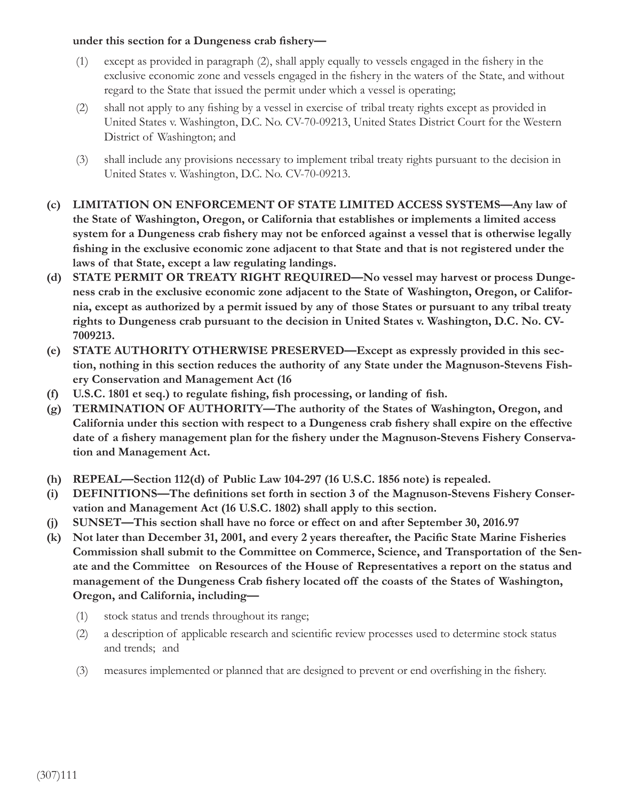#### under this section for a Dungeness crab fishery-

- $(1)$  except as provided in paragraph  $(2)$ , shall apply equally to vessels engaged in the fishery in the exclusive economic zone and vessels engaged in the fishery in the waters of the State, and without regard to the State that issued the permit under which a vessel is operating;
- (2) shall not apply to any fishing by a vessel in exercise of tribal treaty rights except as provided in United States v. Washington, D.C. No. CV-70-09213, United States District Court for the Western District of Washington; and
- (3) shall include any provisions necessary to implement tribal treaty rights pursuant to the decision in United States v. Washington, D.C. No. CV-70-09213.
- **(c) LIMITATION ON ENFORCEMENT OF STATE LIMITED ACCESS SYSTEMS—Any law of the State of Washington, Oregon, or California that establishes or implements a limited access**  system for a Dungeness crab fishery may not be enforced against a vessel that is otherwise legally fishing in the exclusive economic zone adjacent to that State and that is not registered under the **laws of that State, except a law regulating landings.**
- **(d) STATE PERMIT OR TREATY RIGHT REQUIRED—No vessel may harvest or process Dungeness crab in the exclusive economic zone adjacent to the State of Washington, Oregon, or California, except as authorized by a permit issued by any of those States or pursuant to any tribal treaty rights to Dungeness crab pursuant to the decision in United States v. Washington, D.C. No. CV-7009213.**
- **(e) STATE AUTHORITY OTHERWISE PRESERVED—Except as expressly provided in this section, nothing in this section reduces the authority of any State under the Magnuson-Stevens Fishery Conservation and Management Act (16**
- (f) U.S.C. 1801 et seq.) to regulate fishing, fish processing, or landing of fish.
- **(g) TERMINATION OF AUTHORITY—The authority of the States of Washington, Oregon, and**  California under this section with respect to a Dungeness crab fishery shall expire on the effective date of a fishery management plan for the fishery under the Magnuson-Stevens Fishery Conserva**tion and Management Act.**
- **(h) REPEAL—Section 112(d) of Public Law 104-297 (16 U.S.C. 1856 note) is repealed.**
- (i) DEFINITIONS—The definitions set forth in section 3 of the Magnuson-Stevens Fishery Conser**vation and Management Act (16 U.S.C. 1802) shall apply to this section.**
- **(j) SUNSET—This section shall have no force or effect on and after September 30, 2016.97**
- (k) Not later than December 31, 2001, and every 2 years thereafter, the Pacific State Marine Fisheries **Commission shall submit to the Committee on Commerce, Science, and Transportation of the Senate and the Committee on Resources of the House of Representatives a report on the status and**  management of the Dungeness Crab fishery located off the coasts of the States of Washington, **Oregon, and California, including—**
	- (1) stock status and trends throughout its range;
	- (2) a description of applicable research and scientific review processes used to determine stock status and trends; and
	- (3) measures implemented or planned that are designed to prevent or end overfishing in the fishery.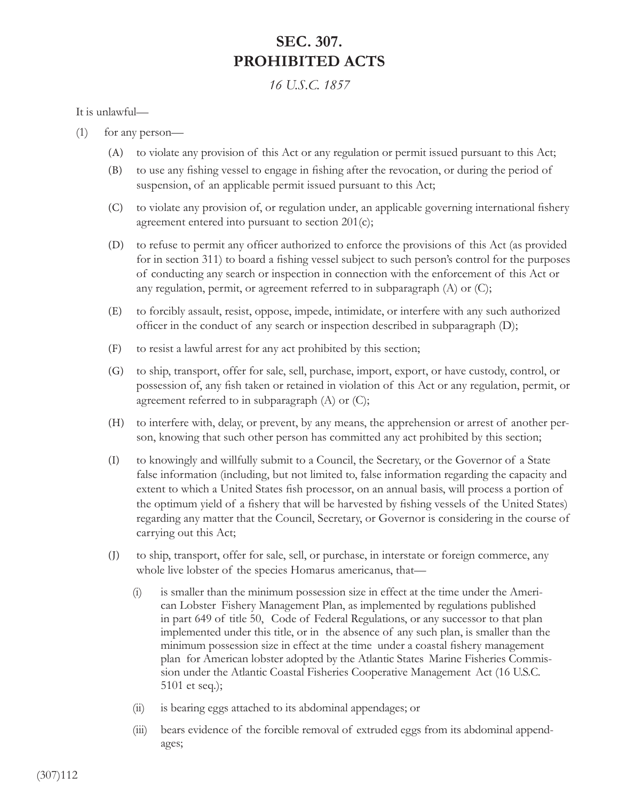# **SEC. 307. PROHIBITED ACTS**

## *16 U.S.C. 1857*

It is unlawful—

- (1) for any person—
	- (A) to violate any provision of this Act or any regulation or permit issued pursuant to this Act;
	- (B) to use any fishing vessel to engage in fishing after the revocation, or during the period of suspension, of an applicable permit issued pursuant to this Act;
	- (C) to violate any provision of, or regulation under, an applicable governing international fishery agreement entered into pursuant to section 201(c);
	- (D) to refuse to permit any officer authorized to enforce the provisions of this Act (as provided for in section 311) to board a fishing vessel subject to such person's control for the purposes of conducting any search or inspection in connection with the enforcement of this Act or any regulation, permit, or agreement referred to in subparagraph (A) or (C);
	- (E) to forcibly assault, resist, oppose, impede, intimidate, or interfere with any such authorized officer in the conduct of any search or inspection described in subparagraph  $(D)$ ;
	- (F) to resist a lawful arrest for any act prohibited by this section;
	- (G) to ship, transport, offer for sale, sell, purchase, import, export, or have custody, control, or possession of, any fish taken or retained in violation of this Act or any regulation, permit, or agreement referred to in subparagraph (A) or (C);
	- (H) to interfere with, delay, or prevent, by any means, the apprehension or arrest of another person, knowing that such other person has committed any act prohibited by this section;
	- (I) to knowingly and willfully submit to a Council, the Secretary, or the Governor of a State false information (including, but not limited to, false information regarding the capacity and extent to which a United States fish processor, on an annual basis, will process a portion of the optimum yield of a fishery that will be harvested by fishing vessels of the United States) regarding any matter that the Council, Secretary, or Governor is considering in the course of carrying out this Act;
	- (J) to ship, transport, offer for sale, sell, or purchase, in interstate or foreign commerce, any whole live lobster of the species Homarus americanus, that—
		- (i) is smaller than the minimum possession size in effect at the time under the American Lobster Fishery Management Plan, as implemented by regulations published in part 649 of title 50, Code of Federal Regulations, or any successor to that plan implemented under this title, or in the absence of any such plan, is smaller than the minimum possession size in effect at the time under a coastal fishery management plan for American lobster adopted by the Atlantic States Marine Fisheries Commission under the Atlantic Coastal Fisheries Cooperative Management Act (16 U.S.C. 5101 et seq.);
		- (ii) is bearing eggs attached to its abdominal appendages; or
		- (iii) bears evidence of the forcible removal of extruded eggs from its abdominal appendages;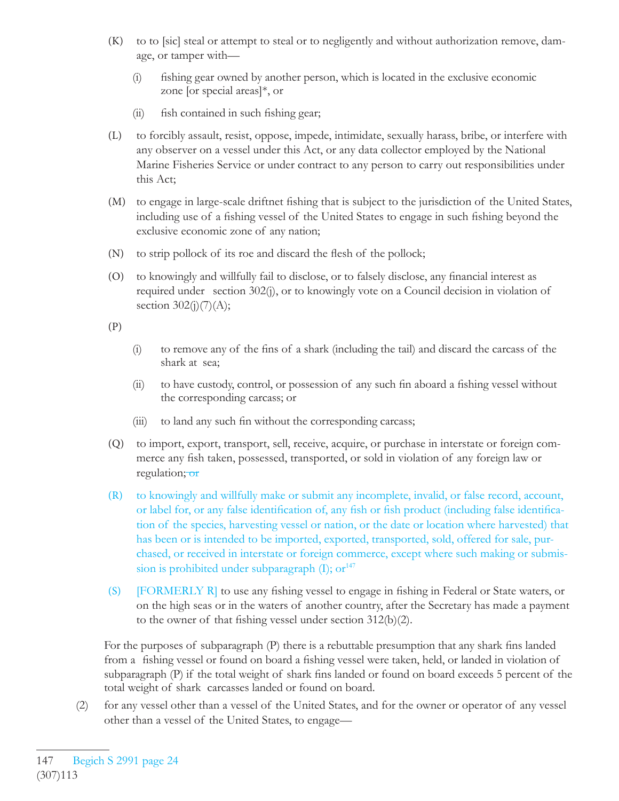- (K) to to [sic] steal or attempt to steal or to negligently and without authorization remove, damage, or tamper with—
	- (i) fi shing gear owned by another person, which is located in the exclusive economic zone [or special areas]\*, or
	- $(ii)$  fish contained in such fishing gear;
- (L) to forcibly assault, resist, oppose, impede, intimidate, sexually harass, bribe, or interfere with any observer on a vessel under this Act, or any data collector employed by the National Marine Fisheries Service or under contract to any person to carry out responsibilities under this Act;
- (M) to engage in large-scale driftnet fishing that is subject to the jurisdiction of the United States, including use of a fishing vessel of the United States to engage in such fishing beyond the exclusive economic zone of any nation;
- (N) to strip pollock of its roe and discard the flesh of the pollock;
- (O) to knowingly and willfully fail to disclose, or to falsely disclose, any financial interest as required under section 302(j), or to knowingly vote on a Council decision in violation of section  $302(j)(7)(A);$

(P)

- $(i)$  to remove any of the fins of a shark (including the tail) and discard the carcass of the shark at sea;
- (ii) to have custody, control, or possession of any such fin aboard a fishing vessel without the corresponding carcass; or
- $(iii)$  to land any such fin without the corresponding carcass;
- (Q) to import, export, transport, sell, receive, acquire, or purchase in interstate or foreign commerce any fish taken, possessed, transported, or sold in violation of any foreign law or regulation; or
- (R) to knowingly and willfully make or submit any incomplete, invalid, or false record, account, or label for, or any false identification of, any fish or fish product (including false identification of the species, harvesting vessel or nation, or the date or location where harvested) that has been or is intended to be imported, exported, transported, sold, offered for sale, purchased, or received in interstate or foreign commerce, except where such making or submission is prohibited under subparagraph  $(I)$ ; or <sup>147</sup>
- (S) [FORMERLY R] to use any fishing vessel to engage in fishing in Federal or State waters, or on the high seas or in the waters of another country, after the Secretary has made a payment to the owner of that fishing vessel under section  $312(b)(2)$ .

For the purposes of subparagraph  $(P)$  there is a rebuttable presumption that any shark fins landed from a fishing vessel or found on board a fishing vessel were taken, held, or landed in violation of subparagraph (P) if the total weight of shark fins landed or found on board exceeds 5 percent of the total weight of shark carcasses landed or found on board.

(2) for any vessel other than a vessel of the United States, and for the owner or operator of any vessel other than a vessel of the United States, to engage—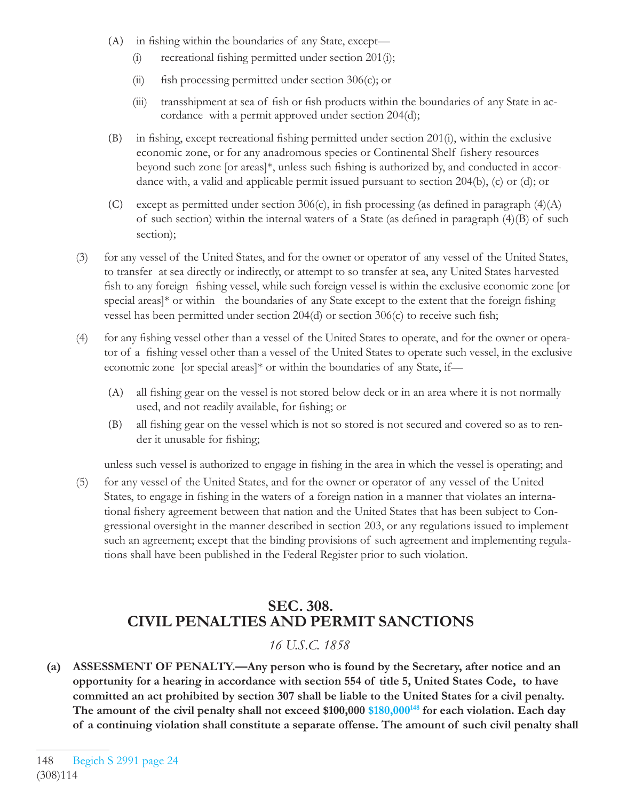- $(A)$  in fishing within the boundaries of any State, except—
	- (i) recreational fishing permitted under section  $201(i)$ ;
	- (ii) fish processing permitted under section  $306(c)$ ; or
	- (iii) transshipment at sea of fish or fish products within the boundaries of any State in accordance with a permit approved under section 204(d);
- (B) in fishing, except recreational fishing permitted under section  $201(i)$ , within the exclusive economic zone, or for any anadromous species or Continental Shelf fishery resources beyond such zone [or areas]\*, unless such fishing is authorized by, and conducted in accordance with, a valid and applicable permit issued pursuant to section 204(b), (c) or (d); or
- (C) except as permitted under section  $306(c)$ , in fish processing (as defined in paragraph  $(4)(A)$ of such section) within the internal waters of a State (as defined in paragraph  $(4)(B)$  of such section);
- (3) for any vessel of the United States, and for the owner or operator of any vessel of the United States, to transfer at sea directly or indirectly, or attempt to so transfer at sea, any United States harvested fish to any foreign fishing vessel, while such foreign vessel is within the exclusive economic zone [or special areas] $*$  or within the boundaries of any State except to the extent that the foreign fishing vessel has been permitted under section  $204(d)$  or section  $306(c)$  to receive such fish;
- (4) for any fishing vessel other than a vessel of the United States to operate, and for the owner or operator of a fishing vessel other than a vessel of the United States to operate such vessel, in the exclusive economic zone [or special areas]\* or within the boundaries of any State, if—
	- (A) all fishing gear on the vessel is not stored below deck or in an area where it is not normally used, and not readily available, for fishing; or
	- (B) all fishing gear on the vessel which is not so stored is not secured and covered so as to render it unusable for fishing;

unless such vessel is authorized to engage in fishing in the area in which the vessel is operating; and

(5) for any vessel of the United States, and for the owner or operator of any vessel of the United States, to engage in fishing in the waters of a foreign nation in a manner that violates an international fishery agreement between that nation and the United States that has been subject to Congressional oversight in the manner described in section 203, or any regulations issued to implement such an agreement; except that the binding provisions of such agreement and implementing regulations shall have been published in the Federal Register prior to such violation.

## **SEC. 308. CIVIL PENALTIES AND PERMIT SANCTIONS**

## *16 U.S.C. 1858*

 **(a) ASSESSMENT OF PENALTY.—Any person who is found by the Secretary, after notice and an opportunity for a hearing in accordance with section 554 of title 5, United States Code, to have committed an act prohibited by section 307 shall be liable to the United States for a civil penalty. The amount of the civil penalty shall not exceed \$100,000 \$180,000148 for each violation. Each day of a continuing violation shall constitute a separate offense. The amount of such civil penalty shall**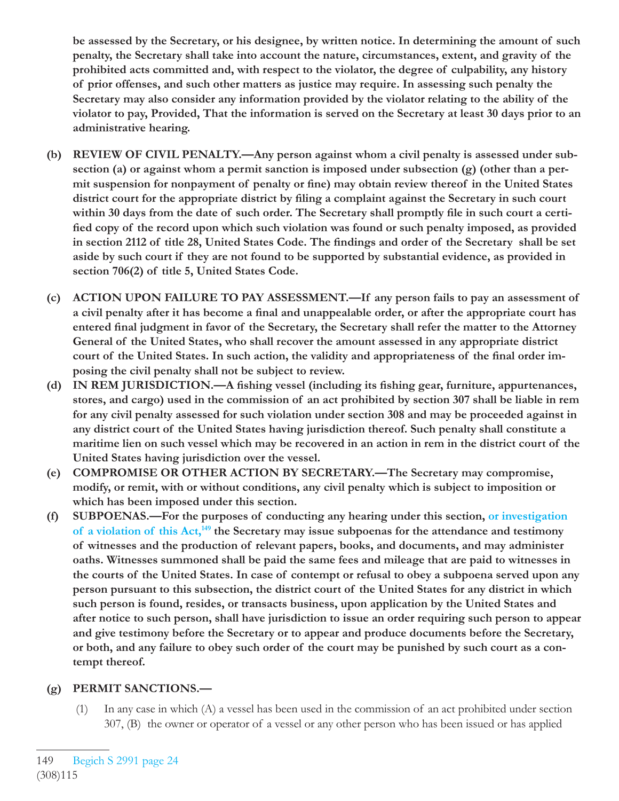**be assessed by the Secretary, or his designee, by written notice. In determining the amount of such penalty, the Secretary shall take into account the nature, circumstances, extent, and gravity of the prohibited acts committed and, with respect to the violator, the degree of culpability, any history of prior offenses, and such other matters as justice may require. In assessing such penalty the Secretary may also consider any information provided by the violator relating to the ability of the violator to pay, Provided, That the information is served on the Secretary at least 30 days prior to an administrative hearing.**

- **(b) REVIEW OF CIVIL PENALTY.—Any person against whom a civil penalty is assessed under subsection (a) or against whom a permit sanction is imposed under subsection (g) (other than a per**mit suspension for nonpayment of penalty or fine) may obtain review thereof in the United States district court for the appropriate district by filing a complaint against the Secretary in such court within 30 days from the date of such order. The Secretary shall promptly file in such court a certified copy of the record upon which such violation was found or such penalty imposed, as provided in section 2112 of title 28, United States Code. The findings and order of the Secretary shall be set **aside by such court if they are not found to be supported by substantial evidence, as provided in section 706(2) of title 5, United States Code.**
- **(c) ACTION UPON FAILURE TO PAY ASSESSMENT.—If any person fails to pay an assessment of**  a civil penalty after it has become a final and unappealable order, or after the appropriate court has entered final judgment in favor of the Secretary, the Secretary shall refer the matter to the Attorney **General of the United States, who shall recover the amount assessed in any appropriate district**  court of the United States. In such action, the validity and appropriateness of the final order im**posing the civil penalty shall not be subject to review.**
- (d) IN REM JURISDICTION.—A fishing vessel (including its fishing gear, furniture, appurtenances, **stores, and cargo) used in the commission of an act prohibited by section 307 shall be liable in rem for any civil penalty assessed for such violation under section 308 and may be proceeded against in any district court of the United States having jurisdiction thereof. Such penalty shall constitute a maritime lien on such vessel which may be recovered in an action in rem in the district court of the United States having jurisdiction over the vessel.**
- **(e) COMPROMISE OR OTHER ACTION BY SECRETARY.—The Secretary may compromise, modify, or remit, with or without conditions, any civil penalty which is subject to imposition or which has been imposed under this section.**
- **(f) SUBPOENAS.—For the purposes of conducting any hearing under this section, or investigation of a violation of this Act,149 the Secretary may issue subpoenas for the attendance and testimony of witnesses and the production of relevant papers, books, and documents, and may administer oaths. Witnesses summoned shall be paid the same fees and mileage that are paid to witnesses in the courts of the United States. In case of contempt or refusal to obey a subpoena served upon any person pursuant to this subsection, the district court of the United States for any district in which such person is found, resides, or transacts business, upon application by the United States and after notice to such person, shall have jurisdiction to issue an order requiring such person to appear and give testimony before the Secretary or to appear and produce documents before the Secretary, or both, and any failure to obey such order of the court may be punished by such court as a contempt thereof.**

#### **(g) PERMIT SANCTIONS.—**

(1) In any case in which (A) a vessel has been used in the commission of an act prohibited under section 307, (B) the owner or operator of a vessel or any other person who has been issued or has applied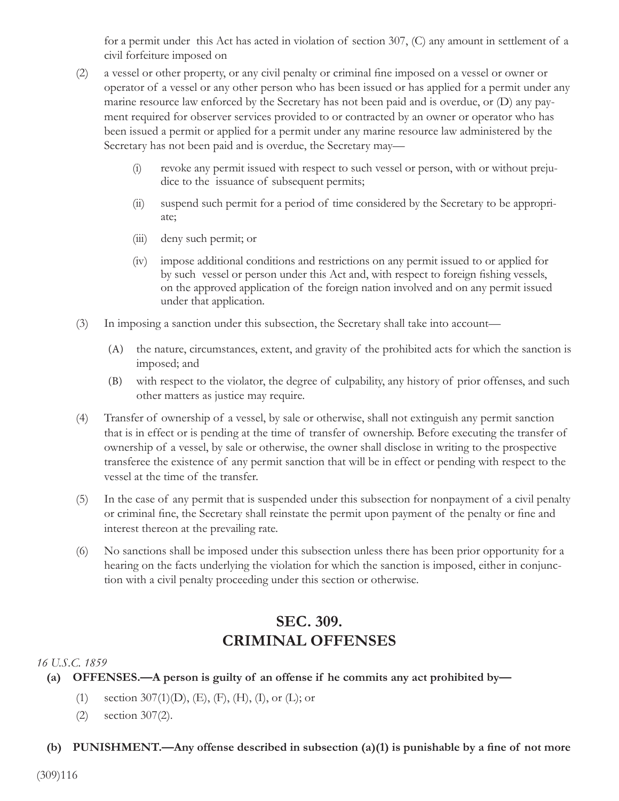for a permit under this Act has acted in violation of section 307, (C) any amount in settlement of a civil forfeiture imposed on

- (2) a vessel or other property, or any civil penalty or criminal fine imposed on a vessel or owner or operator of a vessel or any other person who has been issued or has applied for a permit under any marine resource law enforced by the Secretary has not been paid and is overdue, or (D) any payment required for observer services provided to or contracted by an owner or operator who has been issued a permit or applied for a permit under any marine resource law administered by the Secretary has not been paid and is overdue, the Secretary may—
	- (i) revoke any permit issued with respect to such vessel or person, with or without prejudice to the issuance of subsequent permits;
	- (ii) suspend such permit for a period of time considered by the Secretary to be appropriate;
	- (iii) deny such permit; or
	- (iv) impose additional conditions and restrictions on any permit issued to or applied for by such vessel or person under this Act and, with respect to foreign fishing vessels, on the approved application of the foreign nation involved and on any permit issued under that application.
- (3) In imposing a sanction under this subsection, the Secretary shall take into account—
	- (A) the nature, circumstances, extent, and gravity of the prohibited acts for which the sanction is imposed; and
	- (B) with respect to the violator, the degree of culpability, any history of prior offenses, and such other matters as justice may require.
- (4) Transfer of ownership of a vessel, by sale or otherwise, shall not extinguish any permit sanction that is in effect or is pending at the time of transfer of ownership. Before executing the transfer of ownership of a vessel, by sale or otherwise, the owner shall disclose in writing to the prospective transferee the existence of any permit sanction that will be in effect or pending with respect to the vessel at the time of the transfer.
- (5) In the case of any permit that is suspended under this subsection for nonpayment of a civil penalty or criminal fine, the Secretary shall reinstate the permit upon payment of the penalty or fine and interest thereon at the prevailing rate.
- (6) No sanctions shall be imposed under this subsection unless there has been prior opportunity for a hearing on the facts underlying the violation for which the sanction is imposed, either in conjunction with a civil penalty proceeding under this section or otherwise.

# **SEC. 309. CRIMINAL OFFENSES**

#### *16 U.S.C. 1859*

- **(a) OFFENSES.—A person is guilty of an offense if he commits any act prohibited by—** 
	- (1) section 307(1)(D), (E), (F), (H), (I), or (L); or
	- (2) section 307(2).

#### (b) PUNISHMENT.—Any offense described in subsection (a)(1) is punishable by a fine of not more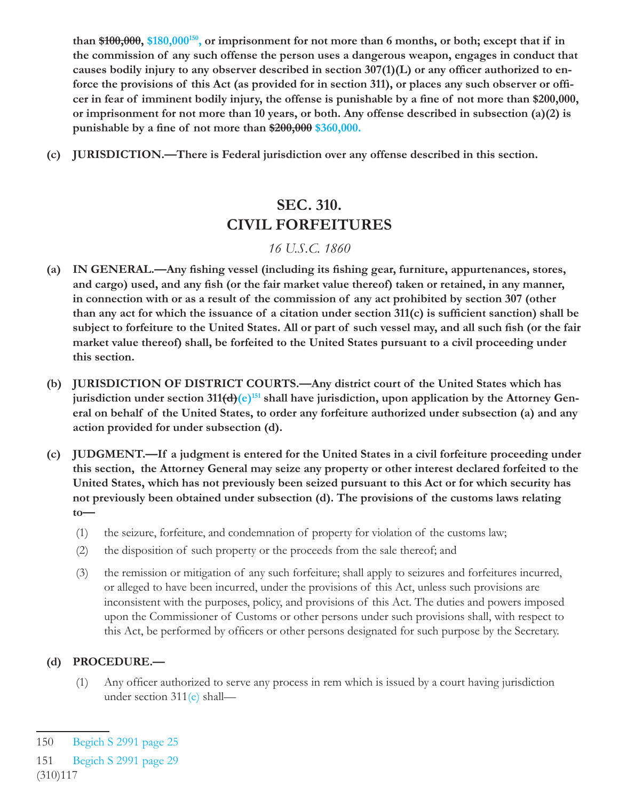**than \$100,000, \$180,000150, or imprisonment for not more than 6 months, or both; except that if in the commission of any such offense the person uses a dangerous weapon, engages in conduct that**  causes bodily injury to any observer described in section  $307(1)(L)$  or any officer authorized to enforce the provisions of this Act (as provided for in section 311), or places any such observer or officer in fear of imminent bodily injury, the offense is punishable by a fine of not more than \$200,000, **or imprisonment for not more than 10 years, or both. Any offense described in subsection (a)(2) is**  punishable by a fine of not more than  $200,000$  \$360,000.

 **(c) JURISDICTION.—There is Federal jurisdiction over any offense described in this section.**

## **SEC. 310. CIVIL FORFEITURES**

### *16 U.S.C. 1860*

- (a) IN GENERAL.—Any fishing vessel (including its fishing gear, furniture, appurtenances, stores, and cargo) used, and any fish (or the fair market value thereof) taken or retained, in any manner, **in connection with or as a result of the commission of any act prohibited by section 307 (other**  than any act for which the issuance of a citation under section 311(c) is sufficient sanction) shall be subject to forfeiture to the United States. All or part of such vessel may, and all such fish (or the fair **market value thereof) shall, be forfeited to the United States pursuant to a civil proceeding under this section.**
- **(b) JURISDICTION OF DISTRICT COURTS.—Any district court of the United States which has**  jurisdiction under section 311<del>(d)</del>(e)<sup>151</sup> shall have jurisdiction, upon application by the Attorney Gen**eral on behalf of the United States, to order any forfeiture authorized under subsection (a) and any action provided for under subsection (d).**
- **(c) JUDGMENT.—If a judgment is entered for the United States in a civil forfeiture proceeding under this section, the Attorney General may seize any property or other interest declared forfeited to the United States, which has not previously been seized pursuant to this Act or for which security has not previously been obtained under subsection (d). The provisions of the customs laws relating to—**
	- (1) the seizure, forfeiture, and condemnation of property for violation of the customs law;
	- (2) the disposition of such property or the proceeds from the sale thereof; and
	- (3) the remission or mitigation of any such forfeiture; shall apply to seizures and forfeitures incurred, or alleged to have been incurred, under the provisions of this Act, unless such provisions are inconsistent with the purposes, policy, and provisions of this Act. The duties and powers imposed upon the Commissioner of Customs or other persons under such provisions shall, with respect to this Act, be performed by officers or other persons designated for such purpose by the Secretary.

#### **(d) PROCEDURE.—**

 $(1)$  Any officer authorized to serve any process in rem which is issued by a court having jurisdiction under section  $311(e)$  shall—

<sup>150</sup> Begich S 2991 page 25

<sup>(310)117</sup> 151 Begich S 2991 page 29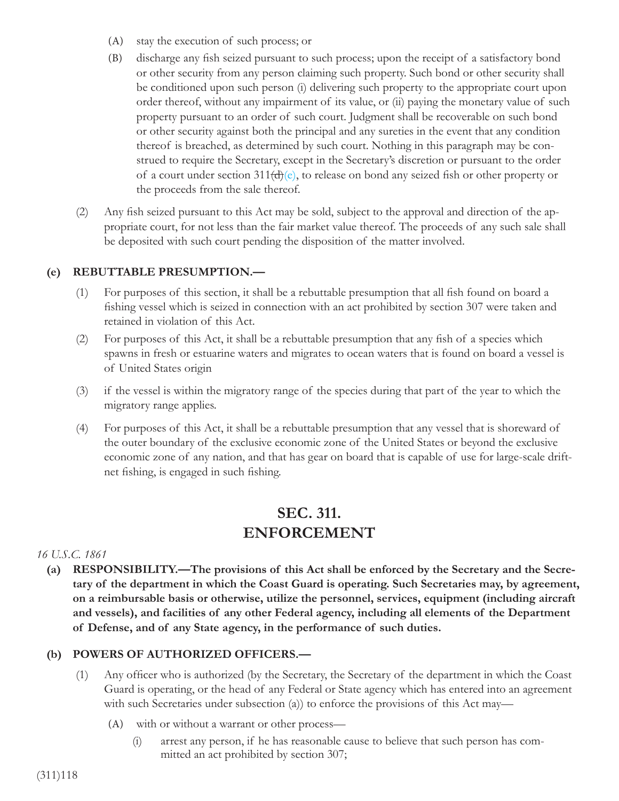- (A) stay the execution of such process; or
- (B) discharge any fish seized pursuant to such process; upon the receipt of a satisfactory bond or other security from any person claiming such property. Such bond or other security shall be conditioned upon such person (i) delivering such property to the appropriate court upon order thereof, without any impairment of its value, or (ii) paying the monetary value of such property pursuant to an order of such court. Judgment shall be recoverable on such bond or other security against both the principal and any sureties in the event that any condition thereof is breached, as determined by such court. Nothing in this paragraph may be construed to require the Secretary, except in the Secretary's discretion or pursuant to the order of a court under section  $311(\text{d})(e)$ , to release on bond any seized fish or other property or the proceeds from the sale thereof.
- $(2)$  Any fish seized pursuant to this Act may be sold, subject to the approval and direction of the appropriate court, for not less than the fair market value thereof. The proceeds of any such sale shall be deposited with such court pending the disposition of the matter involved.

#### **(e) REBUTTABLE PRESUMPTION.—**

- $(1)$  For purposes of this section, it shall be a rebuttable presumption that all fish found on board a fishing vessel which is seized in connection with an act prohibited by section 307 were taken and retained in violation of this Act.
- $(2)$  For purposes of this Act, it shall be a rebuttable presumption that any fish of a species which spawns in fresh or estuarine waters and migrates to ocean waters that is found on board a vessel is of United States origin
- (3) if the vessel is within the migratory range of the species during that part of the year to which the migratory range applies.
- (4) For purposes of this Act, it shall be a rebuttable presumption that any vessel that is shoreward of the outer boundary of the exclusive economic zone of the United States or beyond the exclusive economic zone of any nation, and that has gear on board that is capable of use for large-scale driftnet fishing, is engaged in such fishing.

## **SEC. 311. ENFORCEMENT**

#### *16 U.S.C. 1861*

 **(a) RESPONSIBILITY.—The provisions of this Act shall be enforced by the Secretary and the Secretary of the department in which the Coast Guard is operating. Such Secretaries may, by agreement, on a reimbursable basis or otherwise, utilize the personnel, services, equipment (including aircraft and vessels), and facilities of any other Federal agency, including all elements of the Department of Defense, and of any State agency, in the performance of such duties.**

#### **(b) POWERS OF AUTHORIZED OFFICERS.—**

- $(1)$  Any officer who is authorized (by the Secretary, the Secretary of the department in which the Coast Guard is operating, or the head of any Federal or State agency which has entered into an agreement with such Secretaries under subsection (a)) to enforce the provisions of this Act may—
	- (A) with or without a warrant or other process—
		- (i) arrest any person, if he has reasonable cause to believe that such person has committed an act prohibited by section 307;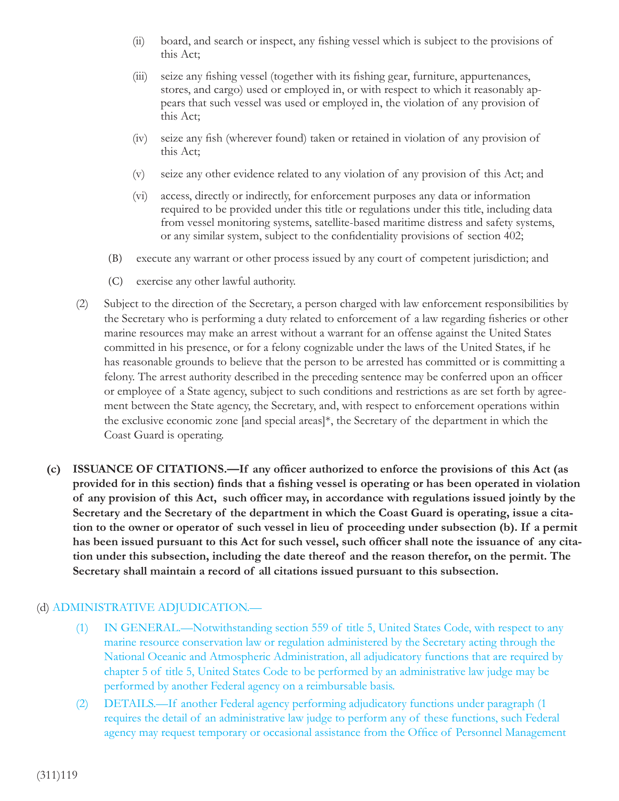- (ii) board, and search or inspect, any fishing vessel which is subject to the provisions of this Act;
- (iii) seize any fishing vessel (together with its fishing gear, furniture, appurtenances, stores, and cargo) used or employed in, or with respect to which it reasonably appears that such vessel was used or employed in, the violation of any provision of this Act;
- (iv) seize any fish (wherever found) taken or retained in violation of any provision of this Act;
- (v) seize any other evidence related to any violation of any provision of this Act; and
- (vi) access, directly or indirectly, for enforcement purposes any data or information required to be provided under this title or regulations under this title, including data from vessel monitoring systems, satellite-based maritime distress and safety systems, or any similar system, subject to the confidentiality provisions of section 402;
- (B) execute any warrant or other process issued by any court of competent jurisdiction; and
- (C) exercise any other lawful authority.
- (2) Subject to the direction of the Secretary, a person charged with law enforcement responsibilities by the Secretary who is performing a duty related to enforcement of a law regarding fisheries or other marine resources may make an arrest without a warrant for an offense against the United States committed in his presence, or for a felony cognizable under the laws of the United States, if he has reasonable grounds to believe that the person to be arrested has committed or is committing a felony. The arrest authority described in the preceding sentence may be conferred upon an officer or employee of a State agency, subject to such conditions and restrictions as are set forth by agreement between the State agency, the Secretary, and, with respect to enforcement operations within the exclusive economic zone [and special areas]\*, the Secretary of the department in which the Coast Guard is operating.
- (c) ISSUANCE OF CITATIONS.—If any officer authorized to enforce the provisions of this Act (as provided for in this section) finds that a fishing vessel is operating or has been operated in violation of any provision of this Act, such officer may, in accordance with regulations issued jointly by the **Secretary and the Secretary of the department in which the Coast Guard is operating, issue a citation to the owner or operator of such vessel in lieu of proceeding under subsection (b). If a permit**  has been issued pursuant to this Act for such vessel, such officer shall note the issuance of any cita**tion under this subsection, including the date thereof and the reason therefor, on the permit. The Secretary shall maintain a record of all citations issued pursuant to this subsection.**

#### (d) ADMINISTRATIVE ADJUDICATION.—

- (1) IN GENERAL.—Notwithstanding section 559 of title 5, United States Code, with respect to any marine resource conservation law or regulation administered by the Secretary acting through the National Oceanic and Atmospheric Administration, all adjudicatory functions that are required by chapter 5 of title 5, United States Code to be performed by an administrative law judge may be performed by another Federal agency on a reimbursable basis.
- (2) DETAILS.—If another Federal agency performing adjudicatory functions under paragraph (1 requires the detail of an administrative law judge to perform any of these functions, such Federal agency may request temporary or occasional assistance from the Office of Personnel Management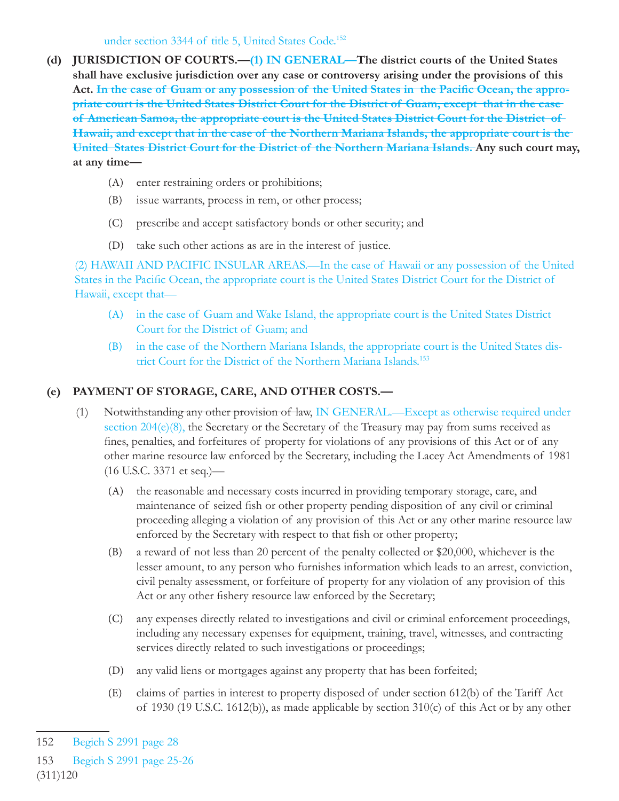under section 3344 of title 5, United States Code.<sup>152</sup>

- **(d) JURISDICTION OF COURTS.—(1) IN GENERAL—The district courts of the United States shall have exclusive jurisdiction over any case or controversy arising under the provisions of this**  Act. In the case of Guam or any possession of the United States in the Pacific Ocean, the appro**priate court is the United States District Court for the District of Guam, except that in the case of American Samoa, the appropriate court is the United States District Court for the District of Hawaii, and except that in the case of the Northern Mariana Islands, the appropriate court is the United States District Court for the District of the Northern Mariana Islands. Any such court may, at any time—**
	- (A) enter restraining orders or prohibitions;
	- (B) issue warrants, process in rem, or other process;
	- (C) prescribe and accept satisfactory bonds or other security; and
	- (D) take such other actions as are in the interest of justice.

(2) HAWAII AND PACIFIC INSULAR AREAS.—In the case of Hawaii or any possession of the United States in the Pacific Ocean, the appropriate court is the United States District Court for the District of Hawaii, except that—

- (A) in the case of Guam and Wake Island, the appropriate court is the United States District Court for the District of Guam; and
- (B) in the case of the Northern Mariana Islands, the appropriate court is the United States district Court for the District of the Northern Mariana Islands.<sup>153</sup>

### **(e) PAYMENT OF STORAGE, CARE, AND OTHER COSTS.—**

- (1) Notwithstanding any other provision of law, IN GENERAL.—Except as otherwise required under section 204(e)(8), the Secretary or the Secretary of the Treasury may pay from sums received as fines, penalties, and forfeitures of property for violations of any provisions of this Act or of any other marine resource law enforced by the Secretary, including the Lacey Act Amendments of 1981 (16 U.S.C. 3371 et seq.)—
	- (A) the reasonable and necessary costs incurred in providing temporary storage, care, and maintenance of seized fish or other property pending disposition of any civil or criminal proceeding alleging a violation of any provision of this Act or any other marine resource law enforced by the Secretary with respect to that fish or other property;
	- (B) a reward of not less than 20 percent of the penalty collected or \$20,000, whichever is the lesser amount, to any person who furnishes information which leads to an arrest, conviction, civil penalty assessment, or forfeiture of property for any violation of any provision of this Act or any other fishery resource law enforced by the Secretary;
	- (C) any expenses directly related to investigations and civil or criminal enforcement proceedings, including any necessary expenses for equipment, training, travel, witnesses, and contracting services directly related to such investigations or proceedings;
	- (D) any valid liens or mortgages against any property that has been forfeited;
	- (E) claims of parties in interest to property disposed of under section 612(b) of the Tariff Act of 1930 (19 U.S.C. 1612(b)), as made applicable by section  $310(c)$  of this Act or by any other

<sup>152</sup> Begich S 2991 page 28

<sup>(311)120</sup> 153 Begich S 2991 page 25-26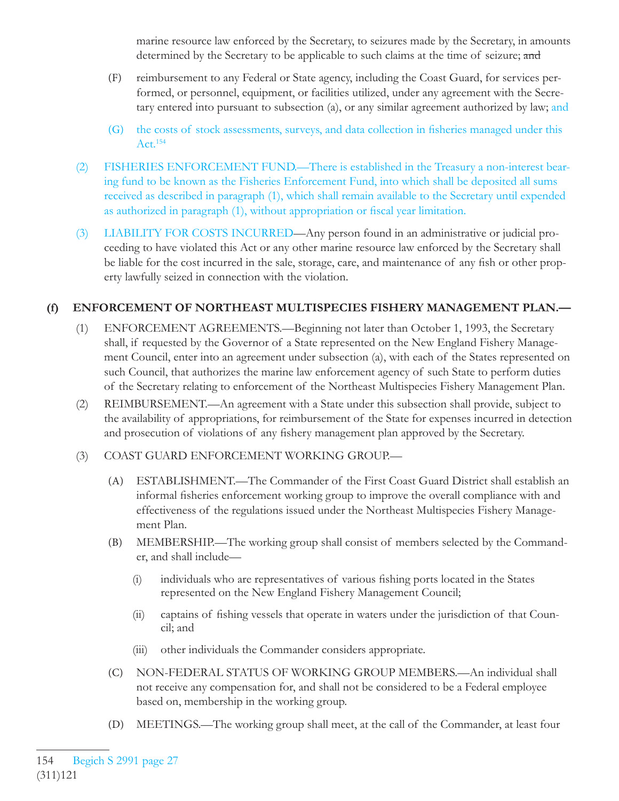marine resource law enforced by the Secretary, to seizures made by the Secretary, in amounts determined by the Secretary to be applicable to such claims at the time of seizure; and

- (F) reimbursement to any Federal or State agency, including the Coast Guard, for services performed, or personnel, equipment, or facilities utilized, under any agreement with the Secretary entered into pursuant to subsection (a), or any similar agreement authorized by law; and
- (G) the costs of stock assessments, surveys, and data collection in fisheries managed under this Act. $154$
- (2) FISHERIES ENFORCEMENT FUND.—There is established in the Treasury a non-interest bearing fund to be known as the Fisheries Enforcement Fund, into which shall be deposited all sums received as described in paragraph (1), which shall remain available to the Secretary until expended as authorized in paragraph (1), without appropriation or fiscal year limitation.
- (3) LIABILITY FOR COSTS INCURRED—Any person found in an administrative or judicial proceeding to have violated this Act or any other marine resource law enforced by the Secretary shall be liable for the cost incurred in the sale, storage, care, and maintenance of any fish or other property lawfully seized in connection with the violation.

### **(f) ENFORCEMENT OF NORTHEAST MULTISPECIES FISHERY MANAGEMENT PLAN.—**

- (1) ENFORCEMENT AGREEMENTS.—Beginning not later than October 1, 1993, the Secretary shall, if requested by the Governor of a State represented on the New England Fishery Management Council, enter into an agreement under subsection (a), with each of the States represented on such Council, that authorizes the marine law enforcement agency of such State to perform duties of the Secretary relating to enforcement of the Northeast Multispecies Fishery Management Plan.
- (2) REIMBURSEMENT.—An agreement with a State under this subsection shall provide, subject to the availability of appropriations, for reimbursement of the State for expenses incurred in detection and prosecution of violations of any fishery management plan approved by the Secretary.
- (3) COAST GUARD ENFORCEMENT WORKING GROUP.—
	- (A) ESTABLISHMENT.—The Commander of the First Coast Guard District shall establish an informal fisheries enforcement working group to improve the overall compliance with and effectiveness of the regulations issued under the Northeast Multispecies Fishery Management Plan.
	- (B) MEMBERSHIP.—The working group shall consist of members selected by the Commander, and shall include—
		- (i) individuals who are representatives of various fishing ports located in the States represented on the New England Fishery Management Council;
		- (ii) captains of fishing vessels that operate in waters under the jurisdiction of that Council; and
		- (iii) other individuals the Commander considers appropriate.
	- (C) NON-FEDERAL STATUS OF WORKING GROUP MEMBERS.—An individual shall not receive any compensation for, and shall not be considered to be a Federal employee based on, membership in the working group.
	- (D) MEETINGS.—The working group shall meet, at the call of the Commander, at least four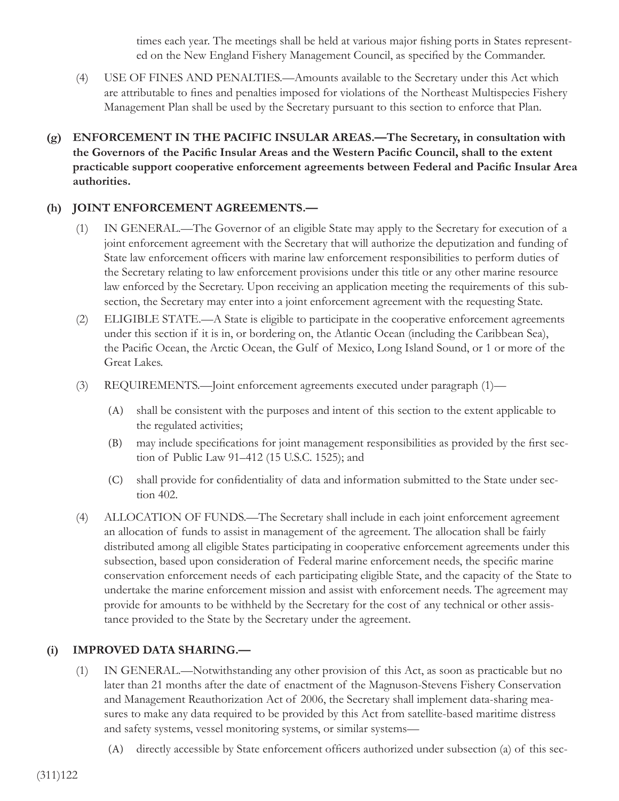times each year. The meetings shall be held at various major fishing ports in States represented on the New England Fishery Management Council, as specified by the Commander.

- (4) USE OF FINES AND PENALTIES.—Amounts available to the Secretary under this Act which are attributable to fines and penalties imposed for violations of the Northeast Multispecies Fishery Management Plan shall be used by the Secretary pursuant to this section to enforce that Plan.
- **(g) ENFORCEMENT IN THE PACIFIC INSULAR AREAS.—The Secretary, in consultation with**  the Governors of the Pacific Insular Areas and the Western Pacific Council, shall to the extent practicable support cooperative enforcement agreements between Federal and Pacific Insular Area **authorities.**

### **(h) JOINT ENFORCEMENT AGREEMENTS.—**

- (1) IN GENERAL.—The Governor of an eligible State may apply to the Secretary for execution of a joint enforcement agreement with the Secretary that will authorize the deputization and funding of State law enforcement officers with marine law enforcement responsibilities to perform duties of the Secretary relating to law enforcement provisions under this title or any other marine resource law enforced by the Secretary. Upon receiving an application meeting the requirements of this subsection, the Secretary may enter into a joint enforcement agreement with the requesting State.
- (2) ELIGIBLE STATE.—A State is eligible to participate in the cooperative enforcement agreements under this section if it is in, or bordering on, the Atlantic Ocean (including the Caribbean Sea), the Pacific Ocean, the Arctic Ocean, the Gulf of Mexico, Long Island Sound, or 1 or more of the Great Lakes.
- (3) REQUIREMENTS.—Joint enforcement agreements executed under paragraph (1)—
	- (A) shall be consistent with the purposes and intent of this section to the extent applicable to the regulated activities;
	- (B) may include specifications for joint management responsibilities as provided by the first section of Public Law 91–412 (15 U.S.C. 1525); and
	- (C) shall provide for confidentiality of data and information submitted to the State under section 402.
- (4) ALLOCATION OF FUNDS.—The Secretary shall include in each joint enforcement agreement an allocation of funds to assist in management of the agreement. The allocation shall be fairly distributed among all eligible States participating in cooperative enforcement agreements under this subsection, based upon consideration of Federal marine enforcement needs, the specific marine conservation enforcement needs of each participating eligible State, and the capacity of the State to undertake the marine enforcement mission and assist with enforcement needs. The agreement may provide for amounts to be withheld by the Secretary for the cost of any technical or other assistance provided to the State by the Secretary under the agreement.

## **(i) IMPROVED DATA SHARING.—**

- (1) IN GENERAL.—Notwithstanding any other provision of this Act, as soon as practicable but no later than 21 months after the date of enactment of the Magnuson-Stevens Fishery Conservation and Management Reauthorization Act of 2006, the Secretary shall implement data-sharing measures to make any data required to be provided by this Act from satellite-based maritime distress and safety systems, vessel monitoring systems, or similar systems—
	- (A) directly accessible by State enforcement officers authorized under subsection (a) of this sec-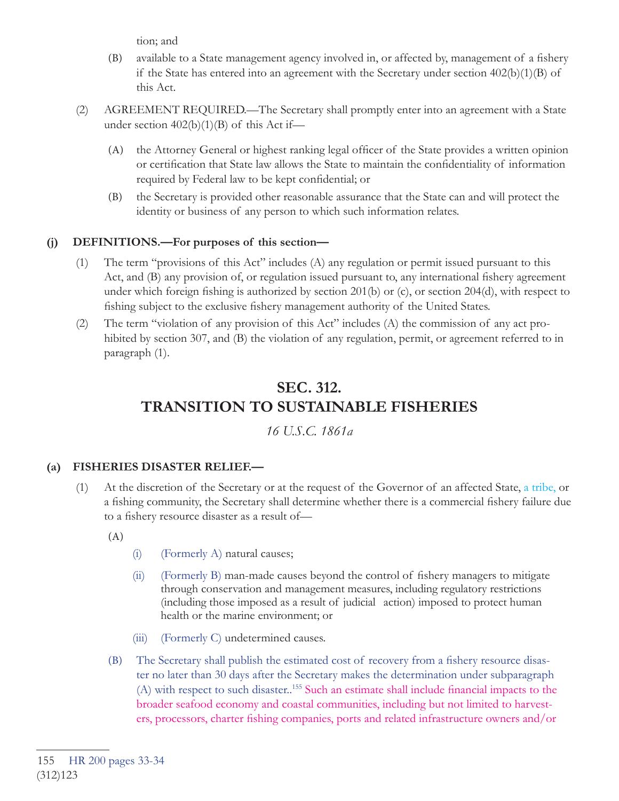tion; and

- (B) available to a State management agency involved in, or affected by, management of a fishery if the State has entered into an agreement with the Secretary under section  $402(b)(1)(B)$  of this Act.
- (2) AGREEMENT REQUIRED.—The Secretary shall promptly enter into an agreement with a State under section  $402(b)(1)(B)$  of this Act if—
	- (A) the Attorney General or highest ranking legal officer of the State provides a written opinion or certification that State law allows the State to maintain the confidentiality of information required by Federal law to be kept confidential; or
	- (B) the Secretary is provided other reasonable assurance that the State can and will protect the identity or business of any person to which such information relates.

#### **(j) DEFINITIONS.—For purposes of this section—**

- (1) The term "provisions of this Act" includes (A) any regulation or permit issued pursuant to this Act, and (B) any provision of, or regulation issued pursuant to, any international fishery agreement under which foreign fishing is authorized by section 201(b) or (c), or section 204(d), with respect to fishing subject to the exclusive fishery management authority of the United States.
- (2) The term "violation of any provision of this Act" includes (A) the commission of any act prohibited by section 307, and (B) the violation of any regulation, permit, or agreement referred to in paragraph (1).

## **SEC. 312. TRANSITION TO SUSTAINABLE FISHERIES**

*16 U.S.C. 1861a*

#### **(a) FISHERIES DISASTER RELIEF.—**

- (1) At the discretion of the Secretary or at the request of the Governor of an affected State, a tribe, or a fishing community, the Secretary shall determine whether there is a commercial fishery failure due to a fishery resource disaster as a result of-
	- (A)
- (i) (Formerly A) natural causes;
- $(ii)$  (Formerly B) man-made causes beyond the control of fishery managers to mitigate through conservation and management measures, including regulatory restrictions (including those imposed as a result of judicial action) imposed to protect human health or the marine environment; or
- (iii) (Formerly C) undetermined causes.
- (B) The Secretary shall publish the estimated cost of recovery from a fishery resource disaster no later than 30 days after the Secretary makes the determination under subparagraph  $(A)$  with respect to such disaster..<sup>155</sup> Such an estimate shall include financial impacts to the broader seafood economy and coastal communities, including but not limited to harvesters, processors, charter fishing companies, ports and related infrastructure owners and/or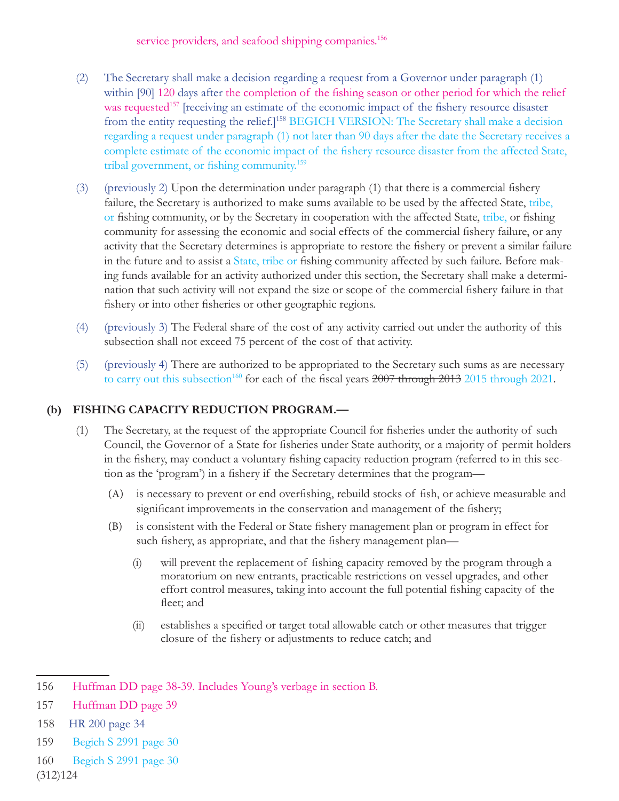service providers, and seafood shipping companies.<sup>156</sup>

- (2) The Secretary shall make a decision regarding a request from a Governor under paragraph (1) within [90] 120 days after the completion of the fishing season or other period for which the relief was requested<sup>157</sup> [receiving an estimate of the economic impact of the fishery resource disaster from the entity requesting the relief.]<sup>158</sup> BEGICH VERSION: The Secretary shall make a decision regarding a request under paragraph (1) not later than 90 days after the date the Secretary receives a complete estimate of the economic impact of the fishery resource disaster from the affected State, tribal government, or fishing community.<sup>159</sup>
- (3) (previously 2) Upon the determination under paragraph (1) that there is a commercial fishery failure, the Secretary is authorized to make sums available to be used by the affected State, tribe, or fishing community, or by the Secretary in cooperation with the affected State, tribe, or fishing community for assessing the economic and social effects of the commercial fishery failure, or any activity that the Secretary determines is appropriate to restore the fishery or prevent a similar failure in the future and to assist a State, tribe or fishing community affected by such failure. Before making funds available for an activity authorized under this section, the Secretary shall make a determination that such activity will not expand the size or scope of the commercial fishery failure in that fishery or into other fisheries or other geographic regions.
- (4) (previously 3) The Federal share of the cost of any activity carried out under the authority of this subsection shall not exceed 75 percent of the cost of that activity.
- (5) (previously 4) There are authorized to be appropriated to the Secretary such sums as are necessary to carry out this subsection<sup>160</sup> for each of the fiscal years  $2007$  through  $2013$  2015 through 2021.

## **(b) FISHING CAPACITY REDUCTION PROGRAM.—**

- (1) The Secretary, at the request of the appropriate Council for fisheries under the authority of such Council, the Governor of a State for fisheries under State authority, or a majority of permit holders in the fishery, may conduct a voluntary fishing capacity reduction program (referred to in this section as the 'program') in a fishery if the Secretary determines that the program—
	- (A) is necessary to prevent or end overfishing, rebuild stocks of fish, or achieve measurable and significant improvements in the conservation and management of the fishery;
	- (B) is consistent with the Federal or State fishery management plan or program in effect for such fishery, as appropriate, and that the fishery management plan—
		- $(i)$  will prevent the replacement of fishing capacity removed by the program through a moratorium on new entrants, practicable restrictions on vessel upgrades, and other effort control measures, taking into account the full potential fishing capacity of the fleet; and
		- (ii) establishes a specified or target total allowable catch or other measures that trigger closure of the fishery or adjustments to reduce catch; and

(312)124

<sup>156</sup> Huffman DD page 38-39. Includes Young's verbage in section B.

<sup>157</sup> Huffman DD page 39

<sup>158</sup> HR 200 page 34

<sup>159</sup> Begich S 2991 page 30

<sup>160</sup> Begich S 2991 page 30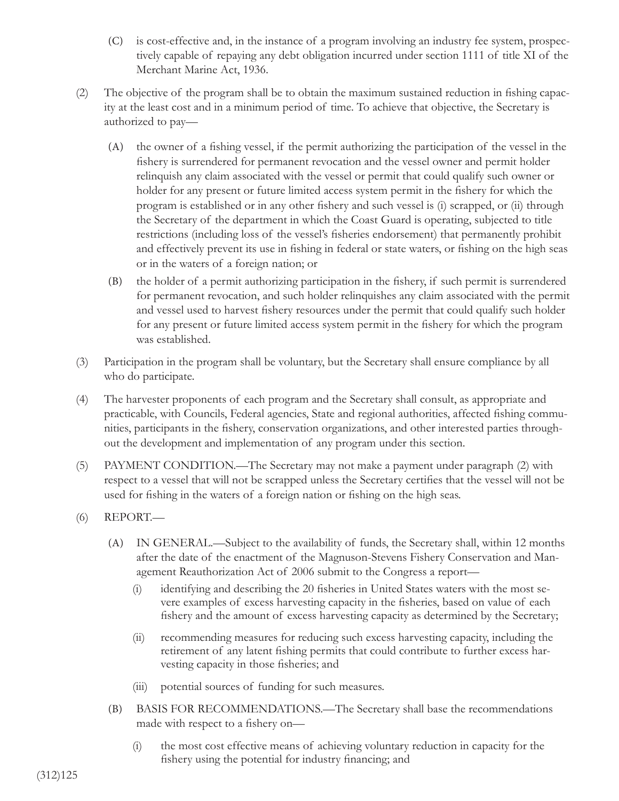- (C) is cost-effective and, in the instance of a program involving an industry fee system, prospectively capable of repaying any debt obligation incurred under section 1111 of title XI of the Merchant Marine Act, 1936.
- $(2)$  The objective of the program shall be to obtain the maximum sustained reduction in fishing capacity at the least cost and in a minimum period of time. To achieve that objective, the Secretary is authorized to pay—
	- (A) the owner of a fishing vessel, if the permit authorizing the participation of the vessel in the fishery is surrendered for permanent revocation and the vessel owner and permit holder relinquish any claim associated with the vessel or permit that could qualify such owner or holder for any present or future limited access system permit in the fishery for which the program is established or in any other fishery and such vessel is (i) scrapped, or (ii) through the Secretary of the department in which the Coast Guard is operating, subjected to title restrictions (including loss of the vessel's fisheries endorsement) that permanently prohibit and effectively prevent its use in fishing in federal or state waters, or fishing on the high seas or in the waters of a foreign nation; or
	- (B) the holder of a permit authorizing participation in the fishery, if such permit is surrendered for permanent revocation, and such holder relinquishes any claim associated with the permit and vessel used to harvest fishery resources under the permit that could qualify such holder for any present or future limited access system permit in the fishery for which the program was established.
- (3) Participation in the program shall be voluntary, but the Secretary shall ensure compliance by all who do participate.
- (4) The harvester proponents of each program and the Secretary shall consult, as appropriate and practicable, with Councils, Federal agencies, State and regional authorities, affected fishing communities, participants in the fishery, conservation organizations, and other interested parties throughout the development and implementation of any program under this section.
- (5) PAYMENT CONDITION.—The Secretary may not make a payment under paragraph (2) with respect to a vessel that will not be scrapped unless the Secretary certifies that the vessel will not be used for fishing in the waters of a foreign nation or fishing on the high seas.
- (6) REPORT.—
	- (A) IN GENERAL.—Subject to the availability of funds, the Secretary shall, within 12 months after the date of the enactment of the Magnuson-Stevens Fishery Conservation and Management Reauthorization Act of 2006 submit to the Congress a report—
		- (i) identifying and describing the 20 fisheries in United States waters with the most severe examples of excess harvesting capacity in the fisheries, based on value of each fishery and the amount of excess harvesting capacity as determined by the Secretary;
		- (ii) recommending measures for reducing such excess harvesting capacity, including the retirement of any latent fishing permits that could contribute to further excess harvesting capacity in those fisheries; and
		- (iii) potential sources of funding for such measures.
	- (B) BASIS FOR RECOMMENDATIONS.—The Secretary shall base the recommendations made with respect to a fishery on-
		- (i) the most cost effective means of achieving voluntary reduction in capacity for the fishery using the potential for industry financing; and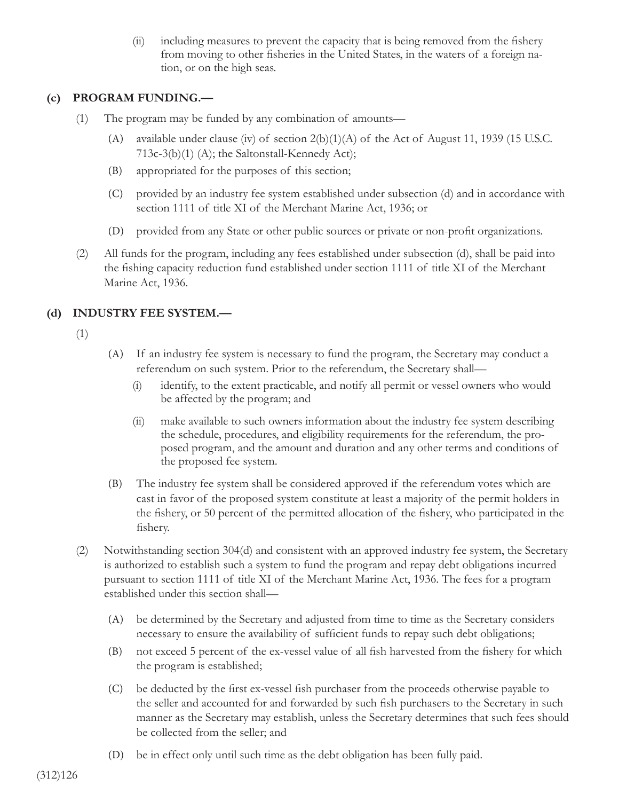$(iii)$  including measures to prevent the capacity that is being removed from the fishery from moving to other fisheries in the United States, in the waters of a foreign nation, or on the high seas.

#### **(c) PROGRAM FUNDING.—**

- (1) The program may be funded by any combination of amounts—
	- (A) available under clause (iv) of section  $2(b)(1)(A)$  of the Act of August 11, 1939 (15 U.S.C. 713c-3(b)(1) (A); the Saltonstall-Kennedy Act);
	- (B) appropriated for the purposes of this section;
	- (C) provided by an industry fee system established under subsection (d) and in accordance with section 1111 of title XI of the Merchant Marine Act, 1936; or
	- (D) provided from any State or other public sources or private or non-profit organizations.
- (2) All funds for the program, including any fees established under subsection (d), shall be paid into the fishing capacity reduction fund established under section 1111 of title XI of the Merchant Marine Act, 1936.

### **(d) INDUSTRY FEE SYSTEM.—**

- (1)
- (A) If an industry fee system is necessary to fund the program, the Secretary may conduct a referendum on such system. Prior to the referendum, the Secretary shall—
	- (i) identify, to the extent practicable, and notify all permit or vessel owners who would be affected by the program; and
	- (ii) make available to such owners information about the industry fee system describing the schedule, procedures, and eligibility requirements for the referendum, the proposed program, and the amount and duration and any other terms and conditions of the proposed fee system.
- (B) The industry fee system shall be considered approved if the referendum votes which are cast in favor of the proposed system constitute at least a majority of the permit holders in the fishery, or 50 percent of the permitted allocation of the fishery, who participated in the fishery.
- (2) Notwithstanding section 304(d) and consistent with an approved industry fee system, the Secretary is authorized to establish such a system to fund the program and repay debt obligations incurred pursuant to section 1111 of title XI of the Merchant Marine Act, 1936. The fees for a program established under this section shall—
	- (A) be determined by the Secretary and adjusted from time to time as the Secretary considers necessary to ensure the availability of sufficient funds to repay such debt obligations;
	- (B) not exceed 5 percent of the ex-vessel value of all fish harvested from the fishery for which the program is established;
	- (C) be deducted by the first ex-vessel fish purchaser from the proceeds otherwise payable to the seller and accounted for and forwarded by such fish purchasers to the Secretary in such manner as the Secretary may establish, unless the Secretary determines that such fees should be collected from the seller; and
	- (D) be in effect only until such time as the debt obligation has been fully paid.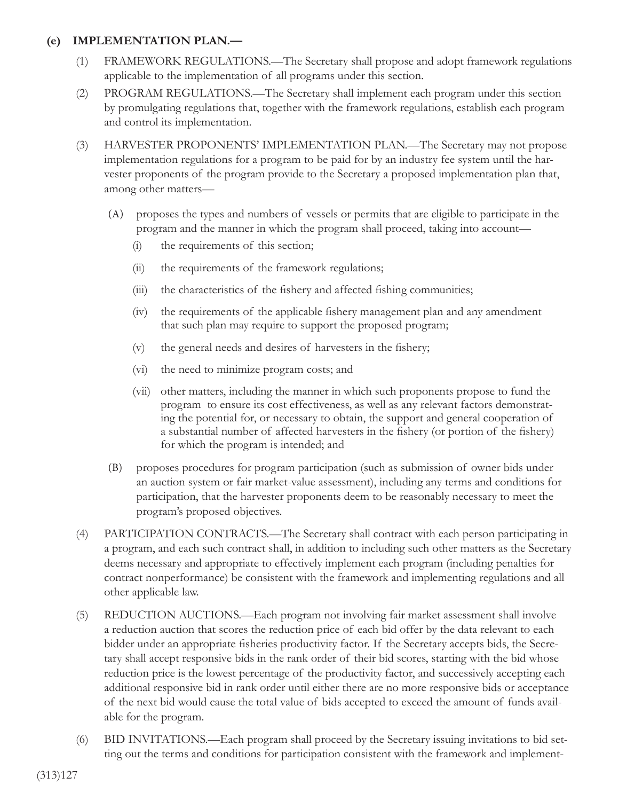#### **(e) IMPLEMENTATION PLAN.—**

- (1) FRAMEWORK REGULATIONS.—The Secretary shall propose and adopt framework regulations applicable to the implementation of all programs under this section.
- (2) PROGRAM REGULATIONS.—The Secretary shall implement each program under this section by promulgating regulations that, together with the framework regulations, establish each program and control its implementation.
- (3) HARVESTER PROPONENTS' IMPLEMENTATION PLAN.—The Secretary may not propose implementation regulations for a program to be paid for by an industry fee system until the harvester proponents of the program provide to the Secretary a proposed implementation plan that, among other matters—
	- (A) proposes the types and numbers of vessels or permits that are eligible to participate in the program and the manner in which the program shall proceed, taking into account—
		- (i) the requirements of this section;
		- (ii) the requirements of the framework regulations;
		- (iii) the characteristics of the fishery and affected fishing communities;
		- (iv) the requirements of the applicable fishery management plan and any amendment that such plan may require to support the proposed program;
		- $(v)$  the general needs and desires of harvesters in the fishery;
		- (vi) the need to minimize program costs; and
		- (vii) other matters, including the manner in which such proponents propose to fund the program to ensure its cost effectiveness, as well as any relevant factors demonstrating the potential for, or necessary to obtain, the support and general cooperation of a substantial number of affected harvesters in the fishery (or portion of the fishery) for which the program is intended; and
	- (B) proposes procedures for program participation (such as submission of owner bids under an auction system or fair market-value assessment), including any terms and conditions for participation, that the harvester proponents deem to be reasonably necessary to meet the program's proposed objectives.
- (4) PARTICIPATION CONTRACTS.—The Secretary shall contract with each person participating in a program, and each such contract shall, in addition to including such other matters as the Secretary deems necessary and appropriate to effectively implement each program (including penalties for contract nonperformance) be consistent with the framework and implementing regulations and all other applicable law.
- (5) REDUCTION AUCTIONS.—Each program not involving fair market assessment shall involve a reduction auction that scores the reduction price of each bid offer by the data relevant to each bidder under an appropriate fisheries productivity factor. If the Secretary accepts bids, the Secretary shall accept responsive bids in the rank order of their bid scores, starting with the bid whose reduction price is the lowest percentage of the productivity factor, and successively accepting each additional responsive bid in rank order until either there are no more responsive bids or acceptance of the next bid would cause the total value of bids accepted to exceed the amount of funds available for the program.
- (6) BID INVITATIONS.—Each program shall proceed by the Secretary issuing invitations to bid setting out the terms and conditions for participation consistent with the framework and implement-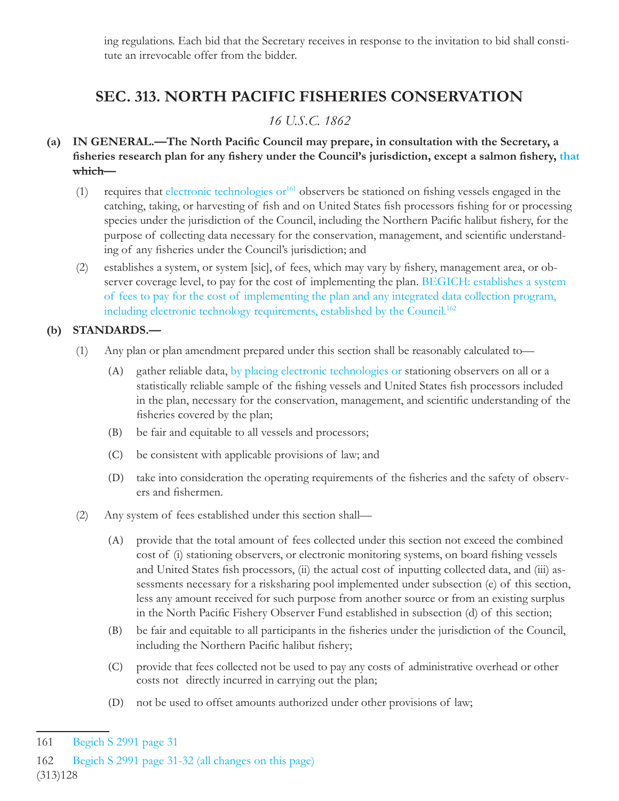ing regulations. Each bid that the Secretary receives in response to the invitation to bid shall constitute an irrevocable offer from the bidder.

# **SEC. 313. NORTH PACIFIC FISHERIES CONSERVATION**

## *16 U.S.C. 1862*

#### **(a) IN GENERAL.—The North Pacific Council may prepare, in consultation with the Secretary, a** fisheries research plan for any fishery under the Council's jurisdiction, except a salmon fishery, that **which—**

- (1) requires that electronic technologies or<sup>161</sup> observers be stationed on fishing vessels engaged in the catching, taking, or harvesting of fish and on United States fish processors fishing for or processing species under the jurisdiction of the Council, including the Northern Pacific halibut fishery, for the purpose of collecting data necessary for the conservation, management, and scientific understanding of any fisheries under the Council's jurisdiction; and
- (2) establishes a system, or system [sic], of fees, which may vary by fishery, management area, or observer coverage level, to pay for the cost of implementing the plan. BEGICH: establishes a system of fees to pay for the cost of implementing the plan and any integrated data collection program, including electronic technology requirements, established by the Council.<sup>162</sup>

### **(b) STANDARDS.—**

- (1) Any plan or plan amendment prepared under this section shall be reasonably calculated to—
	- (A) gather reliable data, by placing electronic technologies or stationing observers on all or a statistically reliable sample of the fishing vessels and United States fish processors included in the plan, necessary for the conservation, management, and scientific understanding of the fisheries covered by the plan;
	- (B) be fair and equitable to all vessels and processors;
	- (C) be consistent with applicable provisions of law; and
	- (D) take into consideration the operating requirements of the fisheries and the safety of observers and fishermen.
- (2) Any system of fees established under this section shall—
	- (A) provide that the total amount of fees collected under this section not exceed the combined cost of (i) stationing observers, or electronic monitoring systems, on board fishing vessels and United States fish processors, (ii) the actual cost of inputting collected data, and (iii) assessments necessary for a risksharing pool implemented under subsection (e) of this section, less any amount received for such purpose from another source or from an existing surplus in the North Pacific Fishery Observer Fund established in subsection (d) of this section;
	- (B) be fair and equitable to all participants in the fisheries under the jurisdiction of the Council, including the Northern Pacific halibut fishery;
	- (C) provide that fees collected not be used to pay any costs of administrative overhead or other costs not directly incurred in carrying out the plan;
	- (D) not be used to offset amounts authorized under other provisions of law;

<sup>161</sup> Begich S 2991 page 31

<sup>(313)128</sup> 162 Begich S 2991 page 31-32 (all changes on this page)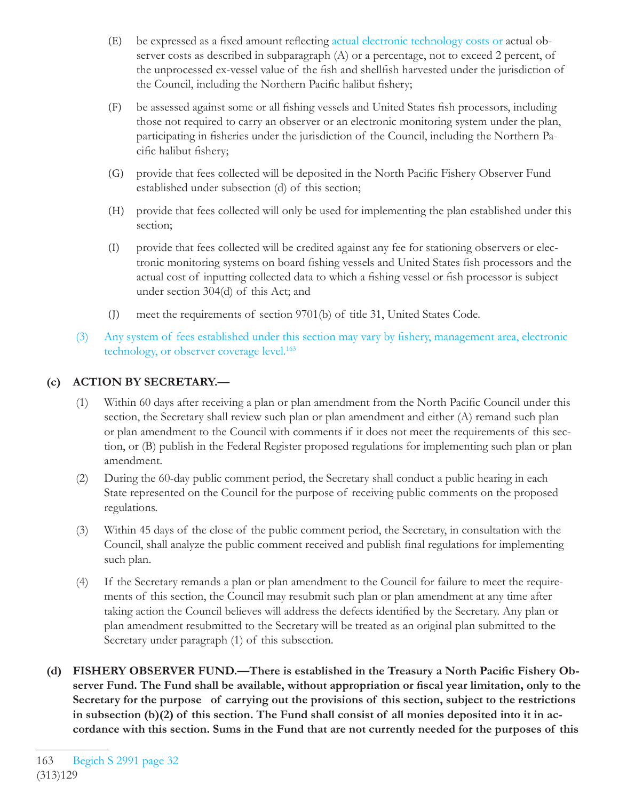- (E) be expressed as a fixed amount reflecting actual electronic technology costs or actual observer costs as described in subparagraph (A) or a percentage, not to exceed 2 percent, of the unprocessed ex-vessel value of the fish and shellfish harvested under the jurisdiction of the Council, including the Northern Pacific halibut fishery;
- (F) be assessed against some or all fishing vessels and United States fish processors, including those not required to carry an observer or an electronic monitoring system under the plan, participating in fisheries under the jurisdiction of the Council, including the Northern Pacific halibut fishery;
- (G) provide that fees collected will be deposited in the North Pacific Fishery Observer Fund established under subsection (d) of this section;
- (H) provide that fees collected will only be used for implementing the plan established under this section;
- (I) provide that fees collected will be credited against any fee for stationing observers or electronic monitoring systems on board fishing vessels and United States fish processors and the actual cost of inputting collected data to which a fishing vessel or fish processor is subject under section 304(d) of this Act; and
- (J) meet the requirements of section 9701(b) of title 31, United States Code.
- (3) Any system of fees established under this section may vary by fishery, management area, electronic technology, or observer coverage level.<sup>163</sup>

#### **(c) ACTION BY SECRETARY.—**

- (1) Within 60 days after receiving a plan or plan amendment from the North Pacific Council under this section, the Secretary shall review such plan or plan amendment and either (A) remand such plan or plan amendment to the Council with comments if it does not meet the requirements of this section, or (B) publish in the Federal Register proposed regulations for implementing such plan or plan amendment.
- (2) During the 60-day public comment period, the Secretary shall conduct a public hearing in each State represented on the Council for the purpose of receiving public comments on the proposed regulations.
- (3) Within 45 days of the close of the public comment period, the Secretary, in consultation with the Council, shall analyze the public comment received and publish final regulations for implementing such plan.
- (4) If the Secretary remands a plan or plan amendment to the Council for failure to meet the requirements of this section, the Council may resubmit such plan or plan amendment at any time after taking action the Council believes will address the defects identified by the Secretary. Any plan or plan amendment resubmitted to the Secretary will be treated as an original plan submitted to the Secretary under paragraph (1) of this subsection.
- (d) FISHERY OBSERVER FUND.—There is established in the Treasury a North Pacific Fishery Observer Fund. The Fund shall be available, without appropriation or fiscal year limitation, only to the **Secretary for the purpose of carrying out the provisions of this section, subject to the restrictions in subsection (b)(2) of this section. The Fund shall consist of all monies deposited into it in accordance with this section. Sums in the Fund that are not currently needed for the purposes of this**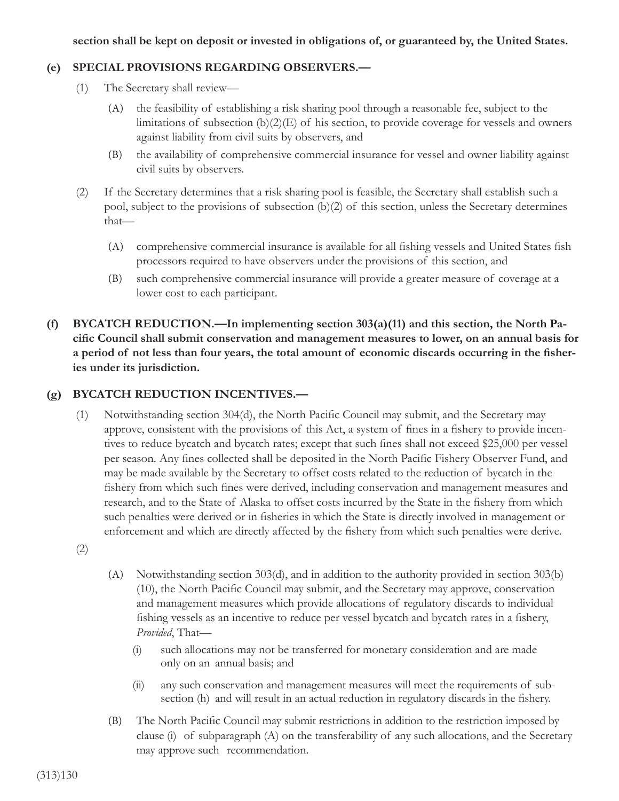#### **(e) SPECIAL PROVISIONS REGARDING OBSERVERS.—**

- (1) The Secretary shall review—
	- (A) the feasibility of establishing a risk sharing pool through a reasonable fee, subject to the limitations of subsection (b)(2)(E) of his section, to provide coverage for vessels and owners against liability from civil suits by observers, and
	- (B) the availability of comprehensive commercial insurance for vessel and owner liability against civil suits by observers.
- (2) If the Secretary determines that a risk sharing pool is feasible, the Secretary shall establish such a pool, subject to the provisions of subsection (b)(2) of this section, unless the Secretary determines that—
	- (A) comprehensive commercial insurance is available for all fishing vessels and United States fish processors required to have observers under the provisions of this section, and
	- (B) such comprehensive commercial insurance will provide a greater measure of coverage at a lower cost to each participant.
- **(f) BYCATCH REDUCTION.—In implementing section 303(a)(11) and this section, the North Pa**cific Council shall submit conservation and management measures to lower, on an annual basis for a period of not less than four years, the total amount of economic discards occurring in the fisher**ies under its jurisdiction.**

#### **(g) BYCATCH REDUCTION INCENTIVES.—**

(1) Notwithstanding section 304(d), the North Pacific Council may submit, and the Secretary may approve, consistent with the provisions of this Act, a system of fines in a fishery to provide incentives to reduce bycatch and bycatch rates; except that such fines shall not exceed \$25,000 per vessel per season. Any fines collected shall be deposited in the North Pacific Fishery Observer Fund, and may be made available by the Secretary to offset costs related to the reduction of bycatch in the fishery from which such fines were derived, including conservation and management measures and research, and to the State of Alaska to offset costs incurred by the State in the fishery from which such penalties were derived or in fisheries in which the State is directly involved in management or enforcement and which are directly affected by the fishery from which such penalties were derive.

(2)

- (A) Notwithstanding section 303(d), and in addition to the authority provided in section 303(b) (10), the North Pacific Council may submit, and the Secretary may approve, conservation and management measures which provide allocations of regulatory discards to individual fishing vessels as an incentive to reduce per vessel bycatch and bycatch rates in a fishery, *Provided*, That—
	- (i) such allocations may not be transferred for monetary consideration and are made only on an annual basis; and
	- (ii) any such conservation and management measures will meet the requirements of subsection (h) and will result in an actual reduction in regulatory discards in the fishery.
- (B) The North Pacific Council may submit restrictions in addition to the restriction imposed by clause (i) of subparagraph (A) on the transferability of any such allocations, and the Secretary may approve such recommendation.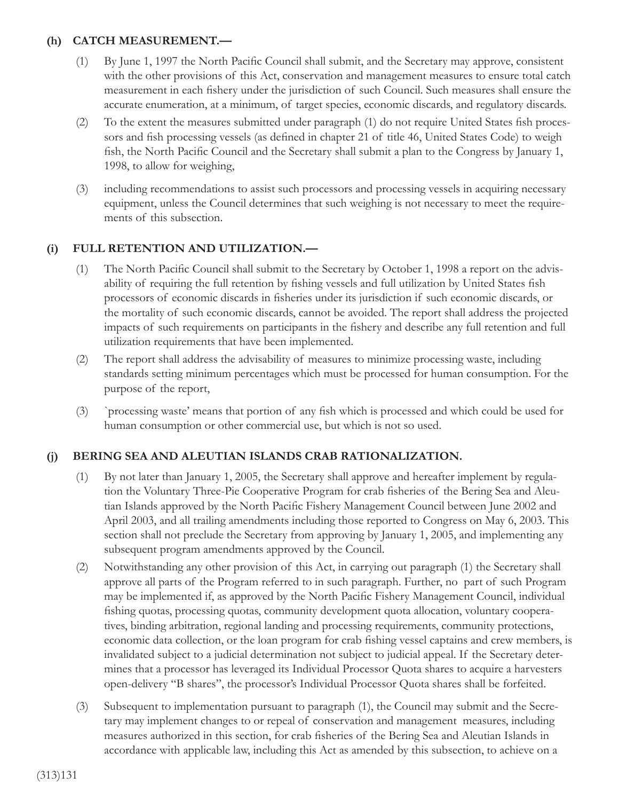#### **(h) CATCH MEASUREMENT.—**

- (1) By June 1, 1997 the North Pacific Council shall submit, and the Secretary may approve, consistent with the other provisions of this Act, conservation and management measures to ensure total catch measurement in each fishery under the jurisdiction of such Council. Such measures shall ensure the accurate enumeration, at a minimum, of target species, economic discards, and regulatory discards.
- (2) To the extent the measures submitted under paragraph  $(1)$  do not require United States fish processors and fish processing vessels (as defined in chapter 21 of title 46, United States Code) to weigh fish, the North Pacific Council and the Secretary shall submit a plan to the Congress by January 1, 1998, to allow for weighing,
- (3) including recommendations to assist such processors and processing vessels in acquiring necessary equipment, unless the Council determines that such weighing is not necessary to meet the requirements of this subsection.

### **(i) FULL RETENTION AND UTILIZATION.—**

- (1) The North Pacific Council shall submit to the Secretary by October 1, 1998 a report on the advisability of requiring the full retention by fishing vessels and full utilization by United States fish processors of economic discards in fisheries under its jurisdiction if such economic discards, or the mortality of such economic discards, cannot be avoided. The report shall address the projected impacts of such requirements on participants in the fishery and describe any full retention and full utilization requirements that have been implemented.
- (2) The report shall address the advisability of measures to minimize processing waste, including standards setting minimum percentages which must be processed for human consumption. For the purpose of the report,
- (3) `processing waste' means that portion of any fish which is processed and which could be used for human consumption or other commercial use, but which is not so used.

#### **(j) BERING SEA AND ALEUTIAN ISLANDS CRAB RATIONALIZATION.**

- (1) By not later than January 1, 2005, the Secretary shall approve and hereafter implement by regulation the Voluntary Three-Pie Cooperative Program for crab fisheries of the Bering Sea and Aleutian Islands approved by the North Pacific Fishery Management Council between June 2002 and April 2003, and all trailing amendments including those reported to Congress on May 6, 2003. This section shall not preclude the Secretary from approving by January 1, 2005, and implementing any subsequent program amendments approved by the Council.
- (2) Notwithstanding any other provision of this Act, in carrying out paragraph (1) the Secretary shall approve all parts of the Program referred to in such paragraph. Further, no part of such Program may be implemented if, as approved by the North Pacific Fishery Management Council, individual fishing quotas, processing quotas, community development quota allocation, voluntary cooperatives, binding arbitration, regional landing and processing requirements, community protections, economic data collection, or the loan program for crab fishing vessel captains and crew members, is invalidated subject to a judicial determination not subject to judicial appeal. If the Secretary determines that a processor has leveraged its Individual Processor Quota shares to acquire a harvesters open-delivery "B shares", the processor's Individual Processor Quota shares shall be forfeited.
- (3) Subsequent to implementation pursuant to paragraph (1), the Council may submit and the Secretary may implement changes to or repeal of conservation and management measures, including measures authorized in this section, for crab fisheries of the Bering Sea and Aleutian Islands in accordance with applicable law, including this Act as amended by this subsection, to achieve on a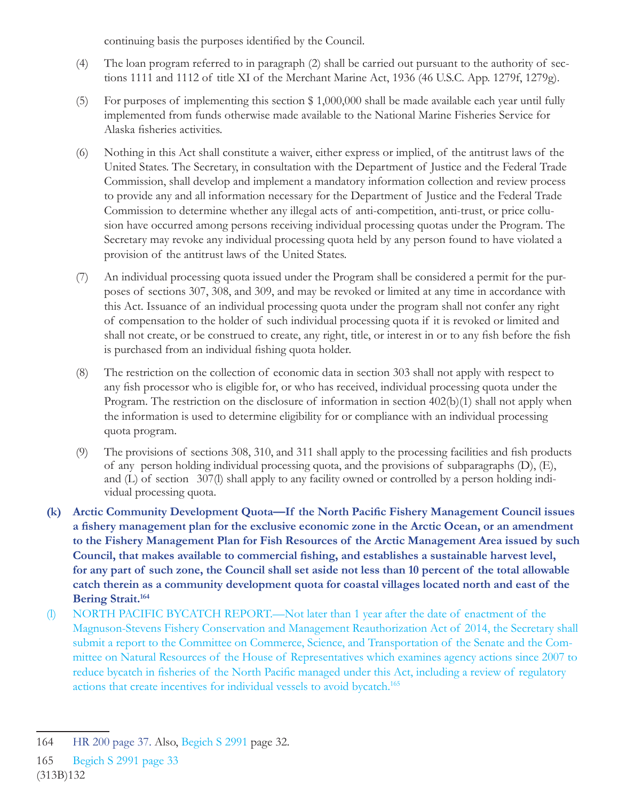continuing basis the purposes identified by the Council.

- (4) The loan program referred to in paragraph (2) shall be carried out pursuant to the authority of sections 1111 and 1112 of title XI of the Merchant Marine Act, 1936 (46 U.S.C. App. 1279f, 1279g).
- (5) For purposes of implementing this section \$ 1,000,000 shall be made available each year until fully implemented from funds otherwise made available to the National Marine Fisheries Service for Alaska fisheries activities.
- (6) Nothing in this Act shall constitute a waiver, either express or implied, of the antitrust laws of the United States. The Secretary, in consultation with the Department of Justice and the Federal Trade Commission, shall develop and implement a mandatory information collection and review process to provide any and all information necessary for the Department of Justice and the Federal Trade Commission to determine whether any illegal acts of anti-competition, anti-trust, or price collusion have occurred among persons receiving individual processing quotas under the Program. The Secretary may revoke any individual processing quota held by any person found to have violated a provision of the antitrust laws of the United States.
- (7) An individual processing quota issued under the Program shall be considered a permit for the purposes of sections 307, 308, and 309, and may be revoked or limited at any time in accordance with this Act. Issuance of an individual processing quota under the program shall not confer any right of compensation to the holder of such individual processing quota if it is revoked or limited and shall not create, or be construed to create, any right, title, or interest in or to any fish before the fish is purchased from an individual fishing quota holder.
- (8) The restriction on the collection of economic data in section 303 shall not apply with respect to any fish processor who is eligible for, or who has received, individual processing quota under the Program. The restriction on the disclosure of information in section 402(b)(1) shall not apply when the information is used to determine eligibility for or compliance with an individual processing quota program.
- (9) The provisions of sections  $308$ ,  $310$ , and  $311$  shall apply to the processing facilities and fish products of any person holding individual processing quota, and the provisions of subparagraphs (D), (E), and (L) of section 307(l) shall apply to any facility owned or controlled by a person holding individual processing quota.
- **(k) Arctic Community Development Quota—If the North Pacific Fishery Management Council issues** a fishery management plan for the exclusive economic zone in the Arctic Ocean, or an amendment **to the Fishery Management Plan for Fish Resources of the Arctic Management Area issued by such**  Council, that makes available to commercial fishing, and establishes a sustainable harvest level, **for any part of such zone, the Council shall set aside not less than 10 percent of the total allowable catch therein as a community development quota for coastal villages located north and east of the Bering Strait.164**
- (l) NORTH PACIFIC BYCATCH REPORT.—Not later than 1 year after the date of enactment of the Magnuson-Stevens Fishery Conservation and Management Reauthorization Act of 2014, the Secretary shall submit a report to the Committee on Commerce, Science, and Transportation of the Senate and the Committee on Natural Resources of the House of Representatives which examines agency actions since 2007 to reduce bycatch in fisheries of the North Pacific managed under this Act, including a review of regulatory actions that create incentives for individual vessels to avoid bycatch.<sup>165</sup>

<sup>164</sup> HR 200 page 37. Also, Begich S 2991 page 32.

<sup>165</sup> Begich S 2991 page 33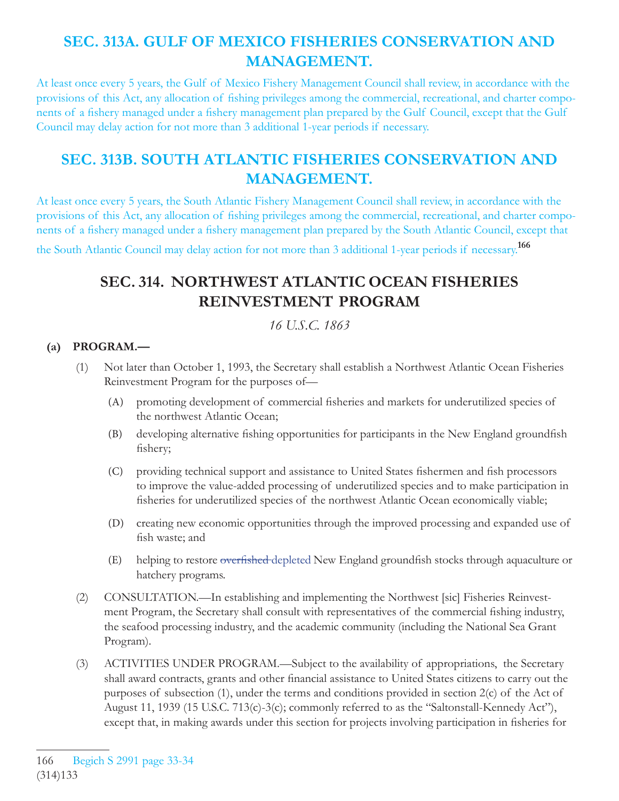# **SEC. 313A. GULF OF MEXICO FISHERIES CONSERVATION AND MANAGEMENT.**

At least once every 5 years, the Gulf of Mexico Fishery Management Council shall review, in accordance with the provisions of this Act, any allocation of fishing privileges among the commercial, recreational, and charter components of a fishery managed under a fishery management plan prepared by the Gulf Council, except that the Gulf Council may delay action for not more than 3 additional 1-year periods if necessary.

# **SEC. 313B. SOUTH ATLANTIC FISHERIES CONSERVATION AND MANAGEMENT.**

At least once every 5 years, the South Atlantic Fishery Management Council shall review, in accordance with the provisions of this Act, any allocation of fishing privileges among the commercial, recreational, and charter components of a fishery managed under a fishery management plan prepared by the South Atlantic Council, except that

the South Atlantic Council may delay action for not more than 3 additional 1-year periods if necessary.**<sup>166</sup>**

# **SEC. 314. NORTHWEST ATLANTIC OCEAN FISHERIES REINVESTMENT PROGRAM**

### *16 U.S.C. 1863*

### **(a) PROGRAM.—**

- (1) Not later than October 1, 1993, the Secretary shall establish a Northwest Atlantic Ocean Fisheries Reinvestment Program for the purposes of—
	- (A) promoting development of commercial fisheries and markets for underutilized species of the northwest Atlantic Ocean;
	- (B) developing alternative fishing opportunities for participants in the New England groundfish fishery;
	- (C) providing technical support and assistance to United States fishermen and fish processors to improve the value-added processing of underutilized species and to make participation in fisheries for underutilized species of the northwest Atlantic Ocean economically viable;
	- (D) creating new economic opportunities through the improved processing and expanded use of fish waste; and
	- (E) helping to restore <del>overfished</del> depleted New England groundfish stocks through aquaculture or hatchery programs.
- (2) CONSULTATION.—In establishing and implementing the Northwest [sic] Fisheries Reinvestment Program, the Secretary shall consult with representatives of the commercial fishing industry, the seafood processing industry, and the academic community (including the National Sea Grant Program).
- (3) ACTIVITIES UNDER PROGRAM.—Subject to the availability of appropriations, the Secretary shall award contracts, grants and other financial assistance to United States citizens to carry out the purposes of subsection (1), under the terms and conditions provided in section 2(c) of the Act of August 11, 1939 (15 U.S.C. 713(c)-3(c); commonly referred to as the "Saltonstall-Kennedy Act"), except that, in making awards under this section for projects involving participation in fisheries for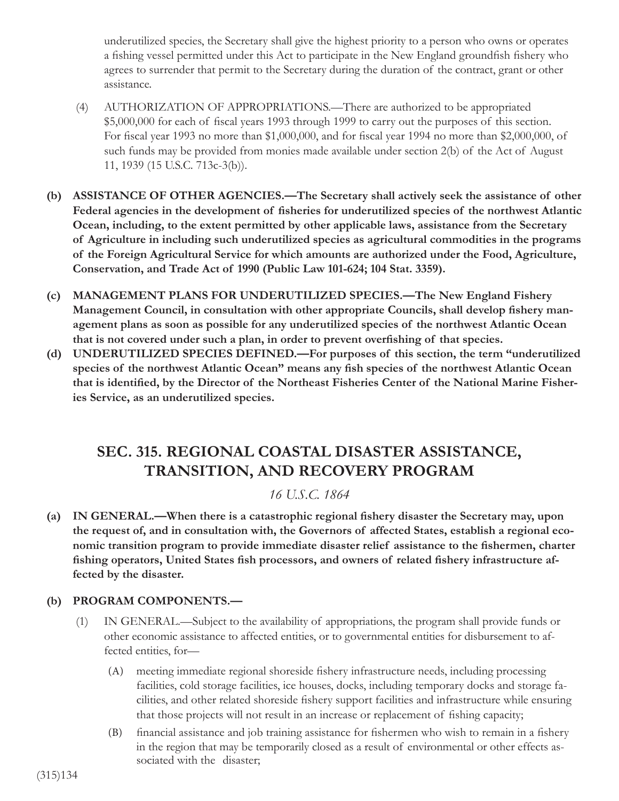underutilized species, the Secretary shall give the highest priority to a person who owns or operates a fishing vessel permitted under this Act to participate in the New England groundfish fishery who agrees to surrender that permit to the Secretary during the duration of the contract, grant or other assistance.

- (4) AUTHORIZATION OF APPROPRIATIONS.—There are authorized to be appropriated \$5,000,000 for each of fiscal years 1993 through 1999 to carry out the purposes of this section. For fiscal year 1993 no more than  $$1,000,000$ , and for fiscal year 1994 no more than  $$2,000,000$ , of such funds may be provided from monies made available under section 2(b) of the Act of August 11, 1939 (15 U.S.C. 713c-3(b)).
- **(b) ASSISTANCE OF OTHER AGENCIES.—The Secretary shall actively seek the assistance of other**  Federal agencies in the development of fisheries for underutilized species of the northwest Atlantic **Ocean, including, to the extent permitted by other applicable laws, assistance from the Secretary of Agriculture in including such underutilized species as agricultural commodities in the programs of the Foreign Agricultural Service for which amounts are authorized under the Food, Agriculture, Conservation, and Trade Act of 1990 (Public Law 101-624; 104 Stat. 3359).**
- **(c) MANAGEMENT PLANS FOR UNDERUTILIZED SPECIES.—The New England Fishery Management Council, in consultation with other appropriate Councils, shall develop fishery management plans as soon as possible for any underutilized species of the northwest Atlantic Ocean**  that is not covered under such a plan, in order to prevent overfishing of that species.
- **(d) UNDERUTILIZED SPECIES DEFINED.—For purposes of this section, the term "underutilized**  species of the northwest Atlantic Ocean" means any fish species of the northwest Atlantic Ocean that is identified, by the Director of the Northeast Fisheries Center of the National Marine Fisher**ies Service, as an underutilized species.**

# SEC. 315. REGIONAL COASTAL DISASTER ASSISTANCE, **TRANSITION, AND RECOVERY PROGRAM**

## *16 U.S.C. 1864*

(a) IN GENERAL.—When there is a catastrophic regional fishery disaster the Secretary may, upon **the request of, and in consultation with, the Governors of affected States, establish a regional eco**nomic transition program to provide immediate disaster relief assistance to the fishermen, charter fishing operators, United States fish processors, and owners of related fishery infrastructure af**fected by the disaster.**

## **(b) PROGRAM COMPONENTS.—**

- (1) IN GENERAL.—Subject to the availability of appropriations, the program shall provide funds or other economic assistance to affected entities, or to governmental entities for disbursement to affected entities, for—
	- (A) meeting immediate regional shoreside fishery infrastructure needs, including processing facilities, cold storage facilities, ice houses, docks, including temporary docks and storage facilities, and other related shoreside fishery support facilities and infrastructure while ensuring that those projects will not result in an increase or replacement of fishing capacity;
	- (B) financial assistance and job training assistance for fishermen who wish to remain in a fishery in the region that may be temporarily closed as a result of environmental or other effects associated with the disaster;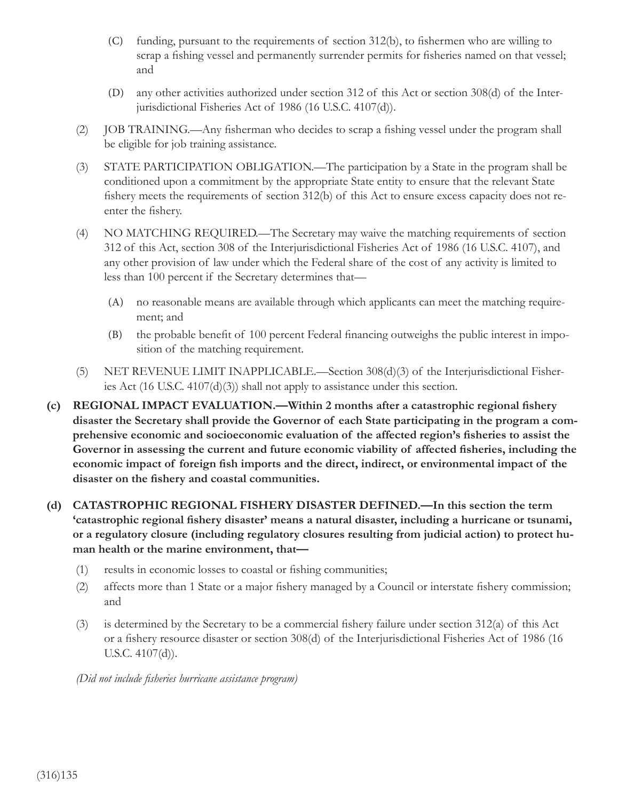- (C) funding, pursuant to the requirements of section  $312(b)$ , to fishermen who are willing to scrap a fishing vessel and permanently surrender permits for fisheries named on that vessel; and
- (D) any other activities authorized under section 312 of this Act or section 308(d) of the Interjurisdictional Fisheries Act of 1986 (16 U.S.C. 4107(d)).
- (2) JOB TRAINING.—Any fisherman who decides to scrap a fishing vessel under the program shall be eligible for job training assistance.
- (3) STATE PARTICIPATION OBLIGATION.—The participation by a State in the program shall be conditioned upon a commitment by the appropriate State entity to ensure that the relevant State fishery meets the requirements of section 312(b) of this Act to ensure excess capacity does not reenter the fishery.
- (4) NO MATCHING REQUIRED.—The Secretary may waive the matching requirements of section 312 of this Act, section 308 of the Interjurisdictional Fisheries Act of 1986 (16 U.S.C. 4107), and any other provision of law under which the Federal share of the cost of any activity is limited to less than 100 percent if the Secretary determines that—
	- (A) no reasonable means are available through which applicants can meet the matching requirement; and
	- (B) the probable benefit of 100 percent Federal financing outweighs the public interest in imposition of the matching requirement.
- (5) NET REVENUE LIMIT INAPPLICABLE.—Section 308(d)(3) of the Interjurisdictional Fisheries Act (16 U.S.C. 4107(d)(3)) shall not apply to assistance under this section.
- (c) REGIONAL IMPACT EVALUATION.—Within 2 months after a catastrophic regional fishery **disaster the Secretary shall provide the Governor of each State participating in the program a com**prehensive economic and socioeconomic evaluation of the affected region's fisheries to assist the Governor in assessing the current and future economic viability of affected fisheries, including the economic impact of foreign fish imports and the direct, indirect, or environmental impact of the disaster on the fishery and coastal communities.
- **(d) CATASTROPHIC REGIONAL FISHERY DISASTER DEFINED.—In this section the term**  'catastrophic regional fishery disaster' means a natural disaster, including a hurricane or tsunami, **or a regulatory closure (including regulatory closures resulting from judicial action) to protect human health or the marine environment, that—**
	- $(1)$  results in economic losses to coastal or fishing communities;
	- (2) affects more than 1 State or a major fishery managed by a Council or interstate fishery commission; and
	- $(3)$  is determined by the Secretary to be a commercial fishery failure under section 312(a) of this Act or a fishery resource disaster or section 308(d) of the Interjurisdictional Fisheries Act of 1986 (16 U.S.C. 4107(d)).

*(Did not include fi sheries hurricane assistance program)*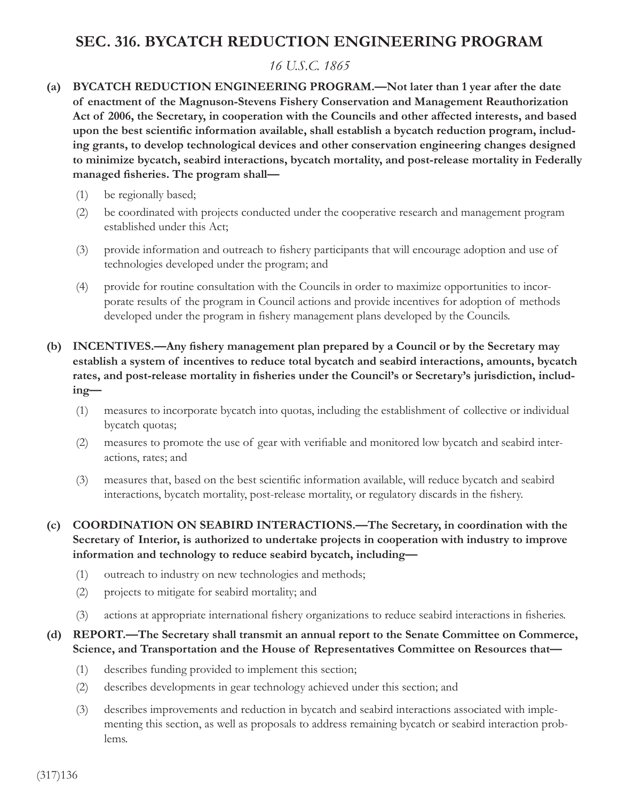# **SEC. 316. BYCATCH REDUCTION ENGINEERING PROGRAM**

## *16 U.S.C. 1865*

- **(a) BYCATCH REDUCTION ENGINEERING PROGRAM.—Not later than 1 year after the date of enactment of the Magnuson-Stevens Fishery Conservation and Management Reauthorization Act of 2006, the Secretary, in cooperation with the Councils and other affected interests, and based**  upon the best scientific information available, shall establish a bycatch reduction program, includ**ing grants, to develop technological devices and other conservation engineering changes designed to minimize bycatch, seabird interactions, bycatch mortality, and post-release mortality in Federally**  managed fisheries. The program shall-
	- (1) be regionally based;
	- (2) be coordinated with projects conducted under the cooperative research and management program established under this Act;
	- (3) provide information and outreach to fishery participants that will encourage adoption and use of technologies developed under the program; and
	- (4) provide for routine consultation with the Councils in order to maximize opportunities to incorporate results of the program in Council actions and provide incentives for adoption of methods developed under the program in fishery management plans developed by the Councils.
- **(b) INCENTIVES.—Any fishery management plan prepared by a Council or by the Secretary may establish a system of incentives to reduce total bycatch and seabird interactions, amounts, bycatch**  rates, and post-release mortality in fisheries under the Council's or Secretary's jurisdiction, includ**ing—**
	- (1) measures to incorporate bycatch into quotas, including the establishment of collective or individual bycatch quotas;
	- (2) measures to promote the use of gear with verifiable and monitored low bycatch and seabird interactions, rates; and
	- (3) measures that, based on the best scientific information available, will reduce bycatch and seabird interactions, bycatch mortality, post-release mortality, or regulatory discards in the fishery.
- **(c) COORDINATION ON SEABIRD INTERACTIONS.—The Secretary, in coordination with the Secretary of Interior, is authorized to undertake projects in cooperation with industry to improve information and technology to reduce seabird bycatch, including—**
	- (1) outreach to industry on new technologies and methods;
	- (2) projects to mitigate for seabird mortality; and
	- (3) actions at appropriate international fishery organizations to reduce seabird interactions in fisheries.

### **(d) REPORT.—The Secretary shall transmit an annual report to the Senate Committee on Commerce, Science, and Transportation and the House of Representatives Committee on Resources that—**

- (1) describes funding provided to implement this section;
- (2) describes developments in gear technology achieved under this section; and
- (3) describes improvements and reduction in bycatch and seabird interactions associated with implementing this section, as well as proposals to address remaining bycatch or seabird interaction problems.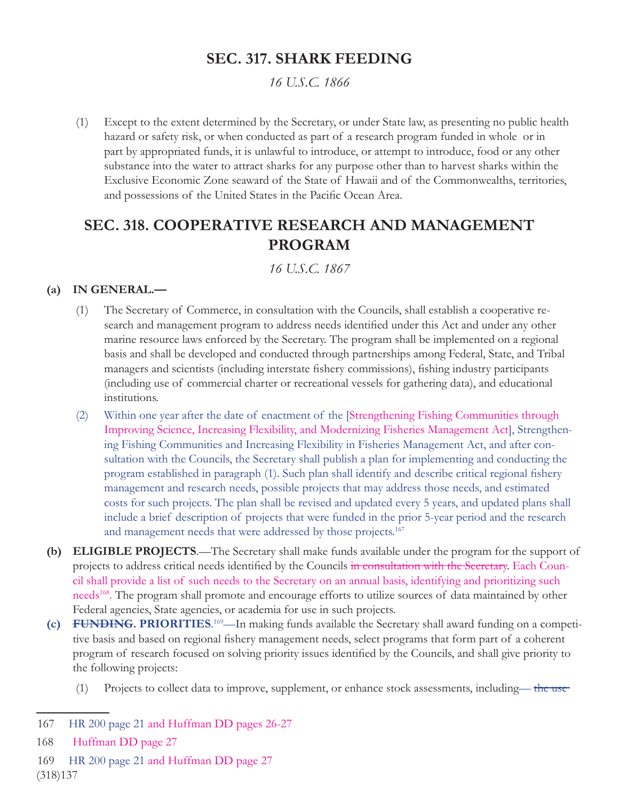## **SEC . 317. SHARK FEEDING**

*16 U.S.C. 1866*

(1) Except to the extent determined by the Secretary, or under State law, as presenting no public health hazard or safety risk, or when conducted as part of a research program funded in whole or in part by appropriated funds, it is unlawful to introduce, or attempt to introduce, food or any other substance into the water to attract sharks for any purpose other than to harvest sharks within the Exclusive Economic Zone seaward of the State of Hawaii and of the Commonwealths, territories, and possessions of the United States in the Pacific Ocean Area.

## **SEC . 318. COOPERATIVE RESEARCH AND MANAGEMENT PROGRAM**

*16 U.S.C. 1867*

### **(a) IN GENERAL.—**

- (1) The Secretary of Commerce, in consultation with the Councils, shall establish a cooperative research and management program to address needs identified under this Act and under any other marine resource laws enforced by the Secretary. The program shall be implemented on a regional basis and shall be developed and conducted through partnerships among Federal, State, and Tribal managers and scientists (including interstate fishery commissions), fishing industry participants (including use of commercial charter or recreational vessels for gathering data), and educational institutions.
- (2) Within one year after the date of enactment of the [Strengthening Fishing Communities through Improving Science, Increasing Flexibility, and Modernizing Fisheries Management Act], Strengthening Fishing Communities and Increasing Flexibility in Fisheries Management Act, and after consultation with the Councils, the Secretary shall publish a plan for implementing and conducting the program established in paragraph (1). Such plan shall identify and describe critical regional fishery management and research needs, possible projects that may address those needs, and estimated costs for such projects. The plan shall be revised and updated every 5 years, and updated plans shall include a brief description of projects that were funded in the prior 5-year period and the research and management needs that were addressed by those projects.<sup>167</sup>
- **(b) ELIGIBLE PROJECTS**.—The Secretary shall make funds available under the program for the support of projects to address critical needs identified by the Councils in consultation with the Secretary. Each Council shall provide a list of such needs to the Secretary on an annual basis, identifying and prioritizing such needs<sup>168</sup>. The program shall promote and encourage efforts to utilize sources of data maintained by other Federal agencies, State agencies, or academia for use in such projects.
- (c) FUNDING. PRIORITIES.<sup>169</sup>—In making funds available the Secretary shall award funding on a competitive basis and based on regional fishery management needs, select programs that form part of a coherent program of research focused on solving priority issues identified by the Councils, and shall give priority to the following projects:
	- (1) Projects to collect data to improve, supplement, or enhance stock assessments, including— the use

<sup>167</sup> HR 200 page 21 and Huffman DD pages 26-27

<sup>168</sup> Huffman DD page 27

<sup>(318)137</sup> 169 HR 200 page 21 and Huffman DD page 27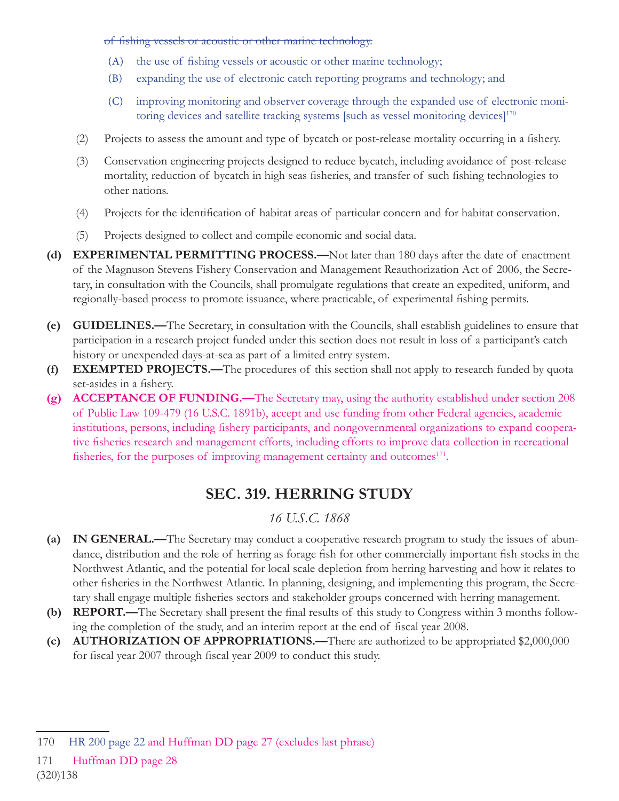of fishing vessels or acoustic or other marine technology.

- (A) the use of fishing vessels or acoustic or other marine technology;
- (B) expanding the use of electronic catch reporting programs and technology; and
- (C) improving monitoring and observer coverage through the expanded use of electronic monitoring devices and satellite tracking systems [such as vessel monitoring devices]<sup>170</sup>
- (2) Projects to assess the amount and type of bycatch or post-release mortality occurring in a fishery.
- (3) Conservation engineering projects designed to reduce bycatch, including avoidance of post-release mortality, reduction of bycatch in high seas fisheries, and transfer of such fishing technologies to other nations.
- (4) Projects for the identification of habitat areas of particular concern and for habitat conservation.
- (5) Projects designed to collect and compile economic and social data.
- **(d) EXPERIMENTAL PERMITTING PROCESS.—**Not later than 180 days after the date of enactment of the Magnuson Stevens Fishery Conservation and Management Reauthorization Act of 2006, the Secretary, in consultation with the Councils, shall promulgate regulations that create an expedited, uniform, and regionally-based process to promote issuance, where practicable, of experimental fishing permits.
- **(e) GUIDELINES.—**The Secretary, in consultation with the Councils, shall establish guidelines to ensure that participation in a research project funded under this section does not result in loss of a participant's catch history or unexpended days-at-sea as part of a limited entry system.
- **(f) EXEMPTED PROJECTS.—**The procedures of this section shall not apply to research funded by quota set-asides in a fishery.
- **(g) ACCEPTANCE OF FUNDING.—**The Secretary may, using the authority established under section 208 of Public Law 109-479 (16 U.S.C. 1891b), accept and use funding from other Federal agencies, academic institutions, persons, including fishery participants, and nongovernmental organizations to expand cooperative fisheries research and management efforts, including efforts to improve data collection in recreational fisheries, for the purposes of improving management certainty and outcomes $^{171}$ .

# **SEC. 319. HERRING STUDY**

## *16 U.S.C. 1868*

- **(a) IN GENERAL.—**The Secretary may conduct a cooperative research program to study the issues of abundance, distribution and the role of herring as forage fish for other commercially important fish stocks in the Northwest Atlantic, and the potential for local scale depletion from herring harvesting and how it relates to other fisheries in the Northwest Atlantic. In planning, designing, and implementing this program, the Secretary shall engage multiple fisheries sectors and stakeholder groups concerned with herring management.
- **(b) REPORT.—**The Secretary shall present the final results of this study to Congress within 3 months following the completion of the study, and an interim report at the end of fiscal year 2008.
- **(c) AUTHORIZATION OF APPROPRIATIONS.—**There are authorized to be appropriated \$2,000,000 for fiscal year 2007 through fiscal year 2009 to conduct this study.

171 Huffman DD page 28

<sup>170</sup> HR 200 page 22 and Huffman DD page 27 (excludes last phrase)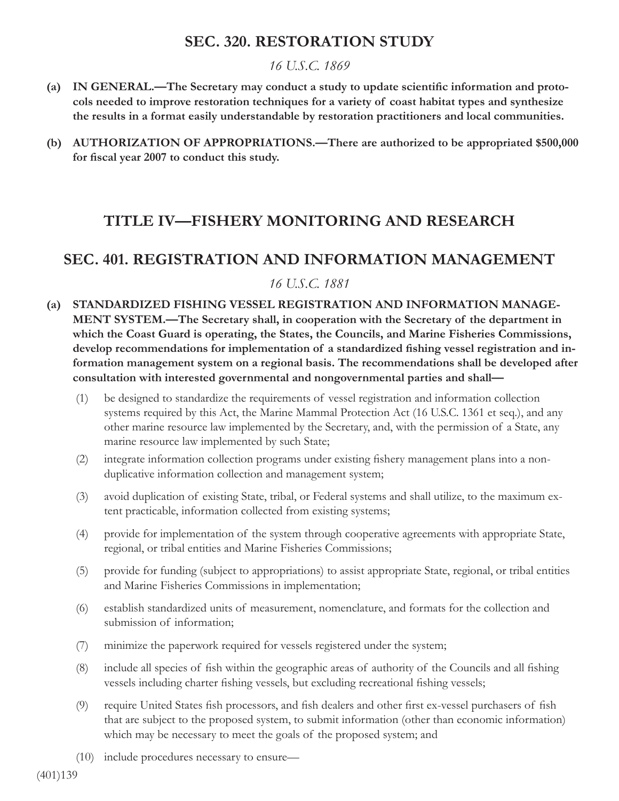## **SEC. 320. RESTORATION STUDY**

## *16 U.S.C. 1869*

- (a) IN GENERAL.—The Secretary may conduct a study to update scientific information and proto**cols needed to improve restoration techniques for a variety of coast habitat types and synthesize the results in a format easily understandable by restoration practitioners and local communities.**
- **(b) AUTHORIZATION OF APPROPRIATIONS.—There are authorized to be appropriated \$500,000**  for fiscal year 2007 to conduct this study.

## **TITLE IV—FISHERY MONITORING AND RESEARCH**

## **SEC. 401. REGISTRATION AND INFORMATION MANAGEMENT**

### *16 U.S.C. 1881*

- **(a) STANDARDIZED FISHING VESSEL REGISTRATION AND INFORMATION MANAGE-MENT SYSTEM.—The Secretary shall, in cooperation with the Secretary of the department in which the Coast Guard is operating, the States, the Councils, and Marine Fisheries Commissions,**  develop recommendations for implementation of a standardized fishing vessel registration and in**formation management system on a regional basis. The recommendations shall be developed after consultation with interested governmental and nongovernmental parties and shall—**
	- (1) be designed to standardize the requirements of vessel registration and information collection systems required by this Act, the Marine Mammal Protection Act (16 U.S.C. 1361 et seq.), and any other marine resource law implemented by the Secretary, and, with the permission of a State, any marine resource law implemented by such State;
	- (2) integrate information collection programs under existing fishery management plans into a nonduplicative information collection and management system;
	- (3) avoid duplication of existing State, tribal, or Federal systems and shall utilize, to the maximum extent practicable, information collected from existing systems;
	- (4) provide for implementation of the system through cooperative agreements with appropriate State, regional, or tribal entities and Marine Fisheries Commissions;
	- (5) provide for funding (subject to appropriations) to assist appropriate State, regional, or tribal entities and Marine Fisheries Commissions in implementation;
	- (6) establish standardized units of measurement, nomenclature, and formats for the collection and submission of information;
	- (7) minimize the paperwork required for vessels registered under the system;
	- (8) include all species of fish within the geographic areas of authority of the Councils and all fishing vessels including charter fishing vessels, but excluding recreational fishing vessels;
	- (9) require United States fish processors, and fish dealers and other first ex-vessel purchasers of fish that are subject to the proposed system, to submit information (other than economic information) which may be necessary to meet the goals of the proposed system; and
	- (10) include procedures necessary to ensure—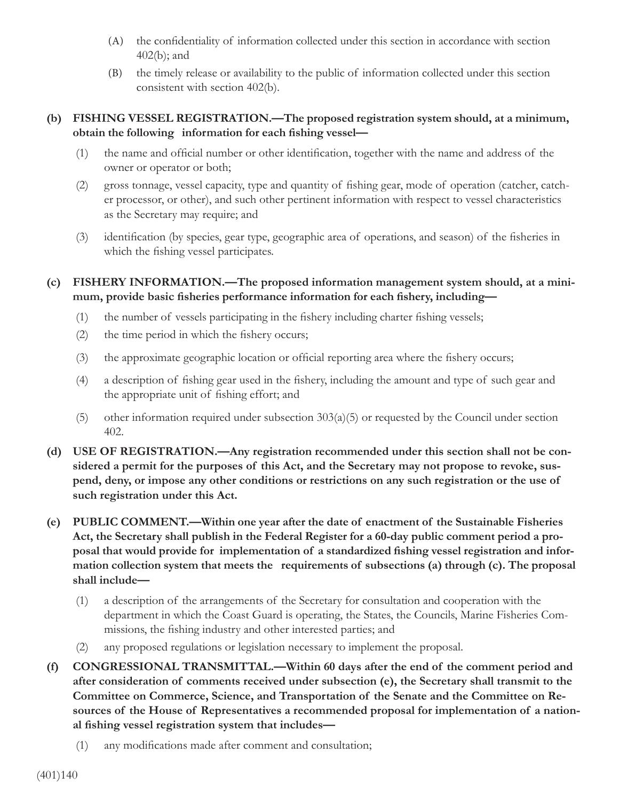- (A) the confidentiality of information collected under this section in accordance with section 402(b); and
- (B) the timely release or availability to the public of information collected under this section consistent with section 402(b).

### **(b) FISHING VESSEL REGISTRATION.—The proposed registration system should, at a minimum, obtain the following information for each fishing vessel—**

- (1) the name and official number or other identification, together with the name and address of the owner or operator or both;
- (2) gross tonnage, vessel capacity, type and quantity of fishing gear, mode of operation (catcher, catcher processor, or other), and such other pertinent information with respect to vessel characteristics as the Secretary may require; and
- (3) identification (by species, gear type, geographic area of operations, and season) of the fisheries in which the fishing vessel participates.

 **(c) FISHERY INFORMATION.—The proposed information management system should, at a mini**mum, provide basic fisheries performance information for each fishery, including—

- $(1)$  the number of vessels participating in the fishery including charter fishing vessels;
- $(2)$  the time period in which the fishery occurs;
- $(3)$  the approximate geographic location or official reporting area where the fishery occurs;
- (4) a description of fishing gear used in the fishery, including the amount and type of such gear and the appropriate unit of fishing effort; and
- (5) other information required under subsection 303(a)(5) or requested by the Council under section 402.
- **(d) USE OF REGISTRATION.—Any registration recommended under this section shall not be considered a permit for the purposes of this Act, and the Secretary may not propose to revoke, suspend, deny, or impose any other conditions or restrictions on any such registration or the use of such registration under this Act.**
- **(e) PUBLIC COMMENT.—Within one year after the date of enactment of the Sustainable Fisheries Act, the Secretary shall publish in the Federal Register for a 60-day public comment period a pro**posal that would provide for implementation of a standardized fishing vessel registration and infor**mation collection system that meets the requirements of subsections (a) through (c). The proposal shall include—**
	- (1) a description of the arrangements of the Secretary for consultation and cooperation with the department in which the Coast Guard is operating, the States, the Councils, Marine Fisheries Commissions, the fishing industry and other interested parties; and
	- (2) any proposed regulations or legislation necessary to implement the proposal.
- **(f) CONGRESSIONAL TRANSMITTAL.—Within 60 days after the end of the comment period and after consideration of comments received under subsection (e), the Secretary shall transmit to the Committee on Commerce, Science, and Transportation of the Senate and the Committee on Resources of the House of Representatives a recommended proposal for implementation of a national fi shing vessel registration system that includes—**
	- (1) any modifications made after comment and consultation;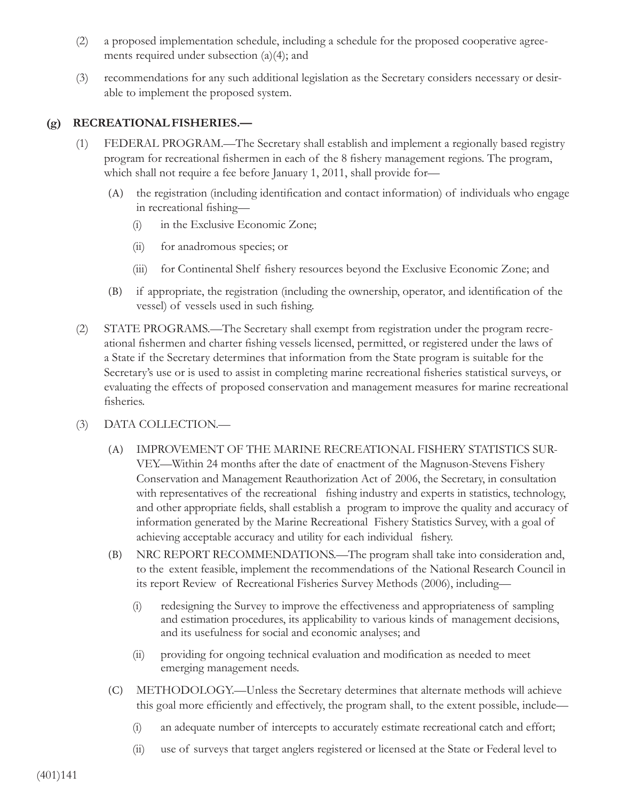- (2) a proposed implementation schedule, including a schedule for the proposed cooperative agreements required under subsection (a)(4); and
- (3) recommendations for any such additional legislation as the Secretary considers necessary or desirable to implement the proposed system.

### **(g) RECREATIONAL FISHERIES.—**

- (1) FEDERAL PROGRAM.—The Secretary shall establish and implement a regionally based registry program for recreational fishermen in each of the 8 fishery management regions. The program, which shall not require a fee before January 1, 2011, shall provide for—
	- $(A)$  the registration (including identification and contact information) of individuals who engage in recreational fishing—
		- (i) in the Exclusive Economic Zone;
		- (ii) for anadromous species; or
		- (iii) for Continental Shelf fishery resources beyond the Exclusive Economic Zone; and
	- (B) if appropriate, the registration (including the ownership, operator, and identification of the vessel) of vessels used in such fishing.
- (2) STATE PROGRAMS.—The Secretary shall exempt from registration under the program recreational fishermen and charter fishing vessels licensed, permitted, or registered under the laws of a State if the Secretary determines that information from the State program is suitable for the Secretary's use or is used to assist in completing marine recreational fisheries statistical surveys, or evaluating the effects of proposed conservation and management measures for marine recreational fisheries.

#### (3) DATA COLLECTION.—

- (A) IMPROVEMENT OF THE MARINE RECREATIONAL FISHERY STATISTICS SUR-VEY.—Within 24 months after the date of enactment of the Magnuson-Stevens Fishery Conservation and Management Reauthorization Act of 2006, the Secretary, in consultation with representatives of the recreational fishing industry and experts in statistics, technology, and other appropriate fields, shall establish a program to improve the quality and accuracy of information generated by the Marine Recreational Fishery Statistics Survey, with a goal of achieving acceptable accuracy and utility for each individual fishery.
- (B) NRC REPORT RECOMMENDATIONS.—The program shall take into consideration and, to the extent feasible, implement the recommendations of the National Research Council in its report Review of Recreational Fisheries Survey Methods (2006), including—
	- (i) redesigning the Survey to improve the effectiveness and appropriateness of sampling and estimation procedures, its applicability to various kinds of management decisions, and its usefulness for social and economic analyses; and
	- (ii) providing for ongoing technical evaluation and modification as needed to meet emerging management needs.
- (C) METHODOLOGY.—Unless the Secretary determines that alternate methods will achieve this goal more efficiently and effectively, the program shall, to the extent possible, include—
	- (i) an adequate number of intercepts to accurately estimate recreational catch and effort;
	- (ii) use of surveys that target anglers registered or licensed at the State or Federal level to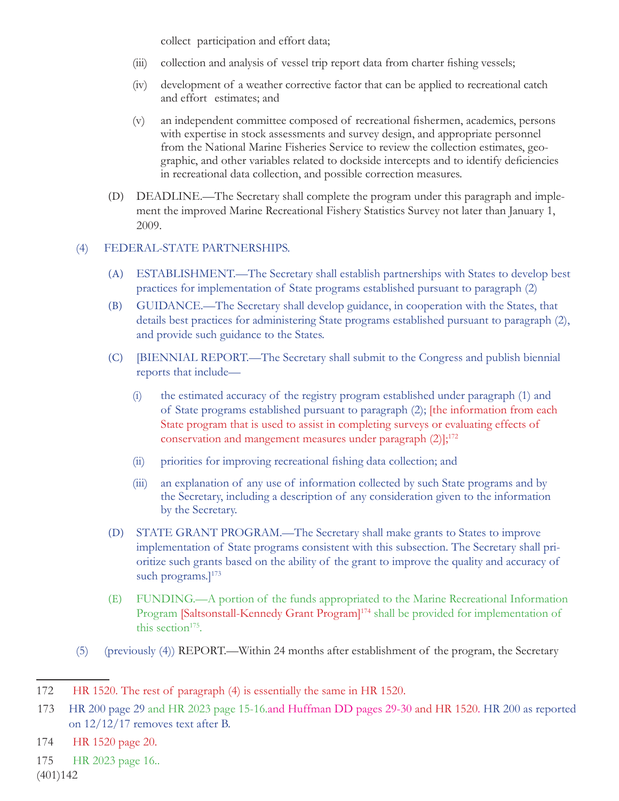collect participation and effort data;

- (iii) collection and analysis of vessel trip report data from charter fishing vessels;
- (iv) development of a weather corrective factor that can be applied to recreational catch and effort estimates; and
- (v) an independent committee composed of recreational fi shermen, academics, persons with expertise in stock assessments and survey design, and appropriate personnel from the National Marine Fisheries Service to review the collection estimates, geographic, and other variables related to dockside intercepts and to identify deficiencies in recreational data collection, and possible correction measures.
- (D) DEADLINE.—The Secretary shall complete the program under this paragraph and implement the improved Marine Recreational Fishery Statistics Survey not later than January 1, 2009.

#### (4) FEDERAL-STATE PARTNERSHIPS.

- (A) ESTABLISHMENT.—The Secretary shall establish partnerships with States to develop best practices for implementation of State programs established pursuant to paragraph (2)
- (B) GUIDANCE.—The Secretary shall develop guidance, in cooperation with the States, that details best practices for administering State programs established pursuant to paragraph (2), and provide such guidance to the States.
- (C) [BIENNIAL REPORT.—The Secretary shall submit to the Congress and publish biennial reports that include—
	- (i) the estimated accuracy of the registry program established under paragraph (1) and of State programs established pursuant to paragraph (2); [the information from each State program that is used to assist in completing surveys or evaluating effects of conservation and mangement measures under paragraph (2)];<sup>172</sup>
	- (ii) priorities for improving recreational fishing data collection; and
	- (iii) an explanation of any use of information collected by such State programs and by the Secretary, including a description of any consideration given to the information by the Secretary.
- (D) STATE GRANT PROGRAM.—The Secretary shall make grants to States to improve implementation of State programs consistent with this subsection. The Secretary shall prioritize such grants based on the ability of the grant to improve the quality and accuracy of such programs.]<sup>173</sup>
- (E) FUNDING.—A portion of the funds appropriated to the Marine Recreational Information Program [Saltsonstall-Kennedy Grant Program]<sup>174</sup> shall be provided for implementation of this section<sup>175</sup>.
- (5) (previously (4)) REPORT.—Within 24 months after establishment of the program, the Secretary

(401)142

<sup>172</sup> HR 1520. The rest of paragraph (4) is essentially the same in HR 1520.

<sup>173</sup> HR 200 page 29 and HR 2023 page 15-16.and Huffman DD pages 29-30 and HR 1520. HR 200 as reported on 12/12/17 removes text after B.

<sup>174</sup> HR 1520 page 20.

<sup>175</sup> HR 2023 page 16..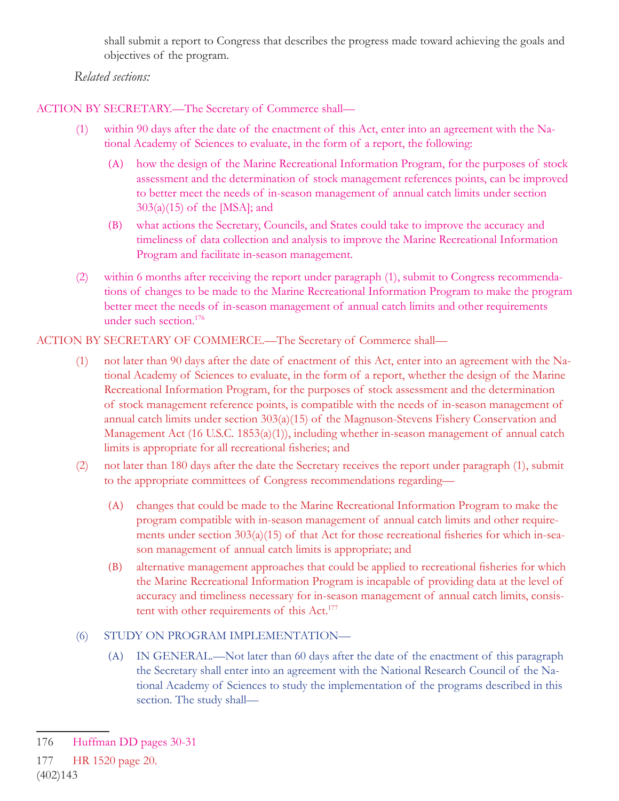shall submit a report to Congress that describes the progress made toward achieving the goals and objectives of the program.

*Related sections:*

ACTION BY SECRETARY.—The Secretary of Commerce shall—

- (1) within 90 days after the date of the enactment of this Act, enter into an agreement with the National Academy of Sciences to evaluate, in the form of a report, the following:
	- (A) how the design of the Marine Recreational Information Program, for the purposes of stock assessment and the determination of stock management references points, can be improved to better meet the needs of in-season management of annual catch limits under section 303(a)(15) of the [MSA]; and
	- (B) what actions the Secretary, Councils, and States could take to improve the accuracy and timeliness of data collection and analysis to improve the Marine Recreational Information Program and facilitate in-season management.
- (2) within 6 months after receiving the report under paragraph (1), submit to Congress recommendations of changes to be made to the Marine Recreational Information Program to make the program better meet the needs of in-season management of annual catch limits and other requirements under such section.176

## ACTION BY SECRETARY OF COMMERCE.—The Secretary of Commerce shall—

- (1) not later than 90 days after the date of enactment of this Act, enter into an agreement with the National Academy of Sciences to evaluate, in the form of a report, whether the design of the Marine Recreational Information Program, for the purposes of stock assessment and the determination of stock management reference points, is compatible with the needs of in-season management of annual catch limits under section 303(a)(15) of the Magnuson-Stevens Fishery Conservation and Management Act (16 U.S.C. 1853(a)(1)), including whether in-season management of annual catch limits is appropriate for all recreational fisheries; and
- (2) not later than 180 days after the date the Secretary receives the report under paragraph (1), submit to the appropriate committees of Congress recommendations regarding—
	- (A) changes that could be made to the Marine Recreational Information Program to make the program compatible with in-season management of annual catch limits and other requirements under section  $303(a)(15)$  of that Act for those recreational fisheries for which in-season management of annual catch limits is appropriate; and
	- (B) alternative management approaches that could be applied to recreational fisheries for which the Marine Recreational Information Program is incapable of providing data at the level of accuracy and timeliness necessary for in-season management of annual catch limits, consistent with other requirements of this Act.<sup>177</sup>

## (6) STUDY ON PROGRAM IMPLEMENTATION—

(A) IN GENERAL.—Not later than 60 days after the date of the enactment of this paragraph the Secretary shall enter into an agreement with the National Research Council of the National Academy of Sciences to study the implementation of the programs described in this section. The study shall—

<sup>176</sup> Huffman DD pages 30-31

<sup>177</sup> HR 1520 page 20.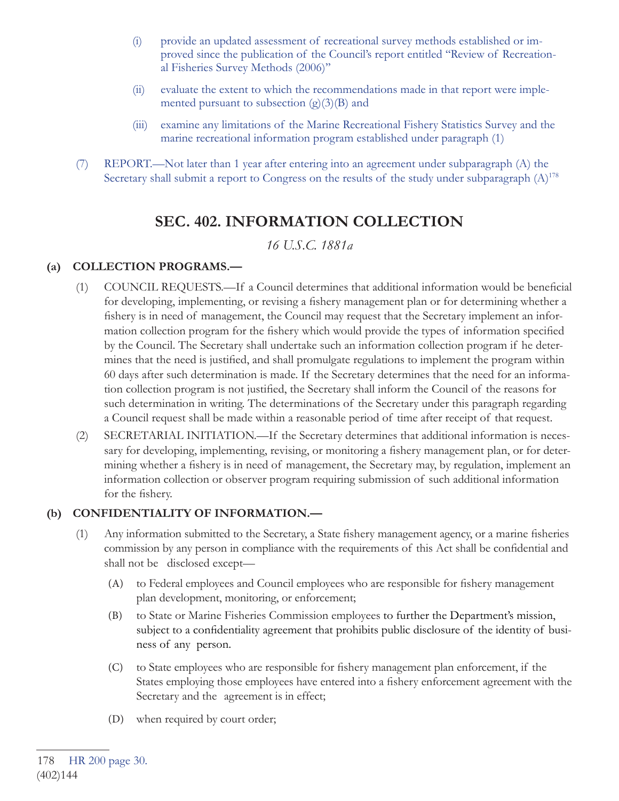- (i) provide an updated assessment of recreational survey methods established or improved since the publication of the Council's report entitled ''Review of Recreational Fisheries Survey Methods (2006)''
- (ii) evaluate the extent to which the recommendations made in that report were implemented pursuant to subsection  $(g)(3)(B)$  and
- (iii) examine any limitations of the Marine Recreational Fishery Statistics Survey and the marine recreational information program established under paragraph (1)
- (7) REPORT.—Not later than 1 year after entering into an agreement under subparagraph (A) the Secretary shall submit a report to Congress on the results of the study under subparagraph  $(A)^{178}$

# **SEC. 402. INFORMATION COLLECTION**

*16 U.S.C. 1881a*

### **(a) COLLECTION PROGRAMS.—**

- (1) COUNCIL REQUESTS.—If a Council determines that additional information would be beneficial for developing, implementing, or revising a fishery management plan or for determining whether a fishery is in need of management, the Council may request that the Secretary implement an information collection program for the fishery which would provide the types of information specified by the Council. The Secretary shall undertake such an information collection program if he determines that the need is justified, and shall promulgate regulations to implement the program within 60 days after such determination is made. If the Secretary determines that the need for an information collection program is not justified, the Secretary shall inform the Council of the reasons for such determination in writing. The determinations of the Secretary under this paragraph regarding a Council request shall be made within a reasonable period of time after receipt of that request.
- (2) SECRETARIAL INITIATION.—If the Secretary determines that additional information is necessary for developing, implementing, revising, or monitoring a fishery management plan, or for determining whether a fishery is in need of management, the Secretary may, by regulation, implement an information collection or observer program requiring submission of such additional information for the fishery.

#### **(b) CONFIDENTIALITY OF INFORMATION.—**

- (1) Any information submitted to the Secretary, a State fishery management agency, or a marine fisheries commission by any person in compliance with the requirements of this Act shall be confidential and shall not be disclosed except—
	- (A) to Federal employees and Council employees who are responsible for fishery management plan development, monitoring, or enforcement;
	- (B) to State or Marine Fisheries Commission employees to further the Department's mission, subject to a confidentiality agreement that prohibits public disclosure of the identity of business of any person.
	- (C) to State employees who are responsible for fishery management plan enforcement, if the States employing those employees have entered into a fishery enforcement agreement with the Secretary and the agreement is in effect;
	- (D) when required by court order;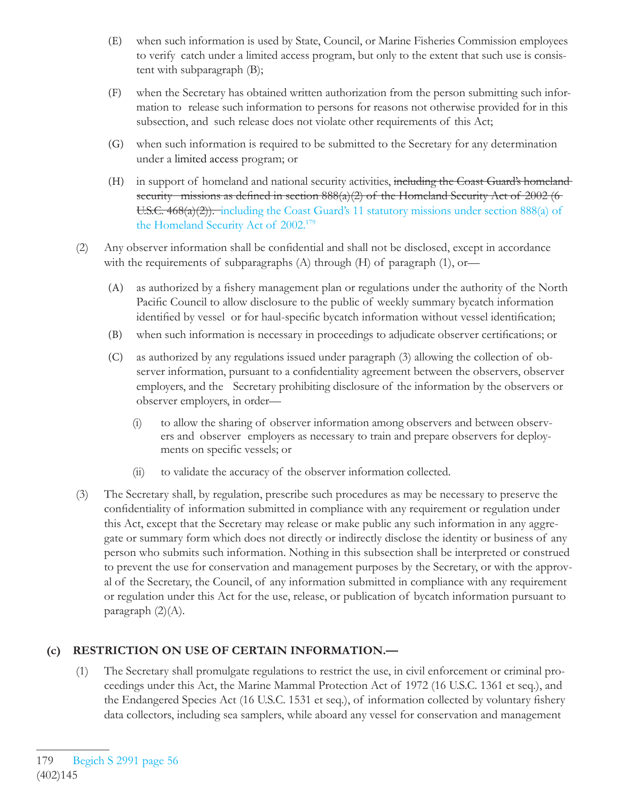- (E) when such information is used by State, Council, or Marine Fisheries Commission employees to verify catch under a limited access program, but only to the extent that such use is consistent with subparagraph (B);
- (F) when the Secretary has obtained written authorization from the person submitting such information to release such information to persons for reasons not otherwise provided for in this subsection, and such release does not violate other requirements of this Act;
- (G) when such information is required to be submitted to the Secretary for any determination under a limited access program; or
- (H) in support of homeland and national security activities, including the Coast Guard's homeland security missions as defined in section  $888(a)(2)$  of the Homeland Security Act of 2002 (6 U.S.C. 468(a)(2)). including the Coast Guard's 11 statutory missions under section 888(a) of the Homeland Security Act of 2002.179
- (2) Any observer information shall be confidential and shall not be disclosed, except in accordance with the requirements of subparagraphs  $(A)$  through  $(H)$  of paragraph  $(1)$ , or—
	- (A) as authorized by a fishery management plan or regulations under the authority of the North Pacific Council to allow disclosure to the public of weekly summary bycatch information identified by vessel or for haul-specific bycatch information without vessel identification;
	- (B) when such information is necessary in proceedings to adjudicate observer certifications; or
	- (C) as authorized by any regulations issued under paragraph (3) allowing the collection of observer information, pursuant to a confidentiality agreement between the observers, observer employers, and the Secretary prohibiting disclosure of the information by the observers or observer employers, in order—
		- (i) to allow the sharing of observer information among observers and between observers and observer employers as necessary to train and prepare observers for deployments on specific vessels; or
		- (ii) to validate the accuracy of the observer information collected.
- (3) The Secretary shall, by regulation, prescribe such procedures as may be necessary to preserve the confidentiality of information submitted in compliance with any requirement or regulation under this Act, except that the Secretary may release or make public any such information in any aggregate or summary form which does not directly or indirectly disclose the identity or business of any person who submits such information. Nothing in this subsection shall be interpreted or construed to prevent the use for conservation and management purposes by the Secretary, or with the approval of the Secretary, the Council, of any information submitted in compliance with any requirement or regulation under this Act for the use, release, or publication of bycatch information pursuant to paragraph (2)(A).

### **(c) RESTRICTION ON USE OF CERTAIN INFORMATION.—**

(1) The Secretary shall promulgate regulations to restrict the use, in civil enforcement or criminal proceedings under this Act, the Marine Mammal Protection Act of 1972 (16 U.S.C. 1361 et seq.), and the Endangered Species Act (16 U.S.C. 1531 et seq.), of information collected by voluntary fishery data collectors, including sea samplers, while aboard any vessel for conservation and management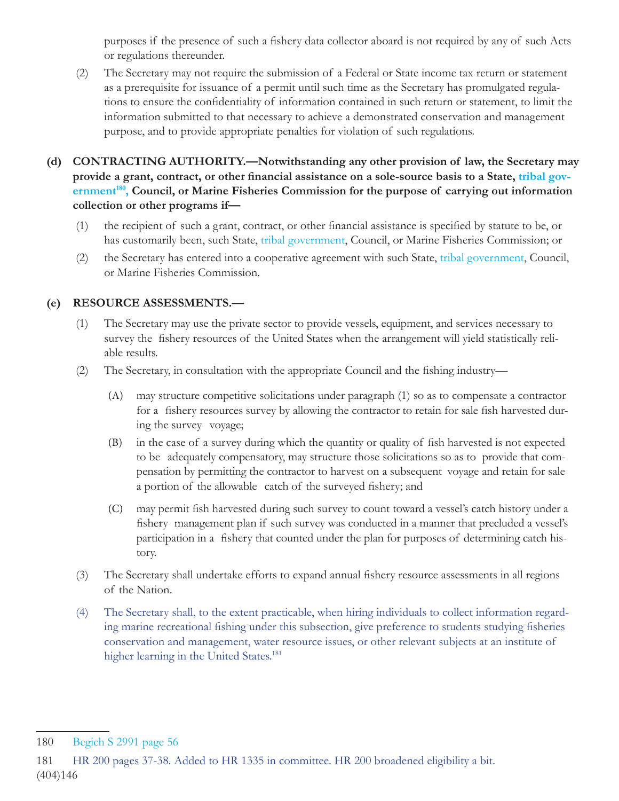purposes if the presence of such a fishery data collector aboard is not required by any of such Acts or regulations thereunder.

- (2) The Secretary may not require the submission of a Federal or State income tax return or statement as a prerequisite for issuance of a permit until such time as the Secretary has promulgated regulations to ensure the confidentiality of information contained in such return or statement, to limit the information submitted to that necessary to achieve a demonstrated conservation and management purpose, and to provide appropriate penalties for violation of such regulations.
- **(d) CONTRACTING AUTHORITY.—Notwithstanding any other provision of law, the Secretary may**  provide a grant, contract, or other financial assistance on a sole-source basis to a State, tribal government<sup>180</sup>, Council, or Marine Fisheries Commission for the purpose of carrying out information **collection or other programs if—**
	- (1) the recipient of such a grant, contract, or other financial assistance is specified by statute to be, or has customarily been, such State, tribal government, Council, or Marine Fisheries Commission; or
	- (2) the Secretary has entered into a cooperative agreement with such State, tribal government, Council, or Marine Fisheries Commission.

#### **(e) RESOURCE ASSESSMENTS.—**

- (1) The Secretary may use the private sector to provide vessels, equipment, and services necessary to survey the fishery resources of the United States when the arrangement will yield statistically reliable results.
- (2) The Secretary, in consultation with the appropriate Council and the fishing industry—
	- (A) may structure competitive solicitations under paragraph (1) so as to compensate a contractor for a fishery resources survey by allowing the contractor to retain for sale fish harvested during the survey voyage;
	- (B) in the case of a survey during which the quantity or quality of fish harvested is not expected to be adequately compensatory, may structure those solicitations so as to provide that compensation by permitting the contractor to harvest on a subsequent voyage and retain for sale a portion of the allowable catch of the surveyed fishery; and
	- (C) may permit fish harvested during such survey to count toward a vessel's catch history under a fishery management plan if such survey was conducted in a manner that precluded a vessel's participation in a fishery that counted under the plan for purposes of determining catch history.
- (3) The Secretary shall undertake efforts to expand annual fishery resource assessments in all regions of the Nation.
- (4) The Secretary shall, to the extent practicable, when hiring individuals to collect information regarding marine recreational fishing under this subsection, give preference to students studying fisheries conservation and management, water resource issues, or other relevant subjects at an institute of higher learning in the United States.<sup>181</sup>

<sup>180</sup> Begich S 2991 page 56

<sup>(404)146</sup> 181 HR 200 pages 37-38. Added to HR 1335 in committee. HR 200 broadened eligibility a bit.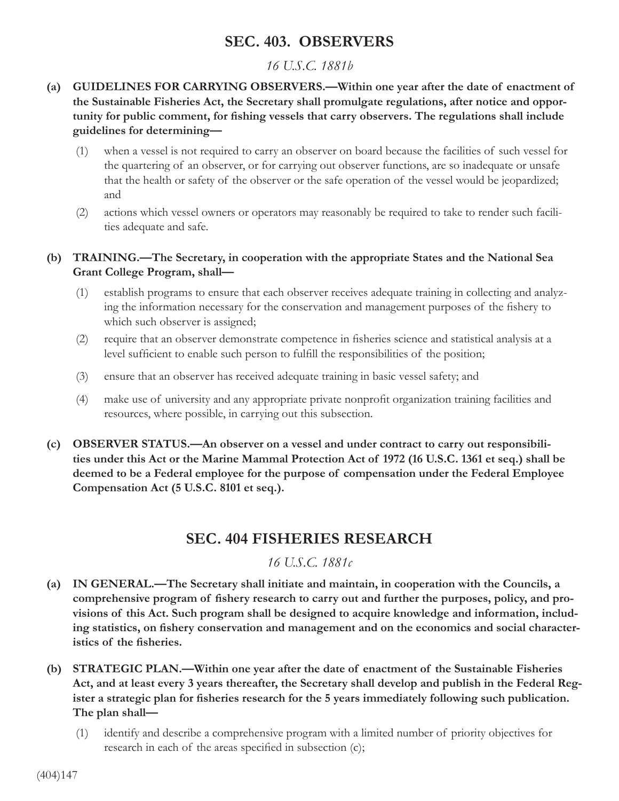## **SEC. 403. OBSERVERS**

### *16 U.S.C. 1881b*

- **(a) GUIDELINES FOR CARRYING OBSERVERS.—Within one year after the date of enactment of the Sustainable Fisheries Act, the Secretary shall promulgate regulations, after notice and oppor**tunity for public comment, for fishing vessels that carry observers. The regulations shall include **guidelines for determining—**
	- (1) when a vessel is not required to carry an observer on board because the facilities of such vessel for the quartering of an observer, or for carrying out observer functions, are so inadequate or unsafe that the health or safety of the observer or the safe operation of the vessel would be jeopardized; and
	- (2) actions which vessel owners or operators may reasonably be required to take to render such facilities adequate and safe.

#### **(b) TRAINING.—The Secretary, in cooperation with the appropriate States and the National Sea Grant College Program, shall—**

- (1) establish programs to ensure that each observer receives adequate training in collecting and analyzing the information necessary for the conservation and management purposes of the fishery to which such observer is assigned;
- (2) require that an observer demonstrate competence in fisheries science and statistical analysis at a level sufficient to enable such person to fulfill the responsibilities of the position;
- (3) ensure that an observer has received adequate training in basic vessel safety; and
- (4) make use of university and any appropriate private nonprofi t organization training facilities and resources, where possible, in carrying out this subsection.
- **(c) OBSERVER STATUS.—An observer on a vessel and under contract to carry out responsibilities under this Act or the Marine Mammal Protection Act of 1972 (16 U.S.C. 1361 et seq.) shall be deemed to be a Federal employee for the purpose of compensation under the Federal Employee Compensation Act (5 U.S.C. 8101 et seq.).**

## **SEC. 404 FISHERIES RESEARCH**

### *16 U.S.C. 1881c*

- **(a) IN GENERAL.—The Secretary shall initiate and maintain, in cooperation with the Councils, a**  comprehensive program of fishery research to carry out and further the purposes, policy, and pro**visions of this Act. Such program shall be designed to acquire knowledge and information, includ**ing statistics, on fishery conservation and management and on the economics and social characteristics of the fisheries.
- **(b) STRATEGIC PLAN.—Within one year after the date of enactment of the Sustainable Fisheries Act, and at least every 3 years thereafter, the Secretary shall develop and publish in the Federal Reg**ister a strategic plan for fisheries research for the 5 years immediately following such publication. **The plan shall—**
	- (1) identify and describe a comprehensive program with a limited number of priority objectives for research in each of the areas specified in subsection  $(c)$ ;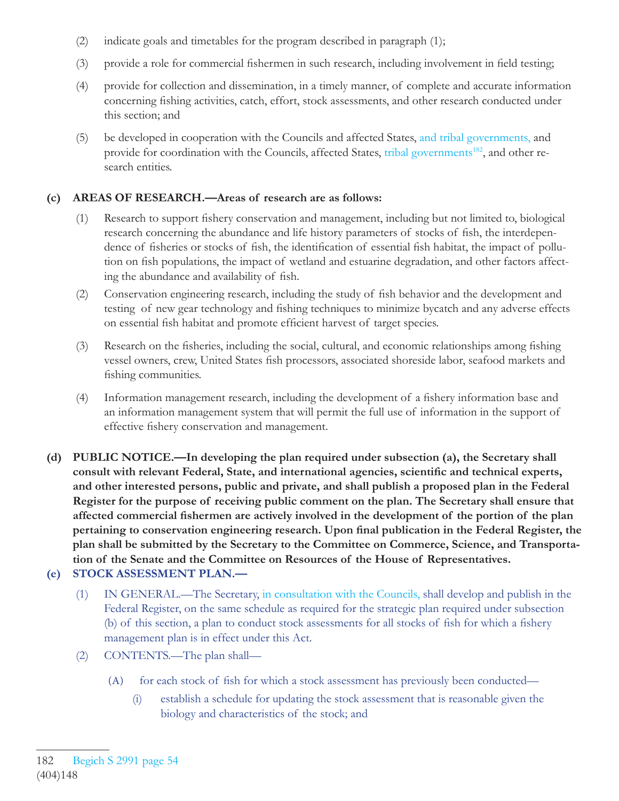- (2) indicate goals and timetables for the program described in paragraph (1);
- (3) provide a role for commercial fishermen in such research, including involvement in field testing;
- (4) provide for collection and dissemination, in a timely manner, of complete and accurate information concerning fishing activities, catch, effort, stock assessments, and other research conducted under this section; and
- (5) be developed in cooperation with the Councils and affected States, and tribal governments, and provide for coordination with the Councils, affected States, tribal governments<sup>182</sup>, and other research entities.

#### **(c) AREAS OF RESEARCH.—Areas of research are as follows:**

- (1) Research to support fishery conservation and management, including but not limited to, biological research concerning the abundance and life history parameters of stocks of fish, the interdependence of fisheries or stocks of fish, the identification of essential fish habitat, the impact of pollution on fish populations, the impact of wetland and estuarine degradation, and other factors affecting the abundance and availability of fish.
- (2) Conservation engineering research, including the study of fish behavior and the development and testing of new gear technology and fishing techniques to minimize bycatch and any adverse effects on essential fish habitat and promote efficient harvest of target species.
- (3) Research on the fisheries, including the social, cultural, and economic relationships among fishing vessel owners, crew, United States fish processors, associated shoreside labor, seafood markets and fishing communities.
- (4) Information management research, including the development of a fi shery information base and an information management system that will permit the full use of information in the support of effective fishery conservation and management.
- **(d) PUBLIC NOTICE.—In developing the plan required under subsection (a), the Secretary shall**  consult with relevant Federal, State, and international agencies, scientific and technical experts, **and other interested persons, public and private, and shall publish a proposed plan in the Federal Register for the purpose of receiving public comment on the plan. The Secretary shall ensure that**  affected commercial fishermen are actively involved in the development of the portion of the plan pertaining to conservation engineering research. Upon final publication in the Federal Register, the **plan shall be submitted by the Secretary to the Committee on Commerce, Science, and Transportation of the Senate and the Committee on Resources of the House of Representatives.**

#### **(e) STOCK ASSESSMENT PLAN.—**

- (1) IN GENERAL.—The Secretary, in consultation with the Councils, shall develop and publish in the Federal Register, on the same schedule as required for the strategic plan required under subsection (b) of this section, a plan to conduct stock assessments for all stocks of fish for which a fishery management plan is in effect under this Act.
- (2) CONTENTS.—The plan shall—
	- (A) for each stock of fish for which a stock assessment has previously been conducted—
		- (i) establish a schedule for updating the stock assessment that is reasonable given the biology and characteristics of the stock; and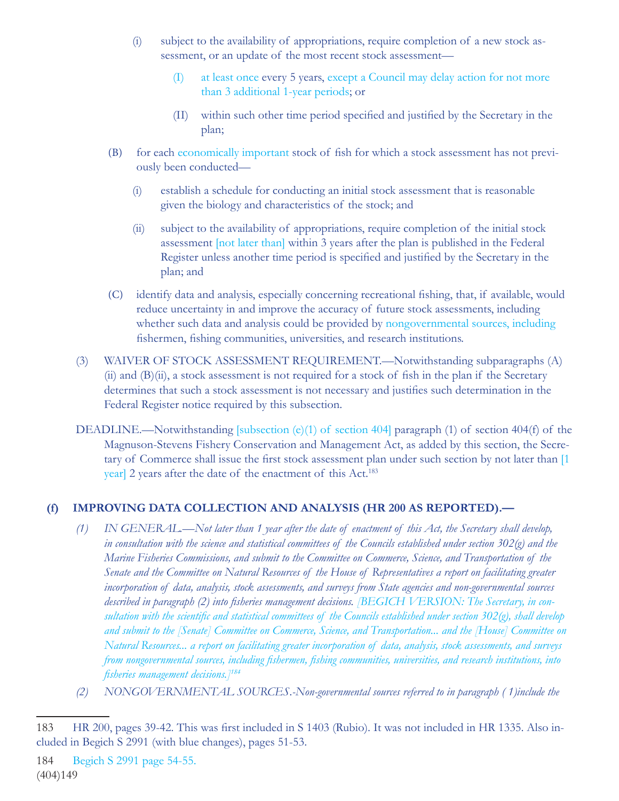- (i) subject to the availability of appropriations, require completion of a new stock assessment, or an update of the most recent stock assessment—
	- (I) at least once every 5 years, except a Council may delay action for not more than 3 additional 1-year periods; or
	- (II) within such other time period specified and justified by the Secretary in the plan;
- (B) for each economically important stock of fish for which a stock assessment has not previously been conducted—
	- (i) establish a schedule for conducting an initial stock assessment that is reasonable given the biology and characteristics of the stock; and
	- (ii) subject to the availability of appropriations, require completion of the initial stock assessment [not later than] within 3 years after the plan is published in the Federal Register unless another time period is specified and justified by the Secretary in the plan; and
- (C) identify data and analysis, especially concerning recreational fishing, that, if available, would reduce uncertainty in and improve the accuracy of future stock assessments, including whether such data and analysis could be provided by nongovernmental sources, including fishermen, fishing communities, universities, and research institutions.
- (3) WAIVER OF STOCK ASSESSMENT REQUIREMENT.—Notwithstanding subparagraphs (A)  $(ii)$  and  $(B)(ii)$ , a stock assessment is not required for a stock of fish in the plan if the Secretary determines that such a stock assessment is not necessary and justifies such determination in the Federal Register notice required by this subsection.
- DEADLINE.—Notwithstanding [subsection (e)(1) of section 404] paragraph (1) of section 404(f) of the Magnuson-Stevens Fishery Conservation and Management Act, as added by this section, the Secretary of Commerce shall issue the first stock assessment plan under such section by not later than [1 year] 2 years after the date of the enactment of this Act.<sup>183</sup>

#### **(f) IMPROVING DATA COLLECTION AND ANALYSIS (HR 200 AS REPORTED).—**

- *(1) IN GENERAL.—Not later than 1 year after the date of enactment of this Act, the Secretary shall develop, in consultation with the science and statistical committees of the Councils established under section 302(g) and the Marine Fisheries Commissions, and submit to the Committee on Commerce, Science, and Transportation of the Senate and the Committee on Natural Resources of the House of Representatives a report on facilitating greater incorporation of data, analysis, stock assessments, and surveys from State agencies and non-governmental sources*  described in paragraph (2) into fisheries management decisions. *[BEGICH VERSION: The Secretary, in consultation with the scientifi c and statistical committees of the Councils established under section 302(g), shall develop and submit to the [Senate] Committee on Commerce, Science, and Transportation... and the [House] Committee on Natural Resources... a report on facilitating greater incorporation of data, analysis, stock assessments, and surveys from nongovernmental sources, including fi shermen, fi shing communities, universities, and research institutions, into fi sheries management decisions.]184*
- *(2) NONGOVERNMENTAL SOURCES.-Non-governmental sources referred to in paragraph ( 1)include the*

<sup>183</sup> HR 200, pages 39-42. This was first included in S 1403 (Rubio). It was not included in HR 1335. Also included in Begich S 2991 (with blue changes), pages 51-53.

<sup>(404)149</sup> 184 Begich S 2991 page 54-55.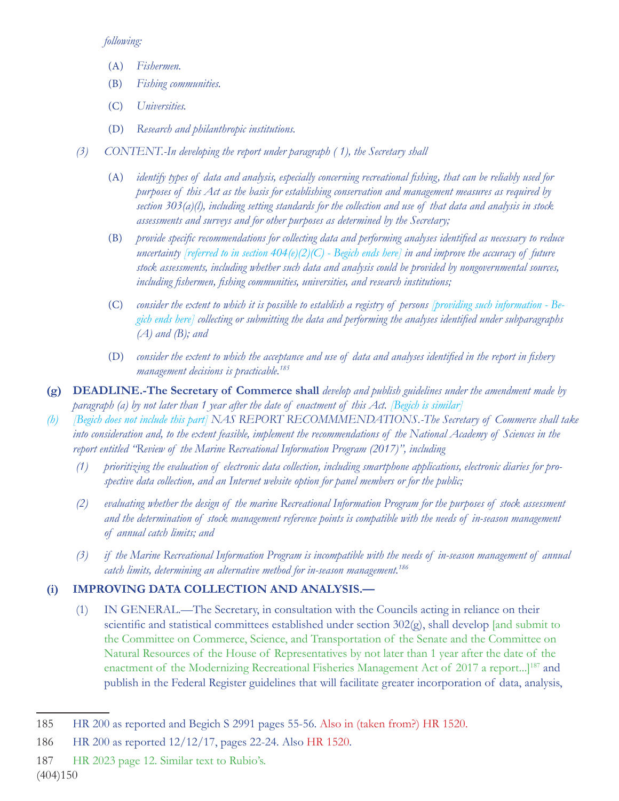*following:*

- (A) *Fishermen.*
- (B) *Fishing communities.*
- (C) *Universities.*
- (D) *Research and philanthropic institutions.*
- *(3) CONTENT.-In developing the report under paragraph ( 1), the Secretary shall*
	- (A) *identify types of data and analysis, especially concerning recreational fi shing, that can be reliably used for purposes of this Act as the basis for establishing conservation and management measures as required by section 303(a)(l), including setting standards for the collection and use of that data and analysis in stock assessments and surveys and for other purposes as determined by the Secretary;*
	- (B) *provide specific recommendations for collecting data and performing analyses identified as necessary to reduce uncertainty [referred to in section 404(e)(2)(C) - Begich ends here] in and improve the accuracy of future stock assessments, including whether such data and analysis could be provided by nongovernmental sources,*  including fishermen, fishing communities, universities, and research institutions;
	- (C) *consider the extent to which it is possible to establish a registry of persons [providing such information Be*gich ends here] collecting or submitting the data and performing the analyses identified under subparagraphs *(A) and (B); and*
	- (D) consider the extent to which the acceptance and use of data and analyses identified in the report in fishery *management decisions is practicable.185*
- **(g) DEADLINE.-The Secretary of Commerce shall** *develop and publish guidelines under the amendment made by paragraph (a) by not later than 1 year after the date of enactment of this Act. [Begich is similar]*

 *(h) [Begich does not include this part] NAS REPORT RECOMMMENDATIONS.-The Secretary of Commerce shall take into consideration and, to the extent feasible, implement the recommendations of the National Academy of Sciences in the report entitled "Review of the Marine Recreational Information Program (2017)", including* 

- *(1) prioritizing the evaluation of electronic data collection, including smartphone applications, electronic diaries for prospective data collection, and an Internet website option for panel members or for the public;*
- *(2) evaluating whether the design of the marine Recreational Information Program for the purposes of stock assessment and the determination of stock management reference points is compatible with the needs of in-season management of annual catch limits; and*
- *(3) if the Marine Recreational Information Program is incompatible with the needs of in-season management of annual catch limits, determining an alternative method for in-season management.186*

#### **(i) IMPROVING DATA COLLECTION AND ANALYSIS.—**

(1) IN GENERAL.—The Secretary, in consultation with the Councils acting in reliance on their scientific and statistical committees established under section  $302(g)$ , shall develop [and submit to the Committee on Commerce, Science, and Transportation of the Senate and the Committee on Natural Resources of the House of Representatives by not later than 1 year after the date of the enactment of the Modernizing Recreational Fisheries Management Act of 2017 a report...]<sup>187</sup> and publish in the Federal Register guidelines that will facilitate greater incorporation of data, analysis,

<sup>185</sup> HR 200 as reported and Begich S 2991 pages 55-56. Also in (taken from?) HR 1520.

<sup>186</sup> HR 200 as reported 12/12/17, pages 22-24. Also HR 1520.

<sup>187</sup> HR 2023 page 12. Similar text to Rubio's.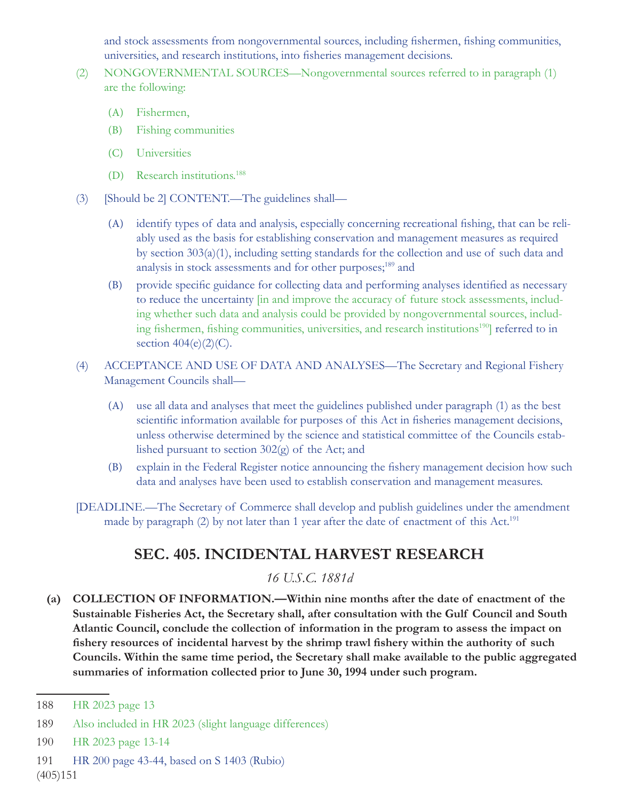and stock assessments from nongovernmental sources, including fishermen, fishing communities, universities, and research institutions, into fisheries management decisions.

- (2) NONGOVERNMENTAL SOURCES—Nongovernmental sources referred to in paragraph (1) are the following:
	- (A) Fishermen,
	- (B) Fishing communities
	- (C) Universities
	- (D) Research institutions.188
- (3) [Should be 2] CONTENT.—The guidelines shall—
	- (A) identify types of data and analysis, especially concerning recreational fishing, that can be reliably used as the basis for establishing conservation and management measures as required by section 303(a)(1), including setting standards for the collection and use of such data and analysis in stock assessments and for other purposes;<sup>189</sup> and
	- (B) provide specific guidance for collecting data and performing analyses identified as necessary to reduce the uncertainty [in and improve the accuracy of future stock assessments, including whether such data and analysis could be provided by nongovernmental sources, including fishermen, fishing communities, universities, and research institutions<sup>190</sup>] referred to in section 404(e)(2)(C).
- (4) ACCEPTANCE AND USE OF DATA AND ANALYSES—The Secretary and Regional Fishery Management Councils shall—
	- (A) use all data and analyses that meet the guidelines published under paragraph (1) as the best scientific information available for purposes of this Act in fisheries management decisions, unless otherwise determined by the science and statistical committee of the Councils established pursuant to section 302(g) of the Act; and
	- (B) explain in the Federal Register notice announcing the fishery management decision how such data and analyses have been used to establish conservation and management measures.
- [DEADLINE.—The Secretary of Commerce shall develop and publish guidelines under the amendment made by paragraph (2) by not later than 1 year after the date of enactment of this Act.<sup>191</sup>

### **S EC. 405. INCIDENTAL HARVEST RESEARCH**

### *16 U.S.C. 1881d*

 **(a) COLLECTION OF INFORMATION.—Within nine months after the date of enactment of the Sustainable Fisheries Act, the Secretary shall, after consultation with the Gulf Council and South Atlantic Council, conclude the collection of information in the program to assess the impact on**  fishery resources of incidental harvest by the shrimp trawl fishery within the authority of such **Councils. Within the same time period, the Secretary shall make available to the public aggregated summaries of information collected prior to June 30, 1994 under such program.**

<sup>188</sup> HR 2023 page 13

<sup>189</sup> Also included in HR 2023 (slight language differences)

<sup>190</sup> HR 2023 page 13-14

<sup>191</sup> HR 200 page 43-44, based on S 1403 (Rubio)

<sup>(405)151</sup>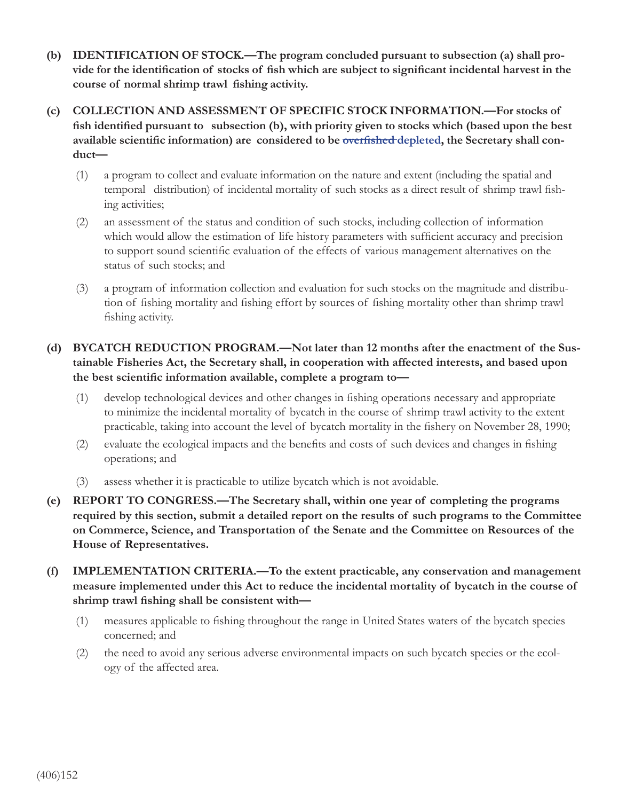- **(b) IDENTIFICATION OF STOCK.—The program concluded pursuant to subsection (a) shall pro**vide for the identification of stocks of fish which are subject to significant incidental harvest in the course of normal shrimp trawl fishing activity.
- **(c) COLLECTION AND ASSESSMENT OF SPECIFIC STOCK INFORMATION.—For stocks of**  fish identified pursuant to subsection (b), with priority given to stocks which (based upon the best available scientific information) are considered to be overfished depleted, the Secretary shall con**duct—**
	- (1) a program to collect and evaluate information on the nature and extent (including the spatial and temporal distribution) of incidental mortality of such stocks as a direct result of shrimp trawl fishing activities;
	- (2) an assessment of the status and condition of such stocks, including collection of information which would allow the estimation of life history parameters with sufficient accuracy and precision to support sound scientific evaluation of the effects of various management alternatives on the status of such stocks; and
	- (3) a program of information collection and evaluation for such stocks on the magnitude and distribution of fishing mortality and fishing effort by sources of fishing mortality other than shrimp trawl fishing activity.

#### **(d) BYCATCH REDUCTION PROGRAM.—Not later than 12 months after the enactment of the Sustainable Fisheries Act, the Secretary shall, in cooperation with affected interests, and based upon**  the best scientific information available, complete a program to-

- (1) develop technological devices and other changes in fishing operations necessary and appropriate to minimize the incidental mortality of bycatch in the course of shrimp trawl activity to the extent practicable, taking into account the level of bycatch mortality in the fishery on November 28, 1990;
- (2) evaluate the ecological impacts and the benefits and costs of such devices and changes in fishing operations; and
- (3) assess whether it is practicable to utilize bycatch which is not avoidable.
- **(e) REPORT TO CONGRESS.—The Secretary shall, within one year of completing the programs required by this section, submit a detailed report on the results of such programs to the Committee on Commerce, Science, and Transportation of the Senate and the Committee on Resources of the House of Representatives.**
- **(f) IMPLEMENTATION CRITERIA.—To the extent practicable, any conservation and management measure implemented under this Act to reduce the incidental mortality of bycatch in the course of**  shrimp trawl fishing shall be consistent with—
	- (1) measures applicable to fi shing throughout the range in United States waters of the bycatch species concerned; and
	- (2) the need to avoid any serious adverse environmental impacts on such bycatch species or the ecology of the affected area.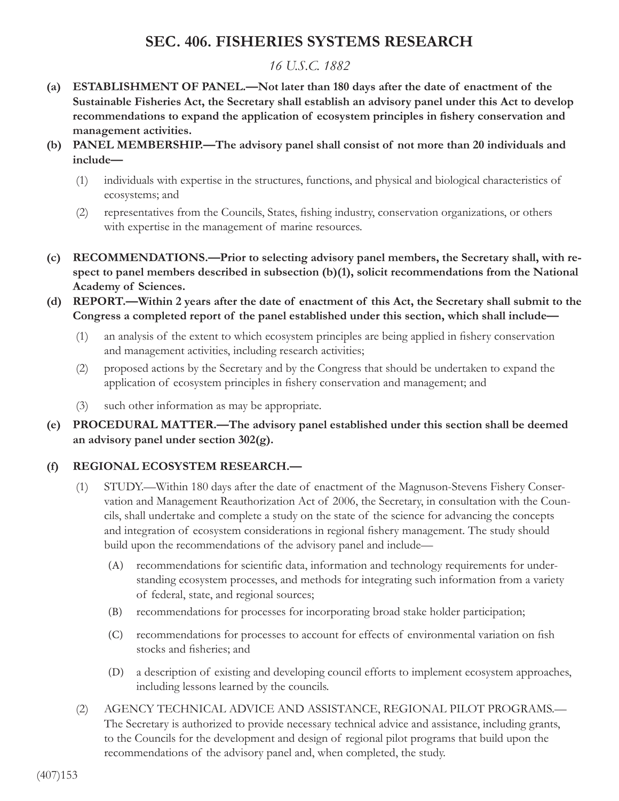### **SEC. 4 06. FISHERIES SYSTEMS RESEARCH**

### *16 U.S.C. 1882*

- **(a) ESTABLISHMENT OF PANEL.—Not later than 180 days after the date of enactment of the Sustainable Fisheries Act, the Secretary shall establish an advisory panel under this Act to develop**  recommendations to expand the application of ecosystem principles in fishery conservation and **management activities.**
- **(b) PANEL MEMBERSHIP.—The advisory panel shall consist of not more than 20 individuals and include—**
	- (1) individuals with expertise in the structures, functions, and physical and biological characteristics of ecosystems; and
	- (2) representatives from the Councils, States, fishing industry, conservation organizations, or others with expertise in the management of marine resources.
- **(c) RECOMMENDATIONS.—Prior to selecting advisory panel members, the Secretary shall, with respect to panel members described in subsection (b)(1), solicit recommendations from the National Academy of Sciences.**
- **(d) REPORT.—Within 2 years after the date of enactment of this Act, the Secretary shall submit to the Congress a completed report of the panel established under this section, which shall include—**
	- (1) an analysis of the extent to which ecosystem principles are being applied in fishery conservation and management activities, including research activities;
	- (2) proposed actions by the Secretary and by the Congress that should be undertaken to expand the application of ecosystem principles in fishery conservation and management; and
	- (3) such other information as may be appropriate.
- **(e) PROCEDURAL MATTER.—The advisory panel established under this section shall be deemed an advisory panel under section 302(g).**

### **(f) REGIONAL ECOSYSTEM RESEARCH.—**

- (1) STUDY.—Within 180 days after the date of enactment of the Magnuson-Stevens Fishery Conservation and Management Reauthorization Act of 2006, the Secretary, in consultation with the Councils, shall undertake and complete a study on the state of the science for advancing the concepts and integration of ecosystem considerations in regional fishery management. The study should build upon the recommendations of the advisory panel and include—
	- (A) recommendations for scientific data, information and technology requirements for understanding ecosystem processes, and methods for integrating such information from a variety of federal, state, and regional sources;
	- (B) recommendations for processes for incorporating broad stake holder participation;
	- (C) recommendations for processes to account for effects of environmental variation on fish stocks and fisheries; and
	- (D) a description of existing and developing council efforts to implement ecosystem approaches, including lessons learned by the councils.
- (2) AGENCY TECHNICAL ADVICE AND ASSISTANCE, REGIONAL PILOT PROGRAMS.— The Secretary is authorized to provide necessary technical advice and assistance, including grants, to the Councils for the development and design of regional pilot programs that build upon the recommendations of the advisory panel and, when completed, the study.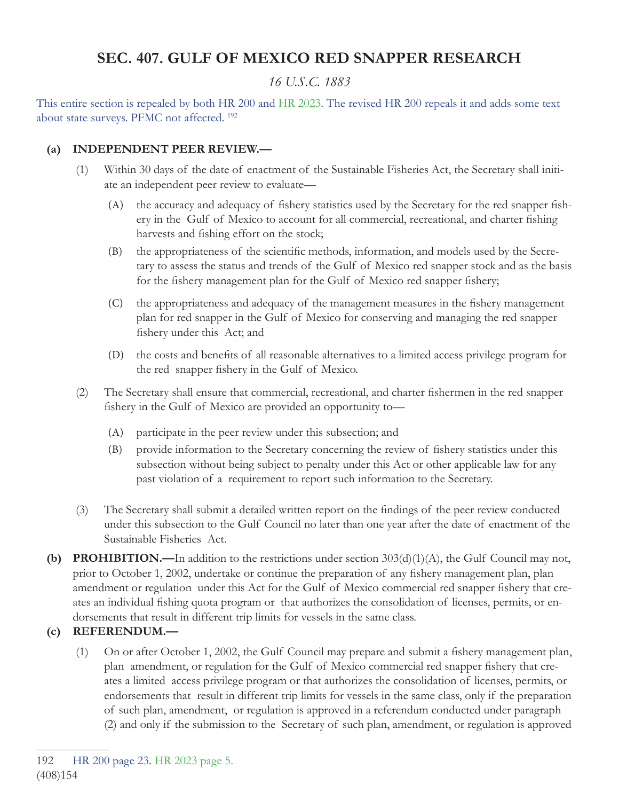### **SEC. 407. GULF OF MEXICO RED SNAPPER RESEARCH**

### *16 U.S.C. 1883*

This entire section is repealed by both HR 200 and HR 2023. The revised HR 200 repeals it and adds some text about state surveys. PFMC not affected. 192

#### **(a) INDEPENDENT PEER REVIEW.—**

- (1) Within 30 days of the date of enactment of the Sustainable Fisheries Act, the Secretary shall initiate an independent peer review to evaluate—
	- (A) the accuracy and adequacy of fishery statistics used by the Secretary for the red snapper fishery in the Gulf of Mexico to account for all commercial, recreational, and charter fishing harvests and fishing effort on the stock;
	- (B) the appropriateness of the scientific methods, information, and models used by the Secretary to assess the status and trends of the Gulf of Mexico red snapper stock and as the basis for the fishery management plan for the Gulf of Mexico red snapper fishery;
	- (C) the appropriateness and adequacy of the management measures in the fishery management plan for red snapper in the Gulf of Mexico for conserving and managing the red snapper fishery under this Act; and
	- (D) the costs and benefits of all reasonable alternatives to a limited access privilege program for the red snapper fishery in the Gulf of Mexico.
- (2) The Secretary shall ensure that commercial, recreational, and charter fishermen in the red snapper fishery in the Gulf of Mexico are provided an opportunity to-
	- (A) participate in the peer review under this subsection; and
	- (B) provide information to the Secretary concerning the review of fishery statistics under this subsection without being subject to penalty under this Act or other applicable law for any past violation of a requirement to report such information to the Secretary.
- (3) The Secretary shall submit a detailed written report on the findings of the peer review conducted under this subsection to the Gulf Council no later than one year after the date of enactment of the Sustainable Fisheries Act.
- **(b) PROHIBITION.—**In addition to the restrictions under section 303(d)(1)(A), the Gulf Council may not, prior to October 1, 2002, undertake or continue the preparation of any fishery management plan, plan amendment or regulation under this Act for the Gulf of Mexico commercial red snapper fishery that creates an individual fishing quota program or that authorizes the consolidation of licenses, permits, or endorsements that result in different trip limits for vessels in the same class.

### **(c) REFERENDUM.—**

(1) On or after October 1, 2002, the Gulf Council may prepare and submit a fishery management plan, plan amendment, or regulation for the Gulf of Mexico commercial red snapper fishery that creates a limited access privilege program or that authorizes the consolidation of licenses, permits, or endorsements that result in different trip limits for vessels in the same class, only if the preparation of such plan, amendment, or regulation is approved in a referendum conducted under paragraph (2) and only if the submission to the Secretary of such plan, amendment, or regulation is approved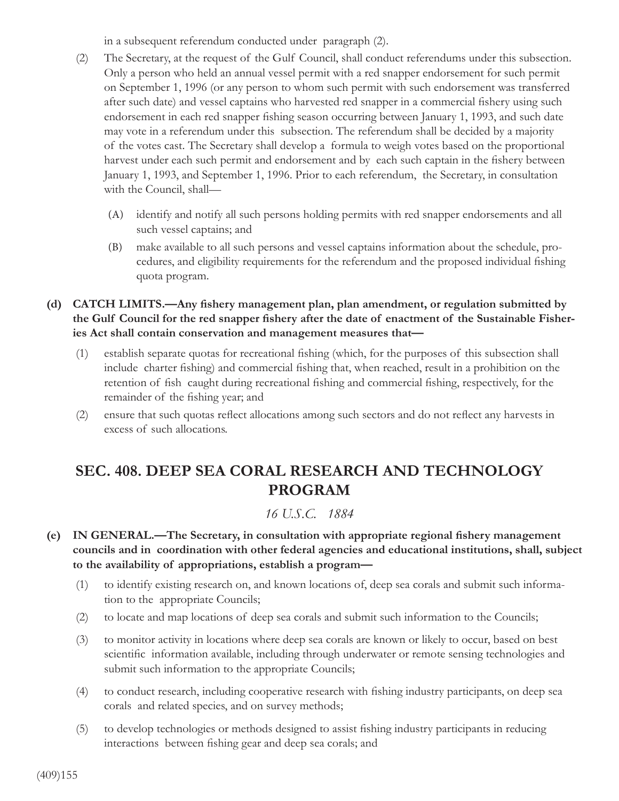in a subsequent referendum conducted under paragraph (2).

- (2) The Secretary, at the request of the Gulf Council, shall conduct referendums under this subsection. Only a person who held an annual vessel permit with a red snapper endorsement for such permit on September 1, 1996 (or any person to whom such permit with such endorsement was transferred after such date) and vessel captains who harvested red snapper in a commercial fishery using such endorsement in each red snapper fishing season occurring between January 1, 1993, and such date may vote in a referendum under this subsection. The referendum shall be decided by a majority of the votes cast. The Secretary shall develop a formula to weigh votes based on the proportional harvest under each such permit and endorsement and by each such captain in the fishery between January 1, 1993, and September 1, 1996. Prior to each referendum, the Secretary, in consultation with the Council, shall—
	- (A) identify and notify all such persons holding permits with red snapper endorsements and all such vessel captains; and
	- (B) make available to all such persons and vessel captains information about the schedule, procedures, and eligibility requirements for the referendum and the proposed individual fishing quota program.
- (d) CATCH LIMITS.—Any fishery management plan, plan amendment, or regulation submitted by the Gulf Council for the red snapper fishery after the date of enactment of the Sustainable Fisher**ies Act shall contain conservation and management measures that—**
	- (1) establish separate quotas for recreational fishing (which, for the purposes of this subsection shall include charter fishing) and commercial fishing that, when reached, result in a prohibition on the retention of fish caught during recreational fishing and commercial fishing, respectively, for the remainder of the fishing year; and
	- (2) ensure that such quotas reflect allocations among such sectors and do not reflect any harvests in excess of such allocations.

# **SEC. 408. DEEP SEA CORAL RESEARCH AND TECHNOLOGY PROGRAM**

### *16 U.S.C. 1884*

#### **(e) IN GENERAL.—The Secretary, in consultation with appropriate regional fishery management councils and in coordination with other federal agencies and educational institutions, shall, subject to the availability of appropriations, establish a program—**

- (1) to identify existing research on, and known locations of, deep sea corals and submit such information to the appropriate Councils;
- (2) to locate and map locations of deep sea corals and submit such information to the Councils;
- (3) to monitor activity in locations where deep sea corals are known or likely to occur, based on best scientific information available, including through underwater or remote sensing technologies and submit such information to the appropriate Councils;
- (4) to conduct research, including cooperative research with fi shing industry participants, on deep sea corals and related species, and on survey methods;
- (5) to develop technologies or methods designed to assist fishing industry participants in reducing interactions between fishing gear and deep sea corals; and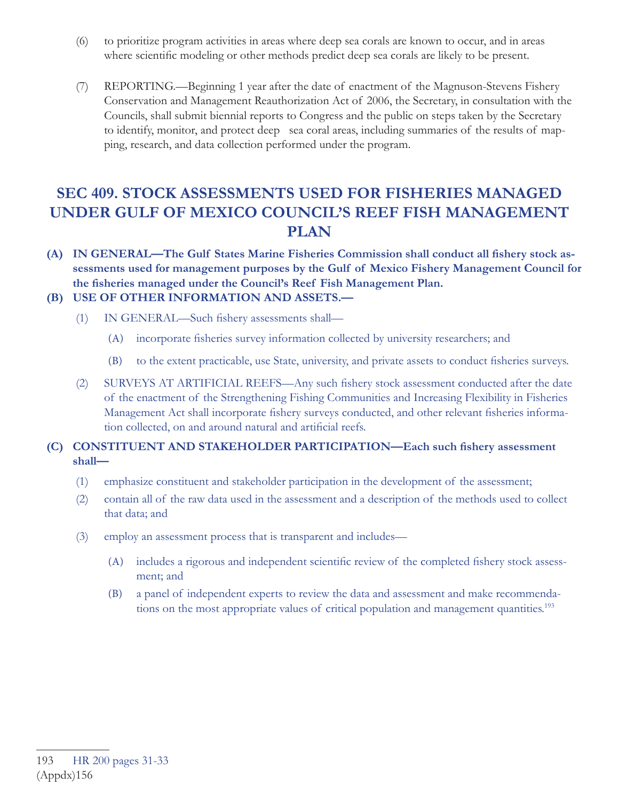- (6) to prioritize program activities in areas where deep sea corals are known to occur, and in areas where scientific modeling or other methods predict deep sea corals are likely to be present.
- (7) REPORTING.—Beginning 1 year after the date of enactment of the Magnuson-Stevens Fishery Conservation and Management Reauthorization Act of 2006, the Secretary, in consultation with the Councils, shall submit biennial reports to Congress and the public on steps taken by the Secretary to identify, monitor, and protect deep sea coral areas, including summaries of the results of mapping, research, and data collection performed under the program.

## **SEC 409. STOCK ASSESSMENTS USED FOR FISHERIES MANAGED UNDER GULF OF MEXICO COUNCIL'S REEF FISH MANAGEMENT PLAN**

(A) IN GENERAL—The Gulf States Marine Fisheries Commission shall conduct all fishery stock as**sessments used for management purposes by the Gulf of Mexico Fishery Management Council for**  the fisheries managed under the Council's Reef Fish Management Plan.

#### **(B) USE OF OTHER INFORMATION AND ASSETS.—**

- (1) IN GENERAL—Such fishery assessments shall—
	- (A) incorporate fisheries survey information collected by university researchers; and
	- (B) to the extent practicable, use State, university, and private assets to conduct fisheries surveys.
- (2) SURVEYS AT ARTIFICIAL REEFS—Any such fishery stock assessment conducted after the date of the enactment of the Strengthening Fishing Communities and Increasing Flexibility in Fisheries Management Act shall incorporate fishery surveys conducted, and other relevant fisheries information collected, on and around natural and artificial reefs.

#### **(C) CONSTITUENT AND STAKEHOLDER PARTICIPATION—Each such fishery assessment shall—**

- (1) emphasize constituent and stakeholder participation in the development of the assessment;
- (2) contain all of the raw data used in the assessment and a description of the methods used to collect that data; and
- (3) employ an assessment process that is transparent and includes—
	- (A) includes a rigorous and independent scientific review of the completed fishery stock assessment; and
	- (B) a panel of independent experts to review the data and assessment and make recommendations on the most appropriate values of critical population and management quantities.<sup>193</sup>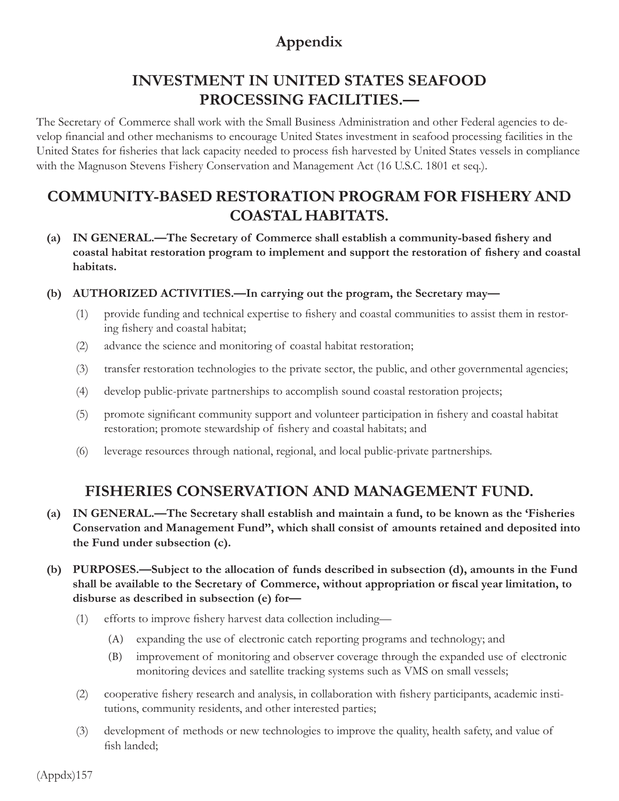# **Appendix**

# **INVESTMENT IN UNITED STATES SEAFOOD PROCESSING FACILITIES.—**

The Secretary of Commerce shall work with the Small Business Administration and other Federal agencies to develop financial and other mechanisms to encourage United States investment in seafood processing facilities in the United States for fisheries that lack capacity needed to process fish harvested by United States vessels in compliance with the Magnuson Stevens Fishery Conservation and Management Act (16 U.S.C. 1801 et seq.).

# **COMMUNITY- BASED RESTORATION PROGRAM FOR FISHERY AND COASTAL HABITATS.**

(a) IN GENERAL.—The Secretary of Commerce shall establish a community-based fishery and coastal habitat restoration program to implement and support the restoration of fishery and coastal **habitats.**

### **(b) AUTHORIZED ACTIVITIES.—In carrying out the program, the Secretary may—**

- (1) provide funding and technical expertise to fishery and coastal communities to assist them in restoring fishery and coastal habitat;
- (2) advance the science and monitoring of coastal habitat restoration;
- (3) transfer restoration technologies to the private sector, the public, and other governmental agencies;
- (4) develop public-private partnerships to accomplish sound coastal restoration projects;
- (5) promote significant community support and volunteer participation in fishery and coastal habitat restoration; promote stewardship of fishery and coastal habitats; and
- (6) leverage resources through national, regional, and local public-private partnerships.

# **FISHERIES CONSERVATION AND MANAGEMENT FUND.**

- **(a) IN GENERAL.—The Secretary shall establish and maintain a fund, to be known as the 'Fisheries Conservation and Management Fund'', which shall consist of amounts retained and deposited into the Fund under subsection (c).**
- **(b) PURPOSES.—Subject to the allocation of funds described in subsection (d), amounts in the Fund**  shall be available to the Secretary of Commerce, without appropriation or fiscal year limitation, to **disburse as described in subsection (e) for—**
	- $(1)$  efforts to improve fishery harvest data collection including—
		- (A) expanding the use of electronic catch reporting programs and technology; and
		- (B) improvement of monitoring and observer coverage through the expanded use of electronic monitoring devices and satellite tracking systems such as VMS on small vessels;
	- (2) cooperative fishery research and analysis, in collaboration with fishery participants, academic institutions, community residents, and other interested parties;
	- (3) development of methods or new technologies to improve the quality, health safety, and value of fish landed: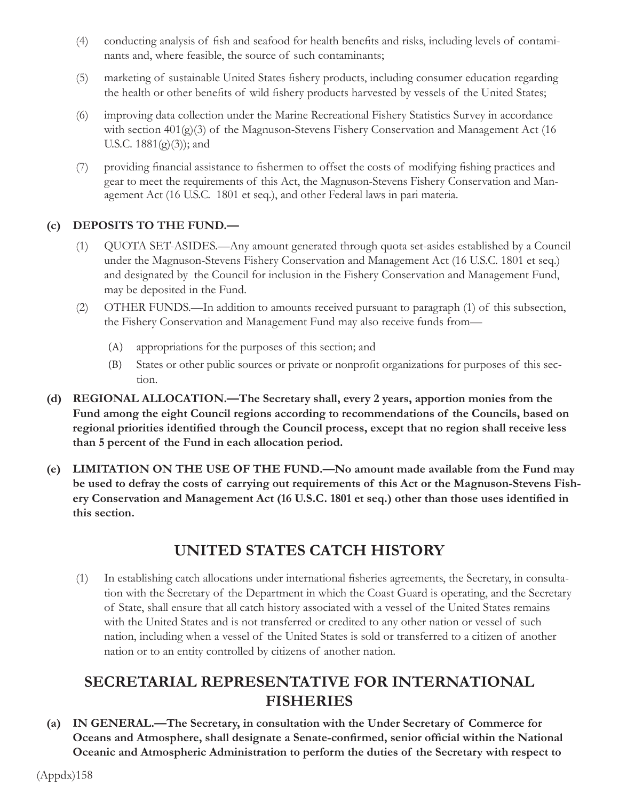- (4) conducting analysis of fish and seafood for health benefits and risks, including levels of contaminants and, where feasible, the source of such contaminants;
- (5) marketing of sustainable United States fishery products, including consumer education regarding the health or other benefits of wild fishery products harvested by vessels of the United States;
- (6) improving data collection under the Marine Recreational Fishery Statistics Survey in accordance with section  $401(g)(3)$  of the Magnuson-Stevens Fishery Conservation and Management Act (16) U.S.C.  $1881(g)(3)$ ; and
- (7) providing financial assistance to fishermen to offset the costs of modifying fishing practices and gear to meet the requirements of this Act, the Magnuson-Stevens Fishery Conservation and Management Act (16 U.S.C. 1801 et seq.), and other Federal laws in pari materia.

#### **(c) DEPOSITS TO THE FUND.—**

- (1) QUOTA SET-ASIDES.—Any amount generated through quota set-asides established by a Council under the Magnuson-Stevens Fishery Conservation and Management Act (16 U.S.C. 1801 et seq.) and designated by the Council for inclusion in the Fishery Conservation and Management Fund, may be deposited in the Fund.
- (2) OTHER FUNDS.—In addition to amounts received pursuant to paragraph (1) of this subsection, the Fishery Conservation and Management Fund may also receive funds from—
	- (A) appropriations for the purposes of this section; and
	- (B) States or other public sources or private or nonprofi t organizations for purposes of this section.
- **(d) REGIONAL ALLOCATION.—The Secretary shall, every 2 years, apportion monies from the Fund among the eight Council regions according to recommendations of the Councils, based on**  regional priorities identified through the Council process, except that no region shall receive less **than 5 percent of the Fund in each allocation period.**
- **(e) LIMITATION ON THE USE OF THE FUND.—No amount made available from the Fund may be used to defray the costs of carrying out requirements of this Act or the Magnuson-Stevens Fish**ery Conservation and Management Act (16 U.S.C. 1801 et seq.) other than those uses identified in **this section.**

### **U NITED STATES CATCH HISTORY**

(1) In establishing catch allocations under international fisheries agreements, the Secretary, in consultation with the Secretary of the Department in which the Coast Guard is operating, and the Secretary of State, shall ensure that all catch history associated with a vessel of the United States remains with the United States and is not transferred or credited to any other nation or vessel of such nation, including when a vessel of the United States is sold or transferred to a citizen of another nation or to an entity controlled by citizens of another nation.

### **SECRETARIAL REPRESENTATIVE FOR INTERNATIONAL FISHERIES**

 **(a) IN GENERAL.—The Secretary, in consultation with the Under Secretary of Commerce for**  Oceans and Atmosphere, shall designate a Senate-confirmed, senior official within the National **Oceanic and Atmospheric Administration to perform the duties of the Secretary with respect to**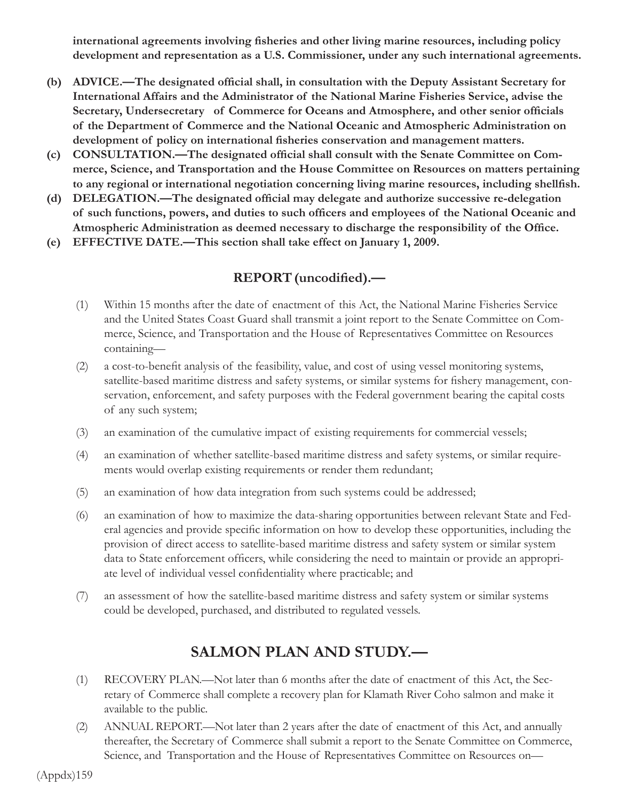international agreements involving fisheries and other living marine resources, including policy **development and representation as a U.S. Commissioner, under any such international agreements.**

- **(b) ADVICE.—The designated official shall, in consultation with the Deputy Assistant Secretary for International Affairs and the Administrator of the National Marine Fisheries Service, advise the**  Secretary, Undersecretary of Commerce for Oceans and Atmosphere, and other senior officials **of the Department of Commerce and the National Oceanic and Atmospheric Administration on**  development of policy on international fisheries conservation and management matters.
- (c) CONSULTATION.—The designated official shall consult with the Senate Committee on Com**merce, Science, and Transportation and the House Committee on Resources on matters pertaining**  to any regional or international negotiation concerning living marine resources, including shellfish.
- (d) DELEGATION.—The designated official may delegate and authorize successive re-delegation of such functions, powers, and duties to such officers and employees of the National Oceanic and Atmospheric Administration as deemed necessary to discharge the responsibility of the Office.
- **(e) EFFECTIVE DATE.—This section shall take effect on January 1, 2009.**

### **REPORT** (uncodified).—

- (1) Within 15 months after the date of enactment of this Act, the National Marine Fisheries Service and the United States Coast Guard shall transmit a joint report to the Senate Committee on Commerce, Science, and Transportation and the House of Representatives Committee on Resources containing—
- (2) a cost-to-benefit analysis of the feasibility, value, and cost of using vessel monitoring systems, satellite-based maritime distress and safety systems, or similar systems for fishery management, conservation, enforcement, and safety purposes with the Federal government bearing the capital costs of any such system;
- (3) an examination of the cumulative impact of existing requirements for commercial vessels;
- (4) an examination of whether satellite-based maritime distress and safety systems, or similar requirements would overlap existing requirements or render them redundant;
- (5) an examination of how data integration from such systems could be addressed;
- (6) an examination of how to maximize the data-sharing opportunities between relevant State and Federal agencies and provide specific information on how to develop these opportunities, including the provision of direct access to satellite-based maritime distress and safety system or similar system data to State enforcement officers, while considering the need to maintain or provide an appropriate level of individual vessel confidentiality where practicable; and
- (7) an assessment of how the satellite-based maritime distress and safety system or similar systems could be developed, purchased, and distributed to regulated vessels.

## **SALMON PLAN AND STUDY.—**

- (1) RECOVERY PLAN.—Not later than 6 months after the date of enactment of this Act, the Secretary of Commerce shall complete a recovery plan for Klamath River Coho salmon and make it available to the public.
- (2) ANNUAL REPORT.—Not later than 2 years after the date of enactment of this Act, and annually thereafter, the Secretary of Commerce shall submit a report to the Senate Committee on Commerce, Science, and Transportation and the House of Representatives Committee on Resources on—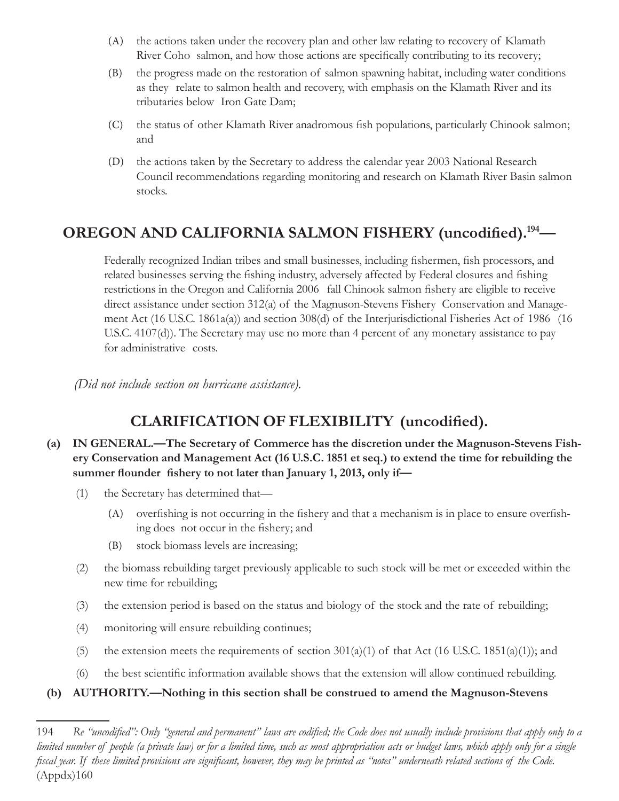- (A) the actions taken under the recovery plan and other law relating to recovery of Klamath River Coho salmon, and how those actions are specifically contributing to its recovery;
- (B) the progress made on the restoration of salmon spawning habitat, including water conditions as they relate to salmon health and recovery, with emphasis on the Klamath River and its tributaries below Iron Gate Dam;
- (C) the status of other Klamath River anadromous fish populations, particularly Chinook salmon; and
- (D) the actions taken by the Secretary to address the calendar year 2003 National Research Council recommendations regarding monitoring and research on Klamath River Basin salmon stocks.

# **OREGON AND CALIFORNIA SALMON FISHERY (uncodified).**<sup>194</sup>

Federally recognized Indian tribes and small businesses, including fishermen, fish processors, and related businesses serving the fishing industry, adversely affected by Federal closures and fishing restrictions in the Oregon and California 2006 fall Chinook salmon fishery are eligible to receive direct assistance under section 312(a) of the Magnuson-Stevens Fishery Conservation and Management Act (16 U.S.C. 1861a(a)) and section 308(d) of the Interjurisdictional Fisheries Act of 1986 (16 U.S.C. 4107(d)). The Secretary may use no more than 4 percent of any monetary assistance to pay for administrative costs.

*(Did not include section on hurricane assistance).*

# **CLARIFICATION OF FLEXIBILITY (uncodified).**

- **(a) IN GENERAL.—The Secretary of Commerce has the discretion under the Magnuson-Stevens Fishery Conservation and Management Act (16 U.S.C. 1851 et seq.) to extend the time for rebuilding the**  summer flounder fishery to not later than January 1, 2013, only if—
	- (1) the Secretary has determined that—
		- (A) overfishing is not occurring in the fishery and that a mechanism is in place to ensure overfishing does not occur in the fishery; and
		- (B) stock biomass levels are increasing;
	- (2) the biomass rebuilding target previously applicable to such stock will be met or exceeded within the new time for rebuilding;
	- (3) the extension period is based on the status and biology of the stock and the rate of rebuilding;
	- (4) monitoring will ensure rebuilding continues;
	- (5) the extension meets the requirements of section  $301(a)(1)$  of that Act (16 U.S.C. 1851(a)(1)); and
	- $(6)$  the best scientific information available shows that the extension will allow continued rebuilding.

### **(b) AUTHORITY.—Nothing in this section shall be construed to amend the Magnuson-Stevens**

 $(Appdx)160$ 194 Re "uncodified": Only "general and permanent" laws are codified; the Code does not usually include provisions that apply only to a limited number of people (a private law) or for a limited time, such as most appropriation acts or budget laws, which apply only for a single fiscal year. If these limited provisions are significant, however, they may be printed as "notes" underneath related sections of the Code.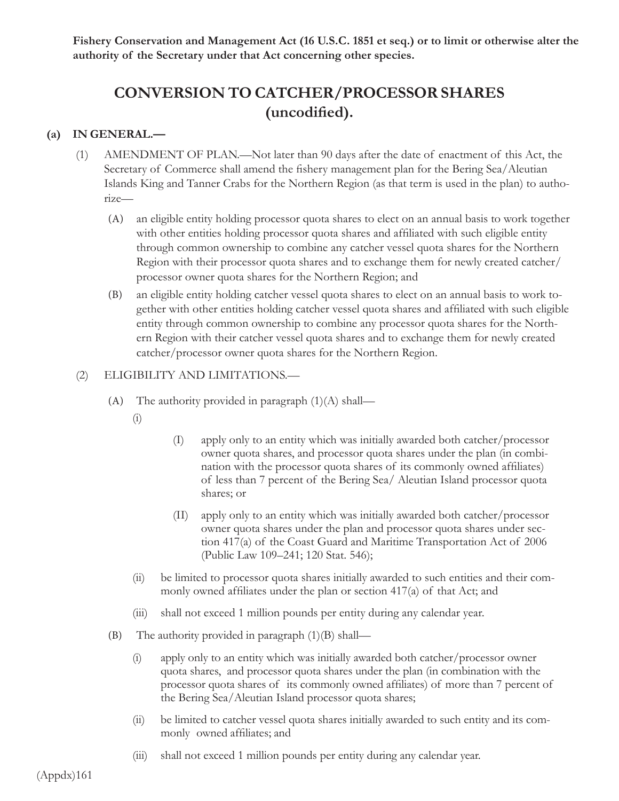**Fishery Conservation and Management Act (16 U.S.C. 1851 et seq.) or to limit or otherwise alter the authority of the Secretary under that Act concerning other species.**

# **CONVERSION TO CATCHER/PROCESSOR SHARES**  (uncodified).

#### **(a) IN GENERAL.—**

- (1) AMENDMENT OF PLAN.—Not later than 90 days after the date of enactment of this Act, the Secretary of Commerce shall amend the fishery management plan for the Bering Sea/Aleutian Islands King and Tanner Crabs for the Northern Region (as that term is used in the plan) to authorize—
	- (A) an eligible entity holding processor quota shares to elect on an annual basis to work together with other entities holding processor quota shares and affiliated with such eligible entity through common ownership to combine any catcher vessel quota shares for the Northern Region with their processor quota shares and to exchange them for newly created catcher/ processor owner quota shares for the Northern Region; and
	- (B) an eligible entity holding catcher vessel quota shares to elect on an annual basis to work together with other entities holding catcher vessel quota shares and affiliated with such eligible entity through common ownership to combine any processor quota shares for the Northern Region with their catcher vessel quota shares and to exchange them for newly created catcher/processor owner quota shares for the Northern Region.

#### (2) ELIGIBILITY AND LIMITATIONS.—

- (A) The authority provided in paragraph  $(1)(A)$  shall—
	- (i)
- (I) apply only to an entity which was initially awarded both catcher/processor owner quota shares, and processor quota shares under the plan (in combination with the processor quota shares of its commonly owned affiliates) of less than 7 percent of the Bering Sea/ Aleutian Island processor quota shares; or
- (II) apply only to an entity which was initially awarded both catcher/processor owner quota shares under the plan and processor quota shares under section 417(a) of the Coast Guard and Maritime Transportation Act of 2006 (Public Law 109–241; 120 Stat. 546);
- (ii) be limited to processor quota shares initially awarded to such entities and their commonly owned affiliates under the plan or section  $417(a)$  of that Act; and
- (iii) shall not exceed 1 million pounds per entity during any calendar year.
- (B) The authority provided in paragraph (1)(B) shall—
	- (i) apply only to an entity which was initially awarded both catcher/processor owner quota shares, and processor quota shares under the plan (in combination with the processor quota shares of its commonly owned affiliates) of more than 7 percent of the Bering Sea/Aleutian Island processor quota shares;
	- (ii) be limited to catcher vessel quota shares initially awarded to such entity and its commonly owned affiliates; and
	- (iii) shall not exceed 1 million pounds per entity during any calendar year.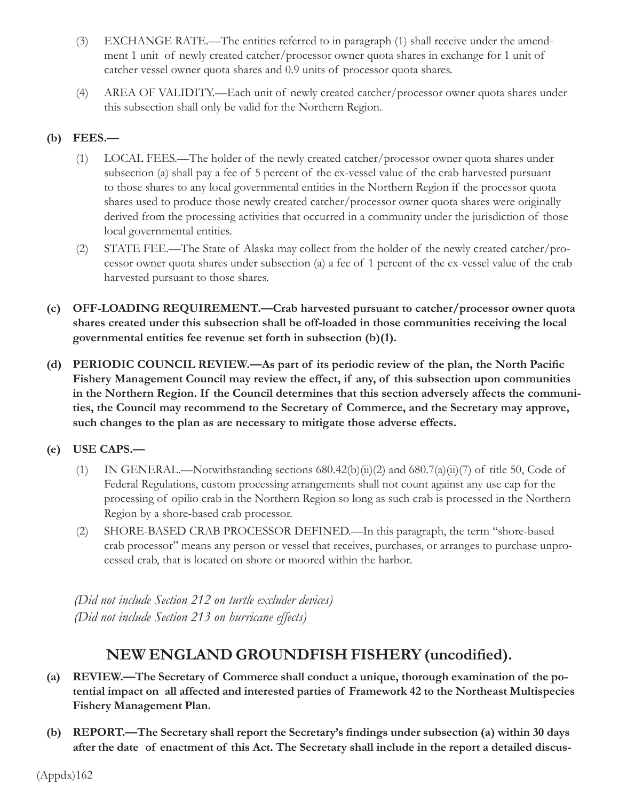- (3) EXCHANGE RATE.—The entities referred to in paragraph (1) shall receive under the amendment 1 unit of newly created catcher/processor owner quota shares in exchange for 1 unit of catcher vessel owner quota shares and 0.9 units of processor quota shares.
- (4) AREA OF VALIDITY.—Each unit of newly created catcher/processor owner quota shares under this subsection shall only be valid for the Northern Region.

### **(b) FEES.—**

- (1) LOCAL FEES.—The holder of the newly created catcher/processor owner quota shares under subsection (a) shall pay a fee of 5 percent of the ex-vessel value of the crab harvested pursuant to those shares to any local governmental entities in the Northern Region if the processor quota shares used to produce those newly created catcher/processor owner quota shares were originally derived from the processing activities that occurred in a community under the jurisdiction of those local governmental entities.
- (2) STATE FEE.—The State of Alaska may collect from the holder of the newly created catcher/processor owner quota shares under subsection (a) a fee of 1 percent of the ex-vessel value of the crab harvested pursuant to those shares.
- **(c) OFF-LOADING REQUIREMENT.—Crab harvested pursuant to catcher/processor owner quota shares created under this subsection shall be off-loaded in those communities receiving the local governmental entities fee revenue set forth in subsection (b)(1).**
- **(d) PERIODIC COUNCIL REVIEW.—As part of its periodic review of the plan, the North Pacific Fishery Management Council may review the effect, if any, of this subsection upon communities in the Northern Region. If the Council determines that this section adversely affects the communities, the Council may recommend to the Secretary of Commerce, and the Secretary may approve, such changes to the plan as are necessary to mitigate those adverse effects.**
- **(e) USE CAPS.—**
	- (1) IN GENERAL.—Notwithstanding sections  $680.42(b)(ii)(2)$  and  $680.7(a)(ii)(7)$  of title 50, Code of Federal Regulations, custom processing arrangements shall not count against any use cap for the processing of opilio crab in the Northern Region so long as such crab is processed in the Northern Region by a shore-based crab processor.
	- (2) SHORE-BASED CRAB PROCESSOR DEFINED.—In this paragraph, the term ''shore-based crab processor'' means any person or vessel that receives, purchases, or arranges to purchase unprocessed crab, that is located on shore or moored within the harbor.

*(Did not include Section 212 on turtle excluder devices) (Did not include Section 213 on hurricane effects)*

# **NEW ENGLAND GROUNDFISH FISHERY (uncodified).**

- **(a) REVIEW.—The Secretary of Commerce shall conduct a unique, thorough examination of the potential impact on all affected and interested parties of Framework 42 to the Northeast Multispecies Fishery Management Plan.**
- (b) REPORT.—The Secretary shall report the Secretary's findings under subsection (a) within 30 days **after the date of enactment of this Act. The Secretary shall include in the report a detailed discus-**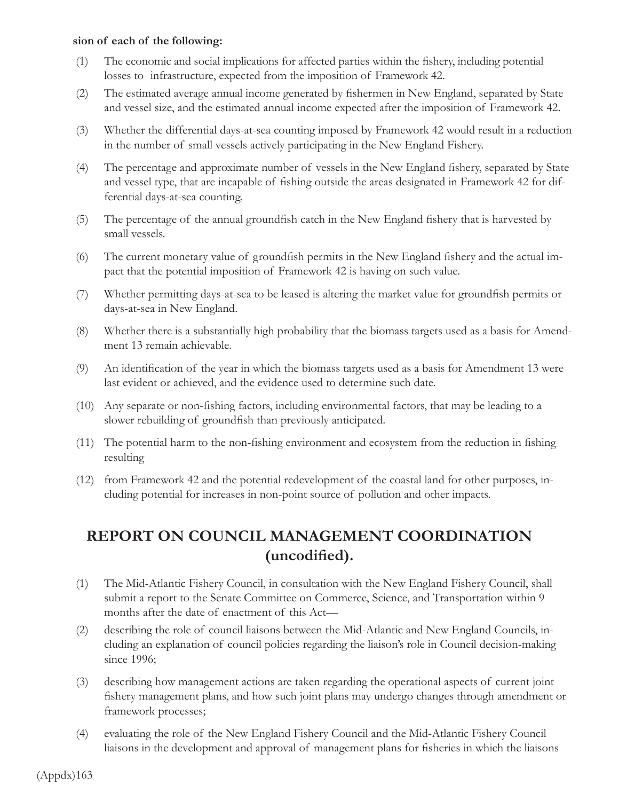#### **sion of each of the following:**

- (1) The economic and social implications for affected parties within the fishery, including potential losses to infrastructure, expected from the imposition of Framework 42.
- (2) The estimated average annual income generated by fishermen in New England, separated by State and vessel size, and the estimated annual income expected after the imposition of Framework 42.
- (3) Whether the differential days-at-sea counting imposed by Framework 42 would result in a reduction in the number of small vessels actively participating in the New England Fishery.
- (4) The percentage and approximate number of vessels in the New England fi shery, separated by State and vessel type, that are incapable of fishing outside the areas designated in Framework 42 for differential days-at-sea counting.
- (5) The percentage of the annual groundfish catch in the New England fishery that is harvested by small vessels.
- (6) The current monetary value of groundfish permits in the New England fishery and the actual impact that the potential imposition of Framework 42 is having on such value.
- (7) Whether permitting days-at-sea to be leased is altering the market value for groundfish permits or days-at-sea in New England.
- (8) Whether there is a substantially high probability that the biomass targets used as a basis for Amendment 13 remain achievable.
- $(9)$  An identification of the year in which the biomass targets used as a basis for Amendment 13 were last evident or achieved, and the evidence used to determine such date.
- (10) Any separate or non-fishing factors, including environmental factors, that may be leading to a slower rebuilding of groundfish than previously anticipated.
- $(11)$  The potential harm to the non-fishing environment and ecosystem from the reduction in fishing resulting
- (12) from Framework 42 and the potential redevelopment of the coastal land for other purposes, including potential for increases in non-point source of pollution and other impacts.

# **REPORT ON COUNCIL MANAGEMENT COORDINATION**  (uncodified).

- (1) The Mid-Atlantic Fishery Council, in consultation with the New England Fishery Council, shall submit a report to the Senate Committee on Commerce, Science, and Transportation within 9 months after the date of enactment of this Act—
- (2) describing the role of council liaisons between the Mid-Atlantic and New England Councils, including an explanation of council policies regarding the liaison's role in Council decision-making since 1996;
- (3) describing how management actions are taken regarding the operational aspects of current joint fishery management plans, and how such joint plans may undergo changes through amendment or framework processes;
- (4) evaluating the role of the New England Fishery Council and the Mid-Atlantic Fishery Council liaisons in the development and approval of management plans for fisheries in which the liaisons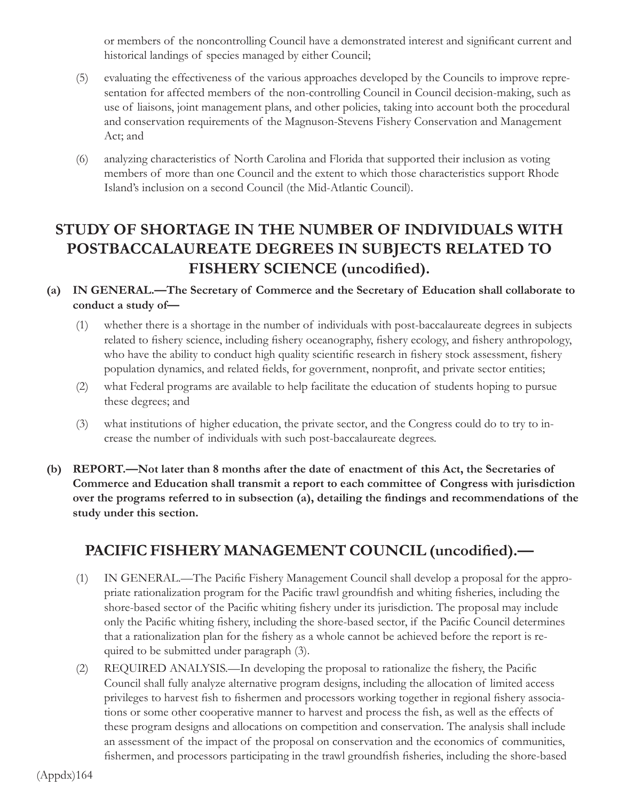or members of the noncontrolling Council have a demonstrated interest and significant current and historical landings of species managed by either Council;

- (5) evaluating the effectiveness of the various approaches developed by the Councils to improve representation for affected members of the non-controlling Council in Council decision-making, such as use of liaisons, joint management plans, and other policies, taking into account both the procedural and conservation requirements of the Magnuson-Stevens Fishery Conservation and Management Act; and
- (6) analyzing characteristics of North Carolina and Florida that supported their inclusion as voting members of more than one Council and the extent to which those characteristics support Rhode Island's inclusion on a second Council (the Mid-Atlantic Council).

# **STUDY OF SHORTAGE IN THE NUMBER OF INDIVIDUALS WITH POSTBACCALAUREATE DEGREES IN SUBJECTS RELATED TO FISHERY SCIENCE** (uncodified).

#### **(a) IN GENERAL.—The Secretary of Commerce and the Secretary of Education shall collaborate to conduct a study of—**

- (1) whether there is a shortage in the number of individuals with post-baccalaureate degrees in subjects related to fishery science, including fishery oceanography, fishery ecology, and fishery anthropology, who have the ability to conduct high quality scientific research in fishery stock assessment, fishery population dynamics, and related fields, for government, nonprofit, and private sector entities;
- (2) what Federal programs are available to help facilitate the education of students hoping to pursue these degrees; and
- (3) what institutions of higher education, the private sector, and the Congress could do to try to increase the number of individuals with such post-baccalaureate degrees.
- **(b) REPORT.—Not later than 8 months after the date of enactment of this Act, the Secretaries of Commerce and Education shall transmit a report to each committee of Congress with jurisdiction**  over the programs referred to in subsection (a), detailing the findings and recommendations of the **study under this section.**

## **PACIFIC FISHERY MANAGEMENT COUNCIL (uncodified).—**

- (1) IN GENERAL.—The Pacific Fishery Management Council shall develop a proposal for the appropriate rationalization program for the Pacific trawl groundfish and whiting fisheries, including the shore-based sector of the Pacific whiting fishery under its jurisdiction. The proposal may include only the Pacific whiting fishery, including the shore-based sector, if the Pacific Council determines that a rationalization plan for the fishery as a whole cannot be achieved before the report is required to be submitted under paragraph (3).
- $(2)$  REQUIRED ANALYSIS.—In developing the proposal to rationalize the fishery, the Pacific Council shall fully analyze alternative program designs, including the allocation of limited access privileges to harvest fish to fishermen and processors working together in regional fishery associations or some other cooperative manner to harvest and process the fish, as well as the effects of these program designs and allocations on competition and conservation. The analysis shall include an assessment of the impact of the proposal on conservation and the economics of communities, fishermen, and processors participating in the trawl groundfish fisheries, including the shore-based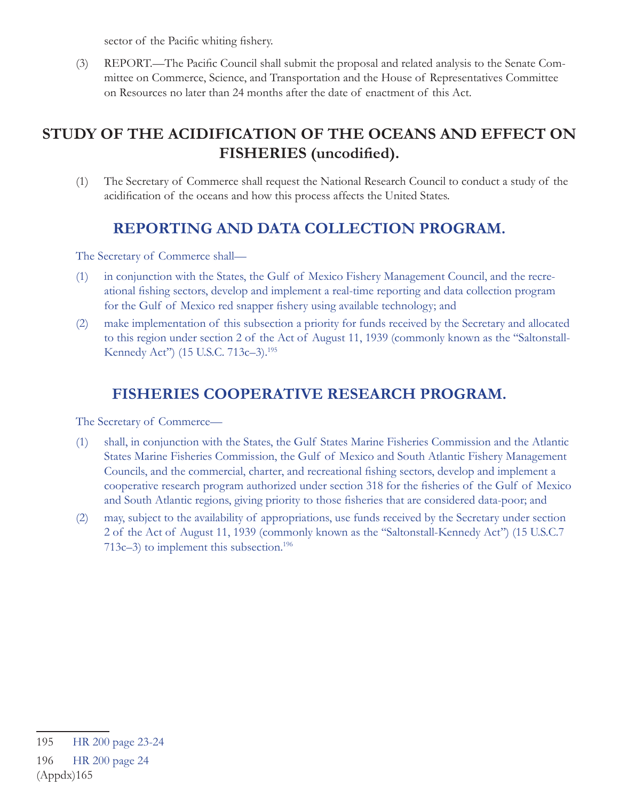sector of the Pacific whiting fishery.

(3) REPORT.—The Pacifi c Council shall submit the proposal and related analysis to the Senate Committee on Commerce, Science, and Transportation and the House of Representatives Committee on Resources no later than 24 months after the date of enactment of this Act.

## **STUDY OF THE ACIDIFICATION OF THE OCEANS AND EFFECT ON FISHERIES** (uncodified).

(1) The Secretary of Commerce shall request the National Research Council to conduct a study of the acidification of the oceans and how this process affects the United States.

## **REPORTING AND DATA COLLECTION PROGRAM.**

The Secretary of Commerce shall—

- (1) in conjunction with the States, the Gulf of Mexico Fishery Management Council, and the recreational fishing sectors, develop and implement a real-time reporting and data collection program for the Gulf of Mexico red snapper fishery using available technology; and
- (2) make implementation of this subsection a priority for funds received by the Secretary and allocated to this region under section 2 of the Act of August 11, 1939 (commonly known as the ''Saltonstall-Kennedy Act") (15 U.S.C. 713c–3).<sup>195</sup>

## **FISHERIES COOPERATIVE RESEARCH PROGRAM.**

The Secretary of Commerce—

- (1) shall, in conjunction with the States, the Gulf States Marine Fisheries Commission and the Atlantic States Marine Fisheries Commission, the Gulf of Mexico and South Atlantic Fishery Management Councils, and the commercial, charter, and recreational fishing sectors, develop and implement a cooperative research program authorized under section 318 for the fisheries of the Gulf of Mexico and South Atlantic regions, giving priority to those fisheries that are considered data-poor; and
- (2) may, subject to the availability of appropriations, use funds received by the Secretary under section 2 of the Act of August 11, 1939 (commonly known as the ''Saltonstall-Kennedy Act'') (15 U.S.C.7 713c–3) to implement this subsection.<sup>196</sup>

<sup>195</sup> HR 200 page 23-24

 $(Appdx)165$ 196 HR 200 page 24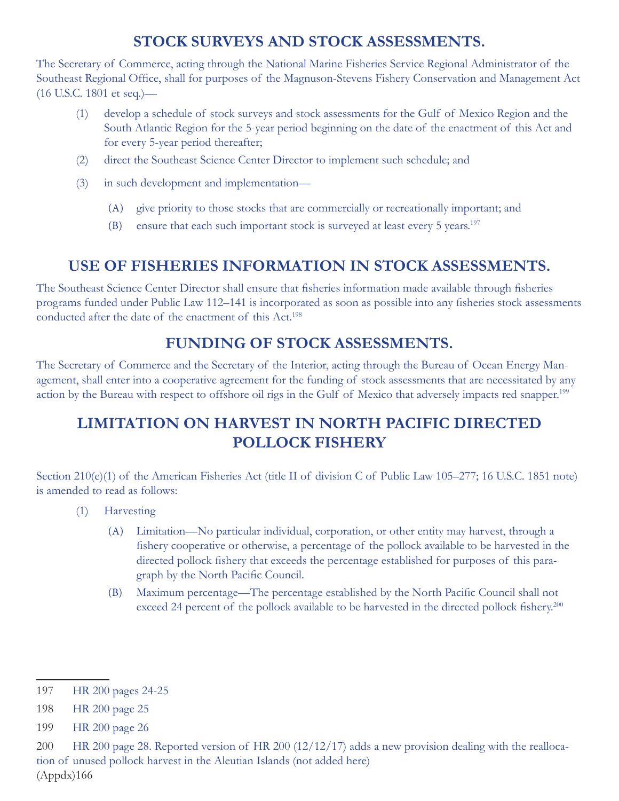### **STOCK SURVEYS AND STOCK ASSESSMENTS.**

The Secretary of Commerce, acting through the National Marine Fisheries Service Regional Administrator of the Southeast Regional Office, shall for purposes of the Magnuson-Stevens Fishery Conservation and Management Act (16 U.S.C. 1801 et seq.)—

- (1) develop a schedule of stock surveys and stock assessments for the Gulf of Mexico Region and the South Atlantic Region for the 5-year period beginning on the date of the enactment of this Act and for every 5-year period thereafter;
- (2) direct the Southeast Science Center Director to implement such schedule; and
- (3) in such development and implementation—
	- (A) give priority to those stocks that are commercially or recreationally important; and
	- (B) ensure that each such important stock is surveyed at least every 5 years.197

## **USE OF FISHERIES INFORMATION IN STOCK ASSESSMENTS.**

The Southeast Science Center Director shall ensure that fisheries information made available through fisheries programs funded under Public Law 112–141 is incorporated as soon as possible into any fisheries stock assessments conducted after the date of the enactment of this Act.<sup>198</sup>

## **FUNDING OF STOCK ASSESSMENTS.**

The Secretary of Commerce and the Secretary of the Interior, acting through the Bureau of Ocean Energy Management, shall enter into a cooperative agreement for the funding of stock assessments that are necessitated by any action by the Bureau with respect to offshore oil rigs in the Gulf of Mexico that adversely impacts red snapper.<sup>199</sup>

# **LIMITATION ON HARVEST IN NORTH PACIFIC DIRECTED POLLOCK FISHERY**

Section 210(e)(1) of the American Fisheries Act (title II of division C of Public Law 105–277; 16 U.S.C. 1851 note) is amended to read as follows:

- (1) Harvesting
	- (A) Limitation—No particular individual, corporation, or other entity may harvest, through a fishery cooperative or otherwise, a percentage of the pollock available to be harvested in the directed pollock fishery that exceeds the percentage established for purposes of this paragraph by the North Pacific Council.
	- (B) Maximum percentage—The percentage established by the North Pacific Council shall not exceed 24 percent of the pollock available to be harvested in the directed pollock fishery.<sup>200</sup>

<sup>197</sup> HR 200 pages 24-25

<sup>198</sup> HR 200 page 25

<sup>199</sup> HR 200 page 26

<sup>(</sup>Appdx)166 200 HR 200 page 28. Reported version of HR 200 (12/12/17) adds a new provision dealing with the reallocation of unused pollock harvest in the Aleutian Islands (not added here)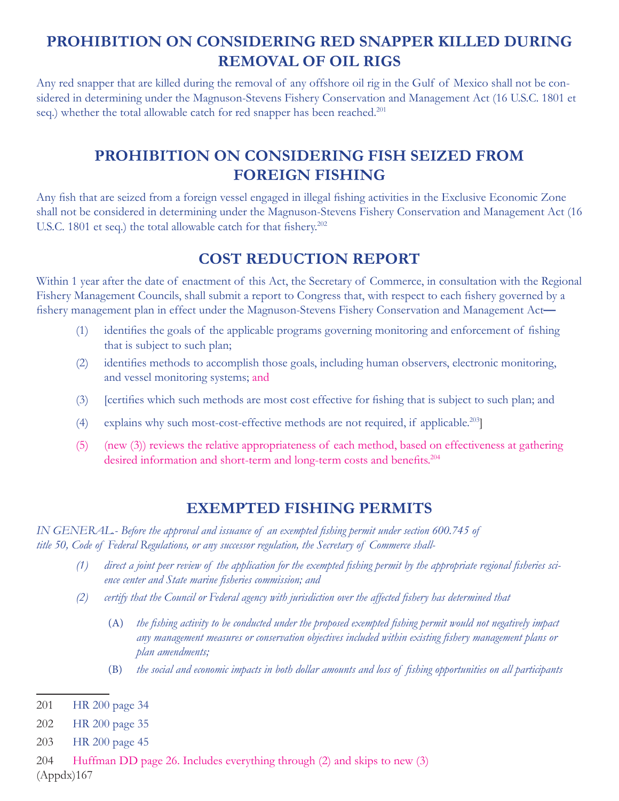# **PROHIBITION ON CONSIDERING RED SNAPPER KILLED DURING REMOVAL OF OIL RIGS**

Any red snapper that are killed during the removal of any offshore oil rig in the Gulf of Mexico shall not be considered in determining under the Magnuson-Stevens Fishery Conservation and Management Act (16 U.S.C. 1801 et seq.) whether the total allowable catch for red snapper has been reached.<sup>201</sup>

## **PROHIBITION ON CONSIDERING FISH SEIZED FROM FOREIGN FISHING**

Any fish that are seized from a foreign vessel engaged in illegal fishing activities in the Exclusive Economic Zone shall not be considered in determining under the Magnuson-Stevens Fishery Conservation and Management Act (16 U.S.C. 1801 et seq.) the total allowable catch for that fishery.<sup>202</sup>

### **COST REDUCTION REPORT**

Within 1 year after the date of enactment of this Act, the Secretary of Commerce, in consultation with the Regional Fishery Management Councils, shall submit a report to Congress that, with respect to each fishery governed by a fi shery management plan in effect under the Magnuson-Stevens Fishery Conservation and Management Act**—**

- (1) identifies the goals of the applicable programs governing monitoring and enforcement of fishing that is subject to such plan;
- (2) identifies methods to accomplish those goals, including human observers, electronic monitoring, and vessel monitoring systems; and
- (3) [certifies which such methods are most cost effective for fishing that is subject to such plan; and
- (4) explains why such most-cost-effective methods are not required, if applicable.203]
- (5) (new (3)) reviews the relative appropriateness of each method, based on effectiveness at gathering desired information and short-term and long-term costs and benefits.<sup>204</sup>

### **EXEMPTED FISHING PERMITS**

*IN GENERAL.- Before the approval and issuance of an exempted fi shing permit under section 600.745 of title 50, Code of Federal Regulations, or any successor regulation, the Secretary of Commerce shall-*

- *(1) direct a joint peer review of the application for the exempted fi shing permit by the appropriate regional fi sheries science center and State marine fi sheries commission; and*
- *(2) certify that the Council or Federal agency with jurisdiction over the affected fi shery has determined that*
	- (A) *the fi shing activity to be conducted under the proposed exempted fi shing permit would not negatively impact any management measures or conservation objectives included within existing fi shery management plans or plan amendments;*
	- (B) *the social and economic impacts in both dollar amounts and loss of fi shing opportunities on all participants*

 $(Appdx)167$ 

<sup>201</sup> HR 200 page 34

<sup>202</sup> HR 200 page 35

<sup>203</sup> HR 200 page 45

<sup>204</sup> Huffman DD page 26. Includes everything through (2) and skips to new (3)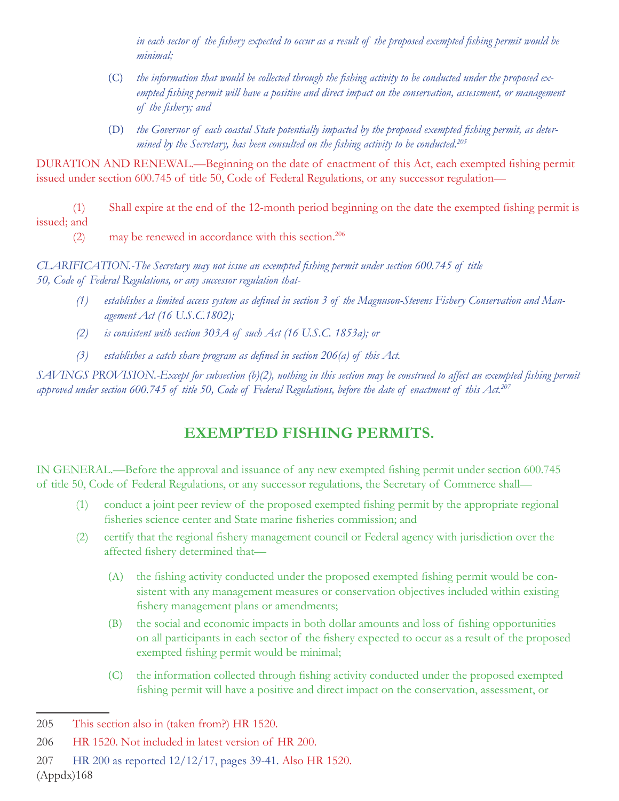in each sector of the fishery expected to occur as a result of the proposed exempted fishing permit would be *minimal;*

- (C) the information that would be collected through the fishing activity to be conducted under the proposed exempted fishing permit will have a positive and direct impact on the conservation, assessment, or management *of the fi shery; and*
- (D) the Governor of each coastal State potentially impacted by the proposed exempted fishing permit, as deter*mined by the Secretary, has been consulted on the fishing activity to be conducted.*<sup>205</sup>

DURATION AND RENEWAL.—Beginning on the date of enactment of this Act, each exempted fishing permit issued under section 600.745 of title 50, Code of Federal Regulations, or any successor regulation—

 $(1)$  Shall expire at the end of the 12-month period beginning on the date the exempted fishing permit is issued; and

(2) may be renewed in accordance with this section.206

*CLARIFICATION.-The Secretary may not issue an exempted fi shing permit under section 600.745 of title 50, Code of Federal Regulations, or any successor regulation that-*

- (1) establishes a limited access system as defined in section 3 of the Magnuson-Stevens Fishery Conservation and Man*agement Act (16 U.S.C.1802);*
- *(2) is consistent with section 303A of such Act (16 U.S.C. 1853a); or*
- (3) establishes a catch share program as defined in section 206(a) of this Act.

*SAVINGS PROVISION.-Except for subsection (b)(2), nothing in this section may be construed to affect an exempted fishing permit approved under section 600.745 of title 50, Code of Federal Regulations, before the date of enactment of this Act.207*

# **EXEMPTED FISHING PERMITS.**

IN GENERAL.—Before the approval and issuance of any new exempted fishing permit under section 600.745 of title 50, Code of Federal Regulations, or any successor regulations, the Secretary of Commerce shall—

- (1) conduct a joint peer review of the proposed exempted fishing permit by the appropriate regional fisheries science center and State marine fisheries commission; and
- (2) certify that the regional fishery management council or Federal agency with jurisdiction over the affected fishery determined that-
	- (A) the fishing activity conducted under the proposed exempted fishing permit would be consistent with any management measures or conservation objectives included within existing fishery management plans or amendments;
	- (B) the social and economic impacts in both dollar amounts and loss of fishing opportunities on all participants in each sector of the fishery expected to occur as a result of the proposed exempted fishing permit would be minimal;
	- (C) the information collected through fishing activity conducted under the proposed exempted fishing permit will have a positive and direct impact on the conservation, assessment, or

 $(Appdx)168$ 

<sup>205</sup> This section also in (taken from?) HR 1520.

<sup>206</sup> HR 1520. Not included in latest version of HR 200.

<sup>207</sup> HR 200 as reported 12/12/17, pages 39-41. Also HR 1520.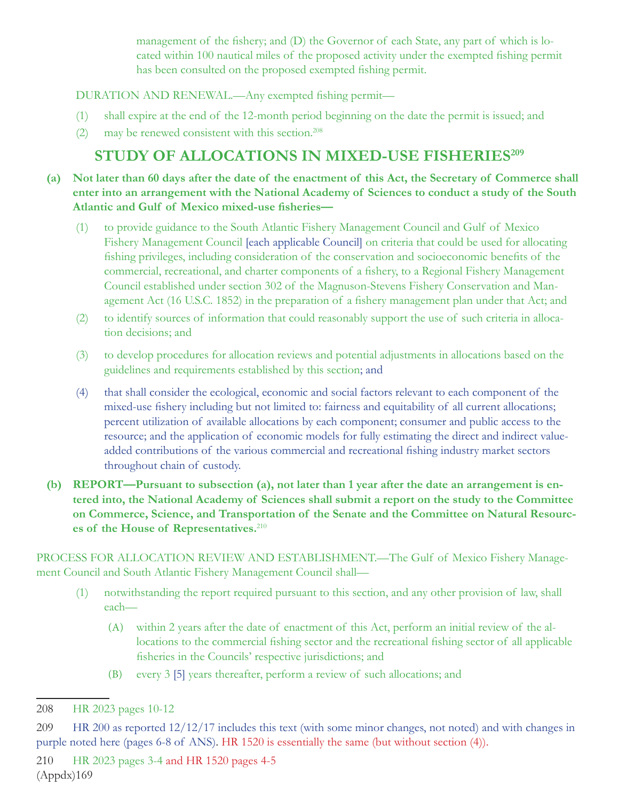management of the fishery; and  $(D)$  the Governor of each State, any part of which is located within 100 nautical miles of the proposed activity under the exempted fishing permit has been consulted on the proposed exempted fishing permit.

DURATION AND RENEWAL.—Any exempted fishing permit—

- (1) shall expire at the end of the 12-month period beginning on the date the permit is issued; and
- (2) may be renewed consistent with this section.<sup>208</sup>

## **STUDY OF ALLOCATIONS IN MIXED-USE FISHERIES<sup>209</sup>**

- **(a) Not later than 60 days after the date of the enactment of this Act, the Secretary of Commerce shall enter into an arrangement with the National Academy of Sciences to conduct a study of the South**  Atlantic and Gulf of Mexico mixed-use fisheries-
	- (1) to provide guidance to the South Atlantic Fishery Management Council and Gulf of Mexico Fishery Management Council [each applicable Council] on criteria that could be used for allocating fishing privileges, including consideration of the conservation and socioeconomic benefits of the commercial, recreational, and charter components of a fishery, to a Regional Fishery Management Council established under section 302 of the Magnuson-Stevens Fishery Conservation and Management Act (16 U.S.C. 1852) in the preparation of a fishery management plan under that Act; and
	- (2) to identify sources of information that could reasonably support the use of such criteria in allocation decisions; and
	- (3) to develop procedures for allocation reviews and potential adjustments in allocations based on the guidelines and requirements established by this section; and
	- (4) that shall consider the ecological, economic and social factors relevant to each component of the mixed-use fishery including but not limited to: fairness and equitability of all current allocations; percent utilization of available allocations by each component; consumer and public access to the resource; and the application of economic models for fully estimating the direct and indirect valueadded contributions of the various commercial and recreational fishing industry market sectors throughout chain of custody.
- **(b) REPORT—Pursuant to subsection (a), not later than 1 year after the date an arrangement is entered into, the National Academy of Sciences shall submit a report on the study to the Committee on Commerce, Science, and Transportation of the Senate and the Committee on Natural Resources of the House of Representatives.**<sup>210</sup>

PROCESS FOR ALLOCATION REVIEW AND ESTABLISHMENT.—The Gulf of Mexico Fishery Management Council and South Atlantic Fishery Management Council shall—

- (1) notwithstanding the report required pursuant to this section, and any other provision of law, shall each—
	- (A) within 2 years after the date of enactment of this Act, perform an initial review of the allocations to the commercial fishing sector and the recreational fishing sector of all applicable fisheries in the Councils' respective jurisdictions; and
	- (B) every 3 [5] years thereafter, perform a review of such allocations; and

<sup>208</sup> HR 2023 pages 10-12

<sup>209</sup> HR 200 as reported 12/12/17 includes this text (with some minor changes, not noted) and with changes in purple noted here (pages 6-8 of ANS). HR 1520 is essentially the same (but without section (4)).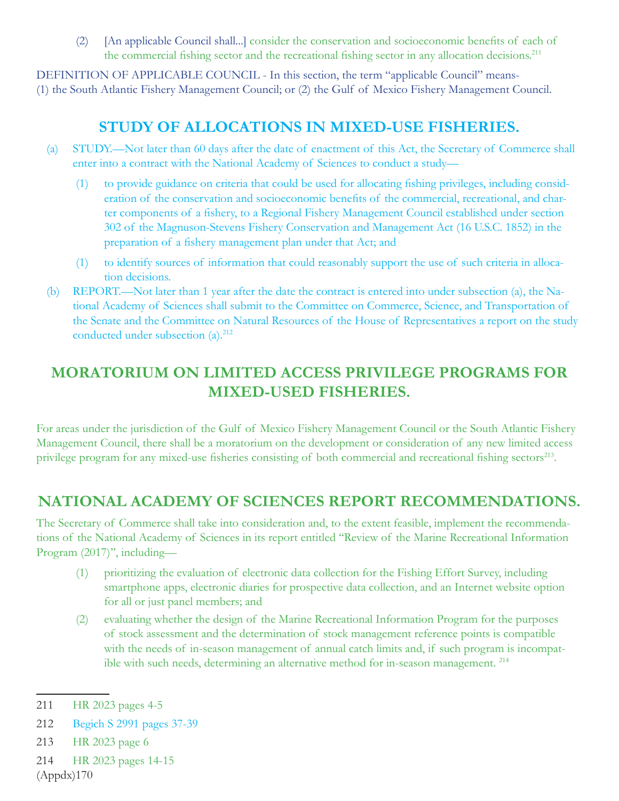(2) [An applicable Council shall...] consider the conservation and socioeconomic benefits of each of the commercial fishing sector and the recreational fishing sector in any allocation decisions.<sup>211</sup>

DEFINITION OF APPLICABLE COUNCIL - In this section, the term "applicable Council" means- (1) the South Atlantic Fishery Management Council; or (2) the Gulf of Mexico Fishery Management Council.

## **STUDY OF ALLOCATIONS IN MIXED-USE FISHERIES.**

- (a) STUDY.—Not later than 60 days after the date of enactment of this Act, the Secretary of Commerce shall enter into a contract with the National Academy of Sciences to conduct a study—
	- (1) to provide guidance on criteria that could be used for allocating fishing privileges, including consideration of the conservation and socioeconomic benefits of the commercial, recreational, and charter components of a fishery, to a Regional Fishery Management Council established under section 302 of the Magnuson-Stevens Fishery Conservation and Management Act (16 U.S.C. 1852) in the preparation of a fishery management plan under that Act; and
	- (1) to identify sources of information that could reasonably support the use of such criteria in allocation decisions.
- (b) REPORT.—Not later than 1 year after the date the contract is entered into under subsection (a), the National Academy of Sciences shall submit to the Committee on Commerce, Science, and Transportation of the Senate and the Committee on Natural Resources of the House of Representatives a report on the study conducted under subsection (a).<sup>212</sup>

# **MORATORIUM ON LIMITED ACCESS PRIVILEGE PROGRAMS FOR MIXED-USED FISHERIES.**

For areas under the jurisdiction of the Gulf of Mexico Fishery Management Council or the South Atlantic Fishery Management Council, there shall be a moratorium on the development or consideration of any new limited access privilege program for any mixed-use fisheries consisting of both commercial and recreational fishing sectors<sup>213</sup>.

## **NATIONAL ACADEMY OF SCIENCES REPORT RECOMMENDATIONS.**

The Secretary of Commerce shall take into consideration and, to the extent feasible, implement the recommendations of the National Academy of Sciences in its report entitled ''Review of the Marine Recreational Information Program (2017)", including—

- (1) prioritizing the evaluation of electronic data collection for the Fishing Effort Survey, including smartphone apps, electronic diaries for prospective data collection, and an Internet website option for all or just panel members; and
- (2) evaluating whether the design of the Marine Recreational Information Program for the purposes of stock assessment and the determination of stock management reference points is compatible with the needs of in-season management of annual catch limits and, if such program is incompatible with such needs, determining an alternative method for in-season management. 214

<sup>211</sup> HR 2023 pages 4-5

<sup>212</sup> Begich S 2991 pages 37-39

<sup>213</sup> HR 2023 page 6

<sup>(</sup>Appdx)170 214 HR 2023 pages 14-15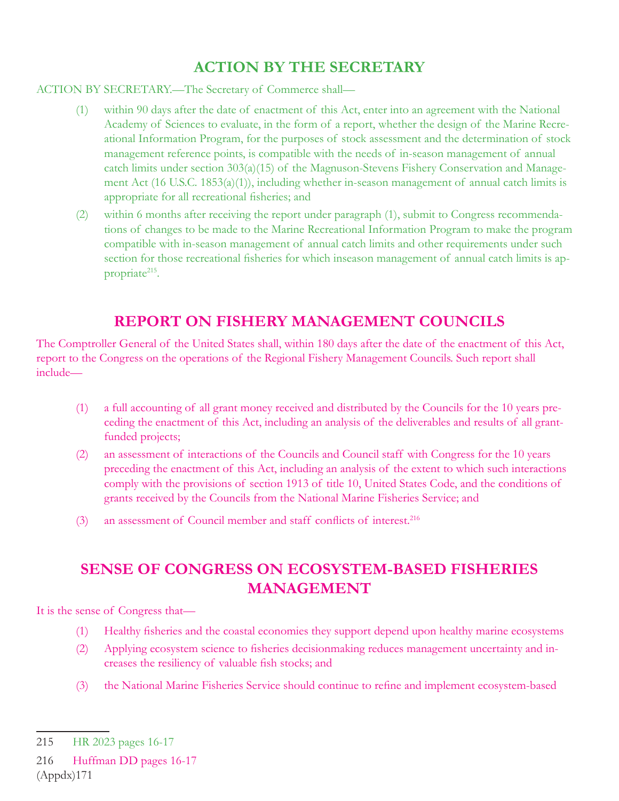### **ACTION BY THE SECRETARY**

#### ACTION BY SECRETARY.—The Secretary of Commerce shall—

- (1) within 90 days after the date of enactment of this Act, enter into an agreement with the National Academy of Sciences to evaluate, in the form of a report, whether the design of the Marine Recreational Information Program, for the purposes of stock assessment and the determination of stock management reference points, is compatible with the needs of in-season management of annual catch limits under section 303(a)(15) of the Magnuson-Stevens Fishery Conservation and Management Act (16 U.S.C. 1853(a)(1)), including whether in-season management of annual catch limits is appropriate for all recreational fisheries; and
- (2) within 6 months after receiving the report under paragraph (1), submit to Congress recommendations of changes to be made to the Marine Recreational Information Program to make the program compatible with in-season management of annual catch limits and other requirements under such section for those recreational fisheries for which inseason management of annual catch limits is appropriate<sup>215</sup>.

## **REPORT ON FISHERY MANAGEMENT COUNCILS**

The Comptroller General of the United States shall, within 180 days after the date of the enactment of this Act, report to the Congress on the operations of the Regional Fishery Management Councils. Such report shall include—

- (1) a full accounting of all grant money received and distributed by the Councils for the 10 years preceding the enactment of this Act, including an analysis of the deliverables and results of all grantfunded projects;
- (2) an assessment of interactions of the Councils and Council staff with Congress for the 10 years preceding the enactment of this Act, including an analysis of the extent to which such interactions comply with the provisions of section 1913 of title 10, United States Code, and the conditions of grants received by the Councils from the National Marine Fisheries Service; and
- $(3)$  an assessment of Council member and staff conflicts of interest.<sup>216</sup>

# **SENSE OF CONGRESS ON ECOSYSTEM-BASED FISHERIES MANAGEMENT**

It is the sense of Congress that—

- (1) Healthy fisheries and the coastal economies they support depend upon healthy marine ecosystems
- (2) Applying ecosystem science to fisheries decisionmaking reduces management uncertainty and increases the resiliency of valuable fish stocks; and
- (3) the National Marine Fisheries Service should continue to refine and implement ecosystem-based

<sup>215</sup> HR 2023 pages 16-17

<sup>(</sup>Appdx)171 216 Huffman DD pages 16-17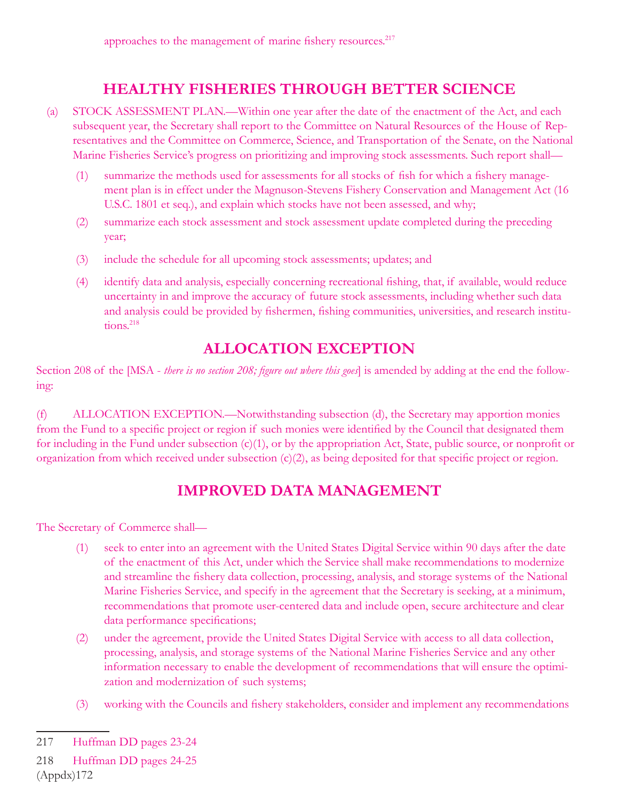# **HEALTHY FISHERIES THROUGH BETTER SCIENCE**

- (a) STOCK ASSESSMENT PLAN.—Within one year after the date of the enactment of the Act, and each subsequent year, the Secretary shall report to the Committee on Natural Resources of the House of Representatives and the Committee on Commerce, Science, and Transportation of the Senate, on the National Marine Fisheries Service's progress on prioritizing and improving stock assessments. Such report shall—
	- $(1)$  summarize the methods used for assessments for all stocks of fish for which a fishery management plan is in effect under the Magnuson-Stevens Fishery Conservation and Management Act (16 U.S.C. 1801 et seq.), and explain which stocks have not been assessed, and why;
	- (2) summarize each stock assessment and stock assessment update completed during the preceding year;
	- (3) include the schedule for all upcoming stock assessments; updates; and
	- (4) identify data and analysis, especially concerning recreational fi shing, that, if available, would reduce uncertainty in and improve the accuracy of future stock assessments, including whether such data and analysis could be provided by fishermen, fishing communities, universities, and research institutions.<sup>218</sup>

# **ALLOCATION EXCEPTION**

Section 208 of the [MSA - *there is no section 208; figure out where this goes*] is amended by adding at the end the following:

(f) ALLOCATION EXCEPTION.—Notwithstanding subsection (d), the Secretary may apportion monies from the Fund to a specific project or region if such monies were identified by the Council that designated them for including in the Fund under subsection (c)(1), or by the appropriation Act, State, public source, or nonprofit or organization from which received under subsection  $(c)(2)$ , as being deposited for that specific project or region.

# **IMPROVED DATA MANAGEMENT**

The Secretary of Commerce shall—

- (1) seek to enter into an agreement with the United States Digital Service within 90 days after the date of the enactment of this Act, under which the Service shall make recommendations to modernize and streamline the fishery data collection, processing, analysis, and storage systems of the National Marine Fisheries Service, and specify in the agreement that the Secretary is seeking, at a minimum, recommendations that promote user-centered data and include open, secure architecture and clear data performance specifications;
- (2) under the agreement, provide the United States Digital Service with access to all data collection, processing, analysis, and storage systems of the National Marine Fisheries Service and any other information necessary to enable the development of recommendations that will ensure the optimization and modernization of such systems;
- (3) working with the Councils and fishery stakeholders, consider and implement any recommendations

<sup>217</sup> Huffman DD pages 23-24

<sup>(</sup>Appdx)172 218 Huffman DD pages 24-25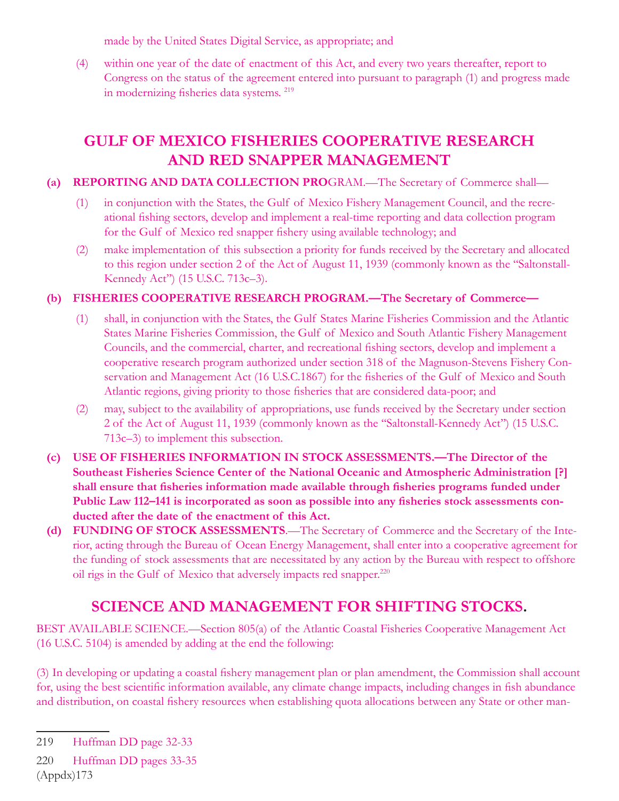made by the United States Digital Service, as appropriate; and

(4) within one year of the date of enactment of this Act, and every two years thereafter, report to Congress on the status of the agreement entered into pursuant to paragraph (1) and progress made in modernizing fisheries data systems. <sup>219</sup>

## **GULF OF MEXICO FISHERIES COOPERATIVE RESEARCH AND RED SNAPPER MANAGEMENT**

#### **(a) REPORTING AND DATA COLLECTION PRO**GRAM.—The Secretary of Commerce shall—

- (1) in conjunction with the States, the Gulf of Mexico Fishery Management Council, and the recreational fishing sectors, develop and implement a real-time reporting and data collection program for the Gulf of Mexico red snapper fishery using available technology; and
- (2) make implementation of this subsection a priority for funds received by the Secretary and allocated to this region under section 2 of the Act of August 11, 1939 (commonly known as the ''Saltonstall-Kennedy Act'') (15 U.S.C. 713c–3).

#### **(b) FISHERIES COOPERATIVE RESEARCH PROGRAM.—The Secretary of Commerce—**

- (1) shall, in conjunction with the States, the Gulf States Marine Fisheries Commission and the Atlantic States Marine Fisheries Commission, the Gulf of Mexico and South Atlantic Fishery Management Councils, and the commercial, charter, and recreational fishing sectors, develop and implement a cooperative research program authorized under section 318 of the Magnuson-Stevens Fishery Conservation and Management Act (16 U.S.C.1867) for the fisheries of the Gulf of Mexico and South Atlantic regions, giving priority to those fisheries that are considered data-poor; and
- (2) may, subject to the availability of appropriations, use funds received by the Secretary under section 2 of the Act of August 11, 1939 (commonly known as the ''Saltonstall-Kennedy Act'') (15 U.S.C. 713c–3) to implement this subsection.
- **(c) USE OF FISHERIES INFORMATION IN STOCK ASSESSMENTS.—The Director of the Southeast Fisheries Science Center of the National Oceanic and Atmospheric Administration [?]**  shall ensure that fisheries information made available through fisheries programs funded under Public Law 112–141 is incorporated as soon as possible into any fisheries stock assessments con**ducted after the date of the enactment of this Act.**
- **(d) FUNDING OF STOCK ASSESSMENTS**.—The Secretary of Commerce and the Secretary of the Interior, acting through the Bureau of Ocean Energy Management, shall enter into a cooperative agreement for the funding of stock assessments that are necessitated by any action by the Bureau with respect to offshore oil rigs in the Gulf of Mexico that adversely impacts red snapper.<sup>220</sup>

## **SCIENCE AND MANAGEMENT FOR SHIFTING STOCKS.**

BEST AVAILABLE SCIENCE.—Section 805(a) of the Atlantic Coastal Fisheries Cooperative Management Act (16 U.S.C. 5104) is amended by adding at the end the following:

(3) In developing or updating a coastal fishery management plan or plan amendment, the Commission shall account for, using the best scientific information available, any climate change impacts, including changes in fish abundance and distribution, on coastal fishery resources when establishing quota allocations between any State or other man-

<sup>219</sup> Huffman DD page 32-33

<sup>(</sup>Appdx)173 220 Huffman DD pages 33-35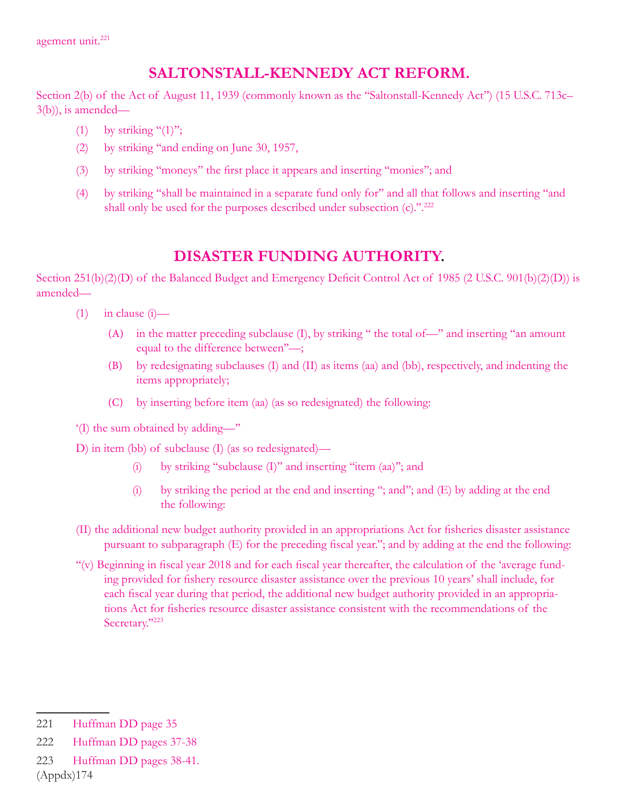## **SALTONSTALL-KENNEDY ACT REFORM.**

Section 2(b) of the Act of August 11, 1939 (commonly known as the "Saltonstall-Kennedy Act") (15 U.S.C. 713c– 3(b)), is amended—

- (1) by striking " $(1)$ ";
- (2) by striking ''and ending on June 30, 1957,
- (3) by striking "moneys" the first place it appears and inserting "monies"; and
- (4) by striking ''shall be maintained in a separate fund only for'' and all that follows and inserting ''and shall only be used for the purposes described under subsection  $(c)$ ."<sup>222</sup>

## **DISASTER FUNDING AUTHORITY.**

Section 251(b)(2)(D) of the Balanced Budget and Emergency Deficit Control Act of 1985 (2 U.S.C. 901(b)(2)(D)) is amended—

- $(1)$  in clause  $(i)$ 
	- (A) in the matter preceding subclause (I), by striking '' the total of—'' and inserting ''an amount equal to the difference between''—;
	- (B) by redesignating subclauses (I) and (II) as items (aa) and (bb), respectively, and indenting the items appropriately;
	- (C) by inserting before item (aa) (as so redesignated) the following:
- '(I) the sum obtained by adding—''
- D) in item (bb) of subclause (I) (as so redesignated)—
	- (i) by striking ''subclause (I)'' and inserting ''item (aa)''; and
	- (i) by striking the period at the end and inserting ''; and''; and (E) by adding at the end the following:
- (II) the additional new budget authority provided in an appropriations Act for fi sheries disaster assistance pursuant to subparagraph (E) for the preceding fiscal year."; and by adding at the end the following:
- "(v) Beginning in fiscal year 2018 and for each fiscal year thereafter, the calculation of the 'average funding provided for fishery resource disaster assistance over the previous 10 years' shall include, for each fiscal year during that period, the additional new budget authority provided in an appropriations Act for fisheries resource disaster assistance consistent with the recommendations of the Secretary."223

<sup>221</sup> Huffman DD page 35

<sup>222</sup> Huffman DD pages 37-38

<sup>223</sup> Huffman DD pages 38-41.

<sup>(</sup>Appdx)174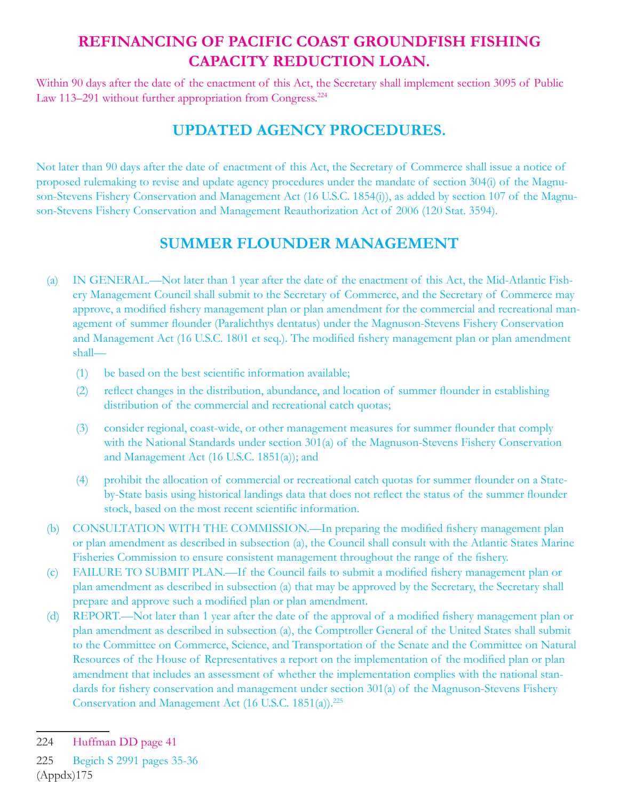# **REFINANCING OF PACIFIC COAST GROUNDFISH FISHING CAPACITY REDUCTION LOAN.**

Within 90 days after the date of the enactment of this Act, the Secretary shall implement section 3095 of Public Law 113–291 without further appropriation from Congress.<sup>224</sup>

### **UPDATED AGENCY PROCEDURES.**

Not later than 90 days after the date of enactment of this Act, the Secretary of Commerce shall issue a notice of proposed rulemaking to revise and update agency procedures under the mandate of section 304(i) of the Magnuson-Stevens Fishery Conservation and Management Act (16 U.S.C. 1854(i)), as added by section 107 of the Magnuson-Stevens Fishery Conservation and Management Reauthorization Act of 2006 (120 Stat. 3594).

## **SUMMER FLOUNDER MANAGEMENT**

- (a) IN GENERAL.—Not later than 1 year after the date of the enactment of this Act, the Mid-Atlantic Fishery Management Council shall submit to the Secretary of Commerce, and the Secretary of Commerce may approve, a modified fishery management plan or plan amendment for the commercial and recreational management of summer flounder (Paralichthys dentatus) under the Magnuson-Stevens Fishery Conservation and Management Act (16 U.S.C. 1801 et seq.). The modified fishery management plan or plan amendment shall—
	- $(1)$  be based on the best scientific information available;
	- (2) reflect changes in the distribution, abundance, and location of summer flounder in establishing distribution of the commercial and recreational catch quotas;
	- (3) consider regional, coast-wide, or other management measures for summer flounder that comply with the National Standards under section 301(a) of the Magnuson-Stevens Fishery Conservation and Management Act (16 U.S.C. 1851(a)); and
	- (4) prohibit the allocation of commercial or recreational catch quotas for summer flounder on a Stateby-State basis using historical landings data that does not reflect the status of the summer flounder stock, based on the most recent scientific information.
- (b) CONSULTATION WITH THE COMMISSION.—In preparing the modified fishery management plan or plan amendment as described in subsection (a), the Council shall consult with the Atlantic States Marine Fisheries Commission to ensure consistent management throughout the range of the fishery.
- (c) FAILURE TO SUBMIT PLAN.—If the Council fails to submit a modified fishery management plan or plan amendment as described in subsection (a) that may be approved by the Secretary, the Secretary shall prepare and approve such a modified plan or plan amendment.
- (d) REPORT.—Not later than 1 year after the date of the approval of a modified fishery management plan or plan amendment as described in subsection (a), the Comptroller General of the United States shall submit to the Committee on Commerce, Science, and Transportation of the Senate and the Committee on Natural Resources of the House of Representatives a report on the implementation of the modified plan or plan amendment that includes an assessment of whether the implementation complies with the national standards for fishery conservation and management under section 301(a) of the Magnuson-Stevens Fishery Conservation and Management Act (16 U.S.C. 1851(a)).225

<sup>224</sup> Huffman DD page 41

<sup>(</sup>Appdx)175 225 Begich S 2991 pages 35-36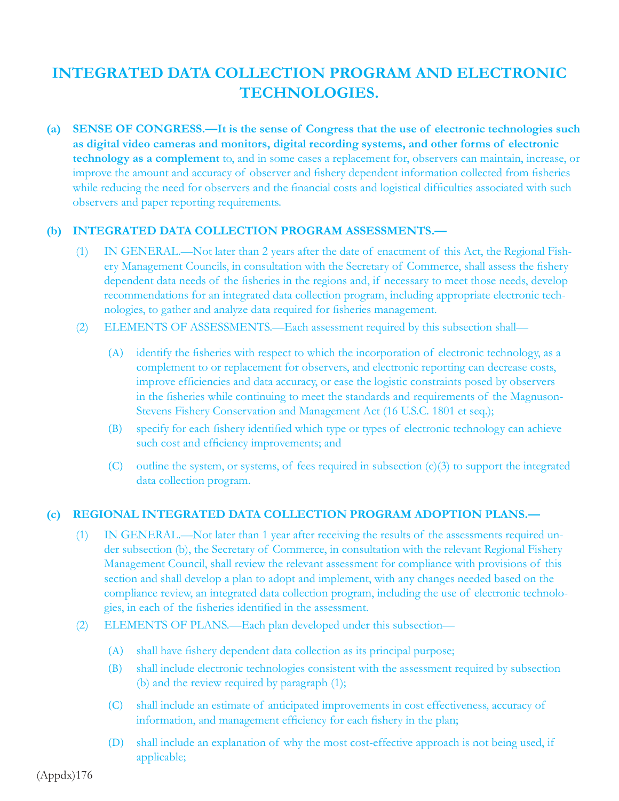# **INTEGRATED DATA COLLECTION PROGRAM AND ELECTRONIC TECHNOLOGIES.**

 **(a) SENSE OF CONGRESS.—It is the sense of Congress that the use of electronic technologies such as digital video cameras and monitors, digital recording systems, and other forms of electronic technology as a complement** to, and in some cases a replacement for, observers can maintain, increase, or improve the amount and accuracy of observer and fishery dependent information collected from fisheries while reducing the need for observers and the financial costs and logistical difficulties associated with such observers and paper reporting requirements.

#### **(b) INTEGRATED DATA COLLECTION PROGRAM ASSESSMENTS.—**

- (1) IN GENERAL.—Not later than 2 years after the date of enactment of this Act, the Regional Fishery Management Councils, in consultation with the Secretary of Commerce, shall assess the fishery dependent data needs of the fisheries in the regions and, if necessary to meet those needs, develop recommendations for an integrated data collection program, including appropriate electronic technologies, to gather and analyze data required for fisheries management.
- (2) ELEMENTS OF ASSESSMENTS.—Each assessment required by this subsection shall—
	- (A) identify the fisheries with respect to which the incorporation of electronic technology, as a complement to or replacement for observers, and electronic reporting can decrease costs, improve efficiencies and data accuracy, or ease the logistic constraints posed by observers in the fisheries while continuing to meet the standards and requirements of the Magnuson-Stevens Fishery Conservation and Management Act (16 U.S.C. 1801 et seq.);
	- (B) specify for each fishery identified which type or types of electronic technology can achieve such cost and efficiency improvements; and
	- (C) outline the system, or systems, of fees required in subsection (c)(3) to support the integrated data collection program.

#### **(c) REGIONAL INTEGRATED DATA COLLECTION PROGRAM ADOPTION PLANS.—**

- (1) IN GENERAL.—Not later than 1 year after receiving the results of the assessments required under subsection (b), the Secretary of Commerce, in consultation with the relevant Regional Fishery Management Council, shall review the relevant assessment for compliance with provisions of this section and shall develop a plan to adopt and implement, with any changes needed based on the compliance review, an integrated data collection program, including the use of electronic technologies, in each of the fisheries identified in the assessment.
- (2) ELEMENTS OF PLANS.—Each plan developed under this subsection—
	- (A) shall have fishery dependent data collection as its principal purpose;
	- (B) shall include electronic technologies consistent with the assessment required by subsection (b) and the review required by paragraph (1);
	- (C) shall include an estimate of anticipated improvements in cost effectiveness, accuracy of information, and management efficiency for each fishery in the plan;
	- (D) shall include an explanation of why the most cost-effective approach is not being used, if applicable;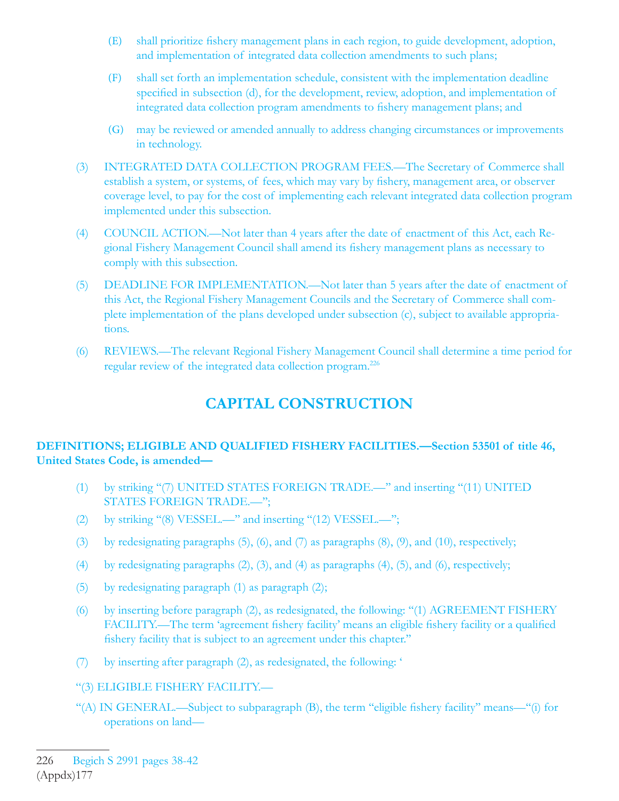- (E) shall prioritize fishery management plans in each region, to guide development, adoption, and implementation of integrated data collection amendments to such plans;
- (F) shall set forth an implementation schedule, consistent with the implementation deadline specified in subsection (d), for the development, review, adoption, and implementation of integrated data collection program amendments to fishery management plans; and
- (G) may be reviewed or amended annually to address changing circumstances or improvements in technology.
- (3) INTEGRATED DATA COLLECTION PROGRAM FEES.—The Secretary of Commerce shall establish a system, or systems, of fees, which may vary by fishery, management area, or observer coverage level, to pay for the cost of implementing each relevant integrated data collection program implemented under this subsection.
- (4) COUNCIL ACTION.—Not later than 4 years after the date of enactment of this Act, each Regional Fishery Management Council shall amend its fishery management plans as necessary to comply with this subsection.
- (5) DEADLINE FOR IMPLEMENTATION.—Not later than 5 years after the date of enactment of this Act, the Regional Fishery Management Councils and the Secretary of Commerce shall complete implementation of the plans developed under subsection (c), subject to available appropriations.
- (6) REVIEWS.—The relevant Regional Fishery Management Council shall determine a time period for regular review of the integrated data collection program.226

## **CAPITAL CONSTRUCTION**

#### **DEFINITIONS; ELIGIBLE AND QUALIFIED FISHERY FACILITIES.—Section 53501 of title 46, United States Code, is amended—**

- (1) by striking ''(7) UNITED STATES FOREIGN TRADE.—'' and inserting ''(11) UNITED STATES FOREIGN TRADE.-";
- (2) by striking ''(8) VESSEL.—'' and inserting ''(12) VESSEL.—'';
- (3) by redesignating paragraphs (5), (6), and (7) as paragraphs (8), (9), and (10), respectively;
- (4) by redesignating paragraphs (2), (3), and (4) as paragraphs (4), (5), and (6), respectively;
- (5) by redesignating paragraph (1) as paragraph (2);
- (6) by inserting before paragraph (2), as redesignated, the following: ''(1) AGREEMENT FISHERY FACILITY.—The term 'agreement fishery facility' means an eligible fishery facility or a qualified fishery facility that is subject to an agreement under this chapter."
- (7) by inserting after paragraph (2), as redesignated, the following: '
- "(3) ELIGIBLE FISHERY FACILITY.—
- "(A) IN GENERAL.—Subject to subparagraph (B), the term "eligible fishery facility" means—"(i) for operations on land—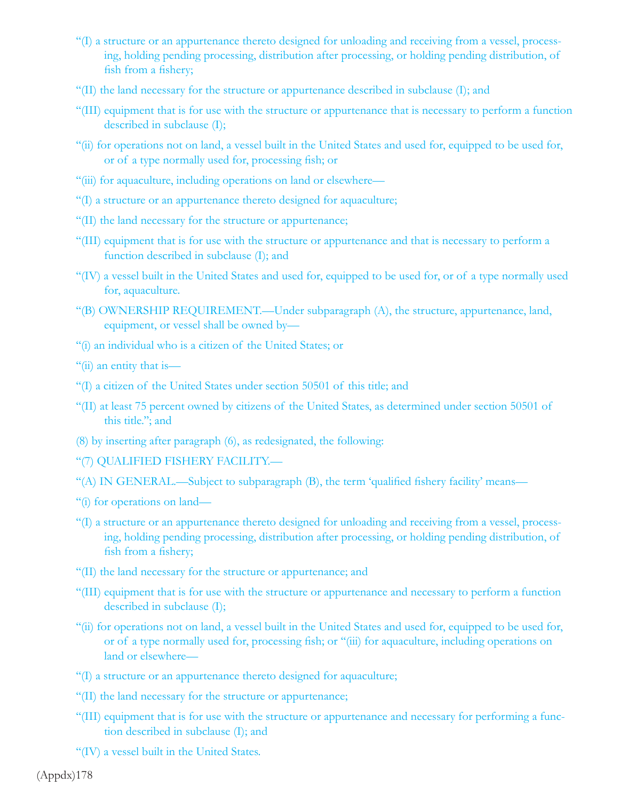- ''(I) a structure or an appurtenance thereto designed for unloading and receiving from a vessel, processing, holding pending processing, distribution after processing, or holding pending distribution, of fish from a fishery;
- ''(II) the land necessary for the structure or appurtenance described in subclause (I); and
- ''(III) equipment that is for use with the structure or appurtenance that is necessary to perform a function described in subclause (I);
- ''(ii) for operations not on land, a vessel built in the United States and used for, equipped to be used for, or of a type normally used for, processing fish; or
- "(iii) for aquaculture, including operations on land or elsewhere—
- ''(I) a structure or an appurtenance thereto designed for aquaculture;
- ''(II) the land necessary for the structure or appurtenance;
- ''(III) equipment that is for use with the structure or appurtenance and that is necessary to perform a function described in subclause (I); and
- ''(IV) a vessel built in the United States and used for, equipped to be used for, or of a type normally used for, aquaculture.
- ''(B) OWNERSHIP REQUIREMENT.—Under subparagraph (A), the structure, appurtenance, land, equipment, or vessel shall be owned by—
- ''(i) an individual who is a citizen of the United States; or
- ''(ii) an entity that is—
- ''(I) a citizen of the United States under section 50501 of this title; and
- ''(II) at least 75 percent owned by citizens of the United States, as determined under section 50501 of this title.''; and
- (8) by inserting after paragraph (6), as redesignated, the following:
- ''(7) QUALIFIED FISHERY FACILITY.—
- "(A) IN GENERAL.—Subject to subparagraph (B), the term 'qualified fishery facility' means—
- ''(i) for operations on land—
- ''(I) a structure or an appurtenance thereto designed for unloading and receiving from a vessel, processing, holding pending processing, distribution after processing, or holding pending distribution, of fish from a fishery;
- ''(II) the land necessary for the structure or appurtenance; and
- ''(III) equipment that is for use with the structure or appurtenance and necessary to perform a function described in subclause (I);
- ''(ii) for operations not on land, a vessel built in the United States and used for, equipped to be used for, or of a type normally used for, processing fish; or "(iii) for aquaculture, including operations on land or elsewhere—
- ''(I) a structure or an appurtenance thereto designed for aquaculture;
- ''(II) the land necessary for the structure or appurtenance;
- ''(III) equipment that is for use with the structure or appurtenance and necessary for performing a function described in subclause (I); and
- ''(IV) a vessel built in the United States.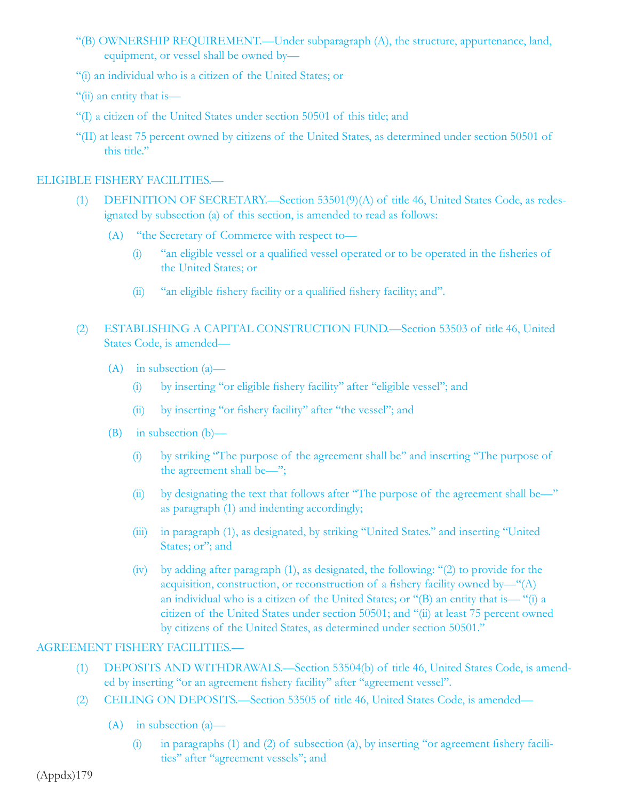- ''(B) OWNERSHIP REQUIREMENT.—Under subparagraph (A), the structure, appurtenance, land, equipment, or vessel shall be owned by—
- ''(i) an individual who is a citizen of the United States; or
- $\frac{a}{i}$  an entity that is—
- ''(I) a citizen of the United States under section 50501 of this title; and
- ''(II) at least 75 percent owned by citizens of the United States, as determined under section 50501 of this title.''

#### ELIGIBLE FISHERY FACILITIES.—

- (1) DEFINITION OF SECRETARY.—Section 53501(9)(A) of title 46, United States Code, as redesignated by subsection (a) of this section, is amended to read as follows:
	- (A) ''the Secretary of Commerce with respect to—
		- (i) "an eligible vessel or a qualified vessel operated or to be operated in the fisheries of the United States; or
		- (ii) "an eligible fishery facility or a qualified fishery facility; and".
- (2) ESTABLISHING A CAPITAL CONSTRUCTION FUND.—Section 53503 of title 46, United States Code, is amended—
	- (A) in subsection (a)—
		- (i) by inserting "or eligible fishery facility" after "eligible vessel"; and
		- (ii) by inserting "or fishery facility" after "the vessel"; and
	- (B) in subsection (b)—
		- (i) by striking ''The purpose of the agreement shall be'' and inserting ''The purpose of the agreement shall be—'';
		- (ii) by designating the text that follows after ''The purpose of the agreement shall be—'' as paragraph (1) and indenting accordingly;
		- (iii) in paragraph (1), as designated, by striking ''United States.'' and inserting ''United States; or"; and
		- (iv) by adding after paragraph (1), as designated, the following: ''(2) to provide for the acquisition, construction, or reconstruction of a fishery facility owned by— $"({\rm A})$ an individual who is a citizen of the United States; or ''(B) an entity that is— ''(i) a citizen of the United States under section 50501; and ''(ii) at least 75 percent owned by citizens of the United States, as determined under section 50501.''

#### AGREEMENT FISHERY FACILITIES.—

- (1) DEPOSITS AND WITHDRAWALS.—Section 53504(b) of title 46, United States Code, is amended by inserting "or an agreement fishery facility" after "agreement vessel".
- (2) CEILING ON DEPOSITS.—Section 53505 of title 46, United States Code, is amended—
	- (A) in subsection (a)—
		- (i) in paragraphs (1) and (2) of subsection (a), by inserting "or agreement fishery facilities'' after ''agreement vessels''; and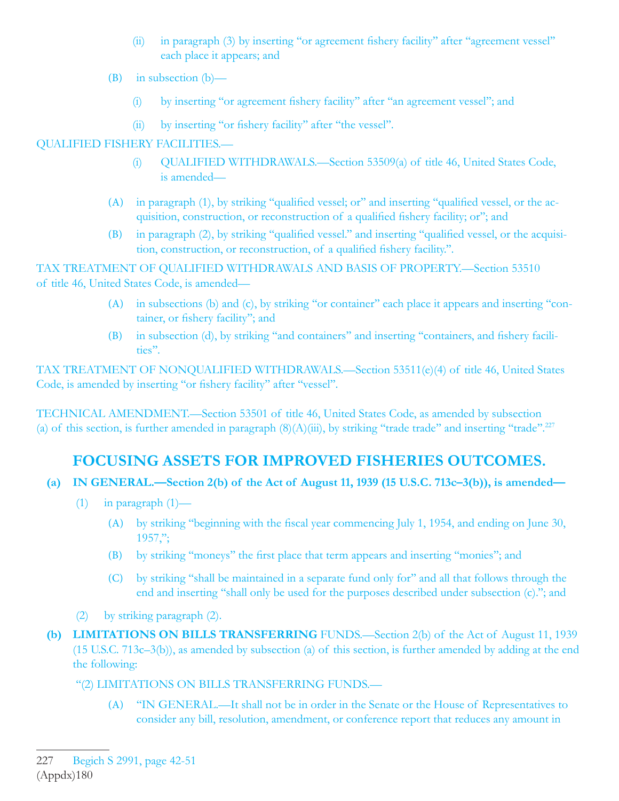- (ii) in paragraph (3) by inserting "or agreement fishery facility" after "agreement vessel" each place it appears; and
- (B) in subsection (b)—
	- (i) by inserting "or agreement fishery facility" after "an agreement vessel"; and
	- (ii) by inserting "or fishery facility" after "the vessel".

### QUALIFIED FISHERY FACILITIES.—

- (i) QUALIFIED WITHDRAWALS.—Section 53509(a) of title 46, United States Code, is amended—
- (A) in paragraph  $(1)$ , by striking "qualified vessel; or" and inserting "qualified vessel, or the acquisition, construction, or reconstruction of a qualified fishery facility; or"; and
- $(B)$  in paragraph  $(2)$ , by striking "qualified vessel." and inserting "qualified vessel, or the acquisition, construction, or reconstruction, of a qualified fishery facility.".

TAX TREATMENT OF QUALIFIED WITHDRAWALS AND BASIS OF PROPERTY.—Section 53510 of title 46, United States Code, is amended—

- (A) in subsections (b) and (c), by striking ''or container'' each place it appears and inserting ''container, or fishery facility"; and
- (B) in subsection (d), by striking "and containers" and inserting "containers, and fishery facilities''.

TAX TREATMENT OF NONQUALIFIED WITHDRAWALS.—Section 53511(e)(4) of title 46, United States Code, is amended by inserting "or fishery facility" after "vessel".

TECHNICAL AMENDMENT.—Section 53501 of title 46, United States Code, as amended by subsection (a) of this section, is further amended in paragraph  $(8)(A)(iii)$ , by striking "trade trade" and inserting "trade".<sup>227</sup>

# **FOCUSING ASSETS FOR IMPROVED FISHERIES OUTCOMES.**

### **(a) IN GENERAL.—Section 2(b) of the Act of August 11, 1939 (15 U.S.C. 713c–3(b)), is amended—**

- (1) in paragraph  $(1)$ 
	- (A) by striking "beginning with the fiscal year commencing July 1, 1954, and ending on June 30, 1957,'';
	- (B) by striking "moneys" the first place that term appears and inserting "monies"; and
	- (C) by striking ''shall be maintained in a separate fund only for'' and all that follows through the end and inserting "shall only be used for the purposes described under subsection (c)."; and
- (2) by striking paragraph (2).
- **(b) LIMITATIONS ON BILLS TRANSFERRING** FUNDS.—Section 2(b) of the Act of August 11, 1939 (15 U.S.C. 713c–3(b)), as amended by subsection (a) of this section, is further amended by adding at the end the following:

### ''(2) LIMITATIONS ON BILLS TRANSFERRING FUNDS.—

(A) ''IN GENERAL.—It shall not be in order in the Senate or the House of Representatives to consider any bill, resolution, amendment, or conference report that reduces any amount in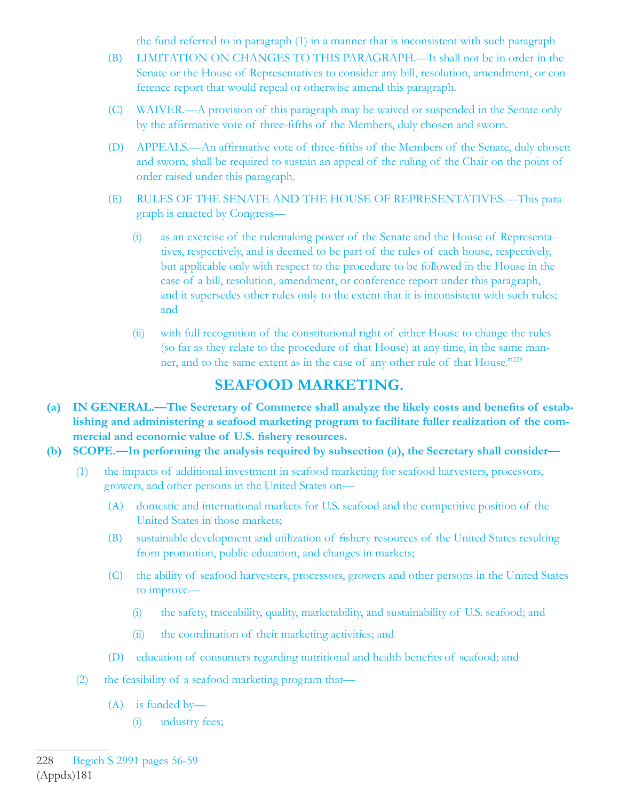the fund referred to in paragraph (1) in a manner that is inconsistent with such paragraph

- (B) LIMITATION ON CHANGES TO THIS PARAGRAPH.—It shall not be in order in the Senate or the House of Representatives to consider any bill, resolution, amendment, or conference report that would repeal or otherwise amend this paragraph.
- (C) WAIVER.—A provision of this paragraph may be waived or suspended in the Senate only by the affirmative vote of three-fifths of the Members, duly chosen and sworn.
- (D) APPEALS.—An affirmative vote of three-fifths of the Members of the Senate, duly chosen and sworn, shall be required to sustain an appeal of the ruling of the Chair on the point of order raised under this paragraph.
- (E) RULES OF THE SENATE AND THE HOUSE OF REPRESENTATIVES.—This paragraph is enacted by Congress—
	- (i) as an exercise of the rulemaking power of the Senate and the House of Representatives, respectively, and is deemed to be part of the rules of each house, respectively, but applicable only with respect to the procedure to be followed in the House in the case of a bill, resolution, amendment, or conference report under this paragraph, and it supersedes other rules only to the extent that it is inconsistent with such rules; and
	- (ii) with full recognition of the constitutional right of either House to change the rules (so far as they relate to the procedure of that House) at any time, in the same manner, and to the same extent as in the case of any other rule of that House."<sup>228</sup>

## **SEAFOOD MARKETING.**

- (a) IN GENERAL.—The Secretary of Commerce shall analyze the likely costs and benefits of estab**lishing and administering a seafood marketing program to facilitate fuller realization of the com**mercial and economic value of U.S. fishery resources.
- **(b) SCOPE.—In performing the analysis required by subsection (a), the Secretary shall consider—**
	- (1) the impacts of additional investment in seafood marketing for seafood harvesters, processors, growers, and other persons in the United States on—
		- (A) domestic and international markets for U.S. seafood and the competitive position of the United States in those markets;
		- (B) sustainable development and utilization of fishery resources of the United States resulting from promotion, public education, and changes in markets;
		- (C) the ability of seafood harvesters, processors, growers and other persons in the United States to improve—
			- (i) the safety, traceability, quality, marketability, and sustainability of U.S. seafood; and
			- (ii) the coordination of their marketing activities; and
		- (D) education of consumers regarding nutritional and health benefits of seafood; and
	- (2) the feasibility of a seafood marketing program that—
		- (A) is funded by—
			- (i) industry fees;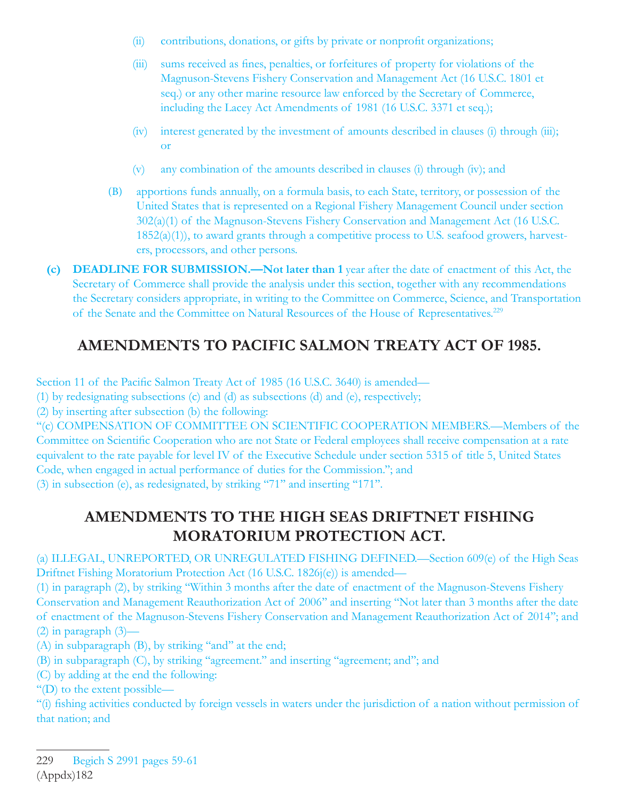- (ii) contributions, donations, or gifts by private or nonprofit organizations;
- (iii) sums received as fines, penalties, or forfeitures of property for violations of the Magnuson-Stevens Fishery Conservation and Management Act (16 U.S.C. 1801 et seq.) or any other marine resource law enforced by the Secretary of Commerce, including the Lacey Act Amendments of 1981 (16 U.S.C. 3371 et seq.);
- (iv) interest generated by the investment of amounts described in clauses (i) through (iii); or
- (v) any combination of the amounts described in clauses (i) through (iv); and
- (B) apportions funds annually, on a formula basis, to each State, territory, or possession of the United States that is represented on a Regional Fishery Management Council under section 302(a)(1) of the Magnuson-Stevens Fishery Conservation and Management Act (16 U.S.C. 1852(a)(1)), to award grants through a competitive process to U.S. seafood growers, harvesters, processors, and other persons.
- **(c) DEADLINE FOR SUBMISSION.—Not later than 1** year after the date of enactment of this Act, the Secretary of Commerce shall provide the analysis under this section, together with any recommendations the Secretary considers appropriate, in writing to the Committee on Commerce, Science, and Transportation of the Senate and the Committee on Natural Resources of the House of Representatives.229

## **AMENDMENTS TO PACIFIC SALMON TREATY ACT OF 1985.**

Section 11 of the Pacific Salmon Treaty Act of 1985 (16 U.S.C. 3640) is amended—

(1) by redesignating subsections (c) and (d) as subsections (d) and (e), respectively;

(2) by inserting after subsection (b) the following:

''(c) COMPENSATION OF COMMITTEE ON SCIENTIFIC COOPERATION MEMBERS.—Members of the Committee on Scientific Cooperation who are not State or Federal employees shall receive compensation at a rate equivalent to the rate payable for level IV of the Executive Schedule under section 5315 of title 5, United States Code, when engaged in actual performance of duties for the Commission.''; and

(3) in subsection (e), as redesignated, by striking ''71'' and inserting ''171''.

## **AMENDMENTS TO THE HIGH SEAS DRIFTNET FISHING MORATORIUM PROTECTION ACT.**

(a) ILLEGAL, UNREPORTED, OR UNREGULATED FISHING DEFINED.—Section 609(e) of the High Seas Driftnet Fishing Moratorium Protection Act (16 U.S.C. 1826j(e)) is amended—

(1) in paragraph (2), by striking ''Within 3 months after the date of enactment of the Magnuson-Stevens Fishery Conservation and Management Reauthorization Act of 2006'' and inserting ''Not later than 3 months after the date of enactment of the Magnuson-Stevens Fishery Conservation and Management Reauthorization Act of 2014''; and (2) in paragraph (3)—

(A) in subparagraph (B), by striking "and" at the end;

(B) in subparagraph (C), by striking ''agreement.'' and inserting ''agreement; and''; and

(C) by adding at the end the following:

''(D) to the extent possible—

''(i) fi shing activities conducted by foreign vessels in waters under the jurisdiction of a nation without permission of that nation; and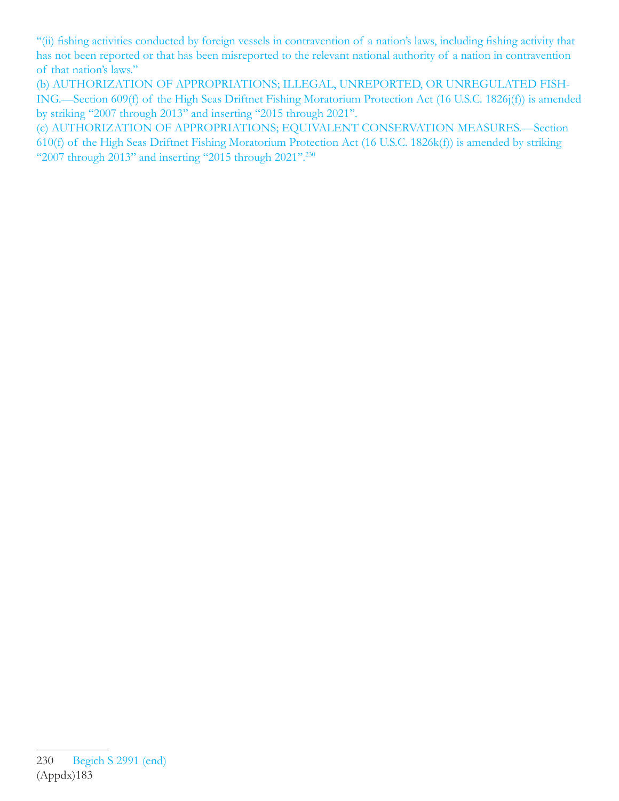"(ii) fishing activities conducted by foreign vessels in contravention of a nation's laws, including fishing activity that has not been reported or that has been misreported to the relevant national authority of a nation in contravention of that nation's laws.''

(b) AUTHORIZATION OF APPROPRIATIONS; ILLEGAL, UNREPORTED, OR UNREGULATED FISH-ING.—Section 609(f) of the High Seas Driftnet Fishing Moratorium Protection Act (16 U.S.C. 1826j(f)) is amended by striking ''2007 through 2013'' and inserting ''2015 through 2021''.

(c) AUTHORIZATION OF APPROPRIATIONS; EQUIVALENT CONSERVATION MEASURES.—Section 610(f) of the High Seas Driftnet Fishing Moratorium Protection Act (16 U.S.C. 1826k(f)) is amended by striking "2007 through 2013" and inserting "2015 through 2021".<sup>230</sup>